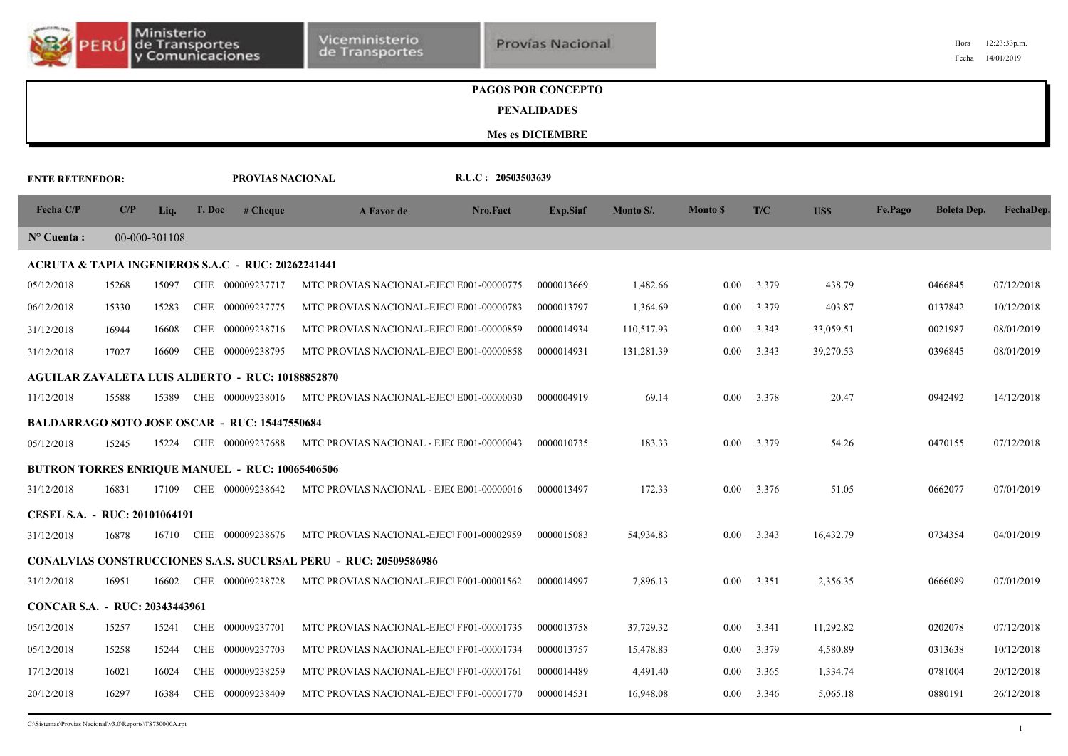|                                |       |               |        |                                                         |                                                                         |                    | <b>PAGOS POR CONCEPTO</b><br><b>PENALIDADES</b><br><b>Mes es DICIEMBRE</b> |            |                 |       |           |         |                    |            |
|--------------------------------|-------|---------------|--------|---------------------------------------------------------|-------------------------------------------------------------------------|--------------------|----------------------------------------------------------------------------|------------|-----------------|-------|-----------|---------|--------------------|------------|
| <b>ENTE RETENEDOR:</b>         |       |               |        | PROVIAS NACIONAL                                        |                                                                         | R.U.C: 20503503639 |                                                                            |            |                 |       |           |         |                    |            |
| Fecha C/P                      | C/P   | Liq.          | T. Doc | # <b>Change</b>                                         | A Favor de                                                              | Nro.Fact           | <b>Exp.Siaf</b>                                                            | Monto S/.  | <b>Monto \$</b> | T/C   | US\$      | Fe.Pago | <b>Boleta Dep.</b> | FechaDep.  |
| $N^{\circ}$ Cuenta :           |       | 00-000-301108 |        |                                                         |                                                                         |                    |                                                                            |            |                 |       |           |         |                    |            |
|                                |       |               |        | ACRUTA & TAPIA INGENIEROS S.A.C - RUC: 20262241441      |                                                                         |                    |                                                                            |            |                 |       |           |         |                    |            |
| 05/12/2018                     | 15268 | 15097         |        | CHE 000009237717                                        | MTC PROVIAS NACIONAL-EJEC E001-00000775                                 |                    | 0000013669                                                                 | 1,482.66   | 0.00            | 3.379 | 438.79    |         | 0466845            | 07/12/2018 |
| 06/12/2018                     | 15330 | 15283         |        | CHE 000009237775                                        | MTC PROVIAS NACIONAL-EJEC E001-00000783                                 |                    | 0000013797                                                                 | 1,364.69   | 0.00            | 3.379 | 403.87    |         | 0137842            | 10/12/2018 |
| 31/12/2018                     | 16944 | 16608         |        | CHE 000009238716                                        | MTC PROVIAS NACIONAL-EJEC E001-00000859                                 |                    | 0000014934                                                                 | 110,517.93 | 0.00            | 3.343 | 33,059.51 |         | 0021987            | 08/01/2019 |
| 31/12/2018                     | 17027 | 16609         |        | CHE 000009238795                                        | MTC PROVIAS NACIONAL-EJEC E001-00000858                                 |                    | 0000014931                                                                 | 131,281.39 | 0.00            | 3.343 | 39,270.53 |         | 0396845            | 08/01/2019 |
|                                |       |               |        | <b>AGUILAR ZAVALETA LUIS ALBERTO - RUC: 10188852870</b> |                                                                         |                    |                                                                            |            |                 |       |           |         |                    |            |
| 11/12/2018                     | 15588 | 15389         |        | CHE 000009238016                                        | MTC PROVIAS NACIONAL-EJEC E001-00000030                                 |                    | 0000004919                                                                 | 69.14      | 0.00            | 3.378 | 20.47     |         | 0942492            | 14/12/2018 |
|                                |       |               |        | <b>BALDARRAGO SOTO JOSE OSCAR - RUC: 15447550684</b>    |                                                                         |                    |                                                                            |            |                 |       |           |         |                    |            |
| 05/12/2018                     | 15245 | 15224         |        | CHE 000009237688                                        | MTC PROVIAS NACIONAL - EJE(E001-00000043                                |                    | 0000010735                                                                 | 183.33     | 0.00            | 3.379 | 54.26     |         | 0470155            | 07/12/2018 |
|                                |       |               |        | <b>BUTRON TORRES ENRIQUE MANUEL - RUC: 10065406506</b>  |                                                                         |                    |                                                                            |            |                 |       |           |         |                    |            |
| 31/12/2018                     | 16831 | 17109         |        | CHE 000009238642                                        | MTC PROVIAS NACIONAL - EJE(E001-00000016                                |                    | 0000013497                                                                 | 172.33     | 0.00            | 3.376 | 51.05     |         | 0662077            | 07/01/2019 |
| CESEL S.A. - RUC: 20101064191  |       |               |        |                                                         |                                                                         |                    |                                                                            |            |                 |       |           |         |                    |            |
| 31/12/2018                     | 16878 |               |        | 16710 CHE 000009238676                                  | MTC PROVIAS NACIONAL-EJEC F001-00002959                                 |                    | 0000015083                                                                 | 54,934.83  | $0.00\,$        | 3.343 | 16,432.79 |         | 0734354            | 04/01/2019 |
|                                |       |               |        |                                                         | <b>CONALVIAS CONSTRUCCIONES S.A.S. SUCURSAL PERU - RUC: 20509586986</b> |                    |                                                                            |            |                 |       |           |         |                    |            |
| 31/12/2018                     | 16951 | 16602         |        | CHE 000009238728                                        | MTC PROVIAS NACIONAL-EJEC F001-00001562                                 |                    | 0000014997                                                                 | 7,896.13   | 0.00            | 3.351 | 2,356.35  |         | 0666089            | 07/01/2019 |
| CONCAR S.A. - RUC: 20343443961 |       |               |        |                                                         |                                                                         |                    |                                                                            |            |                 |       |           |         |                    |            |
| 05/12/2018                     | 15257 | 15241         | CHE    | 000009237701                                            | MTC PROVIAS NACIONAL-EJEC FF01-00001735                                 |                    | 0000013758                                                                 | 37,729.32  | 0.00            | 3.341 | 11,292.82 |         | 0202078            | 07/12/2018 |
| 05/12/2018                     | 15258 | 15244         | CHE    | 000009237703                                            | MTC PROVIAS NACIONAL-EJEC FF01-00001734                                 |                    | 0000013757                                                                 | 15,478.83  | 0.00            | 3.379 | 4,580.89  |         | 0313638            | 10/12/2018 |
| 17/12/2018                     | 16021 | 16024         |        | CHE 000009238259                                        | MTC PROVIAS NACIONAL-EJEC FF01-00001761                                 |                    | 0000014489                                                                 | 4,491.40   | 0.00            | 3.365 | 1,334.74  |         | 0781004            | 20/12/2018 |
| 20/12/2018                     | 16297 | 16384         |        | CHE 000009238409                                        | MTC PROVIAS NACIONAL-EJEC FF01-00001770                                 |                    | 0000014531                                                                 | 16,948.08  | $0.00\,$        | 3.346 | 5,065.18  |         | 0880191            | 26/12/2018 |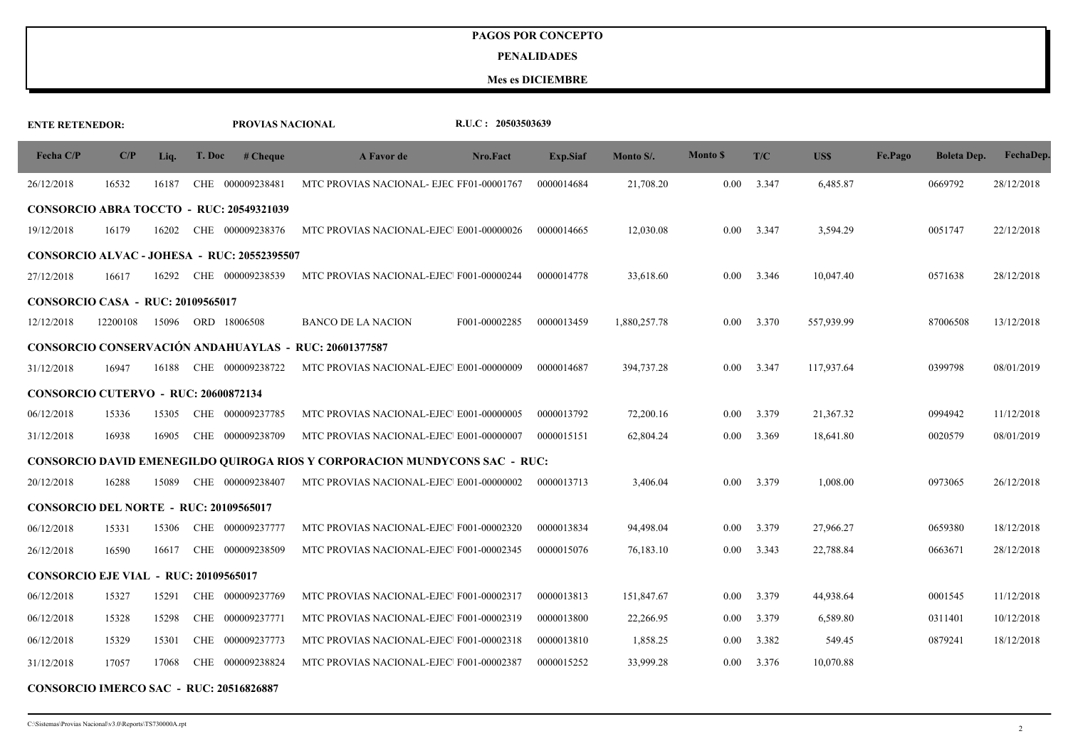#### **PENALIDADES**

| <b>ENTE RETENEDOR:</b>                         |          |       |        | PROVIAS NACIONAL                                   |                                                                            | R.U.C: 20503503639 |                 |              |                 |       |            |         |                    |            |
|------------------------------------------------|----------|-------|--------|----------------------------------------------------|----------------------------------------------------------------------------|--------------------|-----------------|--------------|-----------------|-------|------------|---------|--------------------|------------|
| Fecha C/P                                      | C/P      | Liq.  | T. Doc | # Cheque                                           | A Favor de                                                                 | Nro.Fact           | <b>Exp.Siaf</b> | Monto S/.    | <b>Monto \$</b> | T/C   | US\$       | Fe.Pago | <b>Boleta Dep.</b> | FechaDep.  |
| 26/12/2018                                     | 16532    | 16187 |        | CHE 000009238481                                   | MTC PROVIAS NACIONAL- EJEC FF01-00001767                                   |                    | 0000014684      | 21,708.20    | 0.00            | 3.347 | 6,485.87   |         | 0669792            | 28/12/2018 |
|                                                |          |       |        | <b>CONSORCIO ABRA TOCCTO - RUC: 20549321039</b>    |                                                                            |                    |                 |              |                 |       |            |         |                    |            |
| 19/12/2018                                     | 16179    | 16202 |        | CHE 000009238376                                   | MTC PROVIAS NACIONAL-EJEC E001-00000026                                    |                    | 0000014665      | 12,030.08    | 0.00            | 3.347 | 3,594.29   |         | 0051747            | 22/12/2018 |
|                                                |          |       |        | <b>CONSORCIO ALVAC - JOHESA - RUC: 20552395507</b> |                                                                            |                    |                 |              |                 |       |            |         |                    |            |
| 27/12/2018                                     | 16617    | 16292 |        | CHE 000009238539                                   | MTC PROVIAS NACIONAL-EJEC F001-00000244                                    |                    | 0000014778      | 33,618.60    | 0.00            | 3.346 | 10,047.40  |         | 0571638            | 28/12/2018 |
| <b>CONSORCIO CASA - RUC: 20109565017</b>       |          |       |        |                                                    |                                                                            |                    |                 |              |                 |       |            |         |                    |            |
| 12/12/2018                                     | 12200108 | 15096 |        | ORD 18006508                                       | <b>BANCO DE LA NACION</b>                                                  | F001-00002285      | 0000013459      | 1,880,257.78 | 0.00            | 3.370 | 557,939.99 |         | 87006508           | 13/12/2018 |
|                                                |          |       |        |                                                    | <b>CONSORCIO CONSERVACIÓN ANDAHUAYLAS - RUC: 20601377587</b>               |                    |                 |              |                 |       |            |         |                    |            |
| 31/12/2018                                     | 16947    | 16188 |        | CHE 000009238722                                   | MTC PROVIAS NACIONAL-EJEC E001-00000009                                    |                    | 0000014687      | 394,737.28   | 0.00            | 3.347 | 117,937.64 |         | 0399798            | 08/01/2019 |
| <b>CONSORCIO CUTERVO - RUC: 20600872134</b>    |          |       |        |                                                    |                                                                            |                    |                 |              |                 |       |            |         |                    |            |
| 06/12/2018                                     | 15336    | 15305 |        | CHE 000009237785                                   | MTC PROVIAS NACIONAL-EJEC E001-00000005                                    |                    | 0000013792      | 72,200.16    | 0.00            | 3.379 | 21,367.32  |         | 0994942            | 11/12/2018 |
| 31/12/2018                                     | 16938    | 16905 |        | CHE 000009238709                                   | MTC PROVIAS NACIONAL-EJEC E001-00000007                                    |                    | 0000015151      | 62,804.24    | 0.00            | 3.369 | 18,641.80  |         | 0020579            | 08/01/2019 |
|                                                |          |       |        |                                                    | CONSORCIO DAVID EMENEGILDO QUIROGA RIOS Y CORPORACION MUNDYCONS SAC - RUC: |                    |                 |              |                 |       |            |         |                    |            |
| 20/12/2018                                     | 16288    | 15089 |        | CHE 000009238407                                   | MTC PROVIAS NACIONAL-EJEC E001-00000002                                    |                    | 0000013713      | 3,406.04     | 0.00            | 3.379 | 1,008.00   |         | 0973065            | 26/12/2018 |
| <b>CONSORCIO DEL NORTE - RUC: 20109565017</b>  |          |       |        |                                                    |                                                                            |                    |                 |              |                 |       |            |         |                    |            |
| 06/12/2018                                     | 15331    | 15306 |        | CHE 000009237777                                   | MTC PROVIAS NACIONAL-EJEC F001-00002320                                    |                    | 0000013834      | 94,498.04    | 0.00            | 3.379 | 27,966.27  |         | 0659380            | 18/12/2018 |
| 26/12/2018                                     | 16590    | 16617 |        | CHE 000009238509                                   | MTC PROVIAS NACIONAL-EJEC F001-00002345                                    |                    | 0000015076      | 76,183.10    | 0.00            | 3.343 | 22,788.84  |         | 0663671            | 28/12/2018 |
| <b>CONSORCIO EJE VIAL - RUC: 20109565017</b>   |          |       |        |                                                    |                                                                            |                    |                 |              |                 |       |            |         |                    |            |
| 06/12/2018                                     | 15327    | 15291 |        | CHE 000009237769                                   | MTC PROVIAS NACIONAL-EJEC F001-00002317                                    |                    | 0000013813      | 151,847.67   | 0.00            | 3.379 | 44,938.64  |         | 0001545            | 11/12/2018 |
| 06/12/2018                                     | 15328    | 15298 |        | CHE 000009237771                                   | MTC PROVIAS NACIONAL-EJEC F001-00002319                                    |                    | 0000013800      | 22,266.95    | 0.00            | 3.379 | 6,589.80   |         | 0311401            | 10/12/2018 |
| 06/12/2018                                     | 15329    | 15301 | CHE    | 000009237773                                       | MTC PROVIAS NACIONAL-EJEC F001-00002318                                    |                    | 0000013810      | 1,858.25     | 0.00            | 3.382 | 549.45     |         | 0879241            | 18/12/2018 |
| 31/12/2018                                     | 17057    | 17068 |        | CHE 000009238824                                   | MTC PROVIAS NACIONAL-EJEC F001-00002387                                    |                    | 0000015252      | 33,999.28    | 0.00            | 3.376 | 10,070.88  |         |                    |            |
| <b>CONSORCIO IMERCO SAC - RUC: 20516826887</b> |          |       |        |                                                    |                                                                            |                    |                 |              |                 |       |            |         |                    |            |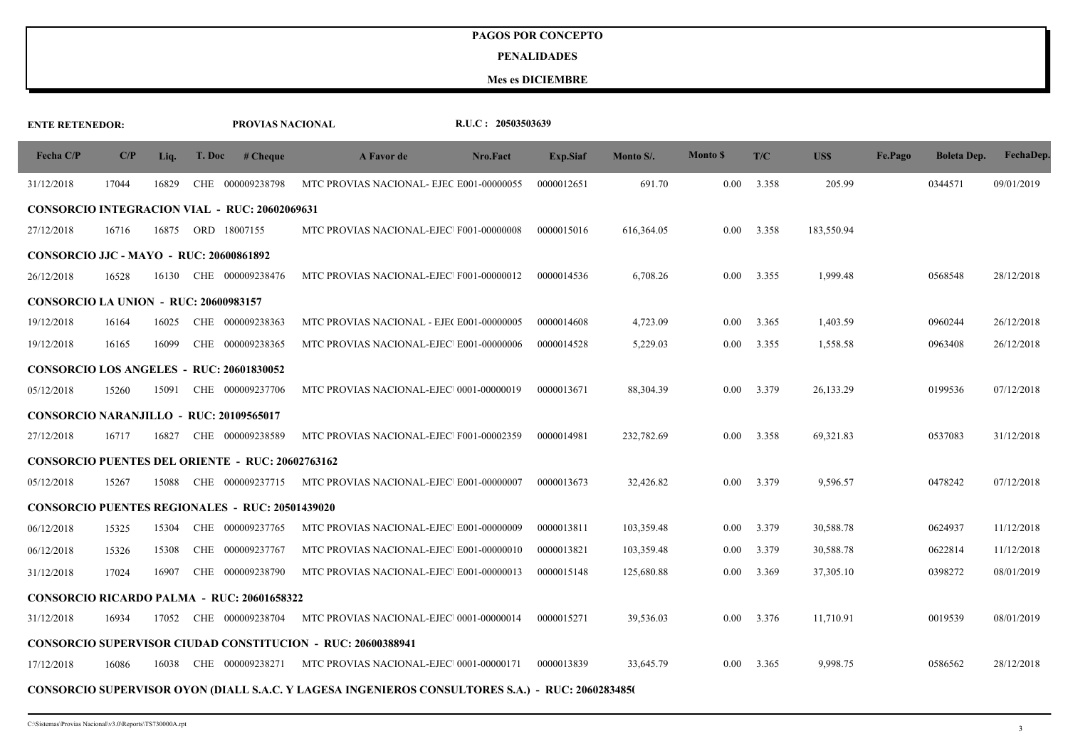#### **PENALIDADES**

| <b>ENTE RETENEDOR:</b>                         |       |       |        | PROVIAS NACIONAL                                        |                                                                                                  | R.U.C: 20503503639 |                 |            |                 |       |            |         |                    |            |
|------------------------------------------------|-------|-------|--------|---------------------------------------------------------|--------------------------------------------------------------------------------------------------|--------------------|-----------------|------------|-----------------|-------|------------|---------|--------------------|------------|
| Fecha C/P                                      | C/P   | Liq.  | T. Doc | # <b>Change</b>                                         | A Favor de                                                                                       | Nro.Fact           | <b>Exp.Siaf</b> | Monto S/.  | <b>Monto</b> \$ | T/C   | US\$       | Fe.Pago | <b>Boleta Dep.</b> | FechaDep.  |
| 31/12/2018                                     | 17044 | 16829 |        | CHE 000009238798                                        | MTC PROVIAS NACIONAL- EJEC E001-00000055                                                         |                    | 0000012651      | 691.70     | 0.00            | 3.358 | 205.99     |         | 0344571            | 09/01/2019 |
|                                                |       |       |        | <b>CONSORCIO INTEGRACION VIAL - RUC: 20602069631</b>    |                                                                                                  |                    |                 |            |                 |       |            |         |                    |            |
| 27/12/2018                                     | 16716 | 16875 |        | ORD 18007155                                            | MTC PROVIAS NACIONAL-EJEC F001-00000008                                                          |                    | 0000015016      | 616,364.05 | 0.00            | 3.358 | 183,550.94 |         |                    |            |
| <b>CONSORCIO JJC - MAYO - RUC: 20600861892</b> |       |       |        |                                                         |                                                                                                  |                    |                 |            |                 |       |            |         |                    |            |
| 26/12/2018                                     | 16528 | 16130 |        | CHE 000009238476                                        | MTC PROVIAS NACIONAL-EJEC F001-00000012                                                          |                    | 0000014536      | 6,708.26   | 0.00            | 3.355 | 1,999.48   |         | 0568548            | 28/12/2018 |
| <b>CONSORCIO LA UNION - RUC: 20600983157</b>   |       |       |        |                                                         |                                                                                                  |                    |                 |            |                 |       |            |         |                    |            |
| 19/12/2018                                     | 16164 | 16025 |        | CHE 000009238363                                        | MTC PROVIAS NACIONAL - EJE(E001-00000005                                                         |                    | 0000014608      | 4,723.09   | 0.00            | 3.365 | 1,403.59   |         | 0960244            | 26/12/2018 |
| 19/12/2018                                     | 16165 | 16099 |        | CHE 000009238365                                        | MTC PROVIAS NACIONAL-EJEC E001-00000006                                                          |                    | 0000014528      | 5,229.03   | 0.00            | 3.355 | 1,558.58   |         | 0963408            | 26/12/2018 |
|                                                |       |       |        | <b>CONSORCIO LOS ANGELES - RUC: 20601830052</b>         |                                                                                                  |                    |                 |            |                 |       |            |         |                    |            |
| 05/12/2018                                     | 15260 | 15091 |        | CHE 000009237706                                        | MTC PROVIAS NACIONAL-EJEC 0001-00000019                                                          |                    | 0000013671      | 88,304.39  | $0.00\,$        | 3.379 | 26, 133.29 |         | 0199536            | 07/12/2018 |
| CONSORCIO NARANJILLO - RUC: 20109565017        |       |       |        |                                                         |                                                                                                  |                    |                 |            |                 |       |            |         |                    |            |
| 27/12/2018                                     | 16717 | 16827 |        | CHE 000009238589                                        | MTC PROVIAS NACIONAL-EJEC F001-00002359                                                          |                    | 0000014981      | 232,782.69 | 0.00            | 3.358 | 69,321.83  |         | 0537083            | 31/12/2018 |
|                                                |       |       |        | <b>CONSORCIO PUENTES DEL ORIENTE - RUC: 20602763162</b> |                                                                                                  |                    |                 |            |                 |       |            |         |                    |            |
| 05/12/2018                                     | 15267 | 15088 |        | CHE 000009237715                                        | MTC PROVIAS NACIONAL-EJEC E001-00000007                                                          |                    | 0000013673      | 32,426.82  | 0.00            | 3.379 | 9,596.57   |         | 0478242            | 07/12/2018 |
|                                                |       |       |        | <b>CONSORCIO PUENTES REGIONALES - RUC: 20501439020</b>  |                                                                                                  |                    |                 |            |                 |       |            |         |                    |            |
| 06/12/2018                                     | 15325 | 15304 |        | CHE 000009237765                                        | MTC PROVIAS NACIONAL-EJEC E001-00000009                                                          |                    | 0000013811      | 103,359.48 | $0.00\,$        | 3.379 | 30,588.78  |         | 0624937            | 11/12/2018 |
| 06/12/2018                                     | 15326 | 15308 | CHE    | 000009237767                                            | MTC PROVIAS NACIONAL-EJEC E001-00000010                                                          |                    | 0000013821      | 103,359.48 | 0.00            | 3.379 | 30,588.78  |         | 0622814            | 11/12/2018 |
| 31/12/2018                                     | 17024 | 16907 |        | CHE 000009238790                                        | MTC PROVIAS NACIONAL-EJEC E001-00000013                                                          |                    | 0000015148      | 125,680.88 | 0.00            | 3.369 | 37,305.10  |         | 0398272            | 08/01/2019 |
|                                                |       |       |        | <b>CONSORCIO RICARDO PALMA - RUC: 20601658322</b>       |                                                                                                  |                    |                 |            |                 |       |            |         |                    |            |
| 31/12/2018                                     | 16934 | 17052 |        | CHE 000009238704                                        | MTC PROVIAS NACIONAL-EJEC 0001-00000014                                                          |                    | 0000015271      | 39,536.03  | 0.00            | 3.376 | 11,710.91  |         | 0019539            | 08/01/2019 |
|                                                |       |       |        |                                                         | <b>CONSORCIO SUPERVISOR CIUDAD CONSTITUCION - RUC: 20600388941</b>                               |                    |                 |            |                 |       |            |         |                    |            |
| 17/12/2018                                     | 16086 | 16038 |        | CHE 000009238271                                        | MTC PROVIAS NACIONAL-EJEC 0001-00000171                                                          |                    | 0000013839      | 33,645.79  | 0.00            | 3.365 | 9,998.75   |         | 0586562            | 28/12/2018 |
|                                                |       |       |        |                                                         | CONSORCIO SUPERVISOR OYON (DIALL S.A.C. Y LAGESA INGENIEROS CONSULTORES S.A.) - RUC: 20602834850 |                    |                 |            |                 |       |            |         |                    |            |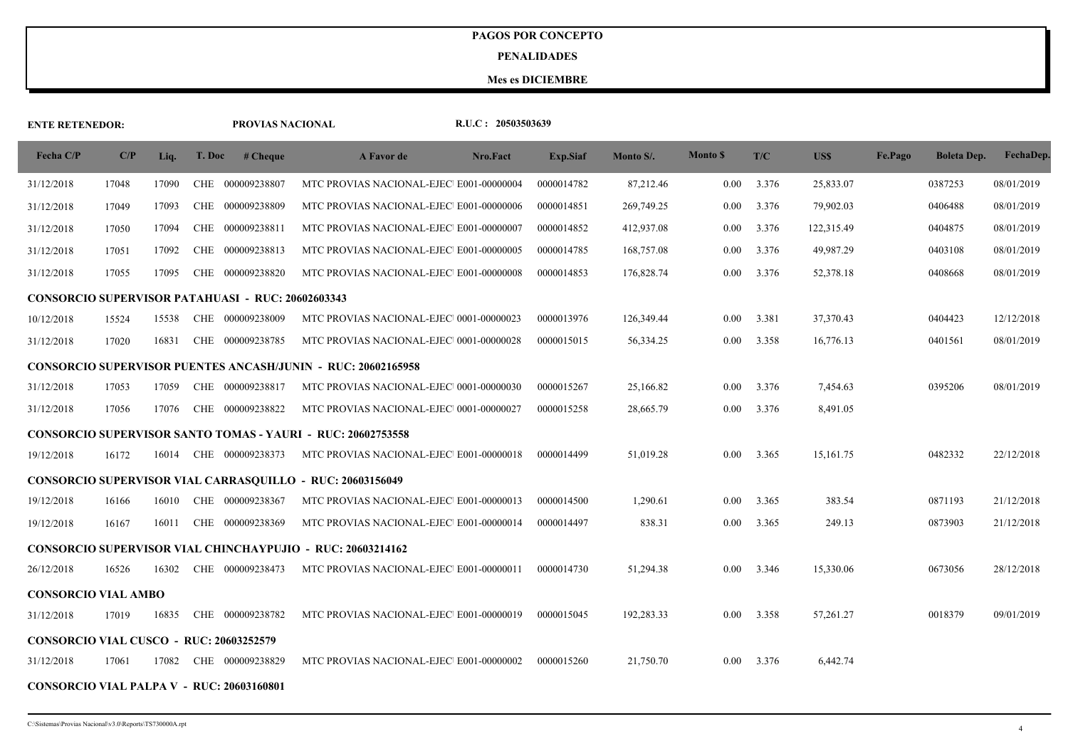#### **PENALIDADES**

| <b>ENTE RETENEDOR:</b>                           |       |       |            | PROVIAS NACIONAL                                         |                                                                     | R.U.C: 20503503639 |                 |            |                 |       |            |         |                    |            |
|--------------------------------------------------|-------|-------|------------|----------------------------------------------------------|---------------------------------------------------------------------|--------------------|-----------------|------------|-----------------|-------|------------|---------|--------------------|------------|
| Fecha $C/P$                                      | C/P   | Liq.  | T. Doc     | # Cheque                                                 | A Favor de                                                          | Nro.Fact           | <b>Exp.Siaf</b> | Monto S/.  | <b>Monto</b> \$ | T/C   | <b>USS</b> | Fe.Pago | <b>Boleta Dep.</b> | FechaDep.  |
| 31/12/2018                                       | 17048 | 17090 |            | CHE 000009238807                                         | MTC PROVIAS NACIONAL-EJEC E001-00000004                             |                    | 0000014782      | 87,212.46  | 0.00            | 3.376 | 25,833.07  |         | 0387253            | 08/01/2019 |
| 31/12/2018                                       | 17049 | 17093 |            | CHE 000009238809                                         | MTC PROVIAS NACIONAL-EJEC E001-00000006                             |                    | 0000014851      | 269,749.25 | 0.00            | 3.376 | 79,902.03  |         | 0406488            | 08/01/2019 |
| 31/12/2018                                       | 17050 | 17094 |            | CHE 000009238811                                         | MTC PROVIAS NACIONAL-EJEC E001-00000007                             |                    | 0000014852      | 412,937.08 | 0.00            | 3.376 | 122,315.49 |         | 0404875            | 08/01/2019 |
| 31/12/2018                                       | 17051 | 17092 |            | CHE 000009238813                                         | MTC PROVIAS NACIONAL-EJEC E001-00000005                             |                    | 0000014785      | 168,757.08 | 0.00            | 3.376 | 49,987.29  |         | 0403108            | 08/01/2019 |
| 31/12/2018                                       | 17055 | 17095 | <b>CHE</b> | 000009238820                                             | MTC PROVIAS NACIONAL-EJEC E001-00000008                             |                    | 0000014853      | 176,828.74 | 0.00            | 3.376 | 52,378.18  |         | 0408668            | 08/01/2019 |
|                                                  |       |       |            | <b>CONSORCIO SUPERVISOR PATAHUASI - RUC: 20602603343</b> |                                                                     |                    |                 |            |                 |       |            |         |                    |            |
| 10/12/2018                                       | 15524 | 15538 |            | CHE 000009238009                                         | MTC PROVIAS NACIONAL-EJEC 0001-00000023                             |                    | 0000013976      | 126,349.44 | 0.00            | 3.381 | 37,370.43  |         | 0404423            | 12/12/2018 |
| 31/12/2018                                       | 17020 | 16831 |            | CHE 000009238785                                         | MTC PROVIAS NACIONAL-EJEC 0001-00000028                             |                    | 0000015015      | 56,334.25  | 0.00            | 3.358 | 16,776.13  |         | 0401561            | 08/01/2019 |
|                                                  |       |       |            |                                                          | <b>CONSORCIO SUPERVISOR PUENTES ANCASH/JUNIN - RUC: 20602165958</b> |                    |                 |            |                 |       |            |         |                    |            |
| 31/12/2018                                       | 17053 | 17059 |            | CHE 000009238817                                         | MTC PROVIAS NACIONAL-EJEC 0001-00000030                             |                    | 0000015267      | 25,166.82  | 0.00            | 3.376 | 7,454.63   |         | 0395206            | 08/01/2019 |
| 31/12/2018                                       | 17056 | 17076 |            | CHE 000009238822                                         | MTC PROVIAS NACIONAL-EJEC 0001-00000027                             |                    | 0000015258      | 28,665.79  | 0.00            | 3.376 | 8,491.05   |         |                    |            |
|                                                  |       |       |            |                                                          | <b>CONSORCIO SUPERVISOR SANTO TOMAS - YAURI - RUC: 20602753558</b>  |                    |                 |            |                 |       |            |         |                    |            |
| 19/12/2018                                       | 16172 | 16014 |            | CHE 000009238373                                         | MTC PROVIAS NACIONAL-EJEC E001-00000018                             |                    | 0000014499      | 51,019.28  | 0.00            | 3.365 | 15,161.75  |         | 0482332            | 22/12/2018 |
|                                                  |       |       |            |                                                          | <b>CONSORCIO SUPERVISOR VIAL CARRASOUILLO - RUC: 20603156049</b>    |                    |                 |            |                 |       |            |         |                    |            |
| 19/12/2018                                       | 16166 | 16010 |            | CHE 000009238367                                         | MTC PROVIAS NACIONAL-EJEC E001-00000013                             |                    | 0000014500      | 1,290.61   | 0.00            | 3.365 | 383.54     |         | 0871193            | 21/12/2018 |
| 19/12/2018                                       | 16167 | 16011 |            | CHE 000009238369                                         | MTC PROVIAS NACIONAL-EJEC E001-00000014                             |                    | 0000014497      | 838.31     | 0.00            | 3.365 | 249.13     |         | 0873903            | 21/12/2018 |
|                                                  |       |       |            |                                                          | <b>CONSORCIO SUPERVISOR VIAL CHINCHAYPUJIO - RUC: 20603214162</b>   |                    |                 |            |                 |       |            |         |                    |            |
| 26/12/2018                                       | 16526 | 16302 |            | CHE 000009238473                                         | MTC PROVIAS NACIONAL-EJEC E001-00000011                             |                    | 0000014730      | 51,294.38  | 0.00            | 3.346 | 15,330.06  |         | 0673056            | 28/12/2018 |
| <b>CONSORCIO VIAL AMBO</b>                       |       |       |            |                                                          |                                                                     |                    |                 |            |                 |       |            |         |                    |            |
| 31/12/2018                                       | 17019 | 16835 |            | CHE 000009238782                                         | MTC PROVIAS NACIONAL-EJEC E001-00000019                             |                    | 0000015045      | 192,283.33 | 0.00            | 3.358 | 57,261.27  |         | 0018379            | 09/01/2019 |
| <b>CONSORCIO VIAL CUSCO - RUC: 20603252579</b>   |       |       |            |                                                          |                                                                     |                    |                 |            |                 |       |            |         |                    |            |
| 31/12/2018                                       | 17061 | 17082 |            | CHE 000009238829                                         | MTC PROVIAS NACIONAL-EJEC E001-00000002                             |                    | 0000015260      | 21,750.70  | 0.00            | 3.376 | 6,442.74   |         |                    |            |
| <b>CONSORCIO VIAL PALPA V - RUC: 20603160801</b> |       |       |            |                                                          |                                                                     |                    |                 |            |                 |       |            |         |                    |            |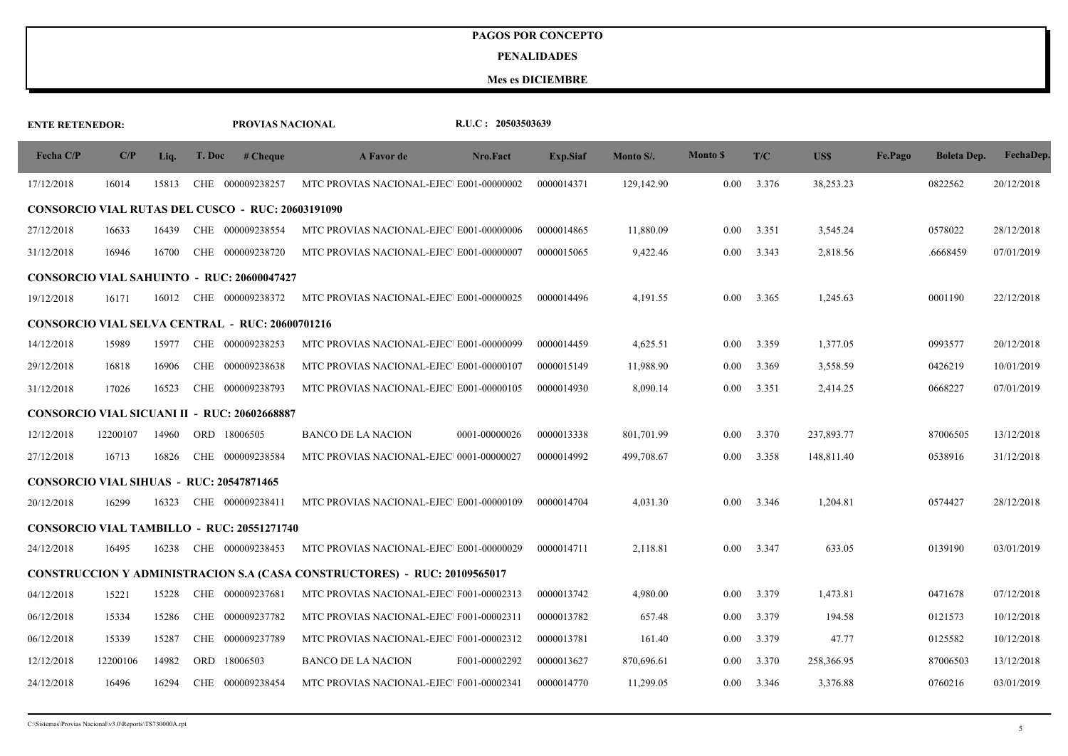#### **PENALIDADES**

| <b>ENTE RETENEDOR:</b> |          |       |            | PROVIAS NACIONAL                                         |                                                                                  | R.U.C: 20503503639 |                 |            |                 |       |            |         |                    |            |
|------------------------|----------|-------|------------|----------------------------------------------------------|----------------------------------------------------------------------------------|--------------------|-----------------|------------|-----------------|-------|------------|---------|--------------------|------------|
| Fecha C/P              | C/P      | Liq.  | T. Doc     | # <b>Change</b>                                          | A Favor de                                                                       | Nro.Fact           | <b>Exp.Siaf</b> | Monto S/.  | <b>Monto</b> \$ | T/C   | US\$       | Fe.Pago | <b>Boleta Dep.</b> | FechaDep.  |
| 17/12/2018             | 16014    | 15813 |            | CHE 000009238257                                         | MTC PROVIAS NACIONAL-EJEC E001-00000002                                          |                    | 0000014371      | 129,142.90 | $0.00\,$        | 3.376 | 38,253.23  |         | 0822562            | 20/12/2018 |
|                        |          |       |            | <b>CONSORCIO VIAL RUTAS DEL CUSCO - RUC: 20603191090</b> |                                                                                  |                    |                 |            |                 |       |            |         |                    |            |
| 27/12/2018             | 16633    | 16439 |            | CHE 000009238554                                         | MTC PROVIAS NACIONAL-EJEC E001-00000006                                          |                    | 0000014865      | 11,880.09  | 0.00            | 3.351 | 3,545.24   |         | 0578022            | 28/12/2018 |
| 31/12/2018             | 16946    | 16700 |            | CHE 000009238720                                         | MTC PROVIAS NACIONAL-EJEC E001-00000007                                          |                    | 0000015065      | 9,422.46   | 0.00            | 3.343 | 2,818.56   |         | .6668459           | 07/01/2019 |
|                        |          |       |            | <b>CONSORCIO VIAL SAHUINTO - RUC: 20600047427</b>        |                                                                                  |                    |                 |            |                 |       |            |         |                    |            |
| 19/12/2018             | 16171    | 16012 |            | CHE 000009238372                                         | MTC PROVIAS NACIONAL-EJEC E001-00000025                                          |                    | 0000014496      | 4,191.55   | 0.00            | 3.365 | 1,245.63   |         | 0001190            | 22/12/2018 |
|                        |          |       |            | <b>CONSORCIO VIAL SELVA CENTRAL - RUC: 20600701216</b>   |                                                                                  |                    |                 |            |                 |       |            |         |                    |            |
| 14/12/2018             | 15989    | 15977 |            | CHE 000009238253                                         | MTC PROVIAS NACIONAL-EJEC E001-00000099                                          |                    | 0000014459      | 4,625.51   | 0.00            | 3.359 | 1,377.05   |         | 0993577            | 20/12/2018 |
| 29/12/2018             | 16818    | 16906 |            | CHE 000009238638                                         | MTC PROVIAS NACIONAL-EJEC E001-00000107                                          |                    | 0000015149      | 11,988.90  | 0.00            | 3.369 | 3,558.59   |         | 0426219            | 10/01/2019 |
| 31/12/2018             | 17026    | 16523 |            | CHE 000009238793                                         | MTC PROVIAS NACIONAL-EJEC E001-00000105                                          |                    | 0000014930      | 8,090.14   | 0.00            | 3.351 | 2,414.25   |         | 0668227            | 07/01/2019 |
|                        |          |       |            | <b>CONSORCIO VIAL SICUANI II - RUC: 20602668887</b>      |                                                                                  |                    |                 |            |                 |       |            |         |                    |            |
| 12/12/2018             | 12200107 | 14960 |            | ORD 18006505                                             | <b>BANCO DE LA NACION</b>                                                        | 0001-00000026      | 0000013338      | 801,701.99 | 0.00            | 3.370 | 237,893.77 |         | 87006505           | 13/12/2018 |
| 27/12/2018             | 16713    | 16826 |            | CHE 000009238584                                         | MTC PROVIAS NACIONAL-EJEC 0001-00000027                                          |                    | 0000014992      | 499,708.67 | 0.00            | 3.358 | 148,811.40 |         | 0538916            | 31/12/2018 |
|                        |          |       |            | <b>CONSORCIO VIAL SIHUAS - RUC: 20547871465</b>          |                                                                                  |                    |                 |            |                 |       |            |         |                    |            |
| 20/12/2018             | 16299    | 16323 |            | CHE 000009238411                                         | MTC PROVIAS NACIONAL-EJEC E001-00000109                                          |                    | 0000014704      | 4,031.30   | 0.00            | 3.346 | 1,204.81   |         | 0574427            | 28/12/2018 |
|                        |          |       |            | CONSORCIO VIAL TAMBILLO - RUC: 20551271740               |                                                                                  |                    |                 |            |                 |       |            |         |                    |            |
| 24/12/2018             | 16495    | 16238 |            | CHE 000009238453                                         | MTC PROVIAS NACIONAL-EJEC E001-00000029                                          |                    | 0000014711      | 2,118.81   | 0.00            | 3.347 | 633.05     |         | 0139190            | 03/01/2019 |
|                        |          |       |            |                                                          | <b>CONSTRUCCION Y ADMINISTRACION S.A (CASA CONSTRUCTORES) - RUC: 20109565017</b> |                    |                 |            |                 |       |            |         |                    |            |
| 04/12/2018             | 15221    | 15228 |            | CHE 000009237681                                         | MTC PROVIAS NACIONAL-EJEC F001-00002313                                          |                    | 0000013742      | 4,980.00   | 0.00            | 3.379 | 1,473.81   |         | 0471678            | 07/12/2018 |
| 06/12/2018             | 15334    | 15286 |            | CHE 000009237782                                         | MTC PROVIAS NACIONAL-EJEC F001-00002311                                          |                    | 0000013782      | 657.48     | 0.00            | 3.379 | 194.58     |         | 0121573            | 10/12/2018 |
| 06/12/2018             | 15339    | 15287 | CHE        | 000009237789                                             | MTC PROVIAS NACIONAL-EJEC F001-00002312                                          |                    | 0000013781      | 161.40     | 0.00            | 3.379 | 47.77      |         | 0125582            | 10/12/2018 |
| 12/12/2018             | 12200106 | 14982 | <b>ORD</b> | 18006503                                                 | <b>BANCO DE LA NACION</b>                                                        | F001-00002292      | 0000013627      | 870,696.61 | 0.00            | 3.370 | 258,366.95 |         | 87006503           | 13/12/2018 |
| 24/12/2018             | 16496    | 16294 | <b>CHE</b> | 000009238454                                             | MTC PROVIAS NACIONAL-EJEC F001-00002341                                          |                    | 0000014770      | 11,299.05  | 0.00            | 3.346 | 3,376.88   |         | 0760216            | 03/01/2019 |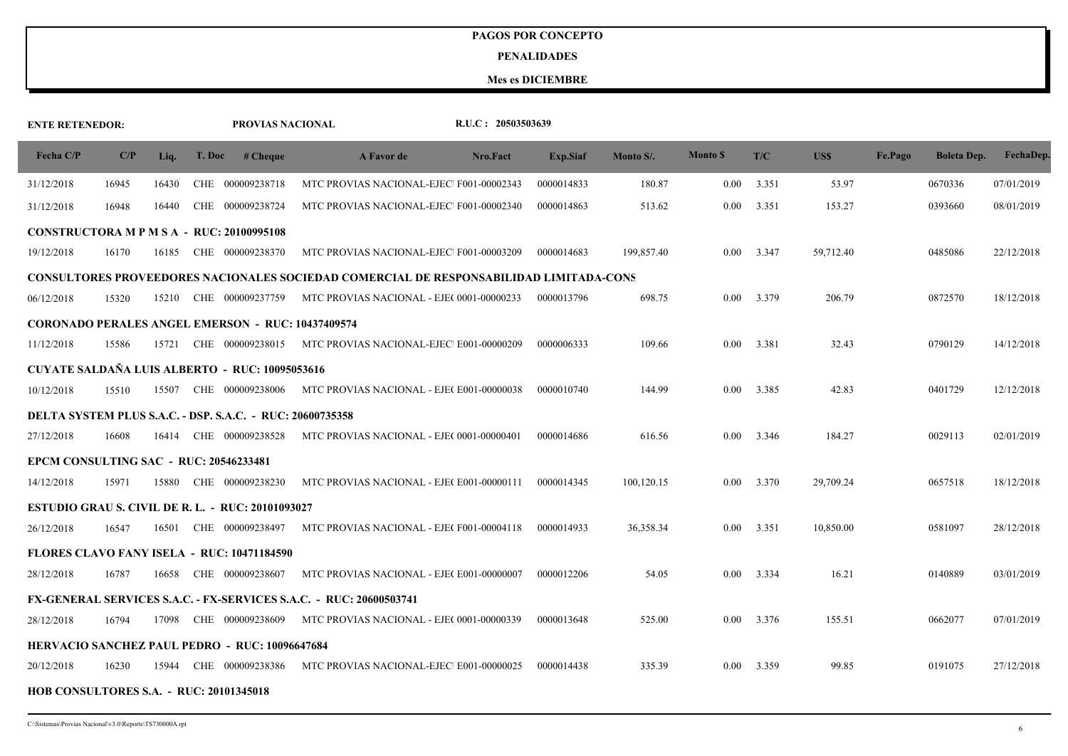#### **PENALIDADES**

| <b>ENTE RETENEDOR:</b>                           |       |       |        | PROVIAS NACIONAL                                                 |                                                                                        | R.U.C: 20503503639 |            |            |                |       |           |         |                    |            |
|--------------------------------------------------|-------|-------|--------|------------------------------------------------------------------|----------------------------------------------------------------------------------------|--------------------|------------|------------|----------------|-------|-----------|---------|--------------------|------------|
| Fecha $C/P$                                      | C/P   | Liq.  | T. Doc | # <b>Change</b>                                                  | A Favor de                                                                             | Nro.Fact           | Exp.Siaf   | Monto S/.  | <b>Monto S</b> | T/C   | US\$      | Fe.Pago | <b>Boleta Dep.</b> | FechaDep.  |
| 31/12/2018                                       | 16945 | 16430 |        | CHE 000009238718                                                 | MTC PROVIAS NACIONAL-EJEC F001-00002343                                                |                    | 0000014833 | 180.87     | 0.00           | 3.351 | 53.97     |         | 0670336            | 07/01/2019 |
| 31/12/2018                                       | 16948 | 16440 |        | CHE 000009238724                                                 | MTC PROVIAS NACIONAL-EJEC F001-00002340                                                |                    | 0000014863 | 513.62     | 0.00           | 3.351 | 153.27    |         | 0393660            | 08/01/2019 |
| <b>CONSTRUCTORA M P M S A - RUC: 20100995108</b> |       |       |        |                                                                  |                                                                                        |                    |            |            |                |       |           |         |                    |            |
| 19/12/2018                                       | 16170 | 16185 |        | CHE 000009238370                                                 | MTC PROVIAS NACIONAL-EJEC F001-00003209                                                |                    | 0000014683 | 199,857.40 | $0.00\,$       | 3.347 | 59,712.40 |         | 0485086            | 22/12/2018 |
|                                                  |       |       |        |                                                                  | CONSULTORES PROVEEDORES NACIONALES SOCIEDAD COMERCIAL DE RESPONSABILIDAD LIMITADA-CONS |                    |            |            |                |       |           |         |                    |            |
| 06/12/2018                                       | 15320 | 15210 |        | CHE 000009237759                                                 | MTC PROVIAS NACIONAL - EJE( 0001-00000233                                              |                    | 0000013796 | 698.75     | $0.00\,$       | 3.379 | 206.79    |         | 0872570            | 18/12/2018 |
|                                                  |       |       |        | <b>CORONADO PERALES ANGEL EMERSON - RUC: 10437409574</b>         |                                                                                        |                    |            |            |                |       |           |         |                    |            |
| 11/12/2018                                       | 15586 |       |        |                                                                  | 15721 CHE 000009238015 MTC PROVIAS NACIONAL-EJEC E001-00000209                         |                    | 0000006333 | 109.66     | 0.00           | 3.381 | 32.43     |         | 0790129            | 14/12/2018 |
|                                                  |       |       |        | CUYATE SALDAÑA LUIS ALBERTO - RUC: 10095053616                   |                                                                                        |                    |            |            |                |       |           |         |                    |            |
| 10/12/2018                                       | 15510 |       |        | 15507 CHE 000009238006                                           | MTC PROVIAS NACIONAL - EJE(E001-00000038                                               |                    | 0000010740 | 144.99     | $0.00\,$       | 3.385 | 42.83     |         | 0401729            | 12/12/2018 |
|                                                  |       |       |        | <b>DELTA SYSTEM PLUS S.A.C. - DSP. S.A.C. - RUC: 20600735358</b> |                                                                                        |                    |            |            |                |       |           |         |                    |            |
| 27/12/2018                                       | 16608 | 16414 |        | CHE 000009238528                                                 | MTC PROVIAS NACIONAL - EJE( 0001-00000401                                              |                    | 0000014686 | 616.56     | $0.00\,$       | 3.346 | 184.27    |         | 0029113            | 02/01/2019 |
| EPCM CONSULTING SAC - RUC: 20546233481           |       |       |        |                                                                  |                                                                                        |                    |            |            |                |       |           |         |                    |            |
| 14/12/2018                                       | 15971 | 15880 |        | CHE 000009238230                                                 | MTC PROVIAS NACIONAL - EJE(E001-00000111                                               |                    | 0000014345 | 100,120.15 | $0.00\,$       | 3.370 | 29,709.24 |         | 0657518            | 18/12/2018 |
|                                                  |       |       |        | <b>ESTUDIO GRAU S. CIVIL DE R. L. - RUC: 20101093027</b>         |                                                                                        |                    |            |            |                |       |           |         |                    |            |
| 26/12/2018                                       | 16547 | 16501 |        | CHE 000009238497                                                 | MTC PROVIAS NACIONAL - EJE(F001-00004118                                               |                    | 0000014933 | 36,358.34  | 0.00           | 3.351 | 10,850.00 |         | 0581097            | 28/12/2018 |
|                                                  |       |       |        | FLORES CLAVO FANY ISELA - RUC: 10471184590                       |                                                                                        |                    |            |            |                |       |           |         |                    |            |
| 28/12/2018                                       | 16787 | 16658 |        | CHE 000009238607                                                 | MTC PROVIAS NACIONAL - EJE(E001-00000007                                               |                    | 0000012206 | 54.05      | 0.00           | 3.334 | 16.21     |         | 0140889            | 03/01/2019 |
|                                                  |       |       |        |                                                                  | FX-GENERAL SERVICES S.A.C. - FX-SERVICES S.A.C. - RUC: 20600503741                     |                    |            |            |                |       |           |         |                    |            |
| 28/12/2018                                       | 16794 | 17098 |        | CHE 000009238609                                                 | MTC PROVIAS NACIONAL - EJE( 0001-00000339                                              |                    | 0000013648 | 525.00     | 0.00           | 3.376 | 155.51    |         | 0662077            | 07/01/2019 |
|                                                  |       |       |        | <b>HERVACIO SANCHEZ PAUL PEDRO - RUC: 10096647684</b>            |                                                                                        |                    |            |            |                |       |           |         |                    |            |
| 20/12/2018                                       | 16230 | 15944 |        | CHE 000009238386                                                 | MTC PROVIAS NACIONAL-EJEC E001-00000025                                                |                    | 0000014438 | 335.39     | 0.00           | 3.359 | 99.85     |         | 0191075            | 27/12/2018 |
| HOB CONSULTORES S.A. - RUC: 20101345018          |       |       |        |                                                                  |                                                                                        |                    |            |            |                |       |           |         |                    |            |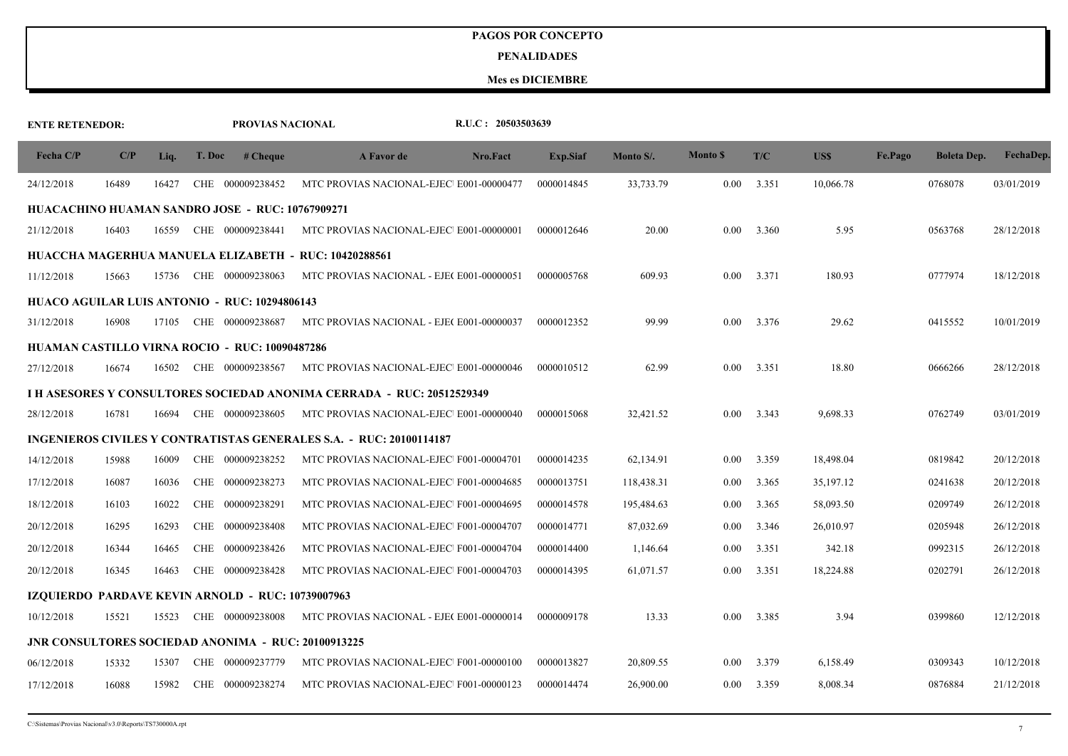#### **PENALIDADES**

| <b>ENTE RETENEDOR:</b> |       |       |        | PROVIAS NACIONAL                                           |                                                                            | R.U.C: 20503503639 |                 |            |                 |       |           |         |                    |            |
|------------------------|-------|-------|--------|------------------------------------------------------------|----------------------------------------------------------------------------|--------------------|-----------------|------------|-----------------|-------|-----------|---------|--------------------|------------|
| Fecha C/P              | C/P   | Liq.  | T. Doc | # <b>Change</b>                                            | <b>A Favor de</b>                                                          | Nro.Fact           | <b>Exp.Siaf</b> | Monto S/.  | <b>Monto</b> \$ | T/C   | US\$      | Fe.Pago | <b>Boleta Dep.</b> | FechaDep.  |
| 24/12/2018             | 16489 | 16427 |        | CHE 000009238452                                           | MTC PROVIAS NACIONAL-EJEC E001-00000477                                    |                    | 0000014845      | 33,733.79  | 0.00            | 3.351 | 10,066.78 |         | 0768078            | 03/01/2019 |
|                        |       |       |        | HUACACHINO HUAMAN SANDRO JOSE - RUC: 10767909271           |                                                                            |                    |                 |            |                 |       |           |         |                    |            |
| 21/12/2018             | 16403 | 16559 |        | CHE 000009238441                                           | MTC PROVIAS NACIONAL-EJEC E001-00000001                                    |                    | 0000012646      | 20.00      | 0.00            | 3.360 | 5.95      |         | 0563768            | 28/12/2018 |
|                        |       |       |        |                                                            | HUACCHA MAGERHUA MANUELA ELIZABETH - RUC: 10420288561                      |                    |                 |            |                 |       |           |         |                    |            |
| 11/12/2018             | 15663 | 15736 |        | CHE 000009238063                                           | MTC PROVIAS NACIONAL - EJE(E001-00000051                                   |                    | 0000005768      | 609.93     | 0.00            | 3.371 | 180.93    |         | 0777974            | 18/12/2018 |
|                        |       |       |        | HUACO AGUILAR LUIS ANTONIO - RUC: 10294806143              |                                                                            |                    |                 |            |                 |       |           |         |                    |            |
| 31/12/2018             | 16908 | 17105 |        | CHE 000009238687                                           | MTC PROVIAS NACIONAL - EJE(E001-00000037                                   |                    | 0000012352      | 99.99      | 0.00            | 3.376 | 29.62     |         | 0415552            | 10/01/2019 |
|                        |       |       |        | HUAMAN CASTILLO VIRNA ROCIO - RUC: 10090487286             |                                                                            |                    |                 |            |                 |       |           |         |                    |            |
| 27/12/2018             | 16674 | 16502 |        | CHE 000009238567                                           | MTC PROVIAS NACIONAL-EJEC E001-00000046                                    |                    | 0000010512      | 62.99      | 0.00            | 3.351 | 18.80     |         | 0666266            | 28/12/2018 |
|                        |       |       |        |                                                            | I H ASESORES Y CONSULTORES SOCIEDAD ANONIMA CERRADA - RUC: 20512529349     |                    |                 |            |                 |       |           |         |                    |            |
| 28/12/2018             | 16781 | 16694 |        | CHE 000009238605                                           | MTC PROVIAS NACIONAL-EJEC E001-00000040                                    |                    | 0000015068      | 32,421.52  | 0.00            | 3.343 | 9,698.33  |         | 0762749            | 03/01/2019 |
|                        |       |       |        |                                                            | <b>INGENIEROS CIVILES Y CONTRATISTAS GENERALES S.A. - RUC: 20100114187</b> |                    |                 |            |                 |       |           |         |                    |            |
| 14/12/2018             | 15988 | 16009 |        | CHE 000009238252                                           | MTC PROVIAS NACIONAL-EJEC F001-00004701                                    |                    | 0000014235      | 62,134.91  | 0.00            | 3.359 | 18,498.04 |         | 0819842            | 20/12/2018 |
| 17/12/2018             | 16087 | 16036 |        | CHE 000009238273                                           | MTC PROVIAS NACIONAL-EJEC F001-00004685                                    |                    | 0000013751      | 118,438.31 | 0.00            | 3.365 | 35,197.12 |         | 0241638            | 20/12/2018 |
| 18/12/2018             | 16103 | 16022 |        | CHE 000009238291                                           | MTC PROVIAS NACIONAL-EJEC F001-00004695                                    |                    | 0000014578      | 195,484.63 | 0.00            | 3.365 | 58,093.50 |         | 0209749            | 26/12/2018 |
| 20/12/2018             | 16295 | 16293 |        | CHE 000009238408                                           | MTC PROVIAS NACIONAL-EJEC F001-00004707                                    |                    | 0000014771      | 87,032.69  | 0.00            | 3.346 | 26,010.97 |         | 0205948            | 26/12/2018 |
| 20/12/2018             | 16344 | 16465 | CHE    | 000009238426                                               | MTC PROVIAS NACIONAL-EJEC F001-00004704                                    |                    | 0000014400      | 1,146.64   | 0.00            | 3.351 | 342.18    |         | 0992315            | 26/12/2018 |
| 20/12/2018             | 16345 | 16463 |        | CHE 000009238428                                           | MTC PROVIAS NACIONAL-EJEC F001-00004703                                    |                    | 0000014395      | 61,071.57  | 0.00            | 3.351 | 18,224.88 |         | 0202791            | 26/12/2018 |
|                        |       |       |        | <b>IZQUIERDO PARDAVE KEVIN ARNOLD - RUC: 10739007963</b>   |                                                                            |                    |                 |            |                 |       |           |         |                    |            |
| 10/12/2018             | 15521 | 15523 |        | CHE 000009238008                                           | MTC PROVIAS NACIONAL - EJE(E001-00000014                                   |                    | 0000009178      | 13.33      | 0.00            | 3.385 | 3.94      |         | 0399860            | 12/12/2018 |
|                        |       |       |        | <b>JNR CONSULTORES SOCIEDAD ANONIMA - RUC: 20100913225</b> |                                                                            |                    |                 |            |                 |       |           |         |                    |            |
| 06/12/2018             | 15332 | 15307 |        | CHE 000009237779                                           | MTC PROVIAS NACIONAL-EJEC F001-00000100                                    |                    | 0000013827      | 20,809.55  | 0.00            | 3.379 | 6,158.49  |         | 0309343            | 10/12/2018 |
| 17/12/2018             | 16088 | 15982 |        | CHE 000009238274                                           | MTC PROVIAS NACIONAL-EJEC F001-00000123                                    |                    | 0000014474      | 26,900.00  | 0.00            | 3.359 | 8,008.34  |         | 0876884            | 21/12/2018 |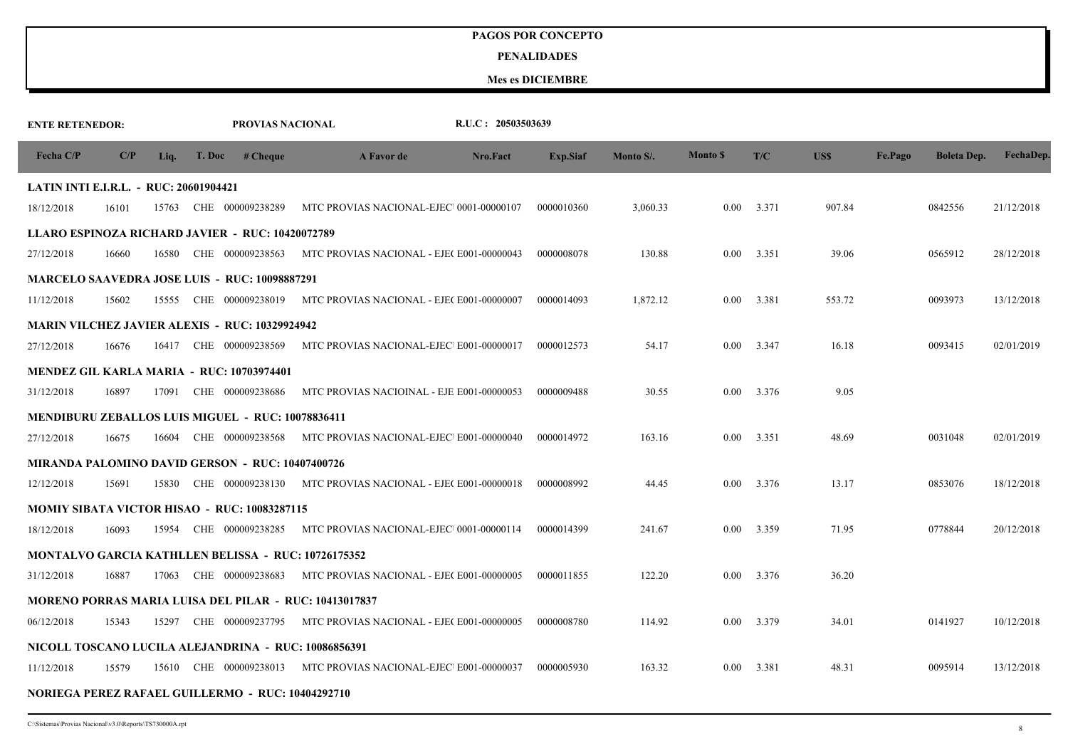#### **PENALIDADES**

| <b>ENTE RETENEDOR:</b>                        |       |       |        | PROVIAS NACIONAL                                         |                                                               | R.U.C: 20503503639 |                 |           |                 |       |        |         |                    |            |
|-----------------------------------------------|-------|-------|--------|----------------------------------------------------------|---------------------------------------------------------------|--------------------|-----------------|-----------|-----------------|-------|--------|---------|--------------------|------------|
| Fecha C/P                                     | C/P   | Liq.  | T. Doc | # <b>Change</b>                                          | A Favor de                                                    | Nro.Fact           | <b>Exp.Siaf</b> | Monto S/. | <b>Monto \$</b> | T/C   | US\$   | Fe.Pago | <b>Boleta Dep.</b> | FechaDep.  |
| <b>LATIN INTI E.I.R.L. - RUC: 20601904421</b> |       |       |        |                                                          |                                                               |                    |                 |           |                 |       |        |         |                    |            |
| 18/12/2018                                    | 16101 | 15763 |        | CHE 000009238289                                         | MTC PROVIAS NACIONAL-EJEC 0001-00000107                       |                    | 0000010360      | 3,060.33  | 0.00            | 3.371 | 907.84 |         | 0842556            | 21/12/2018 |
|                                               |       |       |        | LLARO ESPINOZA RICHARD JAVIER - RUC: 10420072789         |                                                               |                    |                 |           |                 |       |        |         |                    |            |
| 27/12/2018                                    | 16660 | 16580 |        | CHE 000009238563                                         | MTC PROVIAS NACIONAL - EJE(E001-00000043                      |                    | 0000008078      | 130.88    | 0.00            | 3.351 | 39.06  |         | 0565912            | 28/12/2018 |
|                                               |       |       |        | <b>MARCELO SAAVEDRA JOSE LUIS - RUC: 10098887291</b>     |                                                               |                    |                 |           |                 |       |        |         |                    |            |
| 11/12/2018                                    | 15602 | 15555 |        | CHE 000009238019                                         | MTC PROVIAS NACIONAL - EJE(E001-00000007                      |                    | 0000014093      | 1,872.12  | 0.00            | 3.381 | 553.72 |         | 0093973            | 13/12/2018 |
|                                               |       |       |        | <b>MARIN VILCHEZ JAVIER ALEXIS - RUC: 10329924942</b>    |                                                               |                    |                 |           |                 |       |        |         |                    |            |
| 27/12/2018                                    | 16676 | 16417 |        | CHE 000009238569                                         | MTC PROVIAS NACIONAL-EJEC E001-00000017                       |                    | 0000012573      | 54.17     | 0.00            | 3.347 | 16.18  |         | 0093415            | 02/01/2019 |
|                                               |       |       |        | <b>MENDEZ GIL KARLA MARIA - RUC: 10703974401</b>         |                                                               |                    |                 |           |                 |       |        |         |                    |            |
| 31/12/2018                                    | 16897 | 17091 |        | CHE 000009238686                                         | MTC PROVIAS NACIOINAL - EJE E001-00000053                     |                    | 0000009488      | 30.55     | 0.00            | 3.376 | 9.05   |         |                    |            |
|                                               |       |       |        | <b>MENDIBURU ZEBALLOS LUIS MIGUEL - RUC: 10078836411</b> |                                                               |                    |                 |           |                 |       |        |         |                    |            |
| 27/12/2018                                    | 16675 | 16604 |        |                                                          | CHE 000009238568 MTC PROVIAS NACIONAL-EJEC E001-00000040      |                    | 0000014972      | 163.16    | 0.00            | 3.351 | 48.69  |         | 0031048            | 02/01/2019 |
|                                               |       |       |        | <b>MIRANDA PALOMINO DAVID GERSON - RUC: 10407400726</b>  |                                                               |                    |                 |           |                 |       |        |         |                    |            |
| 12/12/2018                                    | 15691 | 15830 |        |                                                          | CHE 000009238130 MTC PROVIAS NACIONAL - EJE(E001-00000018     |                    | 0000008992      | 44.45     | 0.00            | 3.376 | 13.17  |         | 0853076            | 18/12/2018 |
|                                               |       |       |        | <b>MOMIY SIBATA VICTOR HISAO - RUC: 10083287115</b>      |                                                               |                    |                 |           |                 |       |        |         |                    |            |
| 18/12/2018                                    | 16093 | 15954 |        | CHE 000009238285                                         | MTC PROVIAS NACIONAL-EJEC 0001-00000114                       |                    | 0000014399      | 241.67    | 0.00            | 3.359 | 71.95  |         | 0778844            | 20/12/2018 |
|                                               |       |       |        |                                                          | <b>MONTALVO GARCIA KATHLLEN BELISSA – RUC: 10726175352</b>    |                    |                 |           |                 |       |        |         |                    |            |
| 31/12/2018                                    | 16887 | 17063 |        | CHE 000009238683                                         | MTC PROVIAS NACIONAL - EJE(E001-00000005                      |                    | 0000011855      | 122.20    | 0.00            | 3.376 | 36.20  |         |                    |            |
|                                               |       |       |        |                                                          | <b>MORENO PORRAS MARIA LUISA DEL PILAR - RUC: 10413017837</b> |                    |                 |           |                 |       |        |         |                    |            |
| 06/12/2018                                    | 15343 | 15297 |        | CHE 000009237795                                         | MTC PROVIAS NACIONAL - EJE(E001-00000005                      |                    | 0000008780      | 114.92    | 0.00            | 3.379 | 34.01  |         | 0141927            | 10/12/2018 |
|                                               |       |       |        |                                                          | NICOLL TOSCANO LUCILA ALEJANDRINA - RUC: 10086856391          |                    |                 |           |                 |       |        |         |                    |            |
| 11/12/2018                                    | 15579 | 15610 |        | CHE 000009238013                                         | MTC PROVIAS NACIONAL-EJEC E001-00000037                       |                    | 0000005930      | 163.32    | 0.00            | 3.381 | 48.31  |         | 0095914            | 13/12/2018 |
|                                               |       |       |        | <b>NORIEGA PEREZ RAFAEL GUILLERMO - RUC: 10404292710</b> |                                                               |                    |                 |           |                 |       |        |         |                    |            |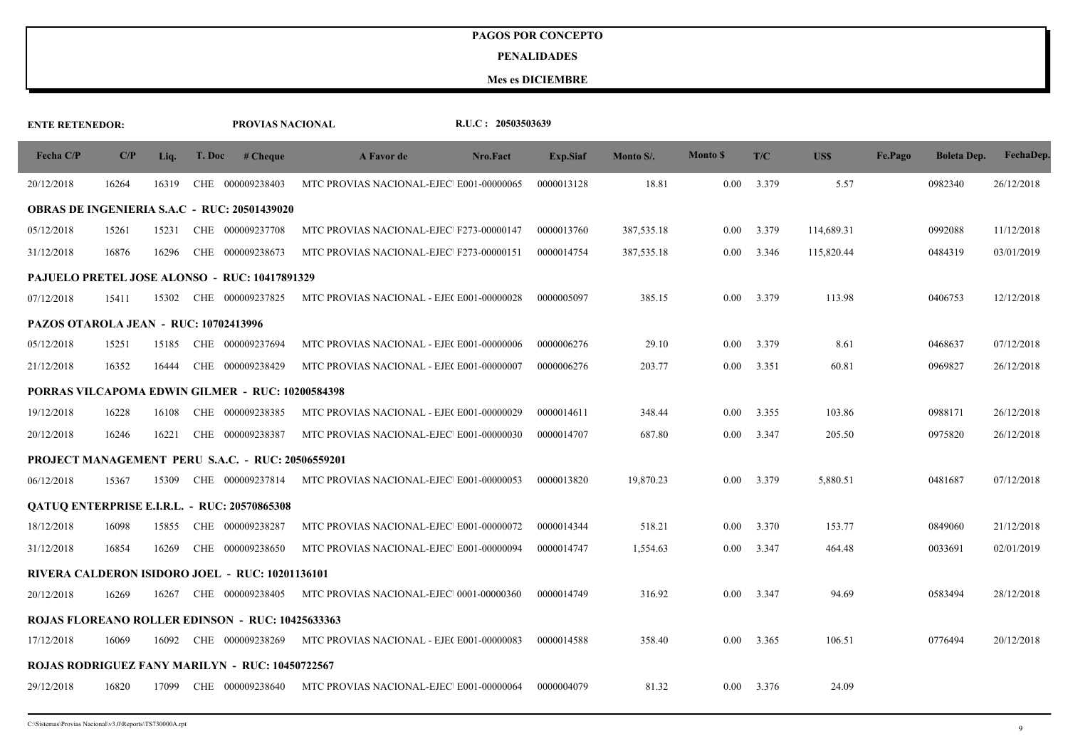#### **PENALIDADES**

| <b>ENTE RETENEDOR:</b>                |       |       |        | PROVIAS NACIONAL                                         |                                          | R.U.C: 20503503639 |                 |            |                 |       |            |         |                    |            |
|---------------------------------------|-------|-------|--------|----------------------------------------------------------|------------------------------------------|--------------------|-----------------|------------|-----------------|-------|------------|---------|--------------------|------------|
| Fecha C/P                             | C/P   | Liq.  | T. Doc | # Cheque                                                 | A Favor de                               | Nro.Fact           | <b>Exp.Siaf</b> | Monto S/.  | <b>Monto</b> \$ | T/C   | US\$       | Fe.Pago | <b>Boleta Dep.</b> | FechaDep.  |
| 20/12/2018                            | 16264 | 16319 |        | CHE 000009238403                                         | MTC PROVIAS NACIONAL-EJEC E001-00000065  |                    | 0000013128      | 18.81      | 0.00            | 3.379 | 5.57       |         | 0982340            | 26/12/2018 |
|                                       |       |       |        | <b>OBRAS DE INGENIERIA S.A.C - RUC: 20501439020</b>      |                                          |                    |                 |            |                 |       |            |         |                    |            |
| 05/12/2018                            | 15261 | 15231 |        | CHE 000009237708                                         | MTC PROVIAS NACIONAL-EJEC F273-00000147  |                    | 0000013760      | 387,535.18 | 0.00            | 3.379 | 114,689.31 |         | 0992088            | 11/12/2018 |
| 31/12/2018                            | 16876 | 16296 |        | CHE 000009238673                                         | MTC PROVIAS NACIONAL-EJEC F273-00000151  |                    | 0000014754      | 387,535.18 | 0.00            | 3.346 | 115,820.44 |         | 0484319            | 03/01/2019 |
|                                       |       |       |        | <b>PAJUELO PRETEL JOSE ALONSO - RUC: 10417891329</b>     |                                          |                    |                 |            |                 |       |            |         |                    |            |
| 07/12/2018                            | 15411 | 15302 |        | CHE 000009237825                                         | MTC PROVIAS NACIONAL - EJE(E001-00000028 |                    | 0000005097      | 385.15     | 0.00            | 3.379 | 113.98     |         | 0406753            | 12/12/2018 |
| PAZOS OTAROLA JEAN - RUC: 10702413996 |       |       |        |                                                          |                                          |                    |                 |            |                 |       |            |         |                    |            |
| 05/12/2018                            | 15251 | 15185 |        | CHE 000009237694                                         | MTC PROVIAS NACIONAL - EJE(E001-00000006 |                    | 0000006276      | 29.10      | 0.00            | 3.379 | 8.61       |         | 0468637            | 07/12/2018 |
| 21/12/2018                            | 16352 | 16444 |        | CHE 000009238429                                         | MTC PROVIAS NACIONAL - EJE(E001-00000007 |                    | 0000006276      | 203.77     | 0.00            | 3.351 | 60.81      |         | 0969827            | 26/12/2018 |
|                                       |       |       |        | PORRAS VILCAPOMA EDWIN GILMER - RUC: 10200584398         |                                          |                    |                 |            |                 |       |            |         |                    |            |
| 19/12/2018                            | 16228 | 16108 |        | CHE 000009238385                                         | MTC PROVIAS NACIONAL - EJE(E001-00000029 |                    | 0000014611      | 348.44     | 0.00            | 3.355 | 103.86     |         | 0988171            | 26/12/2018 |
| 20/12/2018                            | 16246 | 16221 |        | CHE 000009238387                                         | MTC PROVIAS NACIONAL-EJEC E001-00000030  |                    | 0000014707      | 687.80     | 0.00            | 3.347 | 205.50     |         | 0975820            | 26/12/2018 |
|                                       |       |       |        | <b>PROJECT MANAGEMENT PERU S.A.C. - RUC: 20506559201</b> |                                          |                    |                 |            |                 |       |            |         |                    |            |
| 06/12/2018                            | 15367 | 15309 |        | CHE 000009237814                                         | MTC PROVIAS NACIONAL-EJEC E001-00000053  |                    | 0000013820      | 19,870.23  | 0.00            | 3.379 | 5,880.51   |         | 0481687            | 07/12/2018 |
|                                       |       |       |        | QATUQ ENTERPRISE E.I.R.L. - RUC: 20570865308             |                                          |                    |                 |            |                 |       |            |         |                    |            |
| 18/12/2018                            | 16098 | 15855 |        | CHE 000009238287                                         | MTC PROVIAS NACIONAL-EJEC E001-00000072  |                    | 0000014344      | 518.21     | 0.00            | 3.370 | 153.77     |         | 0849060            | 21/12/2018 |
| 31/12/2018                            | 16854 | 16269 |        | CHE 000009238650                                         | MTC PROVIAS NACIONAL-EJEC E001-00000094  |                    | 0000014747      | 1,554.63   | 0.00            | 3.347 | 464.48     |         | 0033691            | 02/01/2019 |
|                                       |       |       |        | RIVERA CALDERON ISIDORO JOEL - RUC: 10201136101          |                                          |                    |                 |            |                 |       |            |         |                    |            |
| 20/12/2018                            | 16269 | 16267 |        | CHE 000009238405                                         | MTC PROVIAS NACIONAL-EJEC 0001-00000360  |                    | 0000014749      | 316.92     | 0.00            | 3.347 | 94.69      |         | 0583494            | 28/12/2018 |
|                                       |       |       |        | ROJAS FLOREANO ROLLER EDINSON - RUC: 10425633363         |                                          |                    |                 |            |                 |       |            |         |                    |            |
| 17/12/2018                            | 16069 | 16092 |        | CHE 000009238269                                         | MTC PROVIAS NACIONAL - EJE(E001-00000083 |                    | 0000014588      | 358.40     | 0.00            | 3.365 | 106.51     |         | 0776494            | 20/12/2018 |
|                                       |       |       |        | ROJAS RODRIGUEZ FANY MARILYN - RUC: 10450722567          |                                          |                    |                 |            |                 |       |            |         |                    |            |
| 29/12/2018                            | 16820 | 17099 |        | CHE 000009238640                                         | MTC PROVIAS NACIONAL-EJEC E001-00000064  |                    | 0000004079      | 81.32      | 0.00            | 3.376 | 24.09      |         |                    |            |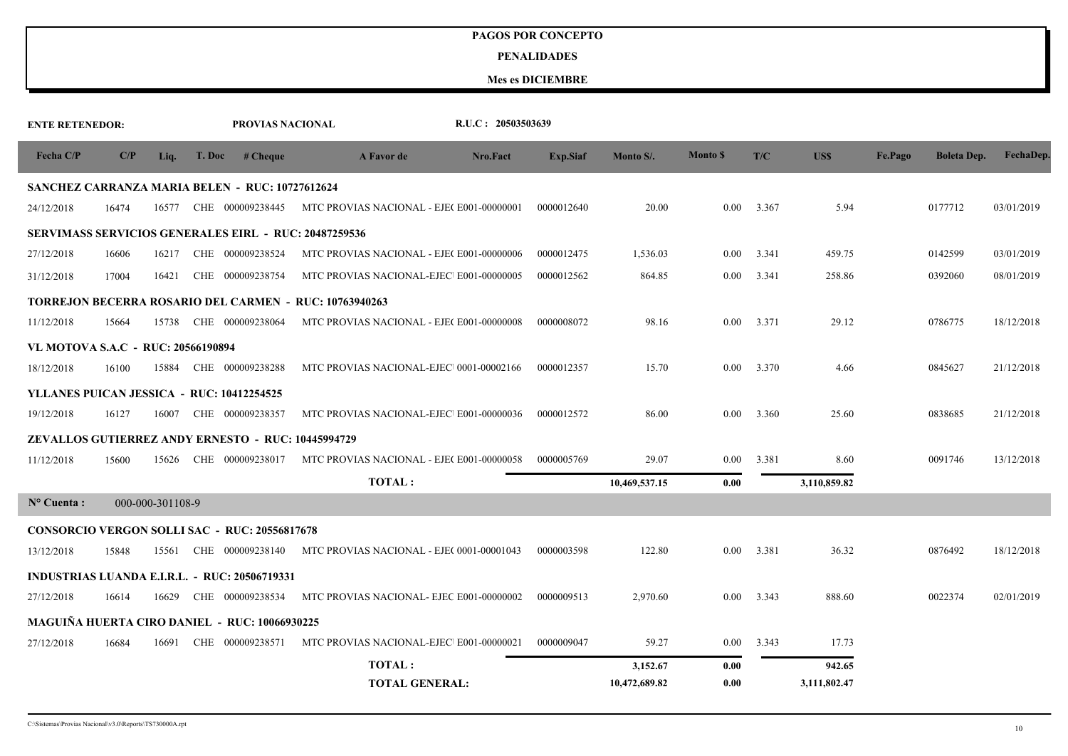#### **PENALIDADES**

| <b>ENTE RETENEDOR:</b>                    |       |                  |        | PROVIAS NACIONAL                                     |                                                               | R.U.C: 20503503639 |                 |               |                 |       |              |         |                    |            |
|-------------------------------------------|-------|------------------|--------|------------------------------------------------------|---------------------------------------------------------------|--------------------|-----------------|---------------|-----------------|-------|--------------|---------|--------------------|------------|
| Fecha C/P                                 | C/P   | Liq.             | T. Doc | # <b>Change</b>                                      | A Favor de                                                    | Nro.Fact           | <b>Exp.Siaf</b> | Monto S/.     | <b>Monto</b> \$ | T/C   | US\$         | Fe.Pago | <b>Boleta Dep.</b> | FechaDep.  |
|                                           |       |                  |        | SANCHEZ CARRANZA MARIA BELEN - RUC: 10727612624      |                                                               |                    |                 |               |                 |       |              |         |                    |            |
| 24/12/2018                                | 16474 | 16577            |        | CHE 000009238445                                     | MTC PROVIAS NACIONAL - EJE(E001-00000001                      |                    | 0000012640      | 20.00         | 0.00            | 3.367 | 5.94         |         | 0177712            | 03/01/2019 |
|                                           |       |                  |        |                                                      | <b>SERVIMASS SERVICIOS GENERALES EIRL - RUC: 20487259536</b>  |                    |                 |               |                 |       |              |         |                    |            |
| 27/12/2018                                | 16606 | 16217            |        | CHE 000009238524                                     | MTC PROVIAS NACIONAL - EJE(E001-00000006                      |                    | 0000012475      | 1,536.03      | 0.00            | 3.341 | 459.75       |         | 0142599            | 03/01/2019 |
| 31/12/2018                                | 17004 | 16421            |        | CHE 000009238754                                     | MTC PROVIAS NACIONAL-EJEC E001-00000005                       |                    | 0000012562      | 864.85        | 0.00            | 3.341 | 258.86       |         | 0392060            | 08/01/2019 |
|                                           |       |                  |        |                                                      | <b>TORREJON BECERRA ROSARIO DEL CARMEN - RUC: 10763940263</b> |                    |                 |               |                 |       |              |         |                    |            |
| 11/12/2018                                | 15664 | 15738            |        | CHE 000009238064                                     | MTC PROVIAS NACIONAL - EJE(E001-00000008                      |                    | 0000008072      | 98.16         | 0.00            | 3.371 | 29.12        |         | 0786775            | 18/12/2018 |
| VL MOTOVA S.A.C - RUC: 20566190894        |       |                  |        |                                                      |                                                               |                    |                 |               |                 |       |              |         |                    |            |
| 18/12/2018                                | 16100 | 15884            |        | CHE 000009238288                                     | MTC PROVIAS NACIONAL-EJEC 0001-00002166                       |                    | 0000012357      | 15.70         | 0.00            | 3.370 | 4.66         |         | 0845627            | 21/12/2018 |
| YLLANES PUICAN JESSICA - RUC: 10412254525 |       |                  |        |                                                      |                                                               |                    |                 |               |                 |       |              |         |                    |            |
| 19/12/2018                                | 16127 | 16007            |        | CHE 000009238357                                     | MTC PROVIAS NACIONAL-EJEC E001-00000036                       |                    | 0000012572      | 86.00         | 0.00            | 3.360 | 25.60        |         | 0838685            | 21/12/2018 |
|                                           |       |                  |        | ZEVALLOS GUTIERREZ ANDY ERNESTO - RUC: 10445994729   |                                                               |                    |                 |               |                 |       |              |         |                    |            |
| 11/12/2018                                | 15600 | 15626            |        | CHE 000009238017                                     | MTC PROVIAS NACIONAL - EJE(E001-00000058                      |                    | 0000005769      | 29.07         | 0.00            | 3.381 | 8.60         |         | 0091746            | 13/12/2018 |
|                                           |       |                  |        |                                                      | <b>TOTAL:</b>                                                 |                    |                 | 10,469,537.15 | 0.00            |       | 3,110,859.82 |         |                    |            |
| $N^{\circ}$ Cuenta :                      |       | 000-000-301108-9 |        |                                                      |                                                               |                    |                 |               |                 |       |              |         |                    |            |
|                                           |       |                  |        | <b>CONSORCIO VERGON SOLLI SAC - RUC: 20556817678</b> |                                                               |                    |                 |               |                 |       |              |         |                    |            |
| 13/12/2018                                | 15848 | 15561            |        | CHE 000009238140                                     | MTC PROVIAS NACIONAL - EJE( 0001-00001043                     |                    | 0000003598      | 122.80        | 0.00            | 3.381 | 36.32        |         | 0876492            | 18/12/2018 |
|                                           |       |                  |        | INDUSTRIAS LUANDA E.I.R.L. - RUC: 20506719331        |                                                               |                    |                 |               |                 |       |              |         |                    |            |
| 27/12/2018                                | 16614 | 16629            |        | CHE 000009238534                                     | MTC PROVIAS NACIONAL- EJEC E001-00000002                      |                    | 0000009513      | 2,970.60      | 0.00            | 3.343 | 888.60       |         | 0022374            | 02/01/2019 |
|                                           |       |                  |        | MAGUIÑA HUERTA CIRO DANIEL - RUC: 10066930225        |                                                               |                    |                 |               |                 |       |              |         |                    |            |
| 27/12/2018                                | 16684 | 16691            |        | CHE 000009238571                                     | MTC PROVIAS NACIONAL-EJEC E001-00000021                       |                    | 0000009047      | 59.27         | $0.00\,$        | 3.343 | 17.73        |         |                    |            |
|                                           |       |                  |        |                                                      | <b>TOTAL:</b>                                                 |                    |                 | 3,152.67      | 0.00            |       | 942.65       |         |                    |            |
|                                           |       |                  |        |                                                      | <b>TOTAL GENERAL:</b>                                         |                    |                 | 10,472,689.82 | 0.00            |       | 3,111,802.47 |         |                    |            |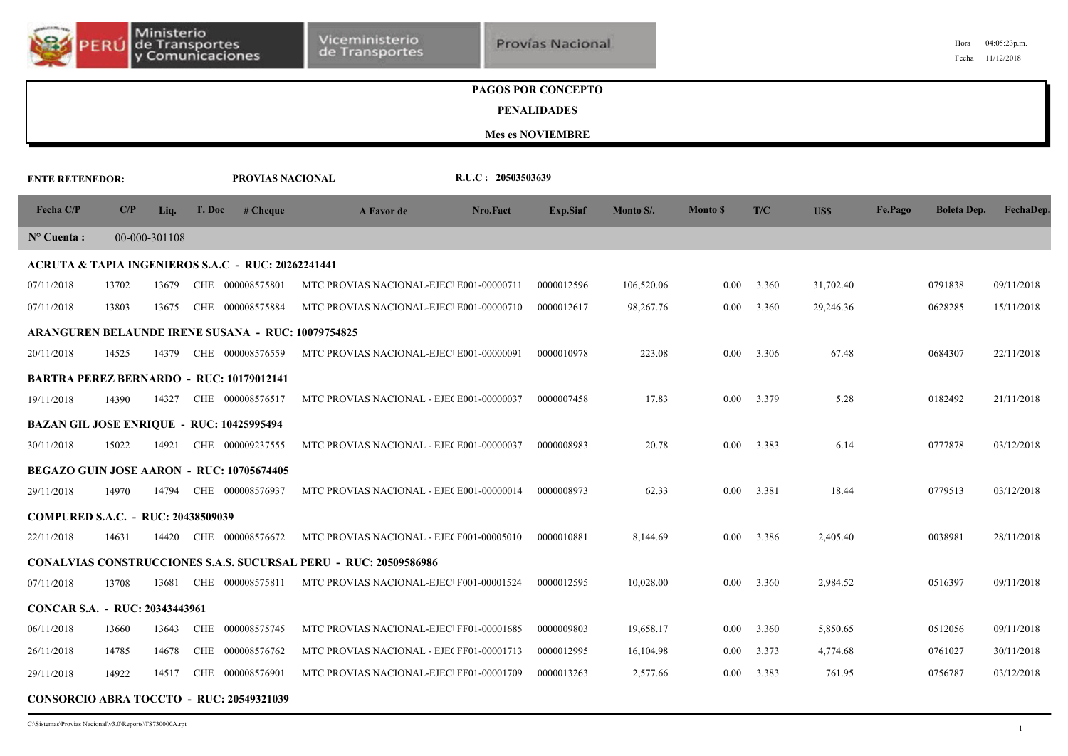| <b>PAGOS POR CONCEPTO</b><br><b>PENALIDADES</b>  |                                                                                                                                                              |               |        |                                                           |                                                                         |                    |                         |            |                 |       |           |         |                    |            |
|--------------------------------------------------|--------------------------------------------------------------------------------------------------------------------------------------------------------------|---------------|--------|-----------------------------------------------------------|-------------------------------------------------------------------------|--------------------|-------------------------|------------|-----------------|-------|-----------|---------|--------------------|------------|
|                                                  |                                                                                                                                                              |               |        |                                                           |                                                                         |                    |                         |            |                 |       |           |         |                    |            |
|                                                  |                                                                                                                                                              |               |        |                                                           |                                                                         |                    | <b>Mes es NOVIEMBRE</b> |            |                 |       |           |         |                    |            |
| <b>ENTE RETENEDOR:</b>                           |                                                                                                                                                              |               |        | PROVIAS NACIONAL                                          |                                                                         | R.U.C: 20503503639 |                         |            |                 |       |           |         |                    |            |
| Fecha C/P                                        | C/P                                                                                                                                                          | Liq.          | T. Doc | # Cheque                                                  | A Favor de                                                              | Nro.Fact           | <b>Exp.Siaf</b>         | Monto S/.  | <b>Monto</b> \$ | T/C   | US\$      | Fe.Pago | <b>Boleta Dep.</b> | FechaDep.  |
| $N^{\circ}$ Cuenta :                             |                                                                                                                                                              | 00-000-301108 |        |                                                           |                                                                         |                    |                         |            |                 |       |           |         |                    |            |
|                                                  |                                                                                                                                                              |               |        | ACRUTA & TAPIA INGENIEROS S.A.C - RUC: 20262241441        |                                                                         |                    |                         |            |                 |       |           |         |                    |            |
| 07/11/2018                                       | 13702                                                                                                                                                        | 13679         |        | CHE 000008575801                                          | MTC PROVIAS NACIONAL-EJEC E001-00000711                                 |                    | 0000012596              | 106,520.06 | 0.00            | 3.360 | 31,702.40 |         | 0791838            | 09/11/2018 |
| 07/11/2018                                       | 13803                                                                                                                                                        | 13675         |        | CHE 000008575884                                          | MTC PROVIAS NACIONAL-EJEC E001-00000710                                 |                    | 0000012617              | 98,267.76  | 0.00            | 3.360 | 29,246.36 |         | 0628285            | 15/11/2018 |
|                                                  |                                                                                                                                                              |               |        | <b>ARANGUREN BELAUNDE IRENE SUSANA - RUC: 10079754825</b> |                                                                         |                    |                         |            |                 |       |           |         |                    |            |
| 20/11/2018                                       | 223.08<br>67.48<br>0684307<br>22/11/2018<br>14379<br>CHE 000008576559<br>MTC PROVIAS NACIONAL-EJEC E001-00000091<br>0000010978<br>$0.00\,$<br>3.306<br>14525 |               |        |                                                           |                                                                         |                    |                         |            |                 |       |           |         |                    |            |
|                                                  |                                                                                                                                                              |               |        | <b>BARTRA PEREZ BERNARDO - RUC: 10179012141</b>           |                                                                         |                    |                         |            |                 |       |           |         |                    |            |
| 19/11/2018                                       | 14390                                                                                                                                                        | 14327         |        | CHE 000008576517                                          | MTC PROVIAS NACIONAL - EJE(E001-00000037                                |                    | 0000007458              | 17.83      | $0.00\,$        | 3.379 | 5.28      |         | 0182492            | 21/11/2018 |
| <b>BAZAN GIL JOSE ENRIQUE - RUC: 10425995494</b> |                                                                                                                                                              |               |        |                                                           |                                                                         |                    |                         |            |                 |       |           |         |                    |            |
| 30/11/2018                                       | 15022                                                                                                                                                        | 14921         |        | CHE 000009237555                                          | MTC PROVIAS NACIONAL - EJE(E001-00000037                                |                    | 0000008983              | 20.78      | 0.00            | 3.383 | 6.14      |         | 0777878            | 03/12/2018 |
|                                                  |                                                                                                                                                              |               |        | BEGAZO GUIN JOSE AARON - RUC: 10705674405                 |                                                                         |                    |                         |            |                 |       |           |         |                    |            |
| 29/11/2018                                       | 14970                                                                                                                                                        | 14794         |        | CHE 000008576937                                          | MTC PROVIAS NACIONAL - EJE(E001-00000014                                |                    | 0000008973              | 62.33      | $0.00\,$        | 3.381 | 18.44     |         | 0779513            | 03/12/2018 |
| <b>COMPURED S.A.C. - RUC: 20438509039</b>        |                                                                                                                                                              |               |        |                                                           |                                                                         |                    |                         |            |                 |       |           |         |                    |            |
| 22/11/2018                                       | 14631                                                                                                                                                        | 14420         |        | CHE 000008576672                                          | MTC PROVIAS NACIONAL - EJE(F001-00005010                                |                    | 0000010881              | 8,144.69   | 0.00            | 3.386 | 2,405.40  |         | 0038981            | 28/11/2018 |
|                                                  |                                                                                                                                                              |               |        |                                                           | <b>CONALVIAS CONSTRUCCIONES S.A.S. SUCURSAL PERU - RUC: 20509586986</b> |                    |                         |            |                 |       |           |         |                    |            |
| 07/11/2018                                       | 13708                                                                                                                                                        | 13681         |        | CHE 000008575811                                          | MTC PROVIAS NACIONAL-EJEC F001-00001524                                 |                    | 0000012595              | 10,028.00  | 0.00            | 3.360 | 2,984.52  |         | 0516397            | 09/11/2018 |
| <b>CONCAR S.A. - RUC: 20343443961</b>            |                                                                                                                                                              |               |        |                                                           |                                                                         |                    |                         |            |                 |       |           |         |                    |            |
| 06/11/2018                                       | 13660                                                                                                                                                        | 13643         | CHE    | 000008575745                                              | MTC PROVIAS NACIONAL-EJEC FF01-00001685                                 |                    | 0000009803              | 19,658.17  | 0.00            | 3.360 | 5,850.65  |         | 0512056            | 09/11/2018 |
| 26/11/2018                                       | 14785                                                                                                                                                        | 14678         |        | CHE 000008576762                                          | MTC PROVIAS NACIONAL - EJE(FF01-00001713                                |                    | 0000012995              | 16,104.98  | 0.00            | 3.373 | 4,774.68  |         | 0761027            | 30/11/2018 |
| 29/11/2018                                       | 14922                                                                                                                                                        | 14517         |        | CHE 000008576901                                          | MTC PROVIAS NACIONAL-EJEC FF01-00001709                                 |                    | 0000013263              | 2,577.66   | 0.00            | 3.383 | 761.95    |         | 0756787            | 03/12/2018 |
|                                                  |                                                                                                                                                              |               |        | <b>CONSORCIO ABRA TOCCTO - RUC: 20549321039</b>           |                                                                         |                    |                         |            |                 |       |           |         |                    |            |

C:\Sistemas\Provias Nacional\v3.0\Reports\TS730000A.rpt <sup>1</sup>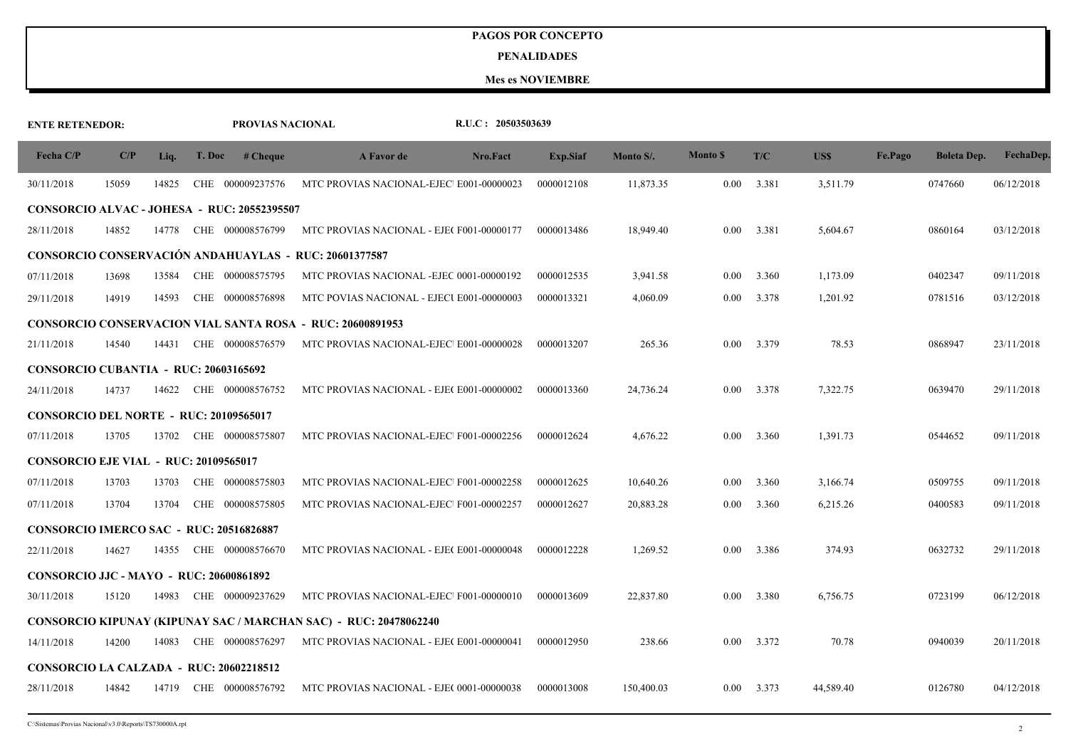#### **PENALIDADES**

| <b>ENTE RETENEDOR:</b>                         |       |       |        | PROVIAS NACIONAL                            |                                                                  | R.U.C: 20503503639 |                 |            |                 |                    |             |                |                    |            |
|------------------------------------------------|-------|-------|--------|---------------------------------------------|------------------------------------------------------------------|--------------------|-----------------|------------|-----------------|--------------------|-------------|----------------|--------------------|------------|
| Fecha C/P                                      | C/P   | Liq.  | T. Doc | # <b>Change</b>                             | A Favor de                                                       | Nro.Fact           | <b>Exp.Siaf</b> | Monto S/.  | <b>Monto \$</b> | T/C                | <b>US\$</b> | <b>Fe.Pago</b> | <b>Boleta Dep.</b> | FechaDep.  |
| 30/11/2018                                     | 15059 | 14825 |        | CHE 000009237576                            | MTC PROVIAS NACIONAL-EJEC E001-00000023                          |                    | 0000012108      | 11,873.35  | 0.00            | 3.381              | 3,511.79    |                | 0747660            | 06/12/2018 |
|                                                |       |       |        | CONSORCIO ALVAC - JOHESA - RUC: 20552395507 |                                                                  |                    |                 |            |                 |                    |             |                |                    |            |
| 28/11/2018                                     | 14852 | 14778 |        | CHE 000008576799                            | MTC PROVIAS NACIONAL - EJE(F001-00000177                         |                    | 0000013486      | 18,949.40  | 0.00            | 3.381              | 5,604.67    |                | 0860164            | 03/12/2018 |
|                                                |       |       |        |                                             | <b>CONSORCIO CONSERVACIÓN ANDAHUAYLAS - RUC: 20601377587</b>     |                    |                 |            |                 |                    |             |                |                    |            |
| 07/11/2018                                     | 13698 | 13584 |        | CHE 000008575795                            | MTC PROVIAS NACIONAL -EJEC 0001-00000192                         |                    | 0000012535      | 3,941.58   | 0.00            | 3.360              | 1,173.09    |                | 0402347            | 09/11/2018 |
| 29/11/2018                                     | 14919 | 14593 |        | CHE 000008576898                            | MTC POVIAS NACIONAL - EJECU E001-00000003                        |                    | 0000013321      | 4,060.09   | 0.00            | 3.378              | 1,201.92    |                | 0781516            | 03/12/2018 |
|                                                |       |       |        |                                             | <b>CONSORCIO CONSERVACION VIAL SANTA ROSA - RUC: 20600891953</b> |                    |                 |            |                 |                    |             |                |                    |            |
| 21/11/2018                                     | 14540 | 14431 |        | CHE 000008576579                            | MTC PROVIAS NACIONAL-EJEC E001-00000028                          |                    | 0000013207      | 265.36     | 0.00            | 3.379              | 78.53       |                | 0868947            | 23/11/2018 |
| CONSORCIO CUBANTIA - RUC: 20603165692          |       |       |        |                                             |                                                                  |                    |                 |            |                 |                    |             |                |                    |            |
| 24/11/2018                                     | 14737 | 14622 |        | CHE 000008576752                            | MTC PROVIAS NACIONAL - EJE(E001-00000002                         |                    | 0000013360      | 24,736.24  | 0.00            | 3.378              | 7,322.75    |                | 0639470            | 29/11/2018 |
| <b>CONSORCIO DEL NORTE - RUC: 20109565017</b>  |       |       |        |                                             |                                                                  |                    |                 |            |                 |                    |             |                |                    |            |
| 07/11/2018                                     | 13705 | 13702 |        | CHE 000008575807                            | MTC PROVIAS NACIONAL-EJEC F001-00002256                          |                    | 0000012624      | 4,676.22   | 0.00            | 3.360              | 1,391.73    |                | 0544652            | 09/11/2018 |
| <b>CONSORCIO EJE VIAL - RUC: 20109565017</b>   |       |       |        |                                             |                                                                  |                    |                 |            |                 |                    |             |                |                    |            |
| 07/11/2018                                     | 13703 | 13703 |        | CHE 000008575803                            | MTC PROVIAS NACIONAL-EJEC F001-00002258                          |                    | 0000012625      | 10,640.26  | 0.00            | 3.360              | 3,166.74    |                | 0509755            | 09/11/2018 |
| 07/11/2018                                     | 13704 | 13704 |        | CHE 000008575805                            | MTC PROVIAS NACIONAL-EJEC F001-00002257                          |                    | 0000012627      | 20,883.28  | 0.00            | 3.360              | 6,215.26    |                | 0400583            | 09/11/2018 |
| <b>CONSORCIO IMERCO SAC - RUC: 20516826887</b> |       |       |        |                                             |                                                                  |                    |                 |            |                 |                    |             |                |                    |            |
| 22/11/2018                                     | 14627 | 14355 |        | CHE 000008576670                            | MTC PROVIAS NACIONAL - EJE(E001-00000048                         |                    | 0000012228      | 1,269.52   | 0.00            | 3.386              | 374.93      |                | 0632732            | 29/11/2018 |
| <b>CONSORCIO JJC - MAYO - RUC: 20600861892</b> |       |       |        |                                             |                                                                  |                    |                 |            |                 |                    |             |                |                    |            |
| 30/11/2018                                     | 15120 | 14983 |        | CHE 000009237629                            | MTC PROVIAS NACIONAL-EJEC F001-00000010                          |                    | 0000013609      | 22,837.80  | 0.00            | 3.380              | 6,756.75    |                | 0723199            | 06/12/2018 |
|                                                |       |       |        |                                             | CONSORCIO KIPUNAY (KIPUNAY SAC / MARCHAN SAC) - RUC: 20478062240 |                    |                 |            |                 |                    |             |                |                    |            |
| 14/11/2018                                     | 14200 | 14083 |        | CHE 000008576297                            | MTC PROVIAS NACIONAL - EJE(E001-00000041                         |                    | 0000012950      | 238.66     | 0.00            | 3.372              | 70.78       |                | 0940039            | 20/11/2018 |
| CONSORCIO LA CALZADA - RUC: 20602218512        |       |       |        |                                             |                                                                  |                    |                 |            |                 |                    |             |                |                    |            |
| 28/11/2018                                     | 14842 |       |        | 14719 CHE 000008576792                      | MTC PROVIAS NACIONAL - EJE(0001-00000038                         |                    | 0000013008      | 150,400.03 |                 | $0.00 \quad 3.373$ | 44,589.40   |                | 0126780            | 04/12/2018 |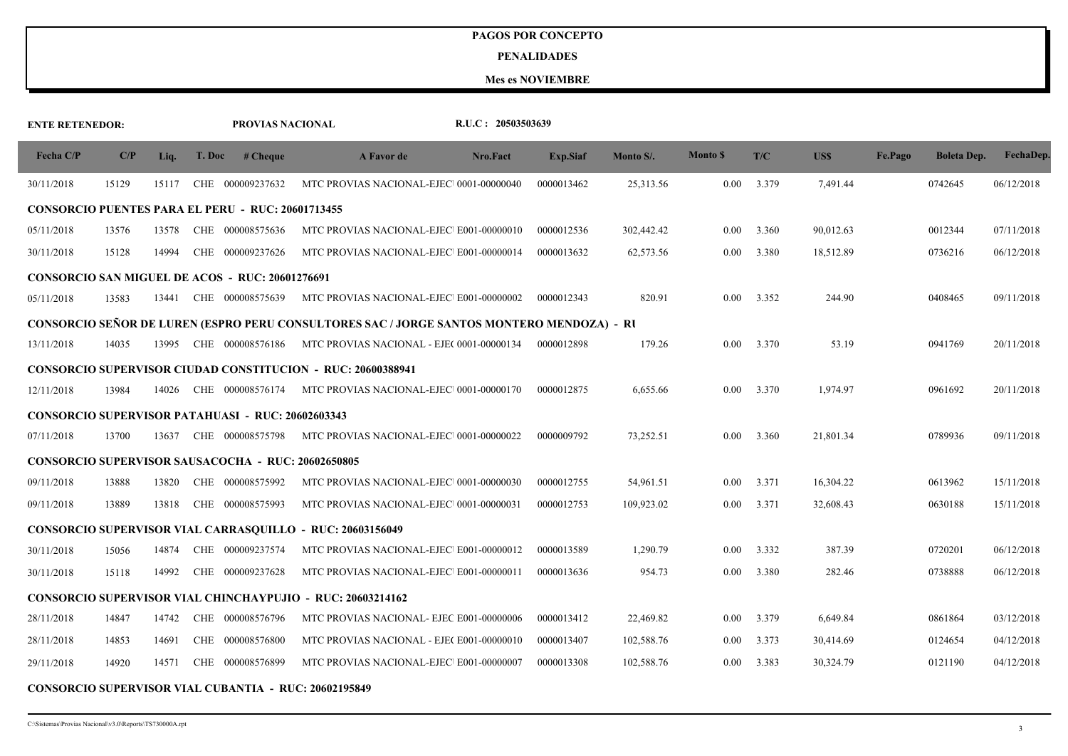#### **PENALIDADES**

| <b>ENTE RETENEDOR:</b> |       |       |        | PROVIAS NACIONAL                                          |                                                                                           | R.U.C: 20503503639 |                 |            |                 |       |           |         |                    |            |
|------------------------|-------|-------|--------|-----------------------------------------------------------|-------------------------------------------------------------------------------------------|--------------------|-----------------|------------|-----------------|-------|-----------|---------|--------------------|------------|
| Fecha C/P              | C/P   | Liq.  | T. Doc | # <b>Change</b>                                           | A Favor de                                                                                | Nro.Fact           | <b>Exp.Siaf</b> | Monto S/.  | <b>Monto \$</b> | T/C   | US\$      | Fe.Pago | <b>Boleta Dep.</b> | FechaDep.  |
| 30/11/2018             | 15129 | 15117 |        | CHE 000009237632                                          | MTC PROVIAS NACIONAL-EJEC 0001-00000040                                                   |                    | 0000013462      | 25,313.56  | 0.00            | 3.379 | 7,491.44  |         | 0742645            | 06/12/2018 |
|                        |       |       |        | <b>CONSORCIO PUENTES PARA EL PERU - RUC: 20601713455</b>  |                                                                                           |                    |                 |            |                 |       |           |         |                    |            |
| 05/11/2018             | 13576 | 13578 |        | CHE 000008575636                                          | MTC PROVIAS NACIONAL-EJEC E001-00000010                                                   |                    | 0000012536      | 302,442.42 | 0.00            | 3.360 | 90,012.63 |         | 0012344            | 07/11/2018 |
| 30/11/2018             | 15128 | 14994 |        | CHE 000009237626                                          | MTC PROVIAS NACIONAL-EJEC E001-00000014                                                   |                    | 0000013632      | 62,573.56  | 0.00            | 3.380 | 18,512.89 |         | 0736216            | 06/12/2018 |
|                        |       |       |        | <b>CONSORCIO SAN MIGUEL DE ACOS - RUC: 20601276691</b>    |                                                                                           |                    |                 |            |                 |       |           |         |                    |            |
| 05/11/2018             | 13583 | 13441 |        | CHE 000008575639                                          | MTC PROVIAS NACIONAL-EJEC E001-00000002                                                   |                    | 0000012343      | 820.91     | 0.00            | 3.352 | 244.90    |         | 0408465            | 09/11/2018 |
|                        |       |       |        |                                                           | CONSORCIO SEÑOR DE LUREN (ESPRO PERU CONSULTORES SAC / JORGE SANTOS MONTERO MENDOZA) - RI |                    |                 |            |                 |       |           |         |                    |            |
| 13/11/2018             | 14035 | 13995 |        |                                                           | CHE 000008576186 MTC PROVIAS NACIONAL - EJE( 0001-00000134                                |                    | 0000012898      | 179.26     | 0.00            | 3.370 | 53.19     |         | 0941769            | 20/11/2018 |
|                        |       |       |        |                                                           | <b>CONSORCIO SUPERVISOR CIUDAD CONSTITUCION - RUC: 20600388941</b>                        |                    |                 |            |                 |       |           |         |                    |            |
| 12/11/2018             | 13984 | 14026 |        |                                                           | CHE 000008576174 MTC PROVIAS NACIONAL-EJEC 0001-00000170                                  |                    | 0000012875      | 6,655.66   | $0.00\,$        | 3.370 | 1,974.97  |         | 0961692            | 20/11/2018 |
|                        |       |       |        | <b>CONSORCIO SUPERVISOR PATAHUASI - RUC: 20602603343</b>  |                                                                                           |                    |                 |            |                 |       |           |         |                    |            |
| 07/11/2018             | 13700 | 13637 |        |                                                           | CHE 000008575798 MTC PROVIAS NACIONAL-EJEC 0001-00000022                                  |                    | 0000009792      | 73,252.51  | 0.00            | 3.360 | 21,801.34 |         | 0789936            | 09/11/2018 |
|                        |       |       |        | <b>CONSORCIO SUPERVISOR SAUSACOCHA - RUC: 20602650805</b> |                                                                                           |                    |                 |            |                 |       |           |         |                    |            |
| 09/11/2018             | 13888 | 13820 |        | CHE 000008575992                                          | MTC PROVIAS NACIONAL-EJEC 0001-00000030                                                   |                    | 0000012755      | 54,961.51  | 0.00            | 3.371 | 16,304.22 |         | 0613962            | 15/11/2018 |
| 09/11/2018             | 13889 | 13818 |        | CHE 000008575993                                          | MTC PROVIAS NACIONAL-EJEC 0001-00000031                                                   |                    | 0000012753      | 109,923.02 | 0.00            | 3.371 | 32,608.43 |         | 0630188            | 15/11/2018 |
|                        |       |       |        |                                                           | <b>CONSORCIO SUPERVISOR VIAL CARRASQUILLO - RUC: 20603156049</b>                          |                    |                 |            |                 |       |           |         |                    |            |
| 30/11/2018             | 15056 | 14874 |        | CHE 000009237574                                          | MTC PROVIAS NACIONAL-EJEC E001-00000012                                                   |                    | 0000013589      | 1.290.79   | 0.00            | 3.332 | 387.39    |         | 0720201            | 06/12/2018 |
| 30/11/2018             | 15118 | 14992 |        | CHE 000009237628                                          | MTC PROVIAS NACIONAL-EJEC E001-00000011                                                   |                    | 0000013636      | 954.73     | 0.00            | 3.380 | 282.46    |         | 0738888            | 06/12/2018 |
|                        |       |       |        |                                                           | <b>CONSORCIO SUPERVISOR VIAL CHINCHAYPUJIO - RUC: 20603214162</b>                         |                    |                 |            |                 |       |           |         |                    |            |
| 28/11/2018             | 14847 | 14742 |        | CHE 000008576796                                          | MTC PROVIAS NACIONAL- EJEC E001-00000006                                                  |                    | 0000013412      | 22,469.82  | 0.00            | 3.379 | 6,649.84  |         | 0861864            | 03/12/2018 |
| 28/11/2018             | 14853 | 14691 |        | CHE 000008576800                                          | MTC PROVIAS NACIONAL - EJE(E001-00000010                                                  |                    | 0000013407      | 102,588.76 | 0.00            | 3.373 | 30,414.69 |         | 0124654            | 04/12/2018 |
| 29/11/2018             | 14920 | 14571 |        | CHE 000008576899                                          | MTC PROVIAS NACIONAL-EJEC E001-00000007                                                   |                    | 0000013308      | 102,588.76 | 0.00            | 3.383 | 30,324.79 |         | 0121190            | 04/12/2018 |
|                        |       |       |        |                                                           | <b>CONSORCIO SUPERVISOR VIAL CUBANTIA - RUC: 20602195849</b>                              |                    |                 |            |                 |       |           |         |                    |            |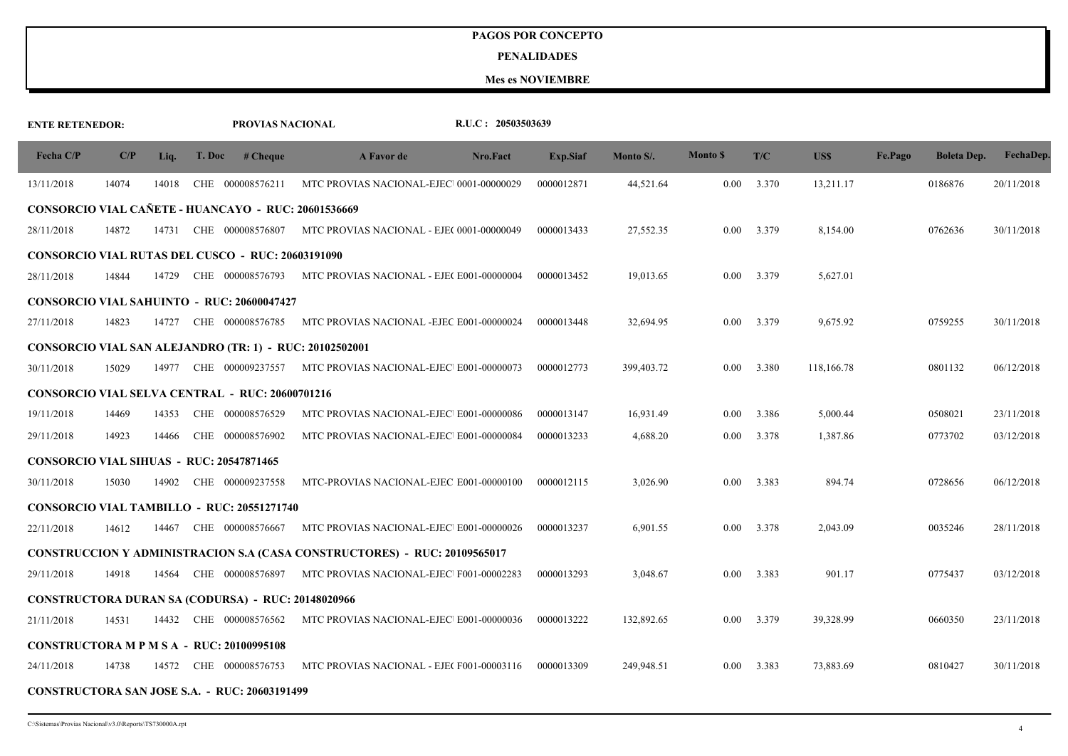#### **PENALIDADES**

| <b>ENTE RETENEDOR:</b>                          |       |       |        | PROVIAS NACIONAL                                           |                                                                                  | R.U.C: 20503503639 |                 |            |                 |                    |            |         |                    |            |
|-------------------------------------------------|-------|-------|--------|------------------------------------------------------------|----------------------------------------------------------------------------------|--------------------|-----------------|------------|-----------------|--------------------|------------|---------|--------------------|------------|
| Fecha C/P                                       | C/P   | Liq.  | T. Doc | # Cheque                                                   | A Favor de                                                                       | Nro.Fact           | <b>Exp.Siaf</b> | Monto S/.  | <b>Monto</b> \$ | T/C                | US\$       | Fe.Pago | <b>Boleta Dep.</b> | FechaDep.  |
| 13/11/2018                                      | 14074 | 14018 |        | CHE 000008576211                                           | MTC PROVIAS NACIONAL-EJEC 0001-00000029                                          |                    | 0000012871      | 44,521.64  |                 | $0.00 \quad 3.370$ | 13,211.17  |         | 0186876            | 20/11/2018 |
|                                                 |       |       |        | <b>CONSORCIO VIAL CAÑETE - HUANCAYO - RUC: 20601536669</b> |                                                                                  |                    |                 |            |                 |                    |            |         |                    |            |
| 28/11/2018                                      | 14872 | 14731 |        | CHE 000008576807                                           | MTC PROVIAS NACIONAL - EJE( 0001-00000049                                        |                    | 0000013433      | 27,552.35  | 0.00            | 3.379              | 8,154.00   |         | 0762636            | 30/11/2018 |
|                                                 |       |       |        | <b>CONSORCIO VIAL RUTAS DEL CUSCO - RUC: 20603191090</b>   |                                                                                  |                    |                 |            |                 |                    |            |         |                    |            |
| 28/11/2018                                      | 14844 | 14729 |        | CHE 000008576793                                           | MTC PROVIAS NACIONAL - EJE(E001-00000004                                         |                    | 0000013452      | 19,013.65  | 0.00            | 3.379              | 5,627.01   |         |                    |            |
|                                                 |       |       |        | <b>CONSORCIO VIAL SAHUINTO - RUC: 20600047427</b>          |                                                                                  |                    |                 |            |                 |                    |            |         |                    |            |
| 27/11/2018                                      | 14823 | 14727 |        | CHE 000008576785                                           | MTC PROVIAS NACIONAL -EJEC E001-00000024                                         |                    | 0000013448      | 32,694.95  | 0.00            | 3.379              | 9,675.92   |         | 0759255            | 30/11/2018 |
|                                                 |       |       |        |                                                            | <b>CONSORCIO VIAL SAN ALEJANDRO (TR: 1) - RUC: 20102502001</b>                   |                    |                 |            |                 |                    |            |         |                    |            |
| 30/11/2018                                      | 15029 | 14977 |        |                                                            | CHE 000009237557 MTC PROVIAS NACIONAL-EJEC E001-00000073                         |                    | 0000012773      | 399,403.72 | 0.00            | 3.380              | 118,166.78 |         | 0801132            | 06/12/2018 |
|                                                 |       |       |        | <b>CONSORCIO VIAL SELVA CENTRAL - RUC: 20600701216</b>     |                                                                                  |                    |                 |            |                 |                    |            |         |                    |            |
| 19/11/2018                                      | 14469 | 14353 |        | CHE 000008576529                                           | MTC PROVIAS NACIONAL-EJEC E001-00000086                                          |                    | 0000013147      | 16,931.49  | 0.00            | 3.386              | 5,000.44   |         | 0508021            | 23/11/2018 |
| 29/11/2018                                      | 14923 | 14466 |        | CHE 000008576902                                           | MTC PROVIAS NACIONAL-EJEC E001-00000084                                          |                    | 0000013233      | 4,688.20   |                 | $0.00 \quad 3.378$ | 1,387.86   |         | 0773702            | 03/12/2018 |
| <b>CONSORCIO VIAL SIHUAS - RUC: 20547871465</b> |       |       |        |                                                            |                                                                                  |                    |                 |            |                 |                    |            |         |                    |            |
| 30/11/2018                                      | 15030 | 14902 |        | CHE 000009237558                                           | MTC-PROVIAS NACIONAL-EJEC E001-00000100                                          |                    | 0000012115      | 3,026.90   | $0.00\,$        | 3.383              | 894.74     |         | 0728656            | 06/12/2018 |
|                                                 |       |       |        | CONSORCIO VIAL TAMBILLO - RUC: 20551271740                 |                                                                                  |                    |                 |            |                 |                    |            |         |                    |            |
| 22/11/2018                                      | 14612 | 14467 |        | CHE 000008576667                                           | MTC PROVIAS NACIONAL-EJEC E001-00000026                                          |                    | 0000013237      | 6,901.55   | $0.00\,$        | 3.378              | 2,043.09   |         | 0035246            | 28/11/2018 |
|                                                 |       |       |        |                                                            | <b>CONSTRUCCION Y ADMINISTRACION S.A (CASA CONSTRUCTORES) - RUC: 20109565017</b> |                    |                 |            |                 |                    |            |         |                    |            |
| 29/11/2018                                      | 14918 | 14564 |        |                                                            | CHE 000008576897 MTC PROVIAS NACIONAL-EJEC F001-00002283                         |                    | 0000013293      | 3,048.67   | $0.00\,$        | 3.383              | 901.17     |         | 0775437            | 03/12/2018 |
|                                                 |       |       |        | <b>CONSTRUCTORA DURAN SA (CODURSA) - RUC: 20148020966</b>  |                                                                                  |                    |                 |            |                 |                    |            |         |                    |            |
| 21/11/2018                                      | 14531 | 14432 |        | CHE 000008576562                                           | MTC PROVIAS NACIONAL-EJEC E001-00000036                                          |                    | 0000013222      | 132,892.65 | $0.00\,$        | 3.379              | 39,328.99  |         | 0660350            | 23/11/2018 |
| CONSTRUCTORA M P M S A - RUC: 20100995108       |       |       |        |                                                            |                                                                                  |                    |                 |            |                 |                    |            |         |                    |            |
| 24/11/2018                                      | 14738 | 14572 |        | CHE 000008576753                                           | MTC PROVIAS NACIONAL - EJE(F001-00003116                                         |                    | 0000013309      | 249,948.51 | 0.00            | 3.383              | 73,883.69  |         | 0810427            | 30/11/2018 |
|                                                 |       |       |        | <b>CONSTRUCTORA SAN JOSE S.A. - RUC: 20603191499</b>       |                                                                                  |                    |                 |            |                 |                    |            |         |                    |            |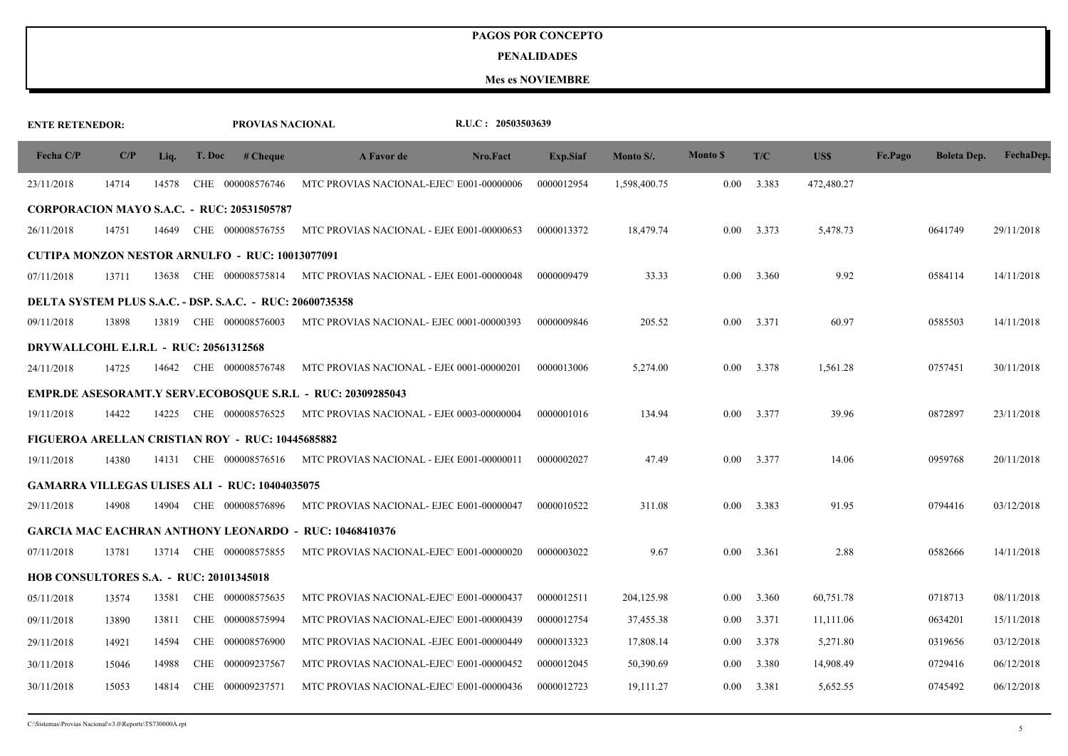#### **PENALIDADES**

| <b>ENTE RETENEDOR:</b>                  |       |       |        | PROVIAS NACIONAL                                          |                                                               | R.U.C: 20503503639 |                 |              |                 |       |            |         |                    |            |
|-----------------------------------------|-------|-------|--------|-----------------------------------------------------------|---------------------------------------------------------------|--------------------|-----------------|--------------|-----------------|-------|------------|---------|--------------------|------------|
| Fecha C/P                               | C/P   | Liq.  | T. Doc | # Cheque                                                  | A Favor de                                                    | Nro.Fact           | <b>Exp.Siaf</b> | Monto S/.    | <b>Monto \$</b> | T/C   | US\$       | Fe.Pago | <b>Boleta Dep.</b> | FechaDep.  |
| 23/11/2018                              | 14714 | 14578 |        | CHE 000008576746                                          | MTC PROVIAS NACIONAL-EJEC E001-00000006                       |                    | 0000012954      | 1,598,400.75 | 0.00            | 3.383 | 472,480.27 |         |                    |            |
|                                         |       |       |        | CORPORACION MAYO S.A.C. - RUC: 20531505787                |                                                               |                    |                 |              |                 |       |            |         |                    |            |
| 26/11/2018                              | 14751 | 14649 |        | CHE 000008576755                                          | MTC PROVIAS NACIONAL - EJE(E001-00000653                      |                    | 0000013372      | 18,479.74    | 0.00            | 3.373 | 5,478.73   |         | 0641749            | 29/11/2018 |
|                                         |       |       |        | <b>CUTIPA MONZON NESTOR ARNULFO - RUC: 10013077091</b>    |                                                               |                    |                 |              |                 |       |            |         |                    |            |
| 07/11/2018                              | 13711 | 13638 |        | CHE 000008575814                                          | MTC PROVIAS NACIONAL - EJE(E001-00000048                      |                    | 0000009479      | 33.33        | 0.00            | 3.360 | 9.92       |         | 0584114            | 14/11/2018 |
|                                         |       |       |        | DELTA SYSTEM PLUS S.A.C. - DSP. S.A.C. - RUC: 20600735358 |                                                               |                    |                 |              |                 |       |            |         |                    |            |
| 09/11/2018                              | 13898 | 13819 |        | CHE 000008576003                                          | MTC PROVIAS NACIONAL- EJEC 0001-00000393                      |                    | 0000009846      | 205.52       | 0.00            | 3.371 | 60.97      |         | 0585503            | 14/11/2018 |
| DRYWALLCOHL E.I.R.L - RUC: 20561312568  |       |       |        |                                                           |                                                               |                    |                 |              |                 |       |            |         |                    |            |
| 24/11/2018                              | 14725 | 14642 |        | CHE 000008576748                                          | MTC PROVIAS NACIONAL - EJE(0001-00000201                      |                    | 0000013006      | 5,274.00     | 0.00            | 3.378 | 1,561.28   |         | 0757451            | 30/11/2018 |
|                                         |       |       |        |                                                           | EMPR.DE ASESORAMT.Y SERV.ECOBOSQUE S.R.L - RUC: 20309285043   |                    |                 |              |                 |       |            |         |                    |            |
| 19/11/2018                              | 14422 | 14225 |        | CHE 000008576525                                          | MTC PROVIAS NACIONAL - EJE( 0003-00000004                     |                    | 0000001016      | 134.94       | 0.00            | 3.377 | 39.96      |         | 0872897            | 23/11/2018 |
|                                         |       |       |        | <b>FIGUEROA ARELLAN CRISTIAN ROY - RUC: 10445685882</b>   |                                                               |                    |                 |              |                 |       |            |         |                    |            |
| 19/11/2018                              | 14380 | 14131 |        | CHE 000008576516                                          | MTC PROVIAS NACIONAL - EJE(E001-00000011                      |                    | 0000002027      | 47.49        | 0.00            | 3.377 | 14.06      |         | 0959768            | 20/11/2018 |
|                                         |       |       |        | <b>GAMARRA VILLEGAS ULISES ALI - RUC: 10404035075</b>     |                                                               |                    |                 |              |                 |       |            |         |                    |            |
| 29/11/2018                              | 14908 | 14904 |        | CHE 000008576896                                          | MTC PROVIAS NACIONAL- EJEC E001-00000047                      |                    | 0000010522      | 311.08       | 0.00            | 3.383 | 91.95      |         | 0794416            | 03/12/2018 |
|                                         |       |       |        |                                                           | <b>GARCIA MAC EACHRAN ANTHONY LEONARDO - RUC: 10468410376</b> |                    |                 |              |                 |       |            |         |                    |            |
| 07/11/2018                              | 13781 | 13714 |        | CHE 000008575855                                          | MTC PROVIAS NACIONAL-EJEC E001-00000020                       |                    | 0000003022      | 9.67         | 0.00            | 3.361 | 2.88       |         | 0582666            | 14/11/2018 |
| HOB CONSULTORES S.A. - RUC: 20101345018 |       |       |        |                                                           |                                                               |                    |                 |              |                 |       |            |         |                    |            |
| 05/11/2018                              | 13574 | 13581 |        | CHE 000008575635                                          | MTC PROVIAS NACIONAL-EJEC E001-00000437                       |                    | 0000012511      | 204, 125.98  | 0.00            | 3.360 | 60,751.78  |         | 0718713            | 08/11/2018 |
| 09/11/2018                              | 13890 | 13811 |        | CHE 000008575994                                          | MTC PROVIAS NACIONAL-EJEC E001-00000439                       |                    | 0000012754      | 37,455.38    | 0.00            | 3.371 | 11,111.06  |         | 0634201            | 15/11/2018 |
| 29/11/2018                              | 14921 | 14594 |        | CHE 000008576900                                          | MTC PROVIAS NACIONAL -EJEC E001-00000449                      |                    | 0000013323      | 17,808.14    | 0.00            | 3.378 | 5,271.80   |         | 0319656            | 03/12/2018 |
| 30/11/2018                              | 15046 | 14988 |        | CHE 000009237567                                          | MTC PROVIAS NACIONAL-EJEC E001-00000452                       |                    | 0000012045      | 50,390.69    | 0.00            | 3.380 | 14,908.49  |         | 0729416            | 06/12/2018 |
| 30/11/2018                              | 15053 | 14814 |        | CHE 000009237571                                          | MTC PROVIAS NACIONAL-EJEC E001-00000436                       |                    | 0000012723      | 19,111.27    | 0.00            | 3.381 | 5,652.55   |         | 0745492            | 06/12/2018 |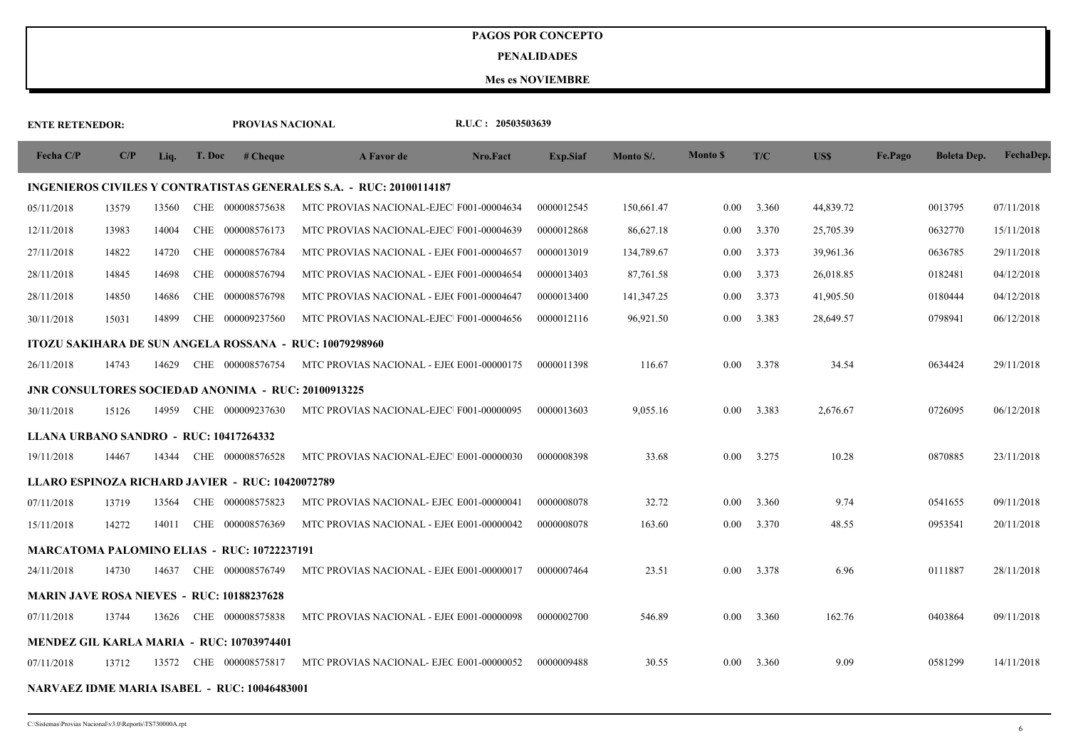#### **PENALIDADES**

| <b>ENTE RETENEDOR:</b>                           |       |       |        | PROVIAS NACIONAL                                           |                                                                            | R.U.C: 20503503639 |                 |            |                |       |            |         |                    |            |
|--------------------------------------------------|-------|-------|--------|------------------------------------------------------------|----------------------------------------------------------------------------|--------------------|-----------------|------------|----------------|-------|------------|---------|--------------------|------------|
| Fecha C/P                                        | C/P   | Liq.  | T. Doc | # Cheque                                                   | A Favor de                                                                 | Nro.Fact           | <b>Exp.Siaf</b> | Monto S/.  | <b>Monto S</b> | T/C   | <b>USS</b> | Fe.Pago | <b>Boleta Dep.</b> | FechaDep.  |
|                                                  |       |       |        |                                                            | <b>INGENIEROS CIVILES Y CONTRATISTAS GENERALES S.A. - RUC: 20100114187</b> |                    |                 |            |                |       |            |         |                    |            |
| 05/11/2018                                       | 13579 | 13560 |        | CHE 000008575638                                           | MTC PROVIAS NACIONAL-EJEC F001-00004634                                    |                    | 0000012545      | 150,661.47 | 0.00           | 3.360 | 44,839.72  |         | 0013795            | 07/11/2018 |
| 12/11/2018                                       | 13983 | 14004 |        | CHE 000008576173                                           | MTC PROVIAS NACIONAL-EJEC F001-00004639                                    |                    | 0000012868      | 86,627.18  | 0.00           | 3.370 | 25,705.39  |         | 0632770            | 15/11/2018 |
| 27/11/2018                                       | 14822 | 14720 |        | CHE 000008576784                                           | MTC PROVIAS NACIONAL - EJE(F001-00004657                                   |                    | 0000013019      | 134,789.67 | 0.00           | 3.373 | 39,961.36  |         | 0636785            | 29/11/2018 |
| 28/11/2018                                       | 14845 | 14698 |        | CHE 000008576794                                           | MTC PROVIAS NACIONAL - EJE(F001-00004654                                   |                    | 0000013403      | 87,761.58  | 0.00           | 3.373 | 26,018.85  |         | 0182481            | 04/12/2018 |
| 28/11/2018                                       | 14850 | 14686 |        | CHE 000008576798                                           | MTC PROVIAS NACIONAL - EJE(F001-00004647                                   |                    | 0000013400      | 141,347.25 | $0.00\,$       | 3.373 | 41,905.50  |         | 0180444            | 04/12/2018 |
| 30/11/2018                                       | 15031 | 14899 |        | CHE 000009237560                                           | MTC PROVIAS NACIONAL-EJEC F001-00004656                                    |                    | 0000012116      | 96,921.50  | 0.00           | 3.383 | 28,649.57  |         | 0798941            | 06/12/2018 |
|                                                  |       |       |        |                                                            | ITOZU SAKIHARA DE SUN ANGELA ROSSANA - RUC: 10079298960                    |                    |                 |            |                |       |            |         |                    |            |
| 26/11/2018                                       | 14743 | 14629 |        | CHE 000008576754                                           | MTC PROVIAS NACIONAL - EJE(E001-00000175                                   |                    | 0000011398      | 116.67     | 0.00           | 3.378 | 34.54      |         | 0634424            | 29/11/2018 |
|                                                  |       |       |        | <b>JNR CONSULTORES SOCIEDAD ANONIMA - RUC: 20100913225</b> |                                                                            |                    |                 |            |                |       |            |         |                    |            |
| 30/11/2018                                       | 15126 | 14959 |        | CHE 000009237630                                           | MTC PROVIAS NACIONAL-EJEC F001-00000095                                    |                    | 0000013603      | 9,055.16   | 0.00           | 3.383 | 2,676.67   |         | 0726095            | 06/12/2018 |
| LLANA URBANO SANDRO - RUC: 10417264332           |       |       |        |                                                            |                                                                            |                    |                 |            |                |       |            |         |                    |            |
| 19/11/2018                                       | 14467 | 14344 |        | CHE 000008576528                                           | MTC PROVIAS NACIONAL-EJEC E001-00000030                                    |                    | 0000008398      | 33.68      | 0.00           | 3.275 | 10.28      |         | 0870885            | 23/11/2018 |
|                                                  |       |       |        | LLARO ESPINOZA RICHARD JAVIER - RUC: 10420072789           |                                                                            |                    |                 |            |                |       |            |         |                    |            |
| 07/11/2018                                       | 13719 | 13564 |        | CHE 000008575823                                           | MTC PROVIAS NACIONAL- EJEC E001-00000041                                   |                    | 0000008078      | 32.72      | 0.00           | 3.360 | 9.74       |         | 0541655            | 09/11/2018 |
| 15/11/2018                                       | 14272 | 14011 |        | CHE 000008576369                                           | MTC PROVIAS NACIONAL - EJE(E001-00000042                                   |                    | 0000008078      | 163.60     | 0.00           | 3.370 | 48.55      |         | 0953541            | 20/11/2018 |
|                                                  |       |       |        | MARCATOMA PALOMINO ELIAS - RUC: 10722237191                |                                                                            |                    |                 |            |                |       |            |         |                    |            |
| 24/11/2018                                       | 14730 | 14637 |        | CHE 000008576749                                           | MTC PROVIAS NACIONAL - EJE(E001-00000017                                   |                    | 0000007464      | 23.51      | 0.00           | 3.378 | 6.96       |         | 0111887            | 28/11/2018 |
| <b>MARIN JAVE ROSA NIEVES - RUC: 10188237628</b> |       |       |        |                                                            |                                                                            |                    |                 |            |                |       |            |         |                    |            |
| 07/11/2018                                       | 13744 | 13626 |        | CHE 000008575838                                           | MTC PROVIAS NACIONAL - EJE(E001-00000098                                   |                    | 0000002700      | 546.89     | 0.00           | 3.360 | 162.76     |         | 0403864            | 09/11/2018 |
|                                                  |       |       |        | <b>MENDEZ GIL KARLA MARIA - RUC: 10703974401</b>           |                                                                            |                    |                 |            |                |       |            |         |                    |            |
| 07/11/2018                                       | 13712 | 13572 |        | CHE 000008575817                                           | MTC PROVIAS NACIONAL- EJEC E001-00000052                                   |                    | 0000009488      | 30.55      | 0.00           | 3.360 | 9.09       |         | 0581299            | 14/11/2018 |
|                                                  |       |       |        | NARVAEZ IDME MARIA ISABEL - RUC: 10046483001               |                                                                            |                    |                 |            |                |       |            |         |                    |            |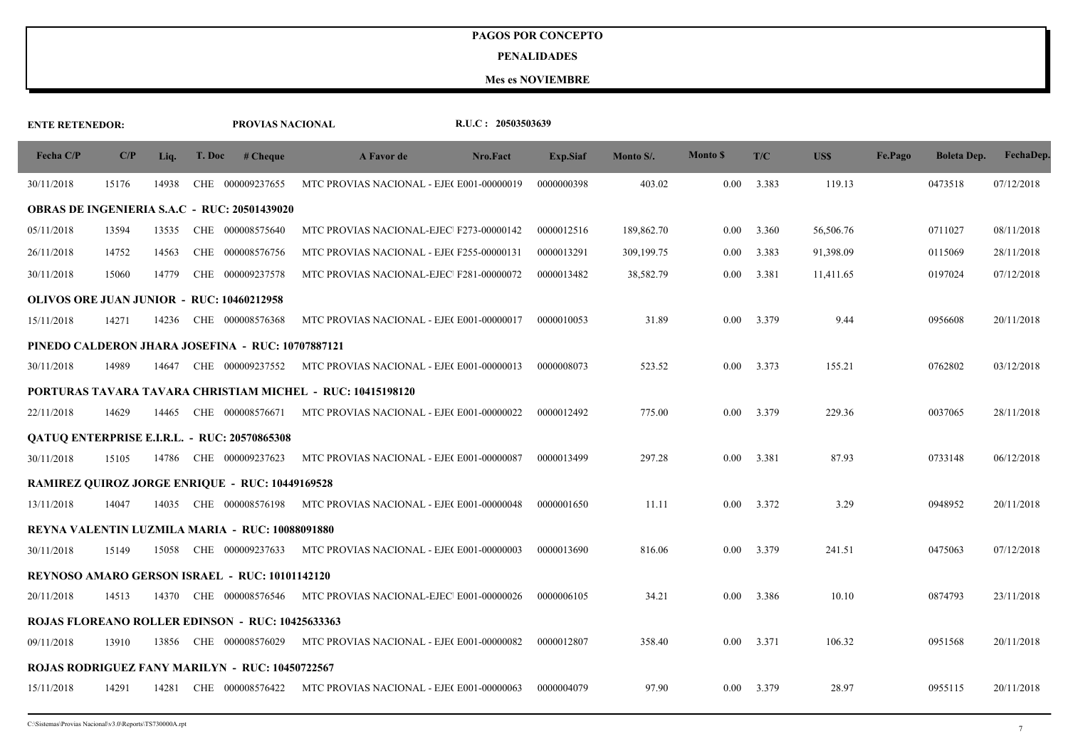#### **PENALIDADES**

| <b>ENTE RETENEDOR:</b> |       |       |        | PROVIAS NACIONAL                                       |                                                                   | R.U.C: 20503503639 |                 |            |                 |                    |           |         |                    |            |
|------------------------|-------|-------|--------|--------------------------------------------------------|-------------------------------------------------------------------|--------------------|-----------------|------------|-----------------|--------------------|-----------|---------|--------------------|------------|
| Fecha C/P              | C/P   | Liq.  | T. Doc | # <b>Change</b>                                        | A Favor de                                                        | Nro.Fact           | <b>Exp.Siaf</b> | Monto S/.  | <b>Monto</b> \$ | T/C                | US\$      | Fe.Pago | <b>Boleta Dep.</b> | FechaDep.  |
| 30/11/2018             | 15176 | 14938 |        | CHE 000009237655                                       | MTC PROVIAS NACIONAL - EJE(E001-00000019                          |                    | 0000000398      | 403.02     | 0.00            | 3.383              | 119.13    |         | 0473518            | 07/12/2018 |
|                        |       |       |        | <b>OBRAS DE INGENIERIA S.A.C - RUC: 20501439020</b>    |                                                                   |                    |                 |            |                 |                    |           |         |                    |            |
| 05/11/2018             | 13594 | 13535 |        | CHE 000008575640                                       | MTC PROVIAS NACIONAL-EJEC F273-00000142                           |                    | 0000012516      | 189,862.70 | 0.00            | 3.360              | 56,506.76 |         | 0711027            | 08/11/2018 |
| 26/11/2018             | 14752 | 14563 |        | CHE 000008576756                                       | MTC PROVIAS NACIONAL - EJE(F255-00000131                          |                    | 0000013291      | 309,199.75 | 0.00            | 3.383              | 91,398.09 |         | 0115069            | 28/11/2018 |
| 30/11/2018             | 15060 | 14779 |        | CHE 000009237578                                       | MTC PROVIAS NACIONAL-EJEC F281-00000072                           |                    | 0000013482      | 38,582.79  | 0.00            | 3.381              | 11,411.65 |         | 0197024            | 07/12/2018 |
|                        |       |       |        | <b>OLIVOS ORE JUAN JUNIOR - RUC: 10460212958</b>       |                                                                   |                    |                 |            |                 |                    |           |         |                    |            |
| 15/11/2018             | 14271 | 14236 |        | CHE 000008576368                                       | MTC PROVIAS NACIONAL - EJE(E001-00000017                          |                    | 0000010053      | 31.89      | 0.00            | 3.379              | 9.44      |         | 0956608            | 20/11/2018 |
|                        |       |       |        | PINEDO CALDERON JHARA JOSEFINA - RUC: 10707887121      |                                                                   |                    |                 |            |                 |                    |           |         |                    |            |
| 30/11/2018             | 14989 | 14647 |        | CHE 000009237552                                       | MTC PROVIAS NACIONAL - EJE(E001-00000013                          |                    | 0000008073      | 523.52     | 0.00            | 3.373              | 155.21    |         | 0762802            | 03/12/2018 |
|                        |       |       |        |                                                        | <b>PORTURAS TAVARA TAVARA CHRISTIAM MICHEL - RUC: 10415198120</b> |                    |                 |            |                 |                    |           |         |                    |            |
| 22/11/2018             | 14629 | 14465 |        | CHE 000008576671                                       | MTC PROVIAS NACIONAL - EJE(E001-00000022                          |                    | 0000012492      | 775.00     | 0.00            | 3.379              | 229.36    |         | 0037065            | 28/11/2018 |
|                        |       |       |        | <b>OATUO ENTERPRISE E.I.R.L. - RUC: 20570865308</b>    |                                                                   |                    |                 |            |                 |                    |           |         |                    |            |
| 30/11/2018             | 15105 | 14786 |        | CHE 000009237623                                       | MTC PROVIAS NACIONAL - EJE(E001-00000087                          |                    | 0000013499      | 297.28     | 0.00            | 3.381              | 87.93     |         | 0733148            | 06/12/2018 |
|                        |       |       |        | <b>RAMIREZ QUIROZ JORGE ENRIQUE - RUC: 10449169528</b> |                                                                   |                    |                 |            |                 |                    |           |         |                    |            |
| 13/11/2018             | 14047 | 14035 |        |                                                        | CHE 000008576198 MTC PROVIAS NACIONAL - EJE(E001-00000048         |                    | 0000001650      | 11.11      | 0.00            | 3.372              | 3.29      |         | 0948952            | 20/11/2018 |
|                        |       |       |        | REYNA VALENTIN LUZMILA MARIA - RUC: 10088091880        |                                                                   |                    |                 |            |                 |                    |           |         |                    |            |
| 30/11/2018             | 15149 | 15058 |        | CHE 000009237633                                       | MTC PROVIAS NACIONAL - EJE(E001-00000003                          |                    | 0000013690      | 816.06     | 0.00            | 3.379              | 241.51    |         | 0475063            | 07/12/2018 |
|                        |       |       |        | REYNOSO AMARO GERSON ISRAEL - RUC: 10101142120         |                                                                   |                    |                 |            |                 |                    |           |         |                    |            |
| 20/11/2018             | 14513 | 14370 |        | CHE 000008576546                                       | MTC PROVIAS NACIONAL-EJEC E001-00000026                           |                    | 0000006105      | 34.21      | 0.00            | 3.386              | 10.10     |         | 0874793            | 23/11/2018 |
|                        |       |       |        | ROJAS FLOREANO ROLLER EDINSON - RUC: 10425633363       |                                                                   |                    |                 |            |                 |                    |           |         |                    |            |
| 09/11/2018             | 13910 | 13856 |        | CHE 000008576029                                       | MTC PROVIAS NACIONAL - EJE( E001-00000082                         |                    | 0000012807      | 358.40     | 0.00            | 3.371              | 106.32    |         | 0951568            | 20/11/2018 |
|                        |       |       |        | <b>ROJAS RODRIGUEZ FANY MARILYN - RUC: 10450722567</b> |                                                                   |                    |                 |            |                 |                    |           |         |                    |            |
| 15/11/2018             | 14291 | 14281 |        | CHE 000008576422                                       | MTC PROVIAS NACIONAL - EJE( E001-00000063                         |                    | 0000004079      | 97.90      |                 | $0.00 \quad 3.379$ | 28.97     |         | 0955115            | 20/11/2018 |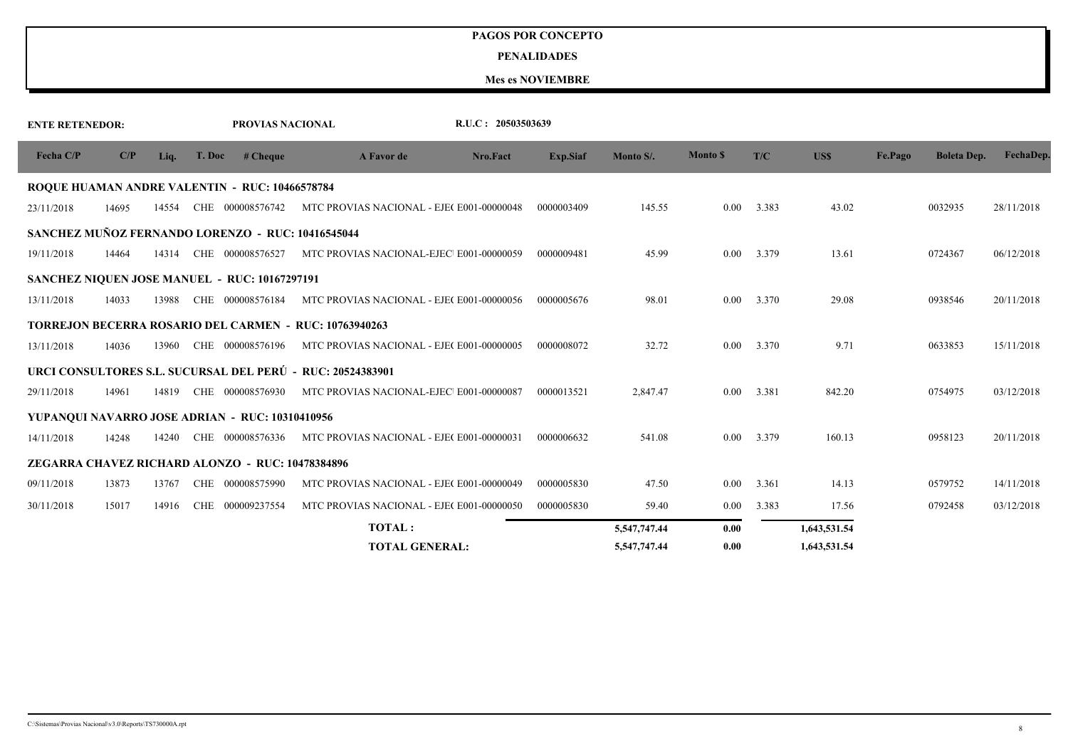#### **PENALIDADES**

| <b>ENTE RETENEDOR:</b> |       |       |        | PROVIAS NACIONAL                                  |                                                               | R.U.C: 20503503639 |            |              |                 |       |              |         |                    |            |
|------------------------|-------|-------|--------|---------------------------------------------------|---------------------------------------------------------------|--------------------|------------|--------------|-----------------|-------|--------------|---------|--------------------|------------|
| Fecha C/P              | C/P   | Liq.  | T. Doc | # <b>Change</b>                                   | A Favor de                                                    | Nro.Fact           | Exp.Siaf   | Monto S/.    | <b>Monto</b> \$ | T/C   | US\$         | Fe.Pago | <b>Boleta Dep.</b> | FechaDep.  |
|                        |       |       |        | ROQUE HUAMAN ANDRE VALENTIN - RUC: 10466578784    |                                                               |                    |            |              |                 |       |              |         |                    |            |
| 23/11/2018             | 14695 | 14554 |        | CHE 000008576742                                  | MTC PROVIAS NACIONAL - EJE(E001-00000048                      |                    | 0000003409 | 145.55       | 0.00            | 3.383 | 43.02        |         | 0032935            | 28/11/2018 |
|                        |       |       |        | SANCHEZ MUÑOZ FERNANDO LORENZO - RUC: 10416545044 |                                                               |                    |            |              |                 |       |              |         |                    |            |
| 19/11/2018             | 14464 | 14314 |        | CHE 000008576527                                  | MTC PROVIAS NACIONAL-EJEC E001-00000059                       |                    | 0000009481 | 45.99        | 0.00            | 3.379 | 13.61        |         | 0724367            | 06/12/2018 |
|                        |       |       |        | SANCHEZ NIQUEN JOSE MANUEL - RUC: 10167297191     |                                                               |                    |            |              |                 |       |              |         |                    |            |
| 13/11/2018             | 14033 | 13988 |        | CHE 000008576184                                  | MTC PROVIAS NACIONAL - EJE(E001-00000056                      |                    | 0000005676 | 98.01        | 0.00            | 3.370 | 29.08        |         | 0938546            | 20/11/2018 |
|                        |       |       |        |                                                   | <b>TORREJON BECERRA ROSARIO DEL CARMEN - RUC: 10763940263</b> |                    |            |              |                 |       |              |         |                    |            |
| 13/11/2018             | 14036 | 13960 |        | CHE 000008576196                                  | MTC PROVIAS NACIONAL - EJE(E001-00000005                      |                    | 0000008072 | 32.72        | $0.00\,$        | 3.370 | 9.71         |         | 0633853            | 15/11/2018 |
|                        |       |       |        |                                                   | URCI CONSULTORES S.L. SUCURSAL DEL PERÚ - RUC: 20524383901    |                    |            |              |                 |       |              |         |                    |            |
| 29/11/2018             | 14961 | 14819 |        | CHE 000008576930                                  | MTC PROVIAS NACIONAL-EJEC E001-00000087                       |                    | 0000013521 | 2,847.47     | 0.00            | 3.381 | 842.20       |         | 0754975            | 03/12/2018 |
|                        |       |       |        | YUPANQUI NAVARRO JOSE ADRIAN - RUC: 10310410956   |                                                               |                    |            |              |                 |       |              |         |                    |            |
| 14/11/2018             | 14248 | 14240 |        | CHE 000008576336                                  | MTC PROVIAS NACIONAL - EJE(E001-00000031                      |                    | 0000006632 | 541.08       | 0.00            | 3.379 | 160.13       |         | 0958123            | 20/11/2018 |
|                        |       |       |        | ZEGARRA CHAVEZ RICHARD ALONZO - RUC: 10478384896  |                                                               |                    |            |              |                 |       |              |         |                    |            |
| 09/11/2018             | 13873 | 13767 |        | CHE 000008575990                                  | MTC PROVIAS NACIONAL - EJE(E001-00000049                      |                    | 0000005830 | 47.50        | 0.00            | 3.361 | 14.13        |         | 0579752            | 14/11/2018 |
| 30/11/2018             | 15017 | 14916 | CHE    | 000009237554                                      | MTC PROVIAS NACIONAL - EJE(E001-00000050                      |                    | 0000005830 | 59.40        | $0.00\,$        | 3.383 | 17.56        |         | 0792458            | 03/12/2018 |
|                        |       |       |        |                                                   | TOTAL:                                                        |                    |            | 5,547,747.44 | 0.00            |       | 1,643,531.54 |         |                    |            |
|                        |       |       |        |                                                   | <b>TOTAL GENERAL:</b>                                         |                    |            | 5,547,747.44 | 0.00            |       | 1,643,531.54 |         |                    |            |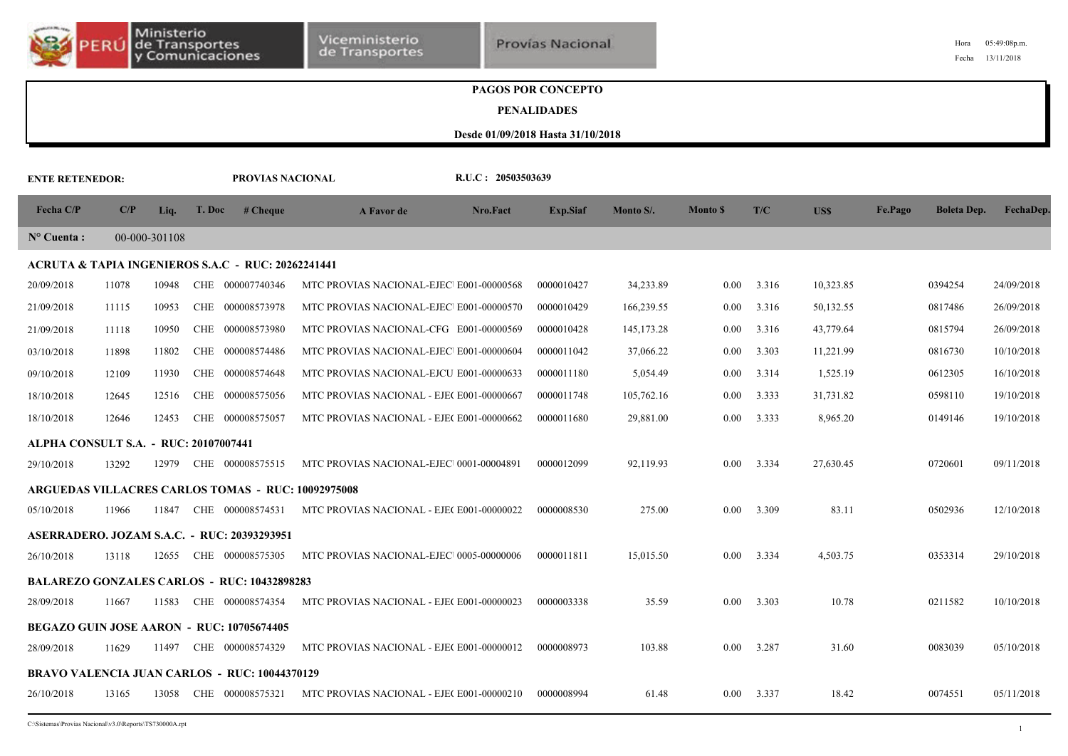|                                       |       |               |            | <b>Comunicaciones</b>                                         |                                                                 |                                   |                           |              |                 |              |           |         | Fecha              | 13/11/2018 |
|---------------------------------------|-------|---------------|------------|---------------------------------------------------------------|-----------------------------------------------------------------|-----------------------------------|---------------------------|--------------|-----------------|--------------|-----------|---------|--------------------|------------|
|                                       |       |               |            |                                                               |                                                                 |                                   | <b>PAGOS POR CONCEPTO</b> |              |                 |              |           |         |                    |            |
|                                       |       |               |            |                                                               |                                                                 |                                   | <b>PENALIDADES</b>        |              |                 |              |           |         |                    |            |
|                                       |       |               |            |                                                               |                                                                 | Desde 01/09/2018 Hasta 31/10/2018 |                           |              |                 |              |           |         |                    |            |
| <b>ENTE RETENEDOR:</b>                |       |               |            | PROVIAS NACIONAL                                              |                                                                 | R.U.C: 20503503639                |                           |              |                 |              |           |         |                    |            |
| Fecha C/P                             | C/P   | Liq.          | T. Doc     | # <b>Change</b>                                               | A Favor de                                                      | Nro.Fact                          | <b>Exp.Siaf</b>           | Monto S/.    | <b>Monto</b> \$ | T/C          | US\$      | Fe.Pago | <b>Boleta Dep.</b> | FechaDep.  |
| $N^{\circ}$ Cuenta :                  |       | 00-000-301108 |            |                                                               |                                                                 |                                   |                           |              |                 |              |           |         |                    |            |
|                                       |       |               |            | <b>ACRUTA &amp; TAPIA INGENIEROS S.A.C - RUC: 20262241441</b> |                                                                 |                                   |                           |              |                 |              |           |         |                    |            |
| 20/09/2018                            | 11078 | 10948         |            | CHE 000007740346                                              | MTC PROVIAS NACIONAL-EJEC E001-00000568                         |                                   | 0000010427                | 34,233.89    | 0.00            | 3.316        | 10,323.85 |         | 0394254            | 24/09/2018 |
| 21/09/2018                            | 11115 | 10953         |            | CHE 000008573978                                              | MTC PROVIAS NACIONAL-EJEC E001-00000570                         |                                   | 0000010429                | 166,239.55   | 0.00            | 3.316        | 50,132.55 |         | 0817486            | 26/09/2018 |
| 21/09/2018                            | 11118 | 10950         | CHE        | 000008573980                                                  | MTC PROVIAS NACIONAL-CFG E001-00000569                          |                                   | 0000010428                | 145, 173. 28 | 0.00            | 3.316        | 43,779.64 |         | 0815794            | 26/09/2018 |
| 03/10/2018                            | 11898 | 11802         |            | CHE 000008574486                                              | MTC PROVIAS NACIONAL-EJEC E001-00000604                         |                                   | 0000011042                | 37,066.22    | 0.00            | 3.303        | 11,221.99 |         | 0816730            | 10/10/2018 |
| 09/10/2018                            | 12109 | 11930         | <b>CHE</b> | 000008574648                                                  | MTC PROVIAS NACIONAL-EJCU E001-00000633                         |                                   | 0000011180                | 5,054.49     | 0.00            | 3.314        | 1,525.19  |         | 0612305            | 16/10/2018 |
| 18/10/2018                            | 12645 | 12516         |            | CHE 000008575056                                              | MTC PROVIAS NACIONAL - EJE(E001-00000667                        |                                   | 0000011748                | 105,762.16   | 0.00            | 3.333        | 31,731.82 |         | 0598110            | 19/10/2018 |
| 18/10/2018                            | 12646 | 12453         |            | CHE 000008575057                                              | MTC PROVIAS NACIONAL - EJE(E001-00000662                        |                                   | 0000011680                | 29,881.00    | 0.00            | 3.333        | 8,965.20  |         | 0149146            | 19/10/2018 |
| ALPHA CONSULT S.A. - RUC: 20107007441 |       |               |            |                                                               |                                                                 |                                   |                           |              |                 |              |           |         |                    |            |
| 29/10/2018                            | 13292 | 12979         |            | CHE 000008575515                                              | MTC PROVIAS NACIONAL-EJEC 0001-00004891                         |                                   | 0000012099                | 92,119.93    | 0.00            | 3.334        | 27,630.45 |         | 0720601            | 09/11/2018 |
|                                       |       |               |            | <b>ARGUEDAS VILLACRES CARLOS TOMAS - RUC: 10092975008</b>     |                                                                 |                                   |                           |              |                 |              |           |         |                    |            |
| 05/10/2018                            | 11966 | 11847         |            |                                                               | CHE 000008574531 MTC PROVIAS NACIONAL - EJE(E001-00000022       |                                   | 0000008530                | 275.00       | 0.00            | 3.309        | 83.11     |         | 0502936            | 12/10/2018 |
|                                       |       |               |            | ASERRADERO. JOZAM S.A.C. - RUC: 20393293951                   |                                                                 |                                   |                           |              |                 |              |           |         |                    |            |
| 26/10/2018                            | 13118 | 12655         |            | CHE 000008575305                                              | MTC PROVIAS NACIONAL-EJEC 0005-00000006                         |                                   | 0000011811                | 15,015.50    | 0.00            | 3.334        | 4,503.75  |         | 0353314            | 29/10/2018 |
|                                       |       |               |            | <b>BALAREZO GONZALES CARLOS - RUC: 10432898283</b>            |                                                                 |                                   |                           |              |                 |              |           |         |                    |            |
| 28/09/2018                            | 11667 | 11583         |            | CHE 000008574354                                              | MTC PROVIAS NACIONAL - EJE(E001-00000023                        |                                   | 0000003338                | 35.59        | 0.00            | 3.303        | 10.78     |         | 0211582            | 10/10/2018 |
|                                       |       |               |            | <b>BEGAZO GUIN JOSE AARON - RUC: 10705674405</b>              |                                                                 |                                   |                           |              |                 |              |           |         |                    |            |
| 28/09/2018                            | 11629 | 11497         |            | CHE 000008574329                                              | MTC PROVIAS NACIONAL - EJE(E001-00000012                        |                                   | 0000008973                | 103.88       | 0.00            | 3.287        | 31.60     |         | 0083039            | 05/10/2018 |
|                                       |       |               |            | <b>BRAVO VALENCIA JUAN CARLOS - RUC: 10044370129</b>          |                                                                 |                                   |                           |              |                 |              |           |         |                    |            |
| 26/10/2018                            | 13165 |               |            |                                                               | 13058 CHE 000008575321 MTC PROVIAS NACIONAL - EJE(E001-00000210 |                                   | 0000008994                | 61.48        |                 | $0.00$ 3.337 | 18.42     |         | 0074551            | 05/11/2018 |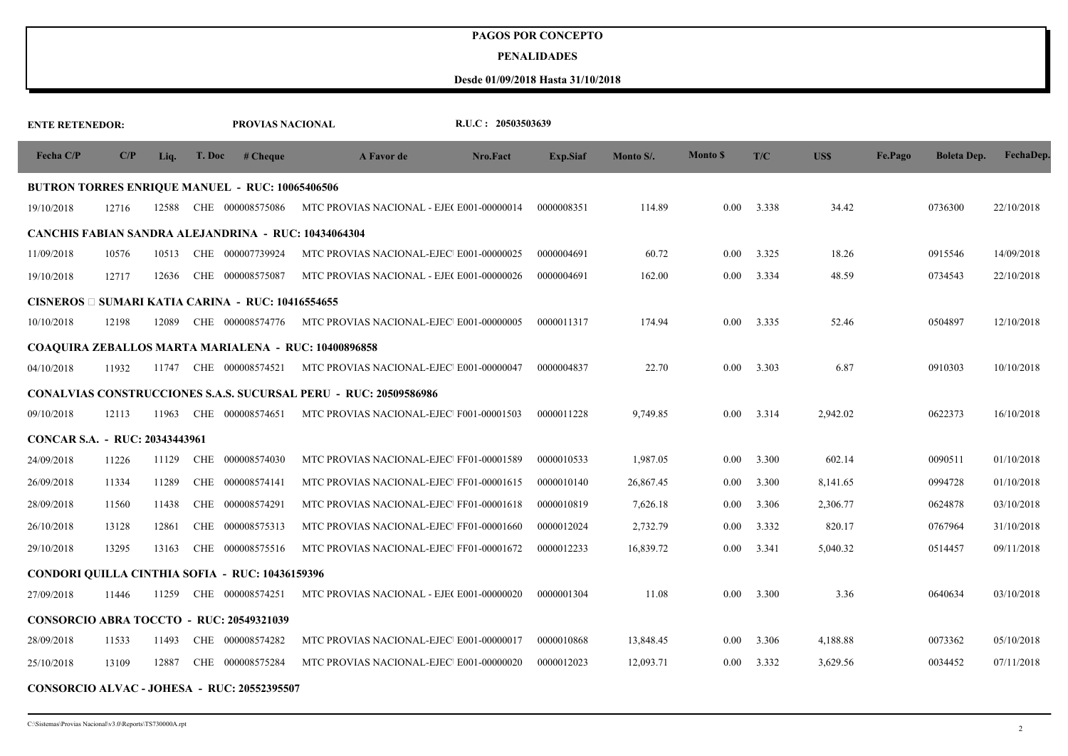#### **PENALIDADES**

| <b>ENTE RETENEDOR:</b>         |       |       |            | PROVIAS NACIONAL                                            |                                                                         | R.U.C: 20503503639 |            |           |                            |       |          |         |                    |            |
|--------------------------------|-------|-------|------------|-------------------------------------------------------------|-------------------------------------------------------------------------|--------------------|------------|-----------|----------------------------|-------|----------|---------|--------------------|------------|
| Fecha C/P                      | C/P   | Liq.  | T. Doc     | # Cheque                                                    | A Favor de                                                              | Nro.Fact           | Exp.Siaf   | Monto S/. | <b>Monto</b> <sub>\$</sub> | T/C   | US\$     | Fe.Pago | <b>Boleta Dep.</b> | FechaDep.  |
|                                |       |       |            | <b>BUTRON TORRES ENRIQUE MANUEL - RUC: 10065406506</b>      |                                                                         |                    |            |           |                            |       |          |         |                    |            |
| 19/10/2018                     | 12716 | 12588 |            | CHE 000008575086                                            | MTC PROVIAS NACIONAL - EJE(E001-00000014                                |                    | 0000008351 | 114.89    | 0.00                       | 3.338 | 34.42    |         | 0736300            | 22/10/2018 |
|                                |       |       |            | <b>CANCHIS FABIAN SANDRA ALEJANDRINA - RUC: 10434064304</b> |                                                                         |                    |            |           |                            |       |          |         |                    |            |
| 11/09/2018                     | 10576 | 10513 |            | CHE 000007739924                                            | MTC PROVIAS NACIONAL-EJEC E001-00000025                                 |                    | 0000004691 | 60.72     | 0.00                       | 3.325 | 18.26    |         | 0915546            | 14/09/2018 |
| 19/10/2018                     | 12717 | 12636 |            | CHE 000008575087                                            | MTC PROVIAS NACIONAL - EJE(E001-00000026                                |                    | 0000004691 | 162.00    | 0.00                       | 3.334 | 48.59    |         | 0734543            | 22/10/2018 |
|                                |       |       |            | $CISNEROS \sqsupset$ SUMARI KATIA CARINA - RUC: 10416554655 |                                                                         |                    |            |           |                            |       |          |         |                    |            |
| 10/10/2018                     | 12198 | 12089 |            | CHE 000008574776                                            | MTC PROVIAS NACIONAL-EJEC E001-00000005                                 |                    | 0000011317 | 174.94    | 0.00                       | 3.335 | 52.46    |         | 0504897            | 12/10/2018 |
|                                |       |       |            |                                                             | COAQUIRA ZEBALLOS MARTA MARIALENA - RUC: 10400896858                    |                    |            |           |                            |       |          |         |                    |            |
| 04/10/2018                     | 11932 | 11747 |            | CHE 000008574521                                            | MTC PROVIAS NACIONAL-EJEC E001-00000047                                 |                    | 0000004837 | 22.70     | 0.00                       | 3.303 | 6.87     |         | 0910303            | 10/10/2018 |
|                                |       |       |            |                                                             | <b>CONALVIAS CONSTRUCCIONES S.A.S. SUCURSAL PERU - RUC: 20509586986</b> |                    |            |           |                            |       |          |         |                    |            |
| 09/10/2018                     | 12113 | 11963 |            | CHE 000008574651                                            | MTC PROVIAS NACIONAL-EJEC F001-00001503                                 |                    | 0000011228 | 9,749.85  | 0.00                       | 3.314 | 2,942.02 |         | 0622373            | 16/10/2018 |
| CONCAR S.A. - RUC: 20343443961 |       |       |            |                                                             |                                                                         |                    |            |           |                            |       |          |         |                    |            |
| 24/09/2018                     | 11226 | 11129 | <b>CHE</b> | 000008574030                                                | MTC PROVIAS NACIONAL-EJEC FF01-00001589                                 |                    | 0000010533 | 1,987.05  | 0.00                       | 3.300 | 602.14   |         | 0090511            | 01/10/2018 |
| 26/09/2018                     | 11334 | 11289 |            | CHE 000008574141                                            | MTC PROVIAS NACIONAL-EJEC FF01-00001615                                 |                    | 0000010140 | 26,867.45 | 0.00                       | 3.300 | 8,141.65 |         | 0994728            | 01/10/2018 |
| 28/09/2018                     | 11560 | 11438 |            | CHE 000008574291                                            | MTC PROVIAS NACIONAL-EJEC FF01-00001618                                 |                    | 0000010819 | 7,626.18  | 0.00                       | 3.306 | 2,306.77 |         | 0624878            | 03/10/2018 |
| 26/10/2018                     | 13128 | 12861 |            | CHE 000008575313                                            | MTC PROVIAS NACIONAL-EJEC FF01-00001660                                 |                    | 0000012024 | 2,732.79  | 0.00                       | 3.332 | 820.17   |         | 0767964            | 31/10/2018 |
| 29/10/2018                     | 13295 | 13163 |            | CHE 000008575516                                            | MTC PROVIAS NACIONAL-EJEC FF01-00001672                                 |                    | 0000012233 | 16,839.72 | 0.00                       | 3.341 | 5,040.32 |         | 0514457            | 09/11/2018 |
|                                |       |       |            | <b>CONDORI QUILLA CINTHIA SOFIA - RUC: 10436159396</b>      |                                                                         |                    |            |           |                            |       |          |         |                    |            |
| 27/09/2018                     | 11446 | 11259 |            | CHE 000008574251                                            | MTC PROVIAS NACIONAL - EJE(E001-00000020                                |                    | 0000001304 | 11.08     | 0.00                       | 3.300 | 3.36     |         | 0640634            | 03/10/2018 |
|                                |       |       |            | CONSORCIO ABRA TOCCTO - RUC: 20549321039                    |                                                                         |                    |            |           |                            |       |          |         |                    |            |
| 28/09/2018                     | 11533 | 11493 |            | CHE 000008574282                                            | MTC PROVIAS NACIONAL-EJEC E001-00000017                                 |                    | 0000010868 | 13,848.45 | 0.00                       | 3.306 | 4,188.88 |         | 0073362            | 05/10/2018 |
| 25/10/2018                     | 13109 | 12887 |            | CHE 000008575284                                            | MTC PROVIAS NACIONAL-EJEC E001-00000020                                 |                    | 0000012023 | 12,093.71 | 0.00                       | 3.332 | 3,629.56 |         | 0034452            | 07/11/2018 |
|                                |       |       |            | CONSORCIO ALVAC - JOHESA - RUC: 20552395507                 |                                                                         |                    |            |           |                            |       |          |         |                    |            |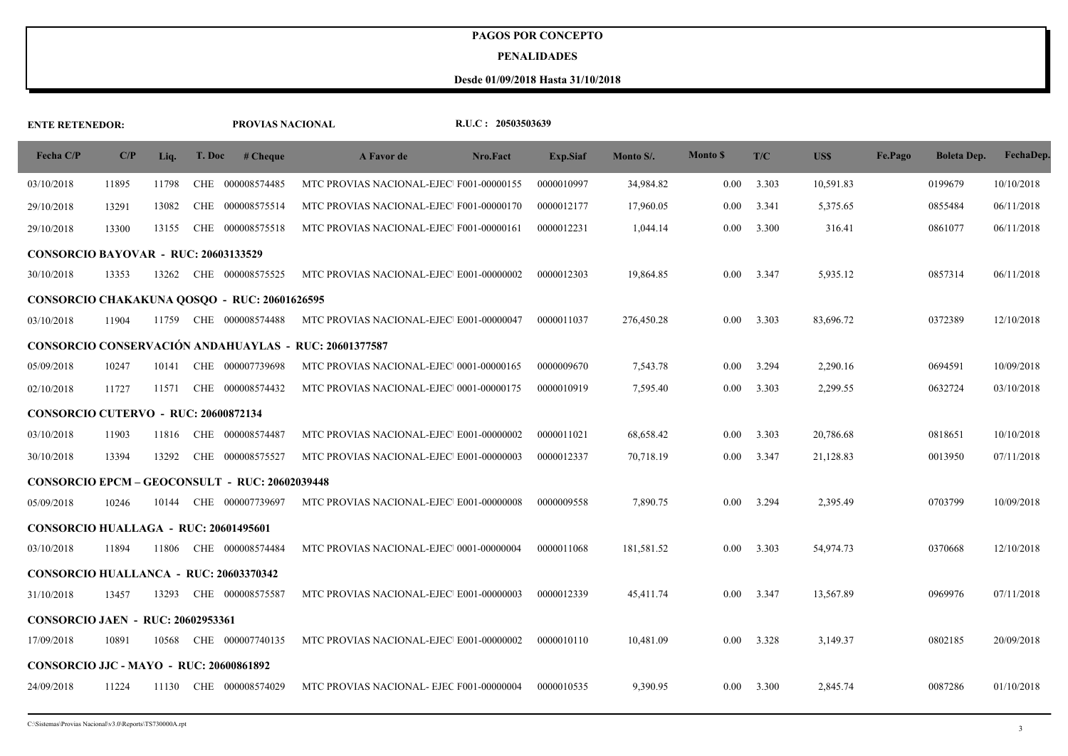#### **PENALIDADES**

| <b>ENTE RETENEDOR:</b> |       |                 |                                                                                                                                                                                                                                                                                                                                                                                                                                                                                                                                                          |                                                                                                                                                                                            |                                                                                                                                                                                                                                                                                                                                                                                                                                                                                                                                                                                                                         |                    |                |       |            |         |                    |            |
|------------------------|-------|-----------------|----------------------------------------------------------------------------------------------------------------------------------------------------------------------------------------------------------------------------------------------------------------------------------------------------------------------------------------------------------------------------------------------------------------------------------------------------------------------------------------------------------------------------------------------------------|--------------------------------------------------------------------------------------------------------------------------------------------------------------------------------------------|-------------------------------------------------------------------------------------------------------------------------------------------------------------------------------------------------------------------------------------------------------------------------------------------------------------------------------------------------------------------------------------------------------------------------------------------------------------------------------------------------------------------------------------------------------------------------------------------------------------------------|--------------------|----------------|-------|------------|---------|--------------------|------------|
| C/P                    | Liq.  | # <b>Change</b> | A Favor de                                                                                                                                                                                                                                                                                                                                                                                                                                                                                                                                               | Nro.Fact                                                                                                                                                                                   | <b>Exp.Siaf</b>                                                                                                                                                                                                                                                                                                                                                                                                                                                                                                                                                                                                         | Monto S/.          | <b>Monto S</b> | T/C   | <b>USS</b> | Fe.Pago | <b>Boleta Dep.</b> | FechaDep.  |
| 11895                  | 11798 |                 |                                                                                                                                                                                                                                                                                                                                                                                                                                                                                                                                                          |                                                                                                                                                                                            | 0000010997                                                                                                                                                                                                                                                                                                                                                                                                                                                                                                                                                                                                              | 34,984.82          | 0.00           | 3.303 | 10,591.83  |         | 0199679            | 10/10/2018 |
| 13291                  | 13082 |                 |                                                                                                                                                                                                                                                                                                                                                                                                                                                                                                                                                          |                                                                                                                                                                                            | 0000012177                                                                                                                                                                                                                                                                                                                                                                                                                                                                                                                                                                                                              | 17,960.05          | 0.00           | 3.341 | 5,375.65   |         | 0855484            | 06/11/2018 |
| 13300                  | 13155 |                 |                                                                                                                                                                                                                                                                                                                                                                                                                                                                                                                                                          |                                                                                                                                                                                            | 0000012231                                                                                                                                                                                                                                                                                                                                                                                                                                                                                                                                                                                                              | 1,044.14           | 0.00           | 3.300 | 316.41     |         | 0861077            | 06/11/2018 |
|                        |       |                 |                                                                                                                                                                                                                                                                                                                                                                                                                                                                                                                                                          |                                                                                                                                                                                            |                                                                                                                                                                                                                                                                                                                                                                                                                                                                                                                                                                                                                         |                    |                |       |            |         |                    |            |
| 13353                  | 13262 |                 |                                                                                                                                                                                                                                                                                                                                                                                                                                                                                                                                                          |                                                                                                                                                                                            | 0000012303                                                                                                                                                                                                                                                                                                                                                                                                                                                                                                                                                                                                              | 19,864.85          | 0.00           | 3.347 | 5,935.12   |         | 0857314            | 06/11/2018 |
|                        |       |                 |                                                                                                                                                                                                                                                                                                                                                                                                                                                                                                                                                          |                                                                                                                                                                                            |                                                                                                                                                                                                                                                                                                                                                                                                                                                                                                                                                                                                                         |                    |                |       |            |         |                    |            |
| 11904                  | 11759 |                 |                                                                                                                                                                                                                                                                                                                                                                                                                                                                                                                                                          |                                                                                                                                                                                            | 0000011037                                                                                                                                                                                                                                                                                                                                                                                                                                                                                                                                                                                                              | 276,450.28         | 0.00           | 3.303 | 83,696.72  |         | 0372389            | 12/10/2018 |
|                        |       |                 |                                                                                                                                                                                                                                                                                                                                                                                                                                                                                                                                                          |                                                                                                                                                                                            |                                                                                                                                                                                                                                                                                                                                                                                                                                                                                                                                                                                                                         |                    |                |       |            |         |                    |            |
| 10247                  | 10141 |                 |                                                                                                                                                                                                                                                                                                                                                                                                                                                                                                                                                          |                                                                                                                                                                                            | 0000009670                                                                                                                                                                                                                                                                                                                                                                                                                                                                                                                                                                                                              | 7,543.78           | 0.00           | 3.294 | 2,290.16   |         | 0694591            | 10/09/2018 |
| 11727                  | 11571 |                 |                                                                                                                                                                                                                                                                                                                                                                                                                                                                                                                                                          |                                                                                                                                                                                            | 0000010919                                                                                                                                                                                                                                                                                                                                                                                                                                                                                                                                                                                                              | 7,595.40           | 0.00           | 3.303 | 2,299.55   |         | 0632724            | 03/10/2018 |
|                        |       |                 |                                                                                                                                                                                                                                                                                                                                                                                                                                                                                                                                                          |                                                                                                                                                                                            |                                                                                                                                                                                                                                                                                                                                                                                                                                                                                                                                                                                                                         |                    |                |       |            |         |                    |            |
| 11903                  | 11816 |                 |                                                                                                                                                                                                                                                                                                                                                                                                                                                                                                                                                          |                                                                                                                                                                                            | 0000011021                                                                                                                                                                                                                                                                                                                                                                                                                                                                                                                                                                                                              | 68,658.42          | 0.00           | 3.303 | 20,786.68  |         | 0818651            | 10/10/2018 |
| 13394                  | 13292 |                 |                                                                                                                                                                                                                                                                                                                                                                                                                                                                                                                                                          |                                                                                                                                                                                            | 0000012337                                                                                                                                                                                                                                                                                                                                                                                                                                                                                                                                                                                                              | 70,718.19          | 0.00           | 3.347 | 21,128.83  |         | 0013950            | 07/11/2018 |
|                        |       |                 |                                                                                                                                                                                                                                                                                                                                                                                                                                                                                                                                                          |                                                                                                                                                                                            |                                                                                                                                                                                                                                                                                                                                                                                                                                                                                                                                                                                                                         |                    |                |       |            |         |                    |            |
| 10246                  | 10144 |                 |                                                                                                                                                                                                                                                                                                                                                                                                                                                                                                                                                          |                                                                                                                                                                                            | 0000009558                                                                                                                                                                                                                                                                                                                                                                                                                                                                                                                                                                                                              | 7,890.75           | 0.00           | 3.294 | 2,395.49   |         | 0703799            | 10/09/2018 |
|                        |       |                 |                                                                                                                                                                                                                                                                                                                                                                                                                                                                                                                                                          |                                                                                                                                                                                            |                                                                                                                                                                                                                                                                                                                                                                                                                                                                                                                                                                                                                         |                    |                |       |            |         |                    |            |
| 11894                  | 11806 |                 |                                                                                                                                                                                                                                                                                                                                                                                                                                                                                                                                                          |                                                                                                                                                                                            | 0000011068                                                                                                                                                                                                                                                                                                                                                                                                                                                                                                                                                                                                              | 181,581.52         | 0.00           | 3.303 | 54,974.73  |         | 0370668            | 12/10/2018 |
|                        |       |                 |                                                                                                                                                                                                                                                                                                                                                                                                                                                                                                                                                          |                                                                                                                                                                                            |                                                                                                                                                                                                                                                                                                                                                                                                                                                                                                                                                                                                                         |                    |                |       |            |         |                    |            |
| 13457                  | 13293 |                 |                                                                                                                                                                                                                                                                                                                                                                                                                                                                                                                                                          |                                                                                                                                                                                            | 0000012339                                                                                                                                                                                                                                                                                                                                                                                                                                                                                                                                                                                                              | 45,411.74          | $0.00\,$       | 3.347 | 13,567.89  |         | 0969976            | 07/11/2018 |
|                        |       |                 |                                                                                                                                                                                                                                                                                                                                                                                                                                                                                                                                                          |                                                                                                                                                                                            |                                                                                                                                                                                                                                                                                                                                                                                                                                                                                                                                                                                                                         |                    |                |       |            |         |                    |            |
| 10891                  | 10568 |                 |                                                                                                                                                                                                                                                                                                                                                                                                                                                                                                                                                          |                                                                                                                                                                                            | 0000010110                                                                                                                                                                                                                                                                                                                                                                                                                                                                                                                                                                                                              | 10,481.09          | 0.00           | 3.328 | 3,149.37   |         | 0802185            | 20/09/2018 |
|                        |       |                 |                                                                                                                                                                                                                                                                                                                                                                                                                                                                                                                                                          |                                                                                                                                                                                            |                                                                                                                                                                                                                                                                                                                                                                                                                                                                                                                                                                                                                         |                    |                |       |            |         |                    |            |
| 11224                  | 11130 |                 |                                                                                                                                                                                                                                                                                                                                                                                                                                                                                                                                                          |                                                                                                                                                                                            | 0000010535                                                                                                                                                                                                                                                                                                                                                                                                                                                                                                                                                                                                              | 9,390.95           | 0.00           | 3.300 | 2,845.74   |         | 0087286            | 01/10/2018 |
|                        |       |                 | T. Doc<br>CHE 000008574485<br>CHE 000008575514<br>CHE 000008575518<br>CONSORCIO BAYOVAR - RUC: 20603133529<br>CHE 000008575525<br>CHE 000008574488<br>CHE 000007739698<br>CHE 000008574432<br>CONSORCIO CUTERVO - RUC: 20600872134<br>CHE 000008574487<br>CHE 000008575527<br>CHE 000007739697<br>CONSORCIO HUALLAGA - RUC: 20601495601<br>CHE 000008574484<br>CONSORCIO HUALLANCA - RUC: 20603370342<br>CHE 000008575587<br><b>CONSORCIO JAEN - RUC: 20602953361</b><br>CHE 000007740135<br>CONSORCIO JJC - MAYO - RUC: 20600861892<br>CHE 000008574029 | PROVIAS NACIONAL<br><b>CONSORCIO CHAKAKUNA OOSOO - RUC: 20601626595</b><br><b>CONSORCIO CONSERVACIÓN ANDAHUAYLAS - RUC: 20601377587</b><br>CONSORCIO EPCM – GEOCONSULT  - RUC: 20602039448 | MTC PROVIAS NACIONAL-EJEC F001-00000155<br>MTC PROVIAS NACIONAL-EJEC F001-00000170<br>MTC PROVIAS NACIONAL-EJEC F001-00000161<br>MTC PROVIAS NACIONAL-EJEC E001-00000002<br>MTC PROVIAS NACIONAL-EJEC E001-00000047<br>MTC PROVIAS NACIONAL-EJEC 0001-00000165<br>MTC PROVIAS NACIONAL-EJEC 0001-00000175<br>MTC PROVIAS NACIONAL-EJEC E001-00000002<br>MTC PROVIAS NACIONAL-EJEC E001-00000003<br>MTC PROVIAS NACIONAL-EJEC E001-00000008<br>MTC PROVIAS NACIONAL-EJEC 0001-00000004<br>MTC PROVIAS NACIONAL-EJEC E001-00000003<br>MTC PROVIAS NACIONAL-EJEC E001-00000002<br>MTC PROVIAS NACIONAL- EJEC F001-00000004 | R.U.C: 20503503639 |                |       |            |         |                    |            |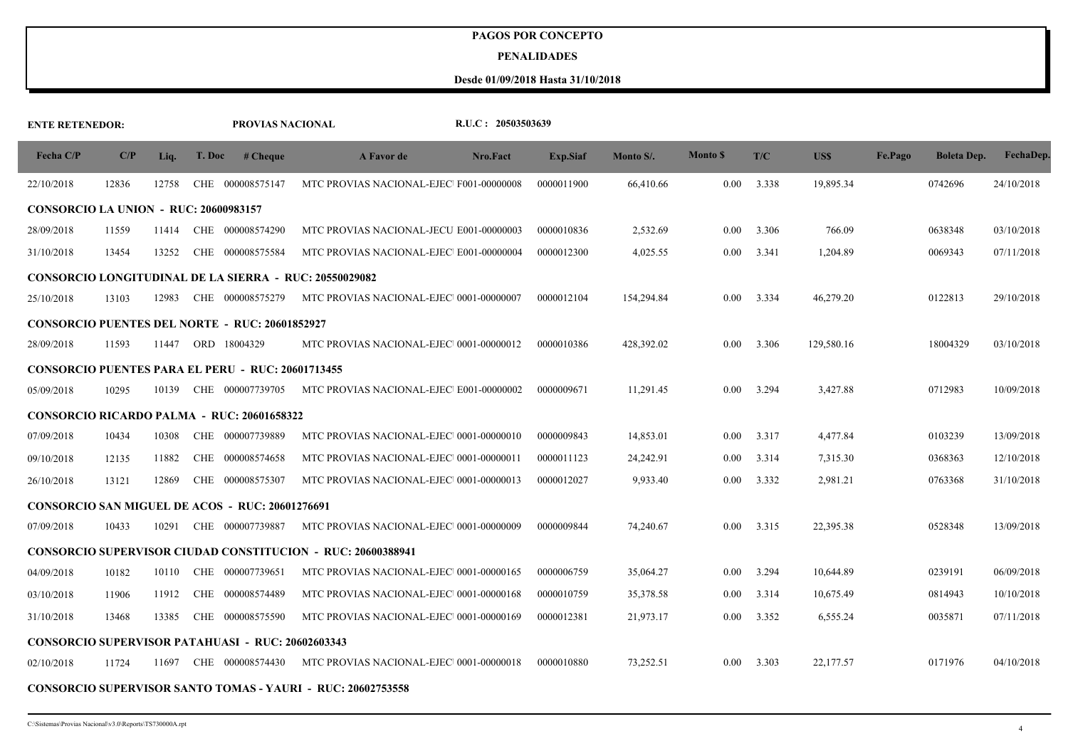#### **PENALIDADES**

| <b>ENTE RETENEDOR:</b>                       |       |       |        | PROVIAS NACIONAL                                         |                                                                    | R.U.C: 20503503639 |                 |            |                |       |            |         |                    |            |
|----------------------------------------------|-------|-------|--------|----------------------------------------------------------|--------------------------------------------------------------------|--------------------|-----------------|------------|----------------|-------|------------|---------|--------------------|------------|
| Fecha C/P                                    | C/P   | Liq.  | T. Doc | # Cheque                                                 | A Favor de                                                         | Nro.Fact           | <b>Exp.Siaf</b> | Monto S/.  | <b>Monto S</b> | T/C   | US\$       | Fe.Pago | <b>Boleta Dep.</b> | FechaDep.  |
| 22/10/2018                                   | 12836 | 12758 |        | CHE 000008575147                                         | MTC PROVIAS NACIONAL-EJEC F001-00000008                            |                    | 0000011900      | 66,410.66  | 0.00           | 3.338 | 19,895.34  |         | 0742696            | 24/10/2018 |
| <b>CONSORCIO LA UNION - RUC: 20600983157</b> |       |       |        |                                                          |                                                                    |                    |                 |            |                |       |            |         |                    |            |
| 28/09/2018                                   | 11559 | 11414 |        | CHE 000008574290                                         | MTC PROVIAS NACIONAL-JECU E001-00000003                            |                    | 0000010836      | 2,532.69   | 0.00           | 3.306 | 766.09     |         | 0638348            | 03/10/2018 |
| 31/10/2018                                   | 13454 | 13252 |        | CHE 000008575584                                         | MTC PROVIAS NACIONAL-EJEC E001-00000004                            |                    | 0000012300      | 4,025.55   | 0.00           | 3.341 | 1,204.89   |         | 0069343            | 07/11/2018 |
|                                              |       |       |        |                                                          | <b>CONSORCIO LONGITUDINAL DE LA SIERRA - RUC: 20550029082</b>      |                    |                 |            |                |       |            |         |                    |            |
| 25/10/2018                                   | 13103 | 12983 |        | CHE 000008575279                                         | MTC PROVIAS NACIONAL-EJEC 0001-00000007                            |                    | 0000012104      | 154,294.84 | 0.00           | 3.334 | 46,279.20  |         | 0122813            | 29/10/2018 |
|                                              |       |       |        | <b>CONSORCIO PUENTES DEL NORTE - RUC: 20601852927</b>    |                                                                    |                    |                 |            |                |       |            |         |                    |            |
| 28/09/2018                                   | 11593 | 11447 |        | ORD 18004329                                             | MTC PROVIAS NACIONAL-EJEC 0001-00000012                            |                    | 0000010386      | 428,392.02 | 0.00           | 3.306 | 129,580.16 |         | 18004329           | 03/10/2018 |
|                                              |       |       |        | <b>CONSORCIO PUENTES PARA EL PERU - RUC: 20601713455</b> |                                                                    |                    |                 |            |                |       |            |         |                    |            |
| 05/09/2018                                   | 10295 | 10139 |        | CHE 000007739705                                         | MTC PROVIAS NACIONAL-EJEC E001-00000002                            |                    | 0000009671      | 11,291.45  | 0.00           | 3.294 | 3,427.88   |         | 0712983            | 10/09/2018 |
|                                              |       |       |        | <b>CONSORCIO RICARDO PALMA - RUC: 20601658322</b>        |                                                                    |                    |                 |            |                |       |            |         |                    |            |
| 07/09/2018                                   | 10434 | 10308 |        | CHE 000007739889                                         | MTC PROVIAS NACIONAL-EJEC 0001-00000010                            |                    | 0000009843      | 14,853.01  | 0.00           | 3.317 | 4,477.84   |         | 0103239            | 13/09/2018 |
| 09/10/2018                                   | 12135 | 11882 |        | CHE 000008574658                                         | MTC PROVIAS NACIONAL-EJEC 0001-00000011                            |                    | 0000011123      | 24,242.91  | 0.00           | 3.314 | 7,315.30   |         | 0368363            | 12/10/2018 |
| 26/10/2018                                   | 13121 | 12869 |        | CHE 000008575307                                         | MTC PROVIAS NACIONAL-EJEC 0001-00000013                            |                    | 0000012027      | 9,933.40   | 0.00           | 3.332 | 2,981.21   |         | 0763368            | 31/10/2018 |
|                                              |       |       |        | <b>CONSORCIO SAN MIGUEL DE ACOS - RUC: 20601276691</b>   |                                                                    |                    |                 |            |                |       |            |         |                    |            |
| 07/09/2018                                   | 10433 | 10291 |        | CHE 000007739887                                         | MTC PROVIAS NACIONAL-EJEC 0001-00000009                            |                    | 0000009844      | 74,240.67  | 0.00           | 3.315 | 22,395.38  |         | 0528348            | 13/09/2018 |
|                                              |       |       |        |                                                          | <b>CONSORCIO SUPERVISOR CIUDAD CONSTITUCION - RUC: 20600388941</b> |                    |                 |            |                |       |            |         |                    |            |
| 04/09/2018                                   | 10182 | 10110 |        | CHE 000007739651                                         | MTC PROVIAS NACIONAL-EJEC 0001-00000165                            |                    | 0000006759      | 35,064.27  | 0.00           | 3.294 | 10,644.89  |         | 0239191            | 06/09/2018 |
| 03/10/2018                                   | 11906 | 11912 |        | CHE 000008574489                                         | MTC PROVIAS NACIONAL-EJEC 0001-00000168                            |                    | 0000010759      | 35,378.58  | 0.00           | 3.314 | 10,675.49  |         | 0814943            | 10/10/2018 |
| 31/10/2018                                   | 13468 | 13385 |        | CHE 000008575590                                         | MTC PROVIAS NACIONAL-EJEC 0001-00000169                            |                    | 0000012381      | 21,973.17  | 0.00           | 3.352 | 6,555.24   |         | 0035871            | 07/11/2018 |
|                                              |       |       |        | <b>CONSORCIO SUPERVISOR PATAHUASI - RUC: 20602603343</b> |                                                                    |                    |                 |            |                |       |            |         |                    |            |
| 02/10/2018                                   | 11724 | 11697 |        | CHE 000008574430                                         | MTC PROVIAS NACIONAL-EJEC 0001-00000018                            |                    | 0000010880      | 73,252.51  | 0.00           | 3.303 | 22,177.57  |         | 0171976            | 04/10/2018 |
|                                              |       |       |        |                                                          | <b>CONSORCIO SUPERVISOR SANTO TOMAS - YAURI - RUC: 20602753558</b> |                    |                 |            |                |       |            |         |                    |            |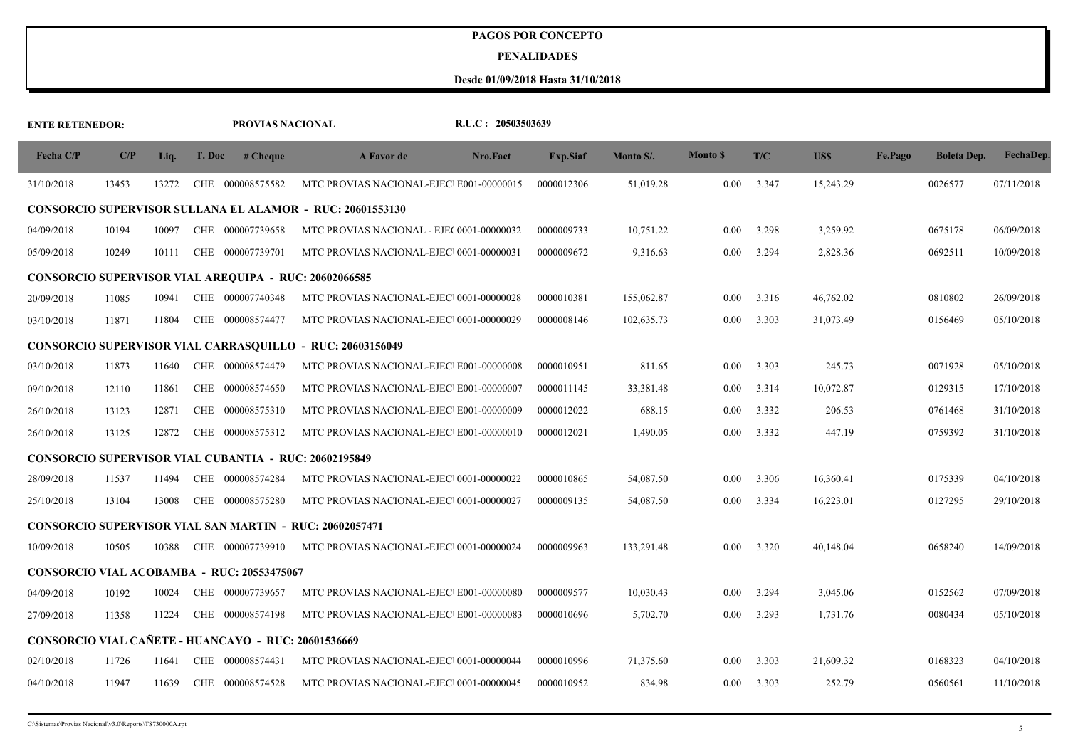#### **PENALIDADES**

| <b>ENTE RETENEDOR:</b> |       |       |        | PROVIAS NACIONAL                                           |                                                                  | R.U.C: 20503503639 |                 |            |                 |       |           |         |                    |            |
|------------------------|-------|-------|--------|------------------------------------------------------------|------------------------------------------------------------------|--------------------|-----------------|------------|-----------------|-------|-----------|---------|--------------------|------------|
| Fecha C/P              | C/P   | Liq.  | T. Doc | # <b>Change</b>                                            | A Favor de                                                       | Nro.Fact           | <b>Exp.Siaf</b> | Monto S/.  | <b>Monto</b> \$ | T/C   | US\$      | Fe.Pago | <b>Boleta Dep.</b> | FechaDep.  |
| 31/10/2018             | 13453 | 13272 |        | CHE 000008575582                                           | MTC PROVIAS NACIONAL-EJEC E001-00000015                          |                    | 0000012306      | 51,019.28  | 0.00            | 3.347 | 15,243.29 |         | 0026577            | 07/11/2018 |
|                        |       |       |        |                                                            | <b>CONSORCIO SUPERVISOR SULLANA EL ALAMOR - RUC: 20601553130</b> |                    |                 |            |                 |       |           |         |                    |            |
| 04/09/2018             | 10194 | 10097 |        | CHE 000007739658                                           | MTC PROVIAS NACIONAL - EJE( 0001-00000032                        |                    | 0000009733      | 10,751.22  | 0.00            | 3.298 | 3,259.92  |         | 0675178            | 06/09/2018 |
| 05/09/2018             | 10249 | 10111 |        | CHE 000007739701                                           | MTC PROVIAS NACIONAL-EJEC 0001-00000031                          |                    | 0000009672      | 9,316.63   | 0.00            | 3.294 | 2,828.36  |         | 0692511            | 10/09/2018 |
|                        |       |       |        |                                                            | <b>CONSORCIO SUPERVISOR VIAL AREQUIPA - RUC: 20602066585</b>     |                    |                 |            |                 |       |           |         |                    |            |
| 20/09/2018             | 11085 | 10941 |        | CHE 000007740348                                           | MTC PROVIAS NACIONAL-EJEC 0001-00000028                          |                    | 0000010381      | 155,062.87 | 0.00            | 3.316 | 46,762.02 |         | 0810802            | 26/09/2018 |
| 03/10/2018             | 11871 | 11804 |        | CHE 000008574477                                           | MTC PROVIAS NACIONAL-EJEC 0001-00000029                          |                    | 0000008146      | 102,635.73 | 0.00            | 3.303 | 31,073.49 |         | 0156469            | 05/10/2018 |
|                        |       |       |        |                                                            | <b>CONSORCIO SUPERVISOR VIAL CARRASQUILLO - RUC: 20603156049</b> |                    |                 |            |                 |       |           |         |                    |            |
| 03/10/2018             | 11873 | 11640 |        | CHE 000008574479                                           | MTC PROVIAS NACIONAL-EJEC E001-00000008                          |                    | 0000010951      | 811.65     | 0.00            | 3.303 | 245.73    |         | 0071928            | 05/10/2018 |
| 09/10/2018             | 12110 | 11861 |        | CHE 000008574650                                           | MTC PROVIAS NACIONAL-EJEC E001-00000007                          |                    | 0000011145      | 33,381.48  | 0.00            | 3.314 | 10,072.87 |         | 0129315            | 17/10/2018 |
| 26/10/2018             | 13123 | 12871 |        | CHE 000008575310                                           | MTC PROVIAS NACIONAL-EJEC E001-00000009                          |                    | 0000012022      | 688.15     | 0.00            | 3.332 | 206.53    |         | 0761468            | 31/10/2018 |
| 26/10/2018             | 13125 | 12872 |        | CHE 000008575312                                           | MTC PROVIAS NACIONAL-EJEC E001-00000010                          |                    | 0000012021      | 1,490.05   | 0.00            | 3.332 | 447.19    |         | 0759392            | 31/10/2018 |
|                        |       |       |        |                                                            | <b>CONSORCIO SUPERVISOR VIAL CUBANTIA - RUC: 20602195849</b>     |                    |                 |            |                 |       |           |         |                    |            |
| 28/09/2018             | 11537 | 11494 |        | CHE 000008574284                                           | MTC PROVIAS NACIONAL-EJEC 0001-00000022                          |                    | 0000010865      | 54,087.50  | 0.00            | 3.306 | 16,360.41 |         | 0175339            | 04/10/2018 |
| 25/10/2018             | 13104 | 13008 |        | CHE 000008575280                                           | MTC PROVIAS NACIONAL-EJEC 0001-00000027                          |                    | 0000009135      | 54,087.50  | 0.00            | 3.334 | 16,223.01 |         | 0127295            | 29/10/2018 |
|                        |       |       |        |                                                            | <b>CONSORCIO SUPERVISOR VIAL SAN MARTIN - RUC: 20602057471</b>   |                    |                 |            |                 |       |           |         |                    |            |
| 10/09/2018             | 10505 | 10388 |        | CHE 000007739910                                           | MTC PROVIAS NACIONAL-EJEC 0001-00000024                          |                    | 0000009963      | 133,291.48 | 0.00            | 3.320 | 40,148.04 |         | 0658240            | 14/09/2018 |
|                        |       |       |        | <b>CONSORCIO VIAL ACOBAMBA - RUC: 20553475067</b>          |                                                                  |                    |                 |            |                 |       |           |         |                    |            |
| 04/09/2018             | 10192 | 10024 |        | CHE 000007739657                                           | MTC PROVIAS NACIONAL-EJEC E001-00000080                          |                    | 0000009577      | 10,030.43  | 0.00            | 3.294 | 3,045.06  |         | 0152562            | 07/09/2018 |
| 27/09/2018             | 11358 | 11224 |        | CHE 000008574198                                           | MTC PROVIAS NACIONAL-EJEC E001-00000083                          |                    | 0000010696      | 5,702.70   | 0.00            | 3.293 | 1,731.76  |         | 0080434            | 05/10/2018 |
|                        |       |       |        | <b>CONSORCIO VIAL CAÑETE - HUANCAYO - RUC: 20601536669</b> |                                                                  |                    |                 |            |                 |       |           |         |                    |            |
| 02/10/2018             | 11726 | 11641 |        | CHE 000008574431                                           | MTC PROVIAS NACIONAL-EJEC 0001-00000044                          |                    | 0000010996      | 71,375.60  | 0.00            | 3.303 | 21,609.32 |         | 0168323            | 04/10/2018 |
| 04/10/2018             | 11947 | 11639 |        | CHE 000008574528                                           | MTC PROVIAS NACIONAL-EJEC 0001-00000045                          |                    | 0000010952      | 834.98     | 0.00            | 3.303 | 252.79    |         | 0560561            | 11/10/2018 |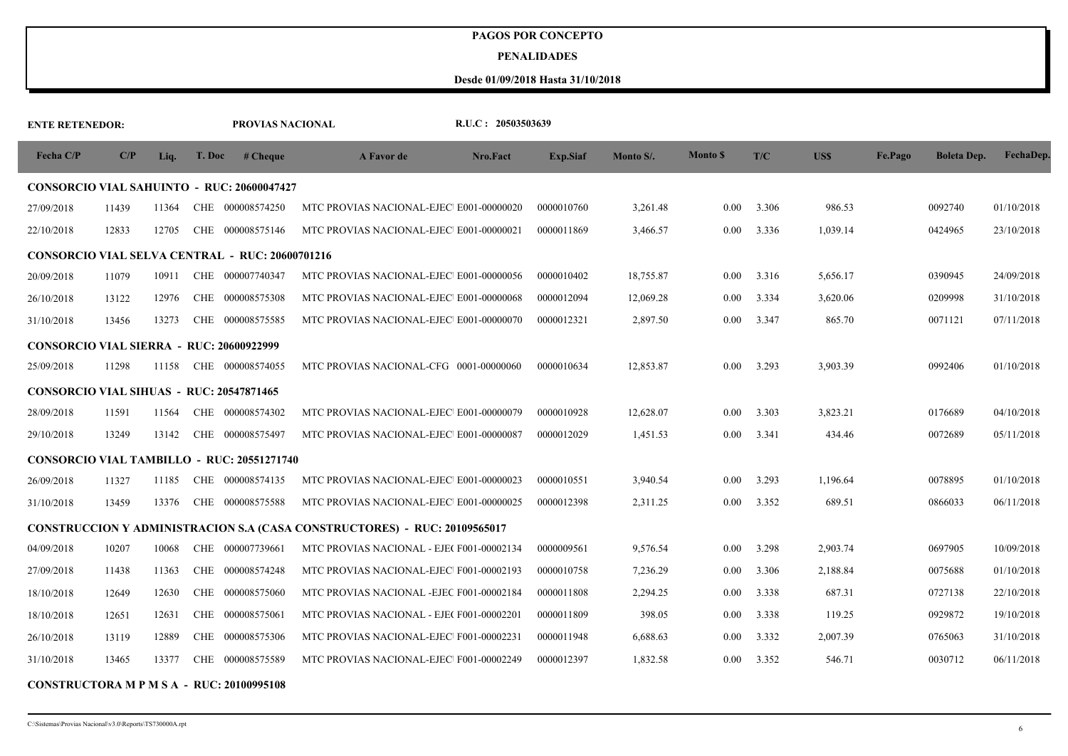#### **PENALIDADES**

| <b>ENTE RETENEDOR:</b>                           |       |       |            | PROVIAS NACIONAL                                       |                                                                                  | R.U.C: 20503503639 |                 |           |                            |       |          |         |                    |            |
|--------------------------------------------------|-------|-------|------------|--------------------------------------------------------|----------------------------------------------------------------------------------|--------------------|-----------------|-----------|----------------------------|-------|----------|---------|--------------------|------------|
| Fecha C/P                                        | C/P   | Liq.  | T. Doc     | # <b>Change</b>                                        | A Favor de                                                                       | Nro.Fact           | <b>Exp.Siaf</b> | Monto S/. | <b>Monto</b> <sub>\$</sub> | T/C   | US\$     | Fe.Pago | <b>Boleta Dep.</b> | FechaDep.  |
|                                                  |       |       |            | <b>CONSORCIO VIAL SAHUINTO - RUC: 20600047427</b>      |                                                                                  |                    |                 |           |                            |       |          |         |                    |            |
| 27/09/2018                                       | 11439 | 11364 |            | CHE 000008574250                                       | MTC PROVIAS NACIONAL-EJEC E001-00000020                                          |                    | 0000010760      | 3,261.48  | 0.00                       | 3.306 | 986.53   |         | 0092740            | 01/10/2018 |
| 22/10/2018                                       | 12833 | 12705 |            | CHE 000008575146                                       | MTC PROVIAS NACIONAL-EJEC E001-00000021                                          |                    | 0000011869      | 3,466.57  | 0.00                       | 3.336 | 1,039.14 |         | 0424965            | 23/10/2018 |
|                                                  |       |       |            | <b>CONSORCIO VIAL SELVA CENTRAL - RUC: 20600701216</b> |                                                                                  |                    |                 |           |                            |       |          |         |                    |            |
| 20/09/2018                                       | 11079 | 10911 |            | CHE 000007740347                                       | MTC PROVIAS NACIONAL-EJEC E001-00000056                                          |                    | 0000010402      | 18,755.87 | 0.00                       | 3.316 | 5,656.17 |         | 0390945            | 24/09/2018 |
| 26/10/2018                                       | 13122 | 12976 | <b>CHE</b> | 000008575308                                           | MTC PROVIAS NACIONAL-EJEC E001-00000068                                          |                    | 0000012094      | 12,069.28 | 0.00                       | 3.334 | 3,620.06 |         | 0209998            | 31/10/2018 |
| 31/10/2018                                       | 13456 | 13273 | <b>CHE</b> | 000008575585                                           | MTC PROVIAS NACIONAL-EJEC E001-00000070                                          |                    | 0000012321      | 2,897.50  | 0.00                       | 3.347 | 865.70   |         | 0071121            | 07/11/2018 |
| <b>CONSORCIO VIAL SIERRA - RUC: 20600922999</b>  |       |       |            |                                                        |                                                                                  |                    |                 |           |                            |       |          |         |                    |            |
| 25/09/2018                                       | 11298 | 11158 |            | CHE 000008574055                                       | MTC PROVIAS NACIONAL-CFG 0001-00000060                                           |                    | 0000010634      | 12,853.87 | 0.00                       | 3.293 | 3,903.39 |         | 0992406            | 01/10/2018 |
| <b>CONSORCIO VIAL SIHUAS - RUC: 20547871465</b>  |       |       |            |                                                        |                                                                                  |                    |                 |           |                            |       |          |         |                    |            |
| 28/09/2018                                       | 11591 | 11564 |            | CHE 000008574302                                       | MTC PROVIAS NACIONAL-EJEC E001-00000079                                          |                    | 0000010928      | 12,628.07 | 0.00                       | 3.303 | 3,823.21 |         | 0176689            | 04/10/2018 |
| 29/10/2018                                       | 13249 | 13142 |            | CHE 000008575497                                       | MTC PROVIAS NACIONAL-EJEC E001-00000087                                          |                    | 0000012029      | 1,451.53  | 0.00                       | 3.341 | 434.46   |         | 0072689            | 05/11/2018 |
|                                                  |       |       |            | <b>CONSORCIO VIAL TAMBILLO - RUC: 20551271740</b>      |                                                                                  |                    |                 |           |                            |       |          |         |                    |            |
| 26/09/2018                                       | 11327 | 11185 |            | CHE 000008574135                                       | MTC PROVIAS NACIONAL-EJEC E001-00000023                                          |                    | 0000010551      | 3,940.54  | 0.00                       | 3.293 | 1,196.64 |         | 0078895            | 01/10/2018 |
| 31/10/2018                                       | 13459 | 13376 |            | CHE 000008575588                                       | MTC PROVIAS NACIONAL-EJEC E001-00000025                                          |                    | 0000012398      | 2,311.25  | 0.00                       | 3.352 | 689.51   |         | 0866033            | 06/11/2018 |
|                                                  |       |       |            |                                                        | <b>CONSTRUCCION Y ADMINISTRACION S.A (CASA CONSTRUCTORES) - RUC: 20109565017</b> |                    |                 |           |                            |       |          |         |                    |            |
| 04/09/2018                                       | 10207 | 10068 |            | CHE 000007739661                                       | MTC PROVIAS NACIONAL - EJE(F001-00002134                                         |                    | 0000009561      | 9,576.54  | 0.00                       | 3.298 | 2,903.74 |         | 0697905            | 10/09/2018 |
| 27/09/2018                                       | 11438 | 11363 |            | CHE 000008574248                                       | MTC PROVIAS NACIONAL-EJEC F001-00002193                                          |                    | 0000010758      | 7,236.29  | 0.00                       | 3.306 | 2,188.84 |         | 0075688            | 01/10/2018 |
| 18/10/2018                                       | 12649 | 12630 |            | CHE 000008575060                                       | MTC PROVIAS NACIONAL -EJEC F001-00002184                                         |                    | 0000011808      | 2,294.25  | 0.00                       | 3.338 | 687.31   |         | 0727138            | 22/10/2018 |
| 18/10/2018                                       | 12651 | 12631 |            | CHE 000008575061                                       | MTC PROVIAS NACIONAL - EJE(F001-00002201                                         |                    | 0000011809      | 398.05    | 0.00                       | 3.338 | 119.25   |         | 0929872            | 19/10/2018 |
| 26/10/2018                                       | 13119 | 12889 | CHE        | 000008575306                                           | MTC PROVIAS NACIONAL-EJEC F001-00002231                                          |                    | 0000011948      | 6,688.63  | 0.00                       | 3.332 | 2,007.39 |         | 0765063            | 31/10/2018 |
| 31/10/2018                                       | 13465 | 13377 |            | CHE 000008575589                                       | MTC PROVIAS NACIONAL-EJEC F001-00002249                                          |                    | 0000012397      | 1,832.58  | 0.00                       | 3.352 | 546.71   |         | 0030712            | 06/11/2018 |
| <b>CONSTRUCTORA M P M S A - RUC: 20100995108</b> |       |       |            |                                                        |                                                                                  |                    |                 |           |                            |       |          |         |                    |            |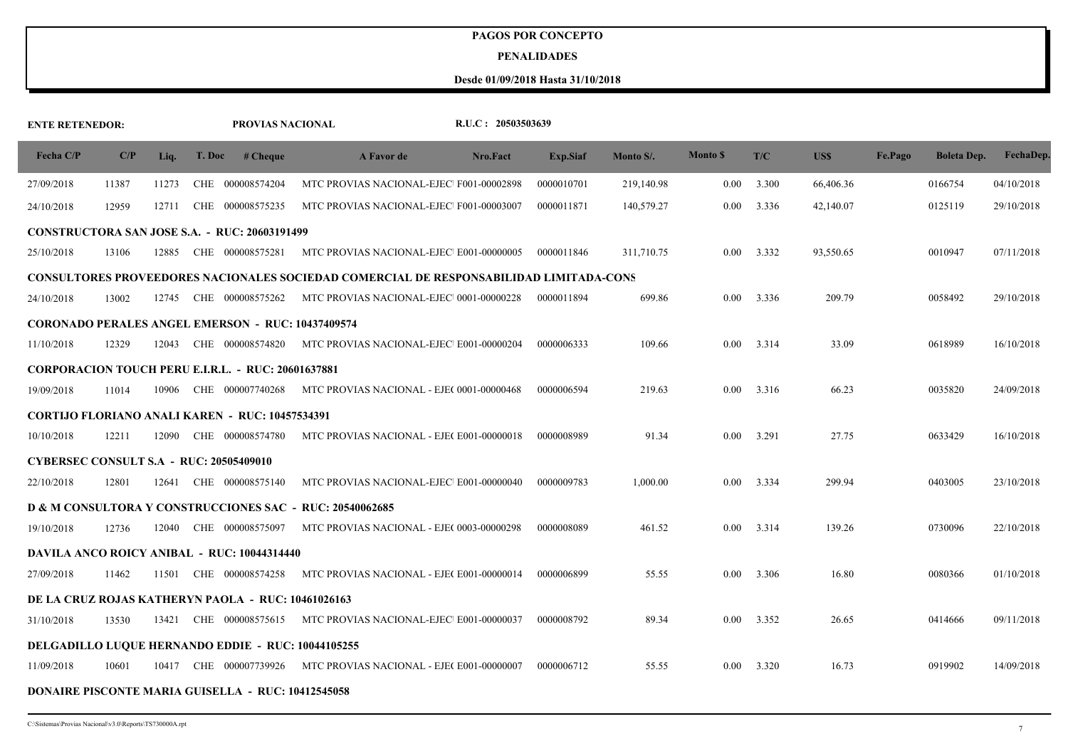#### **PENALIDADES**

| <b>ENTE RETENEDOR:</b>                         |       |       |        | PROVIAS NACIONAL                                          |                                                                                        | R.U.C: 20503503639 |            |            |                           |       |           |         |                    |            |
|------------------------------------------------|-------|-------|--------|-----------------------------------------------------------|----------------------------------------------------------------------------------------|--------------------|------------|------------|---------------------------|-------|-----------|---------|--------------------|------------|
| Fecha C/P                                      | C/P   | Liq.  | T. Doc | # <b>Change</b>                                           | A Favor de                                                                             | Nro.Fact           | Exp.Siaf   | Monto S/.  | <b>Monto</b> <sub>S</sub> | T/C   | US\$      | Fe.Pago | <b>Boleta Dep.</b> | FechaDep.  |
| 27/09/2018                                     | 11387 | 11273 |        | CHE 000008574204                                          | MTC PROVIAS NACIONAL-EJEC F001-00002898                                                |                    | 0000010701 | 219,140.98 | $0.00\,$                  | 3.300 | 66,406.36 |         | 0166754            | 04/10/2018 |
| 24/10/2018                                     | 12959 | 12711 |        | CHE 000008575235                                          | MTC PROVIAS NACIONAL-EJEC F001-00003007                                                |                    | 0000011871 | 140,579.27 | $0.00\,$                  | 3.336 | 42,140.07 |         | 0125119            | 29/10/2018 |
|                                                |       |       |        | <b>CONSTRUCTORA SAN JOSE S.A. - RUC: 20603191499</b>      |                                                                                        |                    |            |            |                           |       |           |         |                    |            |
| 25/10/2018                                     | 13106 | 12885 |        | CHE 000008575281                                          | MTC PROVIAS NACIONAL-EJEC E001-00000005                                                |                    | 0000011846 | 311,710.75 | $0.00\,$                  | 3.332 | 93,550.65 |         | 0010947            | 07/11/2018 |
|                                                |       |       |        |                                                           | CONSULTORES PROVEEDORES NACIONALES SOCIEDAD COMERCIAL DE RESPONSABILIDAD LIMITADA-CONS |                    |            |            |                           |       |           |         |                    |            |
| 24/10/2018                                     | 13002 | 12745 |        | CHE 000008575262                                          | MTC PROVIAS NACIONAL-EJEC 0001-00000228                                                |                    | 0000011894 | 699.86     | $0.00\,$                  | 3.336 | 209.79    |         | 0058492            | 29/10/2018 |
|                                                |       |       |        | <b>CORONADO PERALES ANGEL EMERSON - RUC: 10437409574</b>  |                                                                                        |                    |            |            |                           |       |           |         |                    |            |
| 11/10/2018                                     | 12329 | 12043 |        |                                                           | CHE 000008574820 MTC PROVIAS NACIONAL-EJEC E001-00000204                               |                    | 0000006333 | 109.66     | 0.00                      | 3.314 | 33.09     |         | 0618989            | 16/10/2018 |
|                                                |       |       |        | <b>CORPORACION TOUCH PERU E.I.R.L. - RUC: 20601637881</b> |                                                                                        |                    |            |            |                           |       |           |         |                    |            |
| 19/09/2018                                     | 11014 | 10906 |        |                                                           | CHE 000007740268 MTC PROVIAS NACIONAL - EJE( 0001-00000468                             |                    | 0000006594 | 219.63     | 0.00                      | 3.316 | 66.23     |         | 0035820            | 24/09/2018 |
|                                                |       |       |        | <b>CORTIJO FLORIANO ANALI KAREN - RUC: 10457534391</b>    |                                                                                        |                    |            |            |                           |       |           |         |                    |            |
| 10/10/2018                                     | 12211 | 12090 |        | CHE 000008574780                                          | MTC PROVIAS NACIONAL - EJE(E001-00000018                                               |                    | 0000008989 | 91.34      | $0.00\,$                  | 3.291 | 27.75     |         | 0633429            | 16/10/2018 |
| <b>CYBERSEC CONSULT S.A - RUC: 20505409010</b> |       |       |        |                                                           |                                                                                        |                    |            |            |                           |       |           |         |                    |            |
| 22/10/2018                                     | 12801 | 12641 |        | CHE 000008575140                                          | MTC PROVIAS NACIONAL-EJEC E001-00000040                                                |                    | 0000009783 | 1,000.00   | $0.00\,$                  | 3.334 | 299.94    |         | 0403005            | 23/10/2018 |
|                                                |       |       |        |                                                           | <b>D &amp; M CONSULTORA Y CONSTRUCCIONES SAC - RUC: 20540062685</b>                    |                    |            |            |                           |       |           |         |                    |            |
| 19/10/2018                                     | 12736 | 12040 |        | CHE 000008575097                                          | MTC PROVIAS NACIONAL - EJE( 0003-00000298                                              |                    | 0000008089 | 461.52     | 0.00                      | 3.314 | 139.26    |         | 0730096            | 22/10/2018 |
|                                                |       |       |        | DAVILA ANCO ROICY ANIBAL - RUC: 10044314440               |                                                                                        |                    |            |            |                           |       |           |         |                    |            |
| 27/09/2018                                     | 11462 | 11501 |        | CHE 000008574258                                          | MTC PROVIAS NACIONAL - EJE( E001-00000014                                              |                    | 0000006899 | 55.55      | $0.00\,$                  | 3.306 | 16.80     |         | 0080366            | 01/10/2018 |
|                                                |       |       |        | DE LA CRUZ ROJAS KATHERYN PAOLA - RUC: 10461026163        |                                                                                        |                    |            |            |                           |       |           |         |                    |            |
| 31/10/2018                                     | 13530 | 13421 |        |                                                           | CHE 000008575615 MTC PROVIAS NACIONAL-EJEC E001-00000037                               |                    | 0000008792 | 89.34      | $0.00\,$                  | 3.352 | 26.65     |         | 0414666            | 09/11/2018 |
|                                                |       |       |        | DELGADILLO LUQUE HERNANDO EDDIE - RUC: 10044105255        |                                                                                        |                    |            |            |                           |       |           |         |                    |            |
| 11/09/2018                                     | 10601 | 10417 |        | CHE 000007739926                                          | MTC PROVIAS NACIONAL - EJE(E001-00000007                                               |                    | 0000006712 | 55.55      | 0.00                      | 3.320 | 16.73     |         | 0919902            | 14/09/2018 |
|                                                |       |       |        | <b>DONAIRE PISCONTE MARIA GUISELLA - RUC: 10412545058</b> |                                                                                        |                    |            |            |                           |       |           |         |                    |            |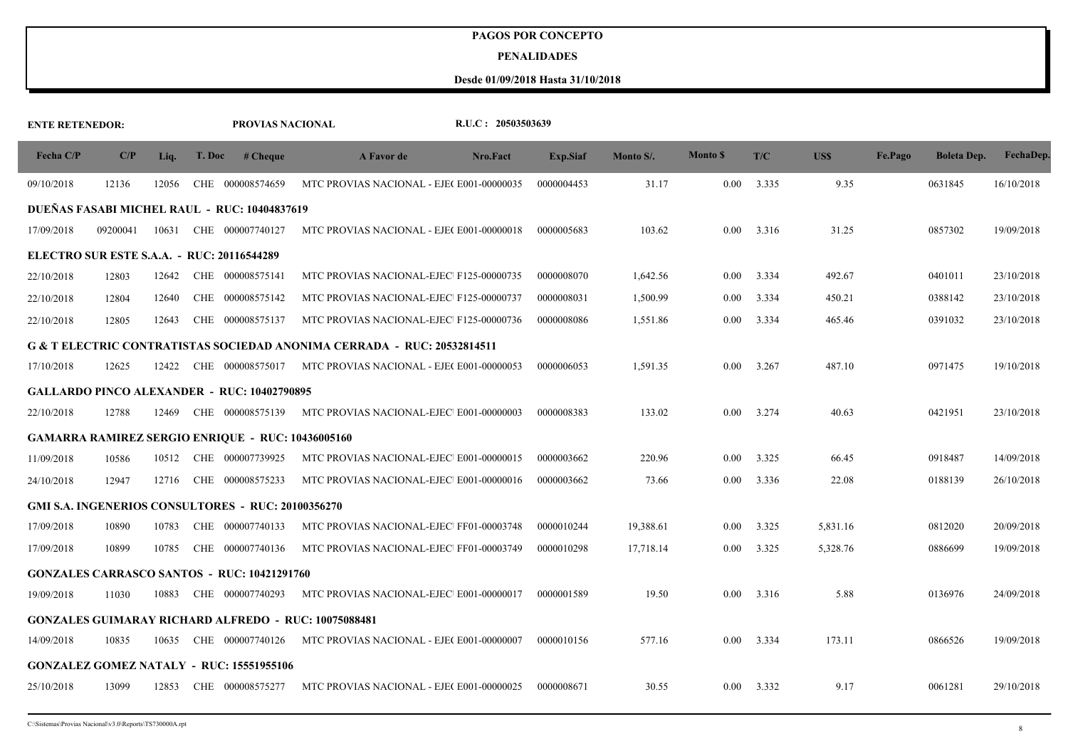#### **PENALIDADES**

| <b>ENTE RETENEDOR:</b> |          |       |        | PROVIAS NACIONAL                                          |                                                                                    | R.U.C: 20503503639 |                 |           |                |                    |          |         |                    |            |
|------------------------|----------|-------|--------|-----------------------------------------------------------|------------------------------------------------------------------------------------|--------------------|-----------------|-----------|----------------|--------------------|----------|---------|--------------------|------------|
| Fecha C/P              | C/P      | Liq.  | T. Doc | # Cheque                                                  | A Favor de                                                                         | Nro.Fact           | <b>Exp.Siaf</b> | Monto S/. | <b>Monto S</b> | T/C                | US\$     | Fe.Pago | <b>Boleta Dep.</b> | FechaDep.  |
| 09/10/2018             | 12136    | 12056 |        | CHE 000008574659                                          | MTC PROVIAS NACIONAL - EJE(E001-00000035                                           |                    | 0000004453      | 31.17     | 0.00           | 3.335              | 9.35     |         | 0631845            | 16/10/2018 |
|                        |          |       |        | DUEÑAS FASABI MICHEL RAUL - RUC: 10404837619              |                                                                                    |                    |                 |           |                |                    |          |         |                    |            |
| 17/09/2018             | 09200041 | 10631 |        | CHE 000007740127                                          | MTC PROVIAS NACIONAL - EJE(E001-00000018                                           |                    | 0000005683      | 103.62    | 0.00           | 3.316              | 31.25    |         | 0857302            | 19/09/2018 |
|                        |          |       |        | <b>ELECTRO SUR ESTE S.A.A. - RUC: 20116544289</b>         |                                                                                    |                    |                 |           |                |                    |          |         |                    |            |
| 22/10/2018             | 12803    | 12642 |        | CHE 000008575141                                          | MTC PROVIAS NACIONAL-EJEC F125-00000735                                            |                    | 0000008070      | 1,642.56  | 0.00           | 3.334              | 492.67   |         | 0401011            | 23/10/2018 |
| 22/10/2018             | 12804    | 12640 |        | CHE 000008575142                                          | MTC PROVIAS NACIONAL-EJEC F125-00000737                                            |                    | 0000008031      | 1,500.99  | 0.00           | 3.334              | 450.21   |         | 0388142            | 23/10/2018 |
| 22/10/2018             | 12805    | 12643 |        | CHE 000008575137                                          | MTC PROVIAS NACIONAL-EJEC F125-00000736                                            |                    | 0000008086      | 1,551.86  | 0.00           | 3.334              | 465.46   |         | 0391032            | 23/10/2018 |
|                        |          |       |        |                                                           | <b>G &amp; T ELECTRIC CONTRATISTAS SOCIEDAD ANONIMA CERRADA - RUC: 20532814511</b> |                    |                 |           |                |                    |          |         |                    |            |
| 17/10/2018             | 12625    | 12422 |        | CHE 000008575017                                          | MTC PROVIAS NACIONAL - EJE(E001-00000053                                           |                    | 0000006053      | 1,591.35  | 0.00           | 3.267              | 487.10   |         | 0971475            | 19/10/2018 |
|                        |          |       |        | GALLARDO PINCO ALEXANDER - RUC: 10402790895               |                                                                                    |                    |                 |           |                |                    |          |         |                    |            |
| 22/10/2018             | 12788    | 12469 |        | CHE 000008575139                                          | MTC PROVIAS NACIONAL-EJEC E001-00000003                                            |                    | 0000008383      | 133.02    | 0.00           | 3.274              | 40.63    |         | 0421951            | 23/10/2018 |
|                        |          |       |        | <b>GAMARRA RAMIREZ SERGIO ENRIQUE - RUC: 10436005160</b>  |                                                                                    |                    |                 |           |                |                    |          |         |                    |            |
| 11/09/2018             | 10586    | 10512 |        | CHE 000007739925                                          | MTC PROVIAS NACIONAL-EJEC E001-00000015                                            |                    | 0000003662      | 220.96    | 0.00           | 3.325              | 66.45    |         | 0918487            | 14/09/2018 |
| 24/10/2018             | 12947    | 12716 |        | CHE 000008575233                                          | MTC PROVIAS NACIONAL-EJEC E001-00000016                                            |                    | 0000003662      | 73.66     | 0.00           | 3.336              | 22.08    |         | 0188139            | 26/10/2018 |
|                        |          |       |        | <b>GMI S.A. INGENERIOS CONSULTORES - RUC: 20100356270</b> |                                                                                    |                    |                 |           |                |                    |          |         |                    |            |
| 17/09/2018             | 10890    | 10783 |        | CHE 000007740133                                          | MTC PROVIAS NACIONAL-EJEC FF01-00003748                                            |                    | 0000010244      | 19,388.61 | 0.00           | 3.325              | 5,831.16 |         | 0812020            | 20/09/2018 |
| 17/09/2018             | 10899    | 10785 |        | CHE 000007740136                                          | MTC PROVIAS NACIONAL-EJEC FF01-00003749                                            |                    | 0000010298      | 17,718.14 | 0.00           | 3.325              | 5,328.76 |         | 0886699            | 19/09/2018 |
|                        |          |       |        | <b>GONZALES CARRASCO SANTOS - RUC: 10421291760</b>        |                                                                                    |                    |                 |           |                |                    |          |         |                    |            |
| 19/09/2018             | 11030    | 10883 |        | CHE 000007740293                                          | MTC PROVIAS NACIONAL-EJEC E001-00000017                                            |                    | 0000001589      | 19.50     | 0.00           | 3.316              | 5.88     |         | 0136976            | 24/09/2018 |
|                        |          |       |        |                                                           | <b>GONZALES GUIMARAY RICHARD ALFREDO - RUC: 10075088481</b>                        |                    |                 |           |                |                    |          |         |                    |            |
| 14/09/2018             | 10835    | 10635 |        | CHE 000007740126                                          | MTC PROVIAS NACIONAL - EJE(E001-00000007                                           |                    | 0000010156      | 577.16    | 0.00           | 3.334              | 173.11   |         | 0866526            | 19/09/2018 |
|                        |          |       |        | <b>GONZALEZ GOMEZ NATALY - RUC: 15551955106</b>           |                                                                                    |                    |                 |           |                |                    |          |         |                    |            |
| 25/10/2018             | 13099    | 12853 |        | CHE 000008575277                                          | MTC PROVIAS NACIONAL - EJE(E001-00000025                                           |                    | 0000008671      | 30.55     |                | $0.00 \quad 3.332$ | 9.17     |         | 0061281            | 29/10/2018 |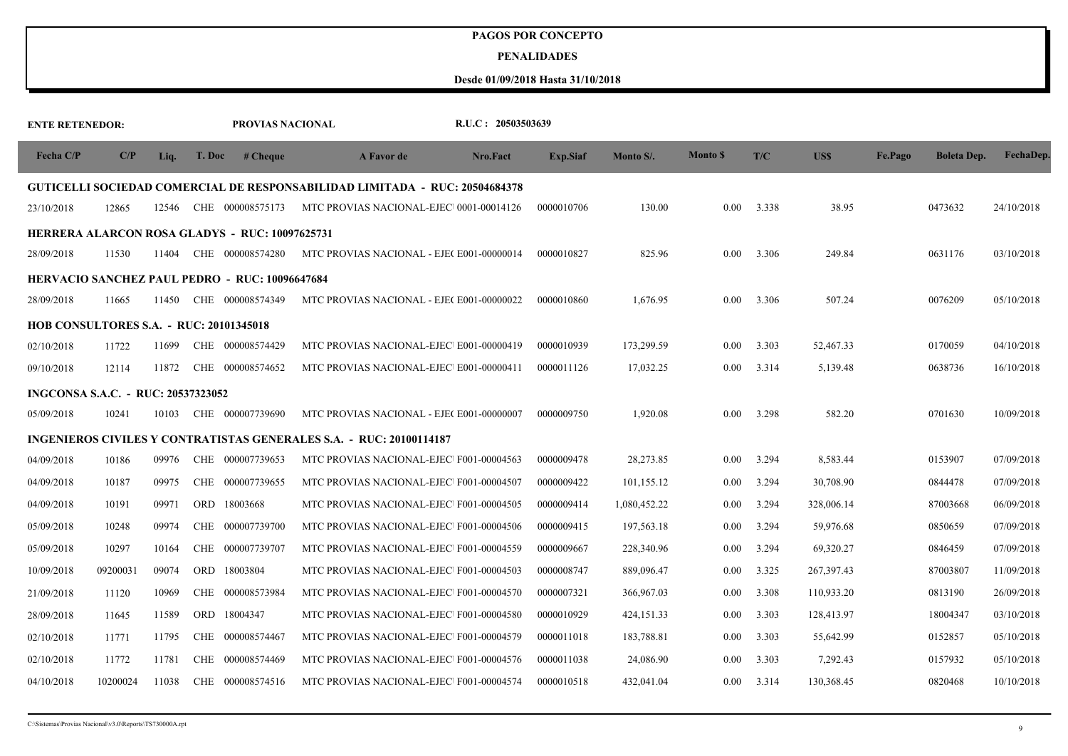#### **PENALIDADES**

| <b>ENTE RETENEDOR:</b>                         |          |       |        | PROVIAS NACIONAL                                      |                                                                             | R.U.C: 20503503639 |                 |              |                 |       |            |         |                    |            |
|------------------------------------------------|----------|-------|--------|-------------------------------------------------------|-----------------------------------------------------------------------------|--------------------|-----------------|--------------|-----------------|-------|------------|---------|--------------------|------------|
| Fecha C/P                                      | C/P      | Liq.  | T. Doc | # <b>Change</b>                                       | A Favor de                                                                  | Nro.Fact           | <b>Exp.Siaf</b> | Monto S/.    | <b>Monto</b> \$ | T/C   | US\$       | Fe.Pago | <b>Boleta Dep.</b> | FechaDep.  |
|                                                |          |       |        |                                                       | GUTICELLI SOCIEDAD COMERCIAL DE RESPONSABILIDAD LIMITADA - RUC: 20504684378 |                    |                 |              |                 |       |            |         |                    |            |
| 23/10/2018                                     | 12865    | 12546 |        | CHE 000008575173                                      | MTC PROVIAS NACIONAL-EJEC 0001-00014126                                     |                    | 0000010706      | 130.00       | 0.00            | 3.338 | 38.95      |         | 0473632            | 24/10/2018 |
|                                                |          |       |        | HERRERA ALARCON ROSA GLADYS - RUC: 10097625731        |                                                                             |                    |                 |              |                 |       |            |         |                    |            |
| 28/09/2018                                     | 11530    | 11404 |        | CHE 000008574280                                      | MTC PROVIAS NACIONAL - EJE(E001-00000014                                    |                    | 0000010827      | 825.96       | 0.00            | 3.306 | 249.84     |         | 0631176            | 03/10/2018 |
|                                                |          |       |        | <b>HERVACIO SANCHEZ PAUL PEDRO - RUC: 10096647684</b> |                                                                             |                    |                 |              |                 |       |            |         |                    |            |
| 28/09/2018                                     | 11665    | 11450 |        | CHE 000008574349                                      | MTC PROVIAS NACIONAL - EJE(E001-00000022                                    |                    | 0000010860      | 1,676.95     | 0.00            | 3.306 | 507.24     |         | 0076209            | 05/10/2018 |
| <b>HOB CONSULTORES S.A. - RUC: 20101345018</b> |          |       |        |                                                       |                                                                             |                    |                 |              |                 |       |            |         |                    |            |
| 02/10/2018                                     | 11722    | 11699 |        | CHE 000008574429                                      | MTC PROVIAS NACIONAL-EJEC E001-00000419                                     |                    | 0000010939      | 173,299.59   | 0.00            | 3.303 | 52,467.33  |         | 0170059            | 04/10/2018 |
| 09/10/2018                                     | 12114    | 11872 |        | CHE 000008574652                                      | MTC PROVIAS NACIONAL-EJEC E001-00000411                                     |                    | 0000011126      | 17,032.25    | 0.00            | 3.314 | 5,139.48   |         | 0638736            | 16/10/2018 |
| <b>INGCONSA S.A.C. - RUC: 20537323052</b>      |          |       |        |                                                       |                                                                             |                    |                 |              |                 |       |            |         |                    |            |
| 05/09/2018                                     | 10241    | 10103 |        | CHE 000007739690                                      | MTC PROVIAS NACIONAL - EJE(E001-00000007                                    |                    | 0000009750      | 1,920.08     | 0.00            | 3.298 | 582.20     |         | 0701630            | 10/09/2018 |
|                                                |          |       |        |                                                       | <b>INGENIEROS CIVILES Y CONTRATISTAS GENERALES S.A. - RUC: 20100114187</b>  |                    |                 |              |                 |       |            |         |                    |            |
| 04/09/2018                                     | 10186    | 09976 |        | CHE 000007739653                                      | MTC PROVIAS NACIONAL-EJEC F001-00004563                                     |                    | 0000009478      | 28,273.85    | 0.00            | 3.294 | 8,583.44   |         | 0153907            | 07/09/2018 |
| 04/09/2018                                     | 10187    | 09975 |        | CHE 000007739655                                      | MTC PROVIAS NACIONAL-EJEC F001-00004507                                     |                    | 0000009422      | 101,155.12   | 0.00            | 3.294 | 30,708.90  |         | 0844478            | 07/09/2018 |
| 04/09/2018                                     | 10191    | 09971 |        | ORD 18003668                                          | MTC PROVIAS NACIONAL-EJEC F001-00004505                                     |                    | 0000009414      | 1,080,452.22 | 0.00            | 3.294 | 328,006.14 |         | 87003668           | 06/09/2018 |
| 05/09/2018                                     | 10248    | 09974 |        | CHE 000007739700                                      | MTC PROVIAS NACIONAL-EJEC F001-00004506                                     |                    | 0000009415      | 197,563.18   | 0.00            | 3.294 | 59,976.68  |         | 0850659            | 07/09/2018 |
| 05/09/2018                                     | 10297    | 10164 |        | CHE 000007739707                                      | MTC PROVIAS NACIONAL-EJEC F001-00004559                                     |                    | 0000009667      | 228,340.96   | 0.00            | 3.294 | 69,320.27  |         | 0846459            | 07/09/2018 |
| 10/09/2018                                     | 09200031 | 09074 |        | ORD 18003804                                          | MTC PROVIAS NACIONAL-EJEC F001-00004503                                     |                    | 0000008747      | 889,096.47   | 0.00            | 3.325 | 267,397.43 |         | 87003807           | 11/09/2018 |
| 21/09/2018                                     | 11120    | 10969 | CHE    | 000008573984                                          | MTC PROVIAS NACIONAL-EJEC F001-00004570                                     |                    | 0000007321      | 366,967.03   | 0.00            | 3.308 | 110,933.20 |         | 0813190            | 26/09/2018 |
| 28/09/2018                                     | 11645    | 11589 |        | ORD 18004347                                          | MTC PROVIAS NACIONAL-EJEC F001-00004580                                     |                    | 0000010929      | 424, 151. 33 | 0.00            | 3.303 | 128,413.97 |         | 18004347           | 03/10/2018 |
| 02/10/2018                                     | 11771    | 11795 | CHE    | 000008574467                                          | MTC PROVIAS NACIONAL-EJEC F001-00004579                                     |                    | 0000011018      | 183,788.81   | 0.00            | 3.303 | 55,642.99  |         | 0152857            | 05/10/2018 |
| 02/10/2018                                     | 11772    | 11781 | CHE    | 000008574469                                          | MTC PROVIAS NACIONAL-EJEC F001-00004576                                     |                    | 0000011038      | 24,086.90    | 0.00            | 3.303 | 7,292.43   |         | 0157932            | 05/10/2018 |
| 04/10/2018                                     | 10200024 | 11038 |        | CHE 000008574516                                      | MTC PROVIAS NACIONAL-EJEC F001-00004574                                     |                    | 0000010518      | 432,041.04   | 0.00            | 3.314 | 130,368.45 |         | 0820468            | 10/10/2018 |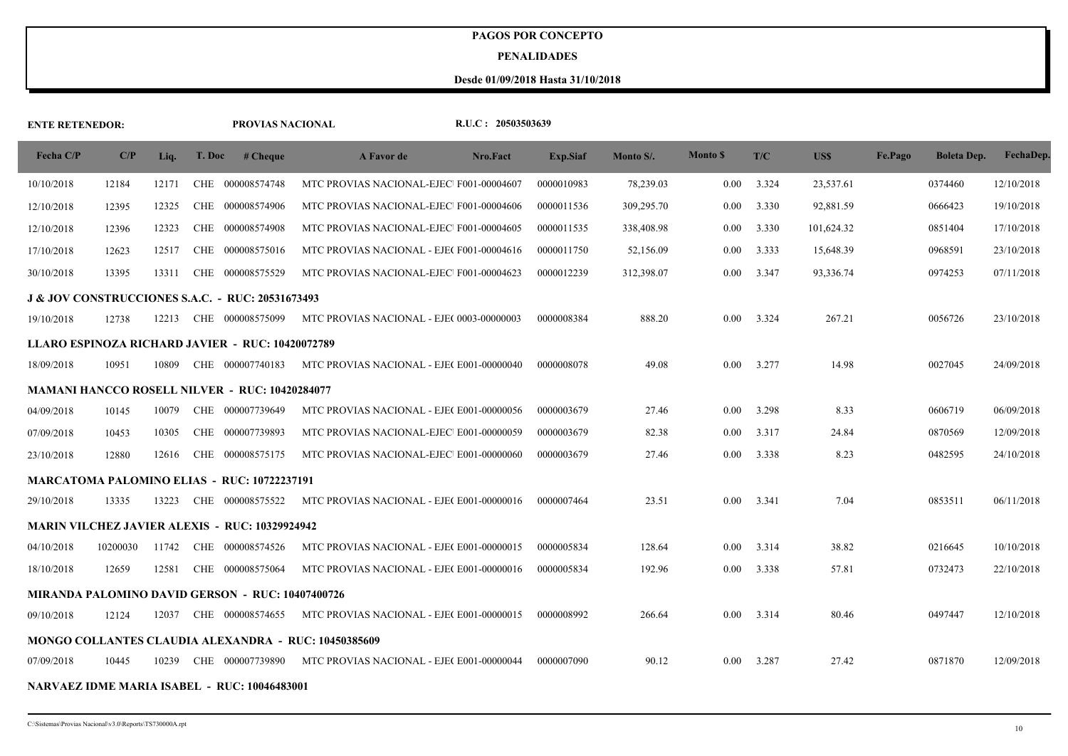#### **PENALIDADES**

| <b>ENTE RETENEDOR:</b> |          |       |            | PROVIAS NACIONAL                                            |                                                             | R.U.C: 20503503639 |                 |            |                |       |            |         |                    |            |
|------------------------|----------|-------|------------|-------------------------------------------------------------|-------------------------------------------------------------|--------------------|-----------------|------------|----------------|-------|------------|---------|--------------------|------------|
| Fecha C/P              | C/P      | Liq.  | T. Doc     | # <b>Change</b>                                             | A Favor de                                                  | Nro.Fact           | <b>Exp.Siaf</b> | Monto S/.  | <b>Monto S</b> | T/C   | <b>USS</b> | Fe.Pago | <b>Boleta Dep.</b> | FechaDep.  |
| 10/10/2018             | 12184    | 12171 | CHE        | 000008574748                                                | MTC PROVIAS NACIONAL-EJEC F001-00004607                     |                    | 0000010983      | 78,239.03  | 0.00           | 3.324 | 23,537.61  |         | 0374460            | 12/10/2018 |
| 12/10/2018             | 12395    | 12325 | <b>CHE</b> | 000008574906                                                | MTC PROVIAS NACIONAL-EJEC F001-00004606                     |                    | 0000011536      | 309,295.70 | 0.00           | 3.330 | 92,881.59  |         | 0666423            | 19/10/2018 |
| 12/10/2018             | 12396    | 12323 | CHE        | 000008574908                                                | MTC PROVIAS NACIONAL-EJEC F001-00004605                     |                    | 0000011535      | 338,408.98 | 0.00           | 3.330 | 101,624.32 |         | 0851404            | 17/10/2018 |
| 17/10/2018             | 12623    | 12517 |            | CHE 000008575016                                            | MTC PROVIAS NACIONAL - EJE(F001-00004616                    |                    | 0000011750      | 52,156.09  | 0.00           | 3.333 | 15,648.39  |         | 0968591            | 23/10/2018 |
| 30/10/2018             | 13395    | 13311 |            | CHE 000008575529                                            | MTC PROVIAS NACIONAL-EJEC F001-00004623                     |                    | 0000012239      | 312,398.07 | 0.00           | 3.347 | 93,336.74  |         | 0974253            | 07/11/2018 |
|                        |          |       |            | <b>J &amp; JOV CONSTRUCCIONES S.A.C. - RUC: 20531673493</b> |                                                             |                    |                 |            |                |       |            |         |                    |            |
| 19/10/2018             | 12738    | 12213 |            | CHE 000008575099                                            | MTC PROVIAS NACIONAL - EJE( 0003-00000003                   |                    | 0000008384      | 888.20     | 0.00           | 3.324 | 267.21     |         | 0056726            | 23/10/2018 |
|                        |          |       |            | LLARO ESPINOZA RICHARD JAVIER - RUC: 10420072789            |                                                             |                    |                 |            |                |       |            |         |                    |            |
| 18/09/2018             | 10951    | 10809 |            | CHE 000007740183                                            | MTC PROVIAS NACIONAL - EJE(E001-00000040                    |                    | 0000008078      | 49.08      | 0.00           | 3.277 | 14.98      |         | 0027045            | 24/09/2018 |
|                        |          |       |            | <b>MAMANI HANCCO ROSELL NILVER - RUC: 10420284077</b>       |                                                             |                    |                 |            |                |       |            |         |                    |            |
| 04/09/2018             | 10145    | 10079 | <b>CHE</b> | 000007739649                                                | MTC PROVIAS NACIONAL - EJE(E001-00000056                    |                    | 0000003679      | 27.46      | 0.00           | 3.298 | 8.33       |         | 0606719            | 06/09/2018 |
| 07/09/2018             | 10453    | 10305 |            | CHE 000007739893                                            | MTC PROVIAS NACIONAL-EJEC E001-00000059                     |                    | 0000003679      | 82.38      | 0.00           | 3.317 | 24.84      |         | 0870569            | 12/09/2018 |
| 23/10/2018             | 12880    | 12616 |            | CHE 000008575175                                            | MTC PROVIAS NACIONAL-EJEC E001-00000060                     |                    | 0000003679      | 27.46      | 0.00           | 3.338 | 8.23       |         | 0482595            | 24/10/2018 |
|                        |          |       |            | <b>MARCATOMA PALOMINO ELIAS - RUC: 10722237191</b>          |                                                             |                    |                 |            |                |       |            |         |                    |            |
| 29/10/2018             | 13335    | 13223 |            | CHE 000008575522                                            | MTC PROVIAS NACIONAL - EJE(E001-00000016                    |                    | 0000007464      | 23.51      | 0.00           | 3.341 | 7.04       |         | 0853511            | 06/11/2018 |
|                        |          |       |            | <b>MARIN VILCHEZ JAVIER ALEXIS - RUC: 10329924942</b>       |                                                             |                    |                 |            |                |       |            |         |                    |            |
| 04/10/2018             | 10200030 | 11742 |            | CHE 000008574526                                            | MTC PROVIAS NACIONAL - EJE(E001-00000015                    |                    | 0000005834      | 128.64     | 0.00           | 3.314 | 38.82      |         | 0216645            | 10/10/2018 |
| 18/10/2018             | 12659    | 12581 |            | CHE 000008575064                                            | MTC PROVIAS NACIONAL - EJE(E001-00000016                    |                    | 0000005834      | 192.96     | 0.00           | 3.338 | 57.81      |         | 0732473            | 22/10/2018 |
|                        |          |       |            | <b>MIRANDA PALOMINO DAVID GERSON - RUC: 10407400726</b>     |                                                             |                    |                 |            |                |       |            |         |                    |            |
| 09/10/2018             | 12124    | 12037 |            | CHE 000008574655                                            | MTC PROVIAS NACIONAL - EJE(E001-00000015                    |                    | 0000008992      | 266.64     | 0.00           | 3.314 | 80.46      |         | 0497447            | 12/10/2018 |
|                        |          |       |            |                                                             | <b>MONGO COLLANTES CLAUDIA ALEXANDRA - RUC: 10450385609</b> |                    |                 |            |                |       |            |         |                    |            |
| 07/09/2018             | 10445    | 10239 |            | CHE 000007739890                                            | MTC PROVIAS NACIONAL - EJE(E001-00000044                    |                    | 0000007090      | 90.12      | 0.00           | 3.287 | 27.42      |         | 0871870            | 12/09/2018 |
|                        |          |       |            | NARVAEZ IDME MARIA ISABEL - RUC: 10046483001                |                                                             |                    |                 |            |                |       |            |         |                    |            |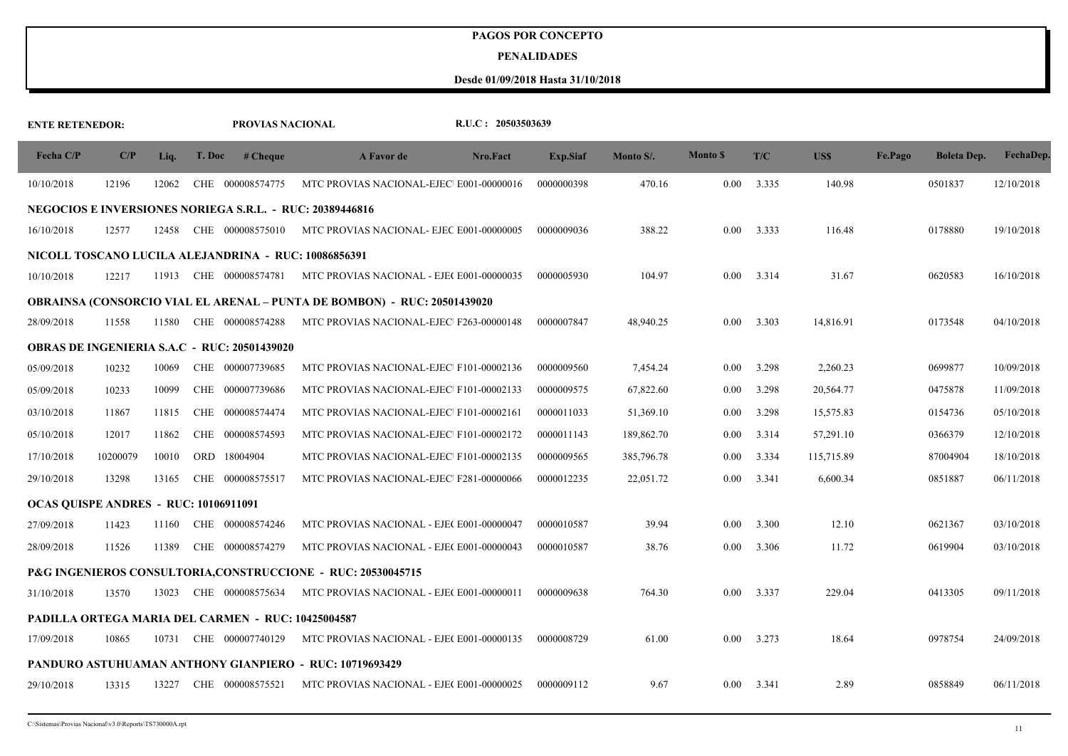#### **PENALIDADES**

| <b>ENTE RETENEDOR:</b>                |          |       |        | PROVIAS NACIONAL                                          |                                                                                 | R.U.C: 20503503639 |                 |            |                 |       |            |         |                    |            |
|---------------------------------------|----------|-------|--------|-----------------------------------------------------------|---------------------------------------------------------------------------------|--------------------|-----------------|------------|-----------------|-------|------------|---------|--------------------|------------|
| Fecha C/P                             | C/P      | Liq.  | T. Doc | # <b>Change</b>                                           | A Favor de                                                                      | Nro.Fact           | <b>Exp.Siaf</b> | Monto S/.  | <b>Monto</b> \$ | T/C   | US\$       | Fe.Pago | <b>Boleta Dep.</b> | FechaDep.  |
| 10/10/2018                            | 12196    | 12062 |        | CHE 000008574775                                          | MTC PROVIAS NACIONAL-EJEC E001-00000016                                         |                    | 0000000398      | 470.16     | 0.00            | 3.335 | 140.98     |         | 0501837            | 12/10/2018 |
|                                       |          |       |        |                                                           | <b>NEGOCIOS E INVERSIONES NORIEGA S.R.L. - RUC: 20389446816</b>                 |                    |                 |            |                 |       |            |         |                    |            |
| 16/10/2018                            | 12577    | 12458 |        | CHE 000008575010                                          | MTC PROVIAS NACIONAL- EJEC E001-00000005                                        |                    | 0000009036      | 388.22     | 0.00            | 3.333 | 116.48     |         | 0178880            | 19/10/2018 |
|                                       |          |       |        |                                                           | NICOLL TOSCANO LUCILA ALEJANDRINA - RUC: 10086856391                            |                    |                 |            |                 |       |            |         |                    |            |
| 10/10/2018                            | 12217    | 11913 |        | CHE 000008574781                                          | MTC PROVIAS NACIONAL - EJE(E001-00000035                                        |                    | 0000005930      | 104.97     | 0.00            | 3.314 | 31.67      |         | 0620583            | 16/10/2018 |
|                                       |          |       |        |                                                           | <b>OBRAINSA (CONSORCIO VIAL EL ARENAL – PUNTA DE BOMBON) - RUC: 20501439020</b> |                    |                 |            |                 |       |            |         |                    |            |
| 28/09/2018                            | 11558    | 11580 |        | CHE 000008574288                                          | MTC PROVIAS NACIONAL-EJEC F263-00000148                                         |                    | 0000007847      | 48,940.25  | 0.00            | 3.303 | 14,816.91  |         | 0173548            | 04/10/2018 |
|                                       |          |       |        | <b>OBRAS DE INGENIERIA S.A.C - RUC: 20501439020</b>       |                                                                                 |                    |                 |            |                 |       |            |         |                    |            |
| 05/09/2018                            | 10232    | 10069 |        | CHE 000007739685                                          | MTC PROVIAS NACIONAL-EJEC F101-00002136                                         |                    | 0000009560      | 7,454.24   | 0.00            | 3.298 | 2,260.23   |         | 0699877            | 10/09/2018 |
| 05/09/2018                            | 10233    | 10099 |        | CHE 000007739686                                          | MTC PROVIAS NACIONAL-EJEC F101-00002133                                         |                    | 0000009575      | 67,822.60  | 0.00            | 3.298 | 20,564.77  |         | 0475878            | 11/09/2018 |
| 03/10/2018                            | 11867    | 11815 | CHE    | 000008574474                                              | MTC PROVIAS NACIONAL-EJEC F101-00002161                                         |                    | 0000011033      | 51,369.10  | 0.00            | 3.298 | 15,575.83  |         | 0154736            | 05/10/2018 |
| 05/10/2018                            | 12017    | 11862 |        | CHE 000008574593                                          | MTC PROVIAS NACIONAL-EJEC F101-00002172                                         |                    | 0000011143      | 189,862.70 | 0.00            | 3.314 | 57,291.10  |         | 0366379            | 12/10/2018 |
| 17/10/2018                            | 10200079 | 10010 | ORD    | 18004904                                                  | MTC PROVIAS NACIONAL-EJEC F101-00002135                                         |                    | 0000009565      | 385,796.78 | 0.00            | 3.334 | 115,715.89 |         | 87004904           | 18/10/2018 |
| 29/10/2018                            | 13298    | 13165 |        | CHE 000008575517                                          | MTC PROVIAS NACIONAL-EJEC F281-00000066                                         |                    | 0000012235      | 22,051.72  | 0.00            | 3.341 | 6,600.34   |         | 0851887            | 06/11/2018 |
| OCAS QUISPE ANDRES - RUC: 10106911091 |          |       |        |                                                           |                                                                                 |                    |                 |            |                 |       |            |         |                    |            |
| 27/09/2018                            | 11423    | 11160 |        | CHE 000008574246                                          | MTC PROVIAS NACIONAL - EJE(E001-00000047                                        |                    | 0000010587      | 39.94      | 0.00            | 3.300 | 12.10      |         | 0621367            | 03/10/2018 |
| 28/09/2018                            | 11526    | 11389 |        | CHE 000008574279                                          | MTC PROVIAS NACIONAL - EJE(E001-00000043                                        |                    | 0000010587      | 38.76      | 0.00            | 3.306 | 11.72      |         | 0619904            | 03/10/2018 |
|                                       |          |       |        |                                                           | <b>P&amp;G INGENIEROS CONSULTORIA,CONSTRUCCIONE - RUC: 20530045715</b>          |                    |                 |            |                 |       |            |         |                    |            |
| 31/10/2018                            | 13570    | 13023 |        | CHE 000008575634                                          | MTC PROVIAS NACIONAL - EJE(E001-00000011                                        |                    | 0000009638      | 764.30     | 0.00            | 3.337 | 229.04     |         | 0413305            | 09/11/2018 |
|                                       |          |       |        | <b>PADILLA ORTEGA MARIA DEL CARMEN - RUC: 10425004587</b> |                                                                                 |                    |                 |            |                 |       |            |         |                    |            |
| 17/09/2018                            | 10865    | 10731 |        | CHE 000007740129                                          | MTC PROVIAS NACIONAL - EJE(E001-00000135                                        |                    | 0000008729      | 61.00      | 0.00            | 3.273 | 18.64      |         | 0978754            | 24/09/2018 |
|                                       |          |       |        |                                                           | PANDURO ASTUHUAMAN ANTHONY GIANPIERO - RUC: 10719693429                         |                    |                 |            |                 |       |            |         |                    |            |
| 29/10/2018                            | 13315    | 13227 |        | CHE 000008575521                                          | MTC PROVIAS NACIONAL - EJE(E001-00000025                                        |                    | 0000009112      | 9.67       | 0.00            | 3.341 | 2.89       |         | 0858849            | 06/11/2018 |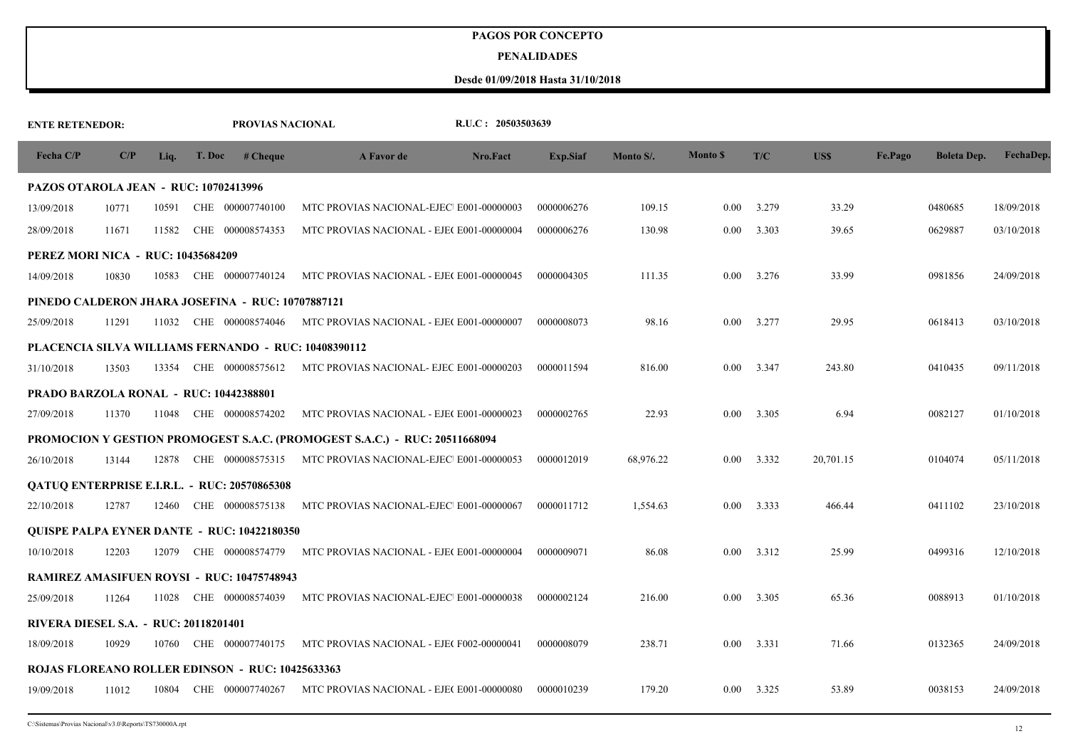#### **PENALIDADES**

| <b>ENTE RETENEDOR:</b>                       |       |       |        | PROVIAS NACIONAL                                   |                                                                            | R.U.C: 20503503639 |                 |           |                           |                    |           |         |                    |            |
|----------------------------------------------|-------|-------|--------|----------------------------------------------------|----------------------------------------------------------------------------|--------------------|-----------------|-----------|---------------------------|--------------------|-----------|---------|--------------------|------------|
| Fecha C/P                                    | C/P   | Liq.  | T. Doc | # Cheque                                           | A Favor de                                                                 | Nro.Fact           | <b>Exp.Siaf</b> | Monto S/. | <b>Monto</b> <sub>S</sub> | T/C                | US\$      | Fe.Pago | <b>Boleta Dep.</b> | FechaDep.  |
| PAZOS OTAROLA JEAN - RUC: 10702413996        |       |       |        |                                                    |                                                                            |                    |                 |           |                           |                    |           |         |                    |            |
| 13/09/2018                                   | 10771 | 10591 |        | CHE 000007740100                                   | MTC PROVIAS NACIONAL-EJEC E001-00000003                                    |                    | 0000006276      | 109.15    | $0.00\,$                  | 3.279              | 33.29     |         | 0480685            | 18/09/2018 |
| 28/09/2018                                   | 11671 | 11582 |        | CHE 000008574353                                   | MTC PROVIAS NACIONAL - EJE(E001-00000004                                   |                    | 0000006276      | 130.98    | 0.00                      | 3.303              | 39.65     |         | 0629887            | 03/10/2018 |
| PEREZ MORI NICA - RUC: 10435684209           |       |       |        |                                                    |                                                                            |                    |                 |           |                           |                    |           |         |                    |            |
| 14/09/2018                                   | 10830 | 10583 |        | CHE 000007740124                                   | MTC PROVIAS NACIONAL - EJE(E001-00000045                                   |                    | 0000004305      | 111.35    | 0.00                      | 3.276              | 33.99     |         | 0981856            | 24/09/2018 |
|                                              |       |       |        | PINEDO CALDERON JHARA JOSEFINA - RUC: 10707887121  |                                                                            |                    |                 |           |                           |                    |           |         |                    |            |
| 25/09/2018                                   | 11291 | 11032 |        | CHE 000008574046                                   | MTC PROVIAS NACIONAL - EJE(E001-00000007                                   |                    | 0000008073      | 98.16     | 0.00                      | 3.277              | 29.95     |         | 0618413            | 03/10/2018 |
|                                              |       |       |        |                                                    | <b>PLACENCIA SILVA WILLIAMS FERNANDO - RUC: 10408390112</b>                |                    |                 |           |                           |                    |           |         |                    |            |
| 31/10/2018                                   | 13503 | 13354 |        | CHE 000008575612                                   | MTC PROVIAS NACIONAL- EJEC E001-00000203                                   |                    | 0000011594      | 816.00    | $0.00\,$                  | 3.347              | 243.80    |         | 0410435            | 09/11/2018 |
| PRADO BARZOLA RONAL - RUC: 10442388801       |       |       |        |                                                    |                                                                            |                    |                 |           |                           |                    |           |         |                    |            |
| 27/09/2018                                   | 11370 | 11048 |        | CHE 000008574202                                   | MTC PROVIAS NACIONAL - EJE(E001-00000023                                   |                    | 0000002765      | 22.93     | 0.00                      | 3.305              | 6.94      |         | 0082127            | 01/10/2018 |
|                                              |       |       |        |                                                    | PROMOCION Y GESTION PROMOGEST S.A.C. (PROMOGEST S.A.C.) - RUC: 20511668094 |                    |                 |           |                           |                    |           |         |                    |            |
| 26/10/2018                                   | 13144 | 12878 |        | CHE 000008575315                                   | MTC PROVIAS NACIONAL-EJEC E001-00000053                                    |                    | 0000012019      | 68,976.22 | $0.00\,$                  | 3.332              | 20,701.15 |         | 0104074            | 05/11/2018 |
|                                              |       |       |        | OATUO ENTERPRISE E.I.R.L. - RUC: 20570865308       |                                                                            |                    |                 |           |                           |                    |           |         |                    |            |
| 22/10/2018                                   | 12787 | 12460 |        | CHE 000008575138                                   | MTC PROVIAS NACIONAL-EJEC E001-00000067                                    |                    | 0000011712      | 1,554.63  | $0.00\,$                  | 3.333              | 466.44    |         | 0411102            | 23/10/2018 |
|                                              |       |       |        | <b>QUISPE PALPA EYNER DANTE - RUC: 10422180350</b> |                                                                            |                    |                 |           |                           |                    |           |         |                    |            |
| 10/10/2018                                   | 12203 | 12079 |        | CHE 000008574779                                   | MTC PROVIAS NACIONAL - EJE(E001-00000004                                   |                    | 0000009071      | 86.08     | 0.00                      | 3.312              | 25.99     |         | 0499316            | 12/10/2018 |
|                                              |       |       |        | <b>RAMIREZ AMASIFUEN ROYSI - RUC: 10475748943</b>  |                                                                            |                    |                 |           |                           |                    |           |         |                    |            |
| 25/09/2018                                   | 11264 | 11028 |        | CHE 000008574039                                   | MTC PROVIAS NACIONAL-EJEC E001-00000038                                    |                    | 0000002124      | 216.00    | $0.00\,$                  | 3.305              | 65.36     |         | 0088913            | 01/10/2018 |
| <b>RIVERA DIESEL S.A. - RUC: 20118201401</b> |       |       |        |                                                    |                                                                            |                    |                 |           |                           |                    |           |         |                    |            |
| 18/09/2018                                   | 10929 | 10760 |        | CHE 000007740175                                   | MTC PROVIAS NACIONAL - EJE(F002-00000041                                   |                    | 0000008079      | 238.71    | 0.00                      | 3.331              | 71.66     |         | 0132365            | 24/09/2018 |
|                                              |       |       |        | ROJAS FLOREANO ROLLER EDINSON - RUC: 10425633363   |                                                                            |                    |                 |           |                           |                    |           |         |                    |            |
| 19/09/2018                                   | 11012 | 10804 |        | CHE 000007740267                                   | MTC PROVIAS NACIONAL - EJE( E001-00000080                                  |                    | 0000010239      | 179.20    |                           | $0.00 \quad 3.325$ | 53.89     |         | 0038153            | 24/09/2018 |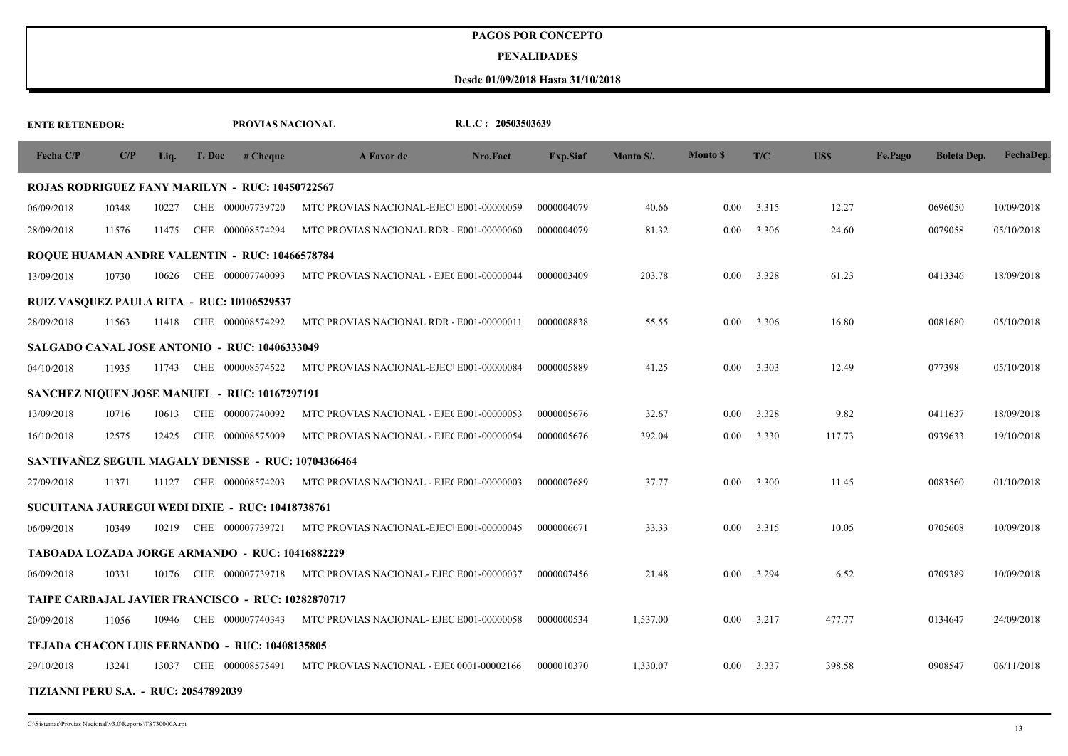#### **PENALIDADES**

| <b>ENTE RETENEDOR:</b>                       |       |       |        | PROVIAS NACIONAL                                       |                                                          | R.U.C: 20503503639 |            |           |                 |       |        |         |                    |            |
|----------------------------------------------|-------|-------|--------|--------------------------------------------------------|----------------------------------------------------------|--------------------|------------|-----------|-----------------|-------|--------|---------|--------------------|------------|
| Fecha C/P                                    | C/P   | Liq.  | T. Doc | # <b>Change</b>                                        | A Favor de                                               | Nro.Fact           | Exp.Siaf   | Monto S/. | <b>Monto \$</b> | T/C   | US\$   | Fe.Pago | <b>Boleta Dep.</b> | FechaDep.  |
|                                              |       |       |        | <b>ROJAS RODRIGUEZ FANY MARILYN - RUC: 10450722567</b> |                                                          |                    |            |           |                 |       |        |         |                    |            |
| 06/09/2018                                   | 10348 | 10227 |        | CHE 000007739720                                       | MTC PROVIAS NACIONAL-EJEC E001-00000059                  |                    | 0000004079 | 40.66     | 0.00            | 3.315 | 12.27  |         | 0696050            | 10/09/2018 |
| 28/09/2018                                   | 11576 | 11475 |        | CHE 000008574294                                       | MTC PROVIAS NACIONAL RDR · E001-00000060                 |                    | 0000004079 | 81.32     | 0.00            | 3.306 | 24.60  |         | 0079058            | 05/10/2018 |
|                                              |       |       |        | ROQUE HUAMAN ANDRE VALENTIN - RUC: 10466578784         |                                                          |                    |            |           |                 |       |        |         |                    |            |
| 13/09/2018                                   | 10730 | 10626 |        | CHE 000007740093                                       | MTC PROVIAS NACIONAL - EJE(E001-00000044                 |                    | 0000003409 | 203.78    | 0.00            | 3.328 | 61.23  |         | 0413346            | 18/09/2018 |
|                                              |       |       |        | RUIZ VASQUEZ PAULA RITA - RUC: 10106529537             |                                                          |                    |            |           |                 |       |        |         |                    |            |
| 28/09/2018                                   | 11563 | 11418 |        | CHE 000008574292                                       | MTC PROVIAS NACIONAL RDR E001-00000011                   |                    | 0000008838 | 55.55     | 0.00            | 3.306 | 16.80  |         | 0081680            | 05/10/2018 |
|                                              |       |       |        | SALGADO CANAL JOSE ANTONIO - RUC: 10406333049          |                                                          |                    |            |           |                 |       |        |         |                    |            |
| 04/10/2018                                   | 11935 | 11743 |        | CHE 000008574522                                       | MTC PROVIAS NACIONAL-EJEC E001-00000084                  |                    | 0000005889 | 41.25     | 0.00            | 3.303 | 12.49  |         | 077398             | 05/10/2018 |
|                                              |       |       |        | SANCHEZ NIQUEN JOSE MANUEL - RUC: 10167297191          |                                                          |                    |            |           |                 |       |        |         |                    |            |
| 13/09/2018                                   | 10716 | 10613 |        | CHE 000007740092                                       | MTC PROVIAS NACIONAL - EJE(E001-00000053                 |                    | 0000005676 | 32.67     | 0.00            | 3.328 | 9.82   |         | 0411637            | 18/09/2018 |
| 16/10/2018                                   | 12575 | 12425 |        | CHE 000008575009                                       | MTC PROVIAS NACIONAL - EJE(E001-00000054                 |                    | 0000005676 | 392.04    | $0.00\,$        | 3.330 | 117.73 |         | 0939633            | 19/10/2018 |
|                                              |       |       |        | SANTIVAÑEZ SEGUIL MAGALY DENISSE - RUC: 10704366464    |                                                          |                    |            |           |                 |       |        |         |                    |            |
| 27/09/2018                                   | 11371 | 11127 |        | CHE 000008574203                                       | MTC PROVIAS NACIONAL - EJE(E001-00000003                 |                    | 0000007689 | 37.77     | 0.00            | 3.300 | 11.45  |         | 0083560            | 01/10/2018 |
|                                              |       |       |        | SUCUITANA JAUREGUI WEDI DIXIE - RUC: 10418738761       |                                                          |                    |            |           |                 |       |        |         |                    |            |
| 06/09/2018                                   | 10349 | 10219 |        |                                                        | CHE 000007739721 MTC PROVIAS NACIONAL-EJEC E001-00000045 |                    | 0000006671 | 33.33     | 0.00            | 3.315 | 10.05  |         | 0705608            | 10/09/2018 |
|                                              |       |       |        | TABOADA LOZADA JORGE ARMANDO - RUC: 10416882229        |                                                          |                    |            |           |                 |       |        |         |                    |            |
| 06/09/2018                                   | 10331 | 10176 |        |                                                        | CHE 000007739718 MTC PROVIAS NACIONAL-EJEC E001-00000037 |                    | 0000007456 | 21.48     | 0.00            | 3.294 | 6.52   |         | 0709389            | 10/09/2018 |
|                                              |       |       |        | TAIPE CARBAJAL JAVIER FRANCISCO - RUC: 10282870717     |                                                          |                    |            |           |                 |       |        |         |                    |            |
| 20/09/2018                                   | 11056 | 10946 |        | CHE 000007740343                                       | MTC PROVIAS NACIONAL- EJEC E001-00000058                 |                    | 0000000534 | 1,537.00  | 0.00            | 3.217 | 477.77 |         | 0134647            | 24/09/2018 |
|                                              |       |       |        | TEJADA CHACON LUIS FERNANDO - RUC: 10408135805         |                                                          |                    |            |           |                 |       |        |         |                    |            |
| 29/10/2018                                   | 13241 | 13037 |        | CHE 000008575491                                       | MTC PROVIAS NACIONAL - EJE(0001-00002166                 |                    | 0000010370 | 1,330.07  | 0.00            | 3.337 | 398.58 |         | 0908547            | 06/11/2018 |
| <b>TIZIANNI PERU S.A. - RUC: 20547892039</b> |       |       |        |                                                        |                                                          |                    |            |           |                 |       |        |         |                    |            |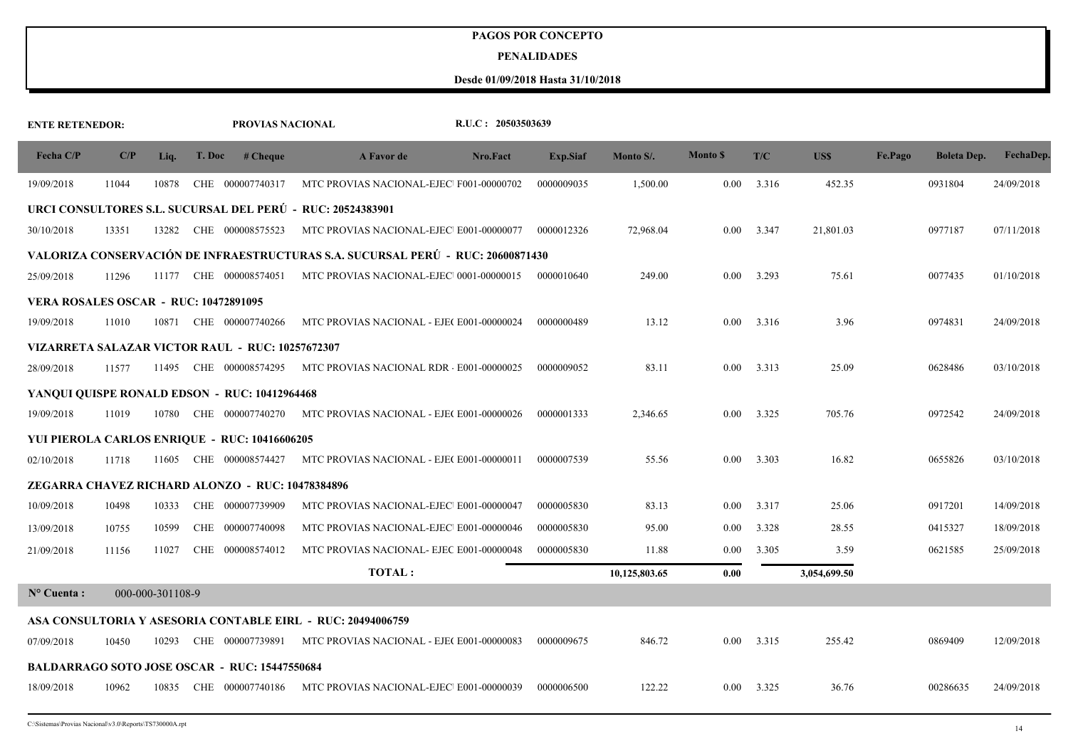#### **PENALIDADES**

| <b>ENTE RETENEDOR:</b>                |       |                  |        | PROVIAS NACIONAL                                     |                                                                                 | R.U.C: 20503503639 |            |               |                 |       |              |         |                    |            |
|---------------------------------------|-------|------------------|--------|------------------------------------------------------|---------------------------------------------------------------------------------|--------------------|------------|---------------|-----------------|-------|--------------|---------|--------------------|------------|
| Fecha C/P                             | C/P   | Liq.             | T. Doc | # <b>Change</b>                                      | A Favor de                                                                      | Nro.Fact           | Exp.Siaf   | Monto S/.     | <b>Monto \$</b> | T/C   | US\$         | Fe.Pago | <b>Boleta Dep.</b> | FechaDep.  |
| 19/09/2018                            | 11044 | 10878            |        | CHE 000007740317                                     | MTC PROVIAS NACIONAL-EJEC F001-00000702                                         |                    | 0000009035 | 1,500.00      | 0.00            | 3.316 | 452.35       |         | 0931804            | 24/09/2018 |
|                                       |       |                  |        |                                                      | URCI CONSULTORES S.L. SUCURSAL DEL PERÚ - RUC: 20524383901                      |                    |            |               |                 |       |              |         |                    |            |
| 30/10/2018                            | 13351 | 13282            |        | CHE 000008575523                                     | MTC PROVIAS NACIONAL-EJEC E001-00000077                                         |                    | 0000012326 | 72,968.04     | 0.00            | 3.347 | 21,801.03    |         | 0977187            | 07/11/2018 |
|                                       |       |                  |        |                                                      | VALORIZA CONSERVACIÓN DE INFRAESTRUCTURAS S.A. SUCURSAL PERÚ - RUC: 20600871430 |                    |            |               |                 |       |              |         |                    |            |
| 25/09/2018                            | 11296 | 11177            |        | CHE 000008574051                                     | MTC PROVIAS NACIONAL-EJEC 0001-00000015                                         |                    | 0000010640 | 249.00        | 0.00            | 3.293 | 75.61        |         | 0077435            | 01/10/2018 |
| VERA ROSALES OSCAR - RUC: 10472891095 |       |                  |        |                                                      |                                                                                 |                    |            |               |                 |       |              |         |                    |            |
| 19/09/2018                            | 11010 | 10871            |        | CHE 000007740266                                     | MTC PROVIAS NACIONAL - EJE(E001-00000024                                        |                    | 0000000489 | 13.12         | 0.00            | 3.316 | 3.96         |         | 0974831            | 24/09/2018 |
|                                       |       |                  |        | VIZARRETA SALAZAR VICTOR RAUL - RUC: 10257672307     |                                                                                 |                    |            |               |                 |       |              |         |                    |            |
| 28/09/2018                            | 11577 | 11495            |        |                                                      | CHE 000008574295 MTC PROVIAS NACIONAL RDR · E001-00000025                       |                    | 0000009052 | 83.11         | 0.00            | 3.313 | 25.09        |         | 0628486            | 03/10/2018 |
|                                       |       |                  |        | YANQUI QUISPE RONALD EDSON - RUC: 10412964468        |                                                                                 |                    |            |               |                 |       |              |         |                    |            |
| 19/09/2018                            | 11019 |                  |        |                                                      | 10780 CHE 000007740270 MTC PROVIAS NACIONAL - EJE(E001-00000026                 |                    | 0000001333 | 2,346.65      | 0.00            | 3.325 | 705.76       |         | 0972542            | 24/09/2018 |
|                                       |       |                  |        | YUI PIEROLA CARLOS ENRIQUE - RUC: 10416606205        |                                                                                 |                    |            |               |                 |       |              |         |                    |            |
| 02/10/2018                            | 11718 | 11605            |        | CHE 000008574427                                     | MTC PROVIAS NACIONAL - EJE(E001-00000011                                        |                    | 0000007539 | 55.56         | 0.00            | 3.303 | 16.82        |         | 0655826            | 03/10/2018 |
|                                       |       |                  |        | ZEGARRA CHAVEZ RICHARD ALONZO - RUC: 10478384896     |                                                                                 |                    |            |               |                 |       |              |         |                    |            |
| 10/09/2018                            | 10498 | 10333            |        | CHE 000007739909                                     | MTC PROVIAS NACIONAL-EJEC E001-00000047                                         |                    | 0000005830 | 83.13         | 0.00            | 3.317 | 25.06        |         | 0917201            | 14/09/2018 |
| 13/09/2018                            | 10755 | 10599            |        | CHE 000007740098                                     | MTC PROVIAS NACIONAL-EJEC E001-00000046                                         |                    | 0000005830 | 95.00         | 0.00            | 3.328 | 28.55        |         | 0415327            | 18/09/2018 |
| 21/09/2018                            | 11156 | 11027            |        | CHE 000008574012                                     | MTC PROVIAS NACIONAL- EJEC E001-00000048                                        |                    | 0000005830 | 11.88         | 0.00            | 3.305 | 3.59         |         | 0621585            | 25/09/2018 |
|                                       |       |                  |        |                                                      | TOTAL:                                                                          |                    |            | 10,125,803.65 | 0.00            |       | 3,054,699.50 |         |                    |            |
| $N^{\circ}$ Cuenta :                  |       | 000-000-301108-9 |        |                                                      |                                                                                 |                    |            |               |                 |       |              |         |                    |            |
|                                       |       |                  |        |                                                      | ASA CONSULTORIA Y ASESORIA CONTABLE EIRL - RUC: 20494006759                     |                    |            |               |                 |       |              |         |                    |            |
| 07/09/2018                            | 10450 | 10293            |        |                                                      | CHE 000007739891 MTC PROVIAS NACIONAL - EJE(E001-00000083)                      |                    | 0000009675 | 846.72        | 0.00            | 3.315 | 255.42       |         | 0869409            | 12/09/2018 |
|                                       |       |                  |        | <b>BALDARRAGO SOTO JOSE OSCAR - RUC: 15447550684</b> |                                                                                 |                    |            |               |                 |       |              |         |                    |            |
| 18/09/2018                            | 10962 | 10835            |        | CHE 000007740186                                     | MTC PROVIAS NACIONAL-EJEC E001-00000039                                         |                    | 0000006500 | 122.22        | $0.00\,$        | 3.325 | 36.76        |         | 00286635           | 24/09/2018 |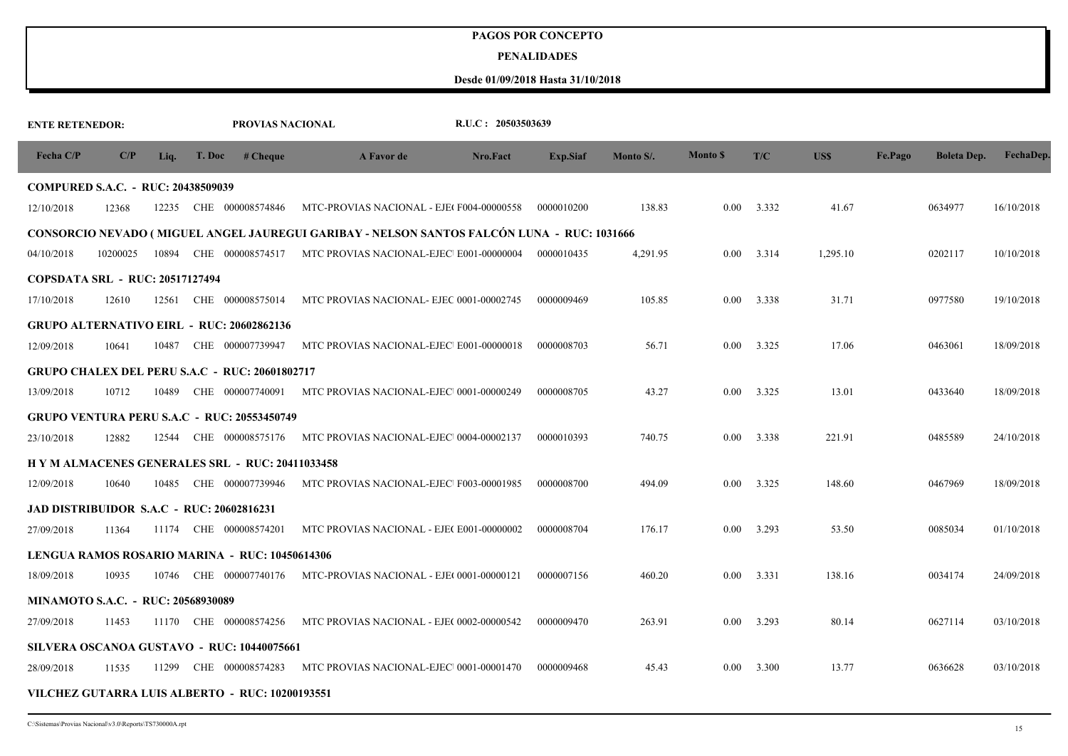#### **PENALIDADES**

| <b>ENTE RETENEDOR:</b>                    |          |       |        | PROVIAS NACIONAL                                      |                                                                                            | R.U.C: 20503503639 |            |           |                 |       |          |         |                    |            |
|-------------------------------------------|----------|-------|--------|-------------------------------------------------------|--------------------------------------------------------------------------------------------|--------------------|------------|-----------|-----------------|-------|----------|---------|--------------------|------------|
| Fecha C/P                                 | C/P      | Liq.  | T. Doc | # <b>Change</b>                                       | A Favor de                                                                                 | Nro.Fact           | Exp.Siaf   | Monto S/. | <b>Monto</b> \$ | T/C   | US\$     | Fe.Pago | <b>Boleta Dep.</b> | FechaDep.  |
| <b>COMPURED S.A.C. - RUC: 20438509039</b> |          |       |        |                                                       |                                                                                            |                    |            |           |                 |       |          |         |                    |            |
| 12/10/2018                                | 12368    | 12235 |        | CHE 000008574846                                      | MTC-PROVIAS NACIONAL - EJE(F004-00000558                                                   |                    | 0000010200 | 138.83    | 0.00            | 3.332 | 41.67    |         | 0634977            | 16/10/2018 |
|                                           |          |       |        |                                                       | CONSORCIO NEVADO (MIGUEL ANGEL JAUREGUI GARIBAY - NELSON SANTOS FALCÓN LUNA - RUC: 1031666 |                    |            |           |                 |       |          |         |                    |            |
| 04/10/2018                                | 10200025 | 10894 |        | CHE 000008574517                                      | MTC PROVIAS NACIONAL-EJEC E001-00000004                                                    |                    | 0000010435 | 4,291.95  | $0.00\,$        | 3.314 | 1,295.10 |         | 0202117            | 10/10/2018 |
| <b>COPSDATA SRL - RUC: 20517127494</b>    |          |       |        |                                                       |                                                                                            |                    |            |           |                 |       |          |         |                    |            |
| 17/10/2018                                | 12610    | 12561 |        | CHE 000008575014                                      | MTC PROVIAS NACIONAL- EJEC 0001-00002745                                                   |                    | 0000009469 | 105.85    | 0.00            | 3.338 | 31.71    |         | 0977580            | 19/10/2018 |
|                                           |          |       |        | <b>GRUPO ALTERNATIVO EIRL - RUC: 20602862136</b>      |                                                                                            |                    |            |           |                 |       |          |         |                    |            |
| 12/09/2018                                | 10641    | 10487 |        | CHE 000007739947                                      | MTC PROVIAS NACIONAL-EJEC E001-00000018                                                    |                    | 0000008703 | 56.71     | 0.00            | 3.325 | 17.06    |         | 0463061            | 18/09/2018 |
|                                           |          |       |        | <b>GRUPO CHALEX DEL PERU S.A.C - RUC: 20601802717</b> |                                                                                            |                    |            |           |                 |       |          |         |                    |            |
| 13/09/2018                                | 10712    | 10489 |        | CHE 000007740091                                      | MTC PROVIAS NACIONAL-EJEC 0001-00000249                                                    |                    | 0000008705 | 43.27     | 0.00            | 3.325 | 13.01    |         | 0433640            | 18/09/2018 |
|                                           |          |       |        | <b>GRUPO VENTURA PERU S.A.C - RUC: 20553450749</b>    |                                                                                            |                    |            |           |                 |       |          |         |                    |            |
| 23/10/2018                                | 12882    | 12544 |        | CHE 000008575176                                      | MTC PROVIAS NACIONAL-EJEC 0004-00002137                                                    |                    | 0000010393 | 740.75    | 0.00            | 3.338 | 221.91   |         | 0485589            | 24/10/2018 |
|                                           |          |       |        | H Y M ALMACENES GENERALES SRL - RUC: 20411033458      |                                                                                            |                    |            |           |                 |       |          |         |                    |            |
| 12/09/2018                                | 10640    | 10485 |        | CHE 000007739946                                      | MTC PROVIAS NACIONAL-EJEC F003-00001985                                                    |                    | 0000008700 | 494.09    | 0.00            | 3.325 | 148.60   |         | 0467969            | 18/09/2018 |
| JAD DISTRIBUIDOR S.A.C - RUC: 20602816231 |          |       |        |                                                       |                                                                                            |                    |            |           |                 |       |          |         |                    |            |
| 27/09/2018                                | 11364    | 11174 |        | CHE 000008574201                                      | MTC PROVIAS NACIONAL - EJE(E001-00000002                                                   |                    | 0000008704 | 176.17    | 0.00            | 3.293 | 53.50    |         | 0085034            | 01/10/2018 |
|                                           |          |       |        | LENGUA RAMOS ROSARIO MARINA - RUC: 10450614306        |                                                                                            |                    |            |           |                 |       |          |         |                    |            |
| 18/09/2018                                | 10935    | 10746 |        | CHE 000007740176                                      | MTC-PROVIAS NACIONAL - EJE( 0001-00000121                                                  |                    | 0000007156 | 460.20    | $0.00\,$        | 3.331 | 138.16   |         | 0034174            | 24/09/2018 |
| <b>MINAMOTO S.A.C. - RUC: 20568930089</b> |          |       |        |                                                       |                                                                                            |                    |            |           |                 |       |          |         |                    |            |
| 27/09/2018                                | 11453    | 11170 |        | CHE 000008574256                                      | MTC PROVIAS NACIONAL - EJE( 0002-00000542                                                  |                    | 0000009470 | 263.91    | 0.00            | 3.293 | 80.14    |         | 0627114            | 03/10/2018 |
|                                           |          |       |        | SILVERA OSCANOA GUSTAVO - RUC: 10440075661            |                                                                                            |                    |            |           |                 |       |          |         |                    |            |
| 28/09/2018                                | 11535    | 11299 |        | CHE 000008574283                                      | MTC PROVIAS NACIONAL-EJEC 0001-00001470                                                    |                    | 0000009468 | 45.43     | 0.00            | 3.300 | 13.77    |         | 0636628            | 03/10/2018 |
|                                           |          |       |        | VILCHEZ GUTARRA LUIS ALBERTO - RUC: 10200193551       |                                                                                            |                    |            |           |                 |       |          |         |                    |            |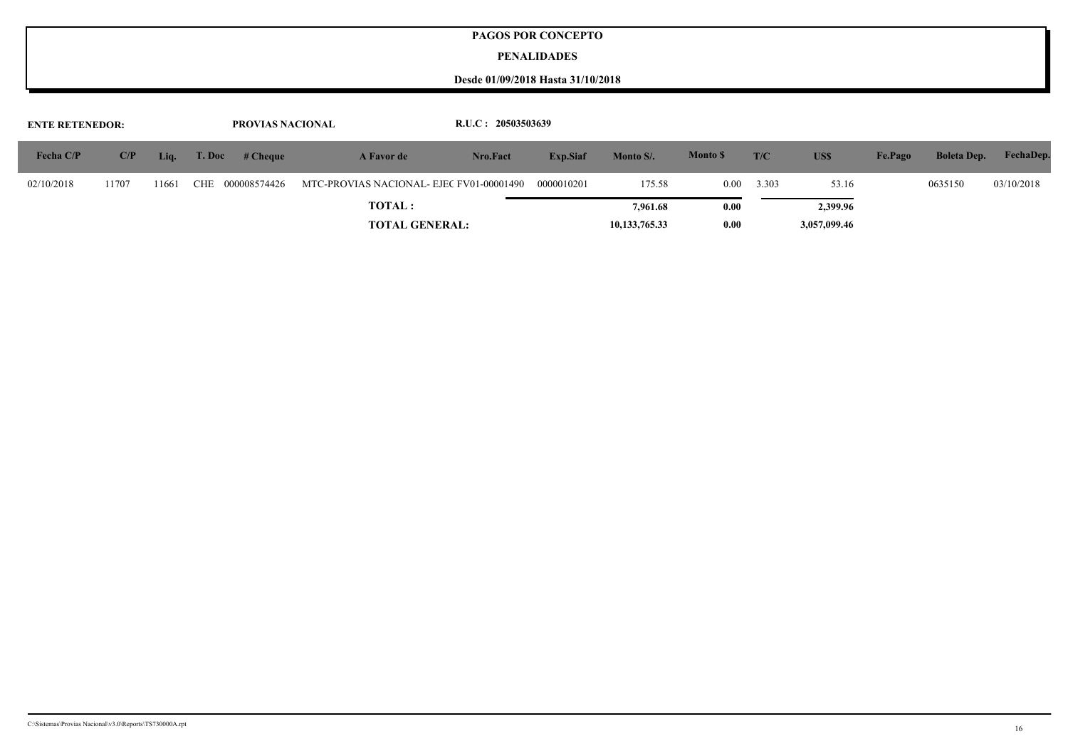#### **PENALIDADES**

| <b>ENTE RETENEDOR:</b> |       |       |            | <b>PROVIAS NACIONAL</b> |                                          | R.U.C: 20503503639 |            |                           |                |       |                          |         |                    |            |
|------------------------|-------|-------|------------|-------------------------|------------------------------------------|--------------------|------------|---------------------------|----------------|-------|--------------------------|---------|--------------------|------------|
| Fecha $C/P$            | C/P   | Liq.  |            | T. Doc # Cheque         | A Favor de                               | Nro.Fact           | Exp.Siaf   | Monto S/.                 | <b>Monto S</b> | T/C   | US\$                     | Fe.Pago | <b>Boleta Dep.</b> | FechaDep.  |
| 02/10/2018             | 11707 | 11661 | <b>CHE</b> | 000008574426            | MTC-PROVIAS NACIONAL- EJEC FV01-00001490 |                    | 0000010201 | 175.58                    | 0.00           | 3.303 | 53.16                    |         | 0635150            | 03/10/2018 |
|                        |       |       |            |                         | <b>TOTAL:</b><br><b>TOTAL GENERAL:</b>   |                    |            | 7,961.68<br>10,133,765.33 | 0.00<br>0.00   |       | 2,399.96<br>3,057,099.46 |         |                    |            |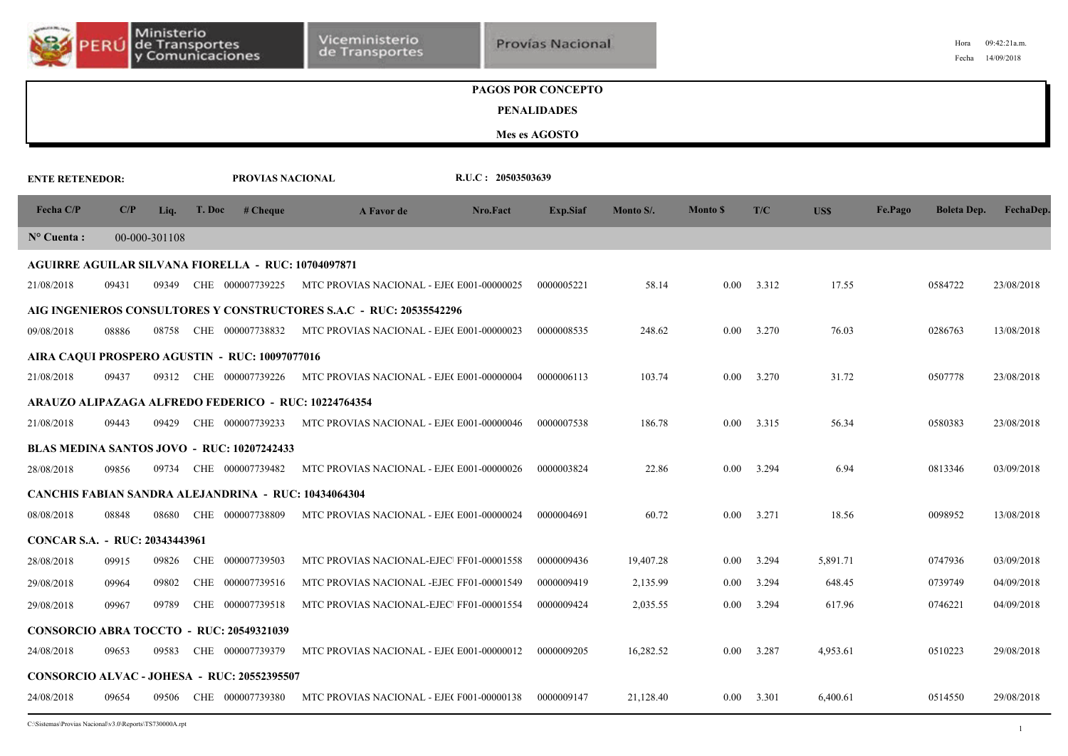| Ministerio             | de Transportes<br>y Comunicaciones | <b>Viceministerio</b><br>de Transportes | Provías Nacional                                |  |
|------------------------|------------------------------------|-----------------------------------------|-------------------------------------------------|--|
|                        |                                    |                                         | <b>PAGOS POR CONCEPTO</b><br><b>PENALIDADES</b> |  |
|                        |                                    |                                         | Mes es AGOSTO                                   |  |
| <b>ENTE RETENEDOR:</b> |                                    | <b>PROVIAS NACIONAL</b>                 | R.U.C: 20503503639                              |  |

| Fecha C/P                             | C/P   | Liq.          | T. Doc     | # Cheque                                                    | Nro.Fact<br><b>A Favor de</b>                                       | <b>Exp.Siaf</b> | Monto S/. | <b>Monto S</b>    | T/C   | US\$     | Fe.Pago<br><b>Boleta Dep.</b> | FechaDep.  |
|---------------------------------------|-------|---------------|------------|-------------------------------------------------------------|---------------------------------------------------------------------|-----------------|-----------|-------------------|-------|----------|-------------------------------|------------|
| $N^{\circ}$ Cuenta :                  |       | 00-000-301108 |            |                                                             |                                                                     |                 |           |                   |       |          |                               |            |
|                                       |       |               |            | <b>AGUIRRE AGUILAR SILVANA FIORELLA - RUC: 10704097871</b>  |                                                                     |                 |           |                   |       |          |                               |            |
| 21/08/2018                            | 09431 | 09349         |            | CHE 000007739225                                            | MTC PROVIAS NACIONAL - EJE(E001-00000025                            | 0000005221      | 58.14     | $0.00\,$          | 3.312 | 17.55    | 0584722                       | 23/08/2018 |
|                                       |       |               |            |                                                             | AIG INGENIEROS CONSULTORES Y CONSTRUCTORES S.A.C - RUC: 20535542296 |                 |           |                   |       |          |                               |            |
| 09/08/2018                            | 08886 | 08758         |            | CHE 000007738832                                            | MTC PROVIAS NACIONAL - EJE(E001-00000023                            | 0000008535      | 248.62    | 0.00 <sub>1</sub> | 3.270 | 76.03    | 0286763                       | 13/08/2018 |
|                                       |       |               |            | AIRA CAQUI PROSPERO AGUSTIN - RUC: 10097077016              |                                                                     |                 |           |                   |       |          |                               |            |
| 21/08/2018                            | 09437 | 09312         |            | CHE 000007739226                                            | MTC PROVIAS NACIONAL - EJE(E001-00000004                            | 0000006113      | 103.74    | 0.00 <sub>1</sub> | 3.270 | 31.72    | 0507778                       | 23/08/2018 |
|                                       |       |               |            |                                                             | ARAUZO ALIPAZAGA ALFREDO FEDERICO - RUC: 10224764354                |                 |           |                   |       |          |                               |            |
| 21/08/2018                            | 09443 | 09429         |            | CHE 000007739233                                            | MTC PROVIAS NACIONAL - EJE(E001-00000046                            | 0000007538      | 186.78    | 0.00              | 3.315 | 56.34    | 0580383                       | 23/08/2018 |
|                                       |       |               |            | <b>BLAS MEDINA SANTOS JOVO - RUC: 10207242433</b>           |                                                                     |                 |           |                   |       |          |                               |            |
| 28/08/2018                            | 09856 | 09734         |            | CHE 000007739482                                            | MTC PROVIAS NACIONAL - EJE(E001-00000026                            | 0000003824      | 22.86     | 0.00              | 3.294 | 6.94     | 0813346                       | 03/09/2018 |
|                                       |       |               |            | <b>CANCHIS FABIAN SANDRA ALEJANDRINA - RUC: 10434064304</b> |                                                                     |                 |           |                   |       |          |                               |            |
| 08/08/2018                            | 08848 | 08680         |            | CHE 000007738809                                            | MTC PROVIAS NACIONAL - EJE(E001-00000024                            | 0000004691      | 60.72     | 0.00              | 3.271 | 18.56    | 0098952                       | 13/08/2018 |
| <b>CONCAR S.A. - RUC: 20343443961</b> |       |               |            |                                                             |                                                                     |                 |           |                   |       |          |                               |            |
| 28/08/2018                            | 09915 | 09826         |            | CHE 000007739503                                            | MTC PROVIAS NACIONAL-EJEC FF01-00001558                             | 0000009436      | 19,407.28 | 0.00              | 3.294 | 5,891.71 | 0747936                       | 03/09/2018 |
| 29/08/2018                            | 09964 | 09802         | <b>CHE</b> | 000007739516                                                | MTC PROVIAS NACIONAL -EJEC FF01-00001549                            | 0000009419      | 2,135.99  | 0.00              | 3.294 | 648.45   | 0739749                       | 04/09/2018 |
| 29/08/2018                            | 09967 | 09789         |            | CHE 000007739518                                            | MTC PROVIAS NACIONAL-EJEC FF01-00001554                             | 0000009424      | 2,035.55  | 0.00              | 3.294 | 617.96   | 0746221                       | 04/09/2018 |
|                                       |       |               |            | <b>CONSORCIO ABRA TOCCTO - RUC: 20549321039</b>             |                                                                     |                 |           |                   |       |          |                               |            |
| 24/08/2018                            | 09653 | 09583         |            | CHE 000007739379                                            | MTC PROVIAS NACIONAL - EJE(E001-00000012                            | 0000009205      | 16,282.52 | 0.00              | 3.287 | 4,953.61 | 0510223                       | 29/08/2018 |
|                                       |       |               |            | CONSORCIO ALVAC - JOHESA - RUC: 20552395507                 |                                                                     |                 |           |                   |       |          |                               |            |
| 24/08/2018                            | 09654 | 09506         |            | CHE 000007739380                                            | MTC PROVIAS NACIONAL - EJE(F001-00000138                            | 0000009147      | 21,128.40 | 0.00              | 3.301 | 6.400.61 | 0514550                       | 29/08/2018 |

Fecha 14/09/2018 Hora 09:42:21a.m.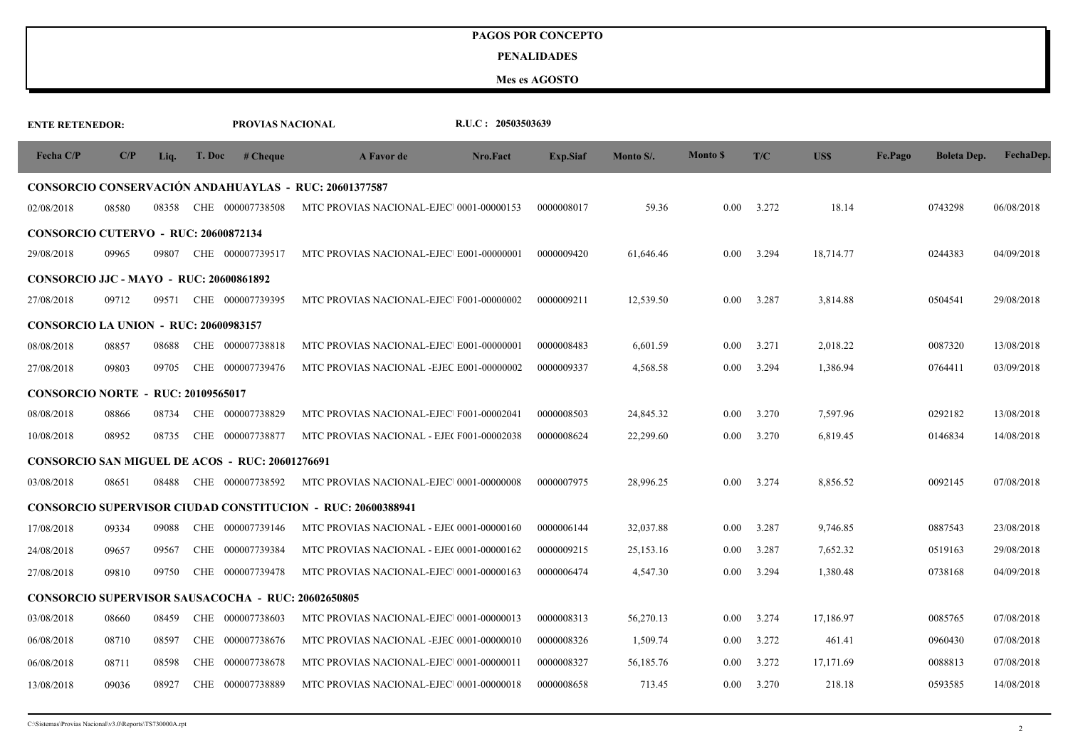#### **PENALIDADES**

#### **Mes es AGOSTO**

| <b>ENTE RETENEDOR:</b>                                             |       |       |                                                              | PROVIAS NACIONAL                                          |                                           | R.U.C: 20503503639 |                 |           |                 |       |           |         |                    |            |
|--------------------------------------------------------------------|-------|-------|--------------------------------------------------------------|-----------------------------------------------------------|-------------------------------------------|--------------------|-----------------|-----------|-----------------|-------|-----------|---------|--------------------|------------|
| Fecha C/P                                                          | C/P   | Liq.  | T. Doc                                                       | # <b>Change</b>                                           | A Favor de                                | Nro.Fact           | <b>Exp.Siaf</b> | Monto S/. | <b>Monto \$</b> | T/C   | US\$      | Fe.Pago | <b>Boleta Dep.</b> | FechaDep.  |
|                                                                    |       |       | <b>CONSORCIO CONSERVACIÓN ANDAHUAYLAS - RUC: 20601377587</b> |                                                           |                                           |                    |                 |           |                 |       |           |         |                    |            |
| 02/08/2018                                                         | 08580 | 08358 |                                                              | CHE 000007738508                                          | MTC PROVIAS NACIONAL-EJEC 0001-00000153   |                    | 0000008017      | 59.36     | 0.00            | 3.272 | 18.14     |         | 0743298            | 06/08/2018 |
| <b>CONSORCIO CUTERVO - RUC: 20600872134</b>                        |       |       |                                                              |                                                           |                                           |                    |                 |           |                 |       |           |         |                    |            |
| 29/08/2018                                                         | 09965 | 09807 |                                                              | CHE 000007739517                                          | MTC PROVIAS NACIONAL-EJEC E001-00000001   |                    | 0000009420      | 61,646.46 | 0.00            | 3.294 | 18,714.77 |         | 0244383            | 04/09/2018 |
| <b>CONSORCIO JJC - MAYO - RUC: 20600861892</b>                     |       |       |                                                              |                                                           |                                           |                    |                 |           |                 |       |           |         |                    |            |
| 27/08/2018                                                         | 09712 | 09571 |                                                              | CHE 000007739395                                          | MTC PROVIAS NACIONAL-EJEC F001-00000002   |                    | 0000009211      | 12,539.50 | 0.00            | 3.287 | 3,814.88  |         | 0504541            | 29/08/2018 |
| <b>CONSORCIO LA UNION - RUC: 20600983157</b>                       |       |       |                                                              |                                                           |                                           |                    |                 |           |                 |       |           |         |                    |            |
| 08/08/2018                                                         | 08857 | 08688 |                                                              | CHE 000007738818                                          | MTC PROVIAS NACIONAL-EJEC E001-00000001   |                    | 0000008483      | 6,601.59  | 0.00            | 3.271 | 2,018.22  |         | 0087320            | 13/08/2018 |
| 27/08/2018                                                         | 09803 | 09705 |                                                              | CHE 000007739476                                          | MTC PROVIAS NACIONAL -EJEC E001-00000002  |                    | 0000009337      | 4,568.58  | 0.00            | 3.294 | 1,386.94  |         | 0764411            | 03/09/2018 |
| <b>CONSORCIO NORTE</b><br>RUC: 20109565017                         |       |       |                                                              |                                                           |                                           |                    |                 |           |                 |       |           |         |                    |            |
| 08/08/2018                                                         | 08866 | 08734 |                                                              | CHE 000007738829                                          | MTC PROVIAS NACIONAL-EJEC F001-00002041   |                    | 0000008503      | 24,845.32 | 0.00            | 3.270 | 7,597.96  |         | 0292182            | 13/08/2018 |
| 10/08/2018                                                         | 08952 | 08735 |                                                              | CHE 000007738877                                          | MTC PROVIAS NACIONAL - EJE(F001-00002038  |                    | 0000008624      | 22,299.60 | 0.00            | 3.270 | 6,819.45  |         | 0146834            | 14/08/2018 |
| CONSORCIO SAN MIGUEL DE ACOS - RUC: 20601276691                    |       |       |                                                              |                                                           |                                           |                    |                 |           |                 |       |           |         |                    |            |
| 03/08/2018                                                         | 08651 | 08488 |                                                              | CHE 000007738592                                          | MTC PROVIAS NACIONAL-EJEC 0001-00000008   |                    | 0000007975      | 28,996.25 | 0.00            | 3.274 | 8,856.52  |         | 0092145            | 07/08/2018 |
| <b>CONSORCIO SUPERVISOR CIUDAD CONSTITUCION - RUC: 20600388941</b> |       |       |                                                              |                                                           |                                           |                    |                 |           |                 |       |           |         |                    |            |
| 17/08/2018                                                         | 09334 | 09088 |                                                              | CHE 000007739146                                          | MTC PROVIAS NACIONAL - EJE( 0001-00000160 |                    | 0000006144      | 32,037.88 | 0.00            | 3.287 | 9,746.85  |         | 0887543            | 23/08/2018 |
| 24/08/2018                                                         | 09657 | 09567 | CHE                                                          | 000007739384                                              | MTC PROVIAS NACIONAL - EJE(0001-00000162  |                    | 0000009215      | 25,153.16 | 0.00            | 3.287 | 7,652.32  |         | 0519163            | 29/08/2018 |
| 27/08/2018                                                         | 09810 | 09750 |                                                              | CHE 000007739478                                          | MTC PROVIAS NACIONAL-EJEC 0001-00000163   |                    | 0000006474      | 4,547.30  | 0.00            | 3.294 | 1,380.48  |         | 0738168            | 04/09/2018 |
|                                                                    |       |       |                                                              | <b>CONSORCIO SUPERVISOR SAUSACOCHA - RUC: 20602650805</b> |                                           |                    |                 |           |                 |       |           |         |                    |            |
| 03/08/2018                                                         | 08660 | 08459 |                                                              | CHE 000007738603                                          | MTC PROVIAS NACIONAL-EJEC 0001-00000013   |                    | 0000008313      | 56,270.13 | 0.00            | 3.274 | 17,186.97 |         | 0085765            | 07/08/2018 |
| 06/08/2018                                                         | 08710 | 08597 | CHE                                                          | 000007738676                                              | MTC PROVIAS NACIONAL -EJEC 0001-00000010  |                    | 0000008326      | 1,509.74  | 0.00            | 3.272 | 461.41    |         | 0960430            | 07/08/2018 |
| 06/08/2018                                                         | 08711 | 08598 | <b>CHE</b>                                                   | 000007738678                                              | MTC PROVIAS NACIONAL-EJEC 0001-00000011   |                    | 0000008327      | 56,185.76 | 0.00            | 3.272 | 17,171.69 |         | 0088813            | 07/08/2018 |
| 13/08/2018                                                         | 09036 | 08927 |                                                              | CHE 000007738889                                          | MTC PROVIAS NACIONAL-EJEC 0001-00000018   |                    | 0000008658      | 713.45    | 0.00            | 3.270 | 218.18    |         | 0593585            | 14/08/2018 |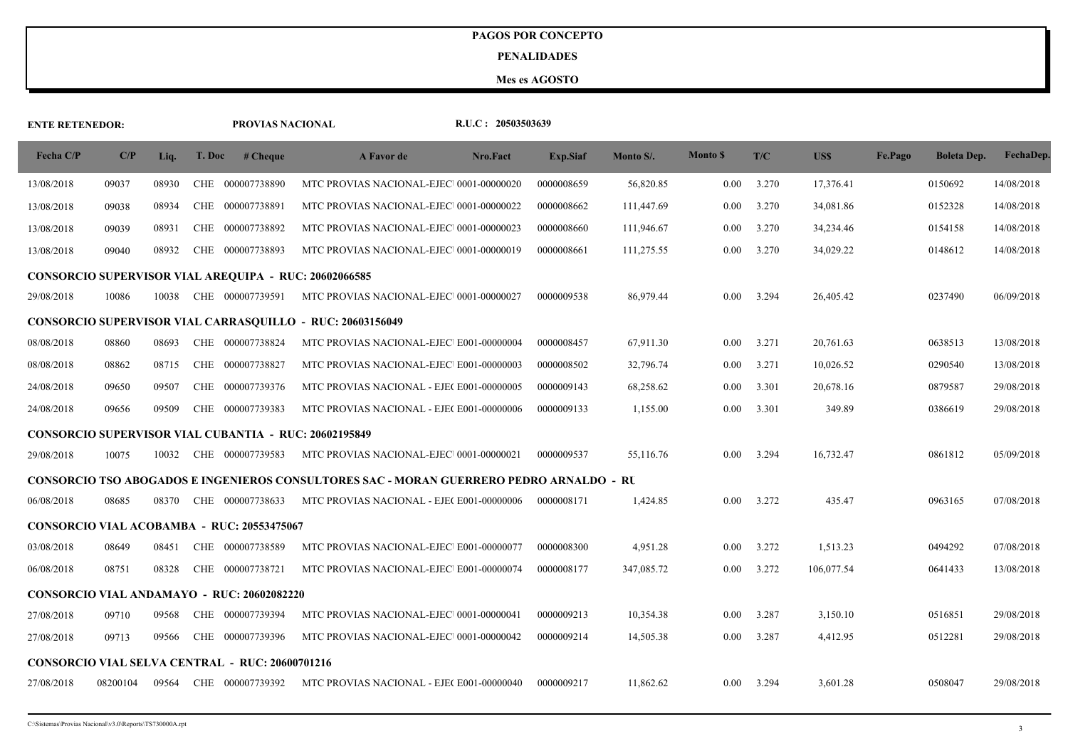#### **PENALIDADES**

| <b>ENTE RETENEDOR:</b> |          |       |        | PROVIAS NACIONAL                                  |                                                                                                | R.U.C: 20503503639 |                 |            |                |       |            |         |                    |            |
|------------------------|----------|-------|--------|---------------------------------------------------|------------------------------------------------------------------------------------------------|--------------------|-----------------|------------|----------------|-------|------------|---------|--------------------|------------|
| Fecha $C/P$            | C/P      | Liq.  | T. Doc | # <b>Change</b>                                   | A Favor de                                                                                     | Nro.Fact           | <b>Exp.Siaf</b> | Monto S/.  | <b>Monto S</b> | T/C   | <b>USS</b> | Fe.Pago | <b>Boleta Dep.</b> | FechaDep.  |
| 13/08/2018             | 09037    | 08930 |        | CHE 000007738890                                  | MTC PROVIAS NACIONAL-EJEC 0001-00000020                                                        |                    | 0000008659      | 56,820.85  | 0.00           | 3.270 | 17,376.41  |         | 0150692            | 14/08/2018 |
| 13/08/2018             | 09038    | 08934 |        | CHE 000007738891                                  | MTC PROVIAS NACIONAL-EJEC 0001-00000022                                                        |                    | 0000008662      | 111,447.69 | 0.00           | 3.270 | 34,081.86  |         | 0152328            | 14/08/2018 |
| 13/08/2018             | 09039    | 08931 |        | CHE 000007738892                                  | MTC PROVIAS NACIONAL-EJEC 0001-00000023                                                        |                    | 0000008660      | 111,946.67 | 0.00           | 3.270 | 34,234.46  |         | 0154158            | 14/08/2018 |
| 13/08/2018             | 09040    | 08932 |        | CHE 000007738893                                  | MTC PROVIAS NACIONAL-EJEC 0001-00000019                                                        |                    | 0000008661      | 111,275.55 | $0.00\,$       | 3.270 | 34,029.22  |         | 0148612            | 14/08/2018 |
|                        |          |       |        |                                                   | <b>CONSORCIO SUPERVISOR VIAL AREQUIPA - RUC: 20602066585</b>                                   |                    |                 |            |                |       |            |         |                    |            |
| 29/08/2018             | 10086    | 10038 |        | CHE 000007739591                                  | MTC PROVIAS NACIONAL-EJEC 0001-00000027                                                        |                    | 0000009538      | 86,979.44  | 0.00           | 3.294 | 26,405.42  |         | 0237490            | 06/09/2018 |
|                        |          |       |        |                                                   | CONSORCIO SUPERVISOR VIAL CARRASQUILLO - RUC: 20603156049                                      |                    |                 |            |                |       |            |         |                    |            |
| 08/08/2018             | 08860    | 08693 |        | CHE 000007738824                                  | MTC PROVIAS NACIONAL-EJEC E001-00000004                                                        |                    | 0000008457      | 67,911.30  | 0.00           | 3.271 | 20,761.63  |         | 0638513            | 13/08/2018 |
| 08/08/2018             | 08862    | 08715 |        | CHE 000007738827                                  | MTC PROVIAS NACIONAL-EJEC E001-00000003                                                        |                    | 0000008502      | 32,796.74  | 0.00           | 3.271 | 10,026.52  |         | 0290540            | 13/08/2018 |
| 24/08/2018             | 09650    | 09507 |        | CHE 000007739376                                  | MTC PROVIAS NACIONAL - EJE(E001-00000005                                                       |                    | 0000009143      | 68,258.62  | 0.00           | 3.301 | 20,678.16  |         | 0879587            | 29/08/2018 |
| 24/08/2018             | 09656    | 09509 |        | CHE 000007739383                                  | MTC PROVIAS NACIONAL - EJE(E001-00000006                                                       |                    | 0000009133      | 1,155.00   | 0.00           | 3.301 | 349.89     |         | 0386619            | 29/08/2018 |
|                        |          |       |        |                                                   | <b>CONSORCIO SUPERVISOR VIAL CUBANTIA - RUC: 20602195849</b>                                   |                    |                 |            |                |       |            |         |                    |            |
| 29/08/2018             | 10075    | 10032 |        | CHE 000007739583                                  | MTC PROVIAS NACIONAL-EJEC 0001-00000021                                                        |                    | 0000009537      | 55,116.76  | 0.00           | 3.294 | 16,732.47  |         | 0861812            | 05/09/2018 |
|                        |          |       |        |                                                   | <b>CONSORCIO TSO ABOGADOS E INGENIEROS CONSULTORES SAC - MORAN GUERRERO PEDRO ARNALDO - RU</b> |                    |                 |            |                |       |            |         |                    |            |
| 06/08/2018             | 08685    | 08370 |        | CHE 000007738633                                  | MTC PROVIAS NACIONAL - EJE(E001-00000006                                                       |                    | 0000008171      | 1,424.85   | 0.00           | 3.272 | 435.47     |         | 0963165            | 07/08/2018 |
|                        |          |       |        | <b>CONSORCIO VIAL ACOBAMBA - RUC: 20553475067</b> |                                                                                                |                    |                 |            |                |       |            |         |                    |            |
| 03/08/2018             | 08649    | 08451 |        | CHE 000007738589                                  | MTC PROVIAS NACIONAL-EJEC E001-00000077                                                        |                    | 0000008300      | 4,951.28   | 0.00           | 3.272 | 1,513.23   |         | 0494292            | 07/08/2018 |
| 06/08/2018             | 08751    | 08328 |        | CHE 000007738721                                  | MTC PROVIAS NACIONAL-EJEC E001-00000074                                                        |                    | 0000008177      | 347,085.72 | 0.00           | 3.272 | 106,077.54 |         | 0641433            | 13/08/2018 |
|                        |          |       |        | <b>CONSORCIO VIAL ANDAMAYO - RUC: 20602082220</b> |                                                                                                |                    |                 |            |                |       |            |         |                    |            |
| 27/08/2018             | 09710    | 09568 |        | CHE 000007739394                                  | MTC PROVIAS NACIONAL-EJEC 0001-00000041                                                        |                    | 0000009213      | 10,354.38  | 0.00           | 3.287 | 3,150.10   |         | 0516851            | 29/08/2018 |
| 27/08/2018             | 09713    | 09566 |        | CHE 000007739396                                  | MTC PROVIAS NACIONAL-EJEC 0001-00000042                                                        |                    | 0000009214      | 14,505.38  | 0.00           | 3.287 | 4,412.95   |         | 0512281            | 29/08/2018 |
|                        |          |       |        | CONSORCIO VIAL SELVA CENTRAL - RUC: 20600701216   |                                                                                                |                    |                 |            |                |       |            |         |                    |            |
| 27/08/2018             | 08200104 | 09564 |        | CHE 000007739392                                  | MTC PROVIAS NACIONAL - EJE(E001-00000040                                                       |                    | 0000009217      | 11,862.62  | 0.00           | 3.294 | 3,601.28   |         | 0508047            | 29/08/2018 |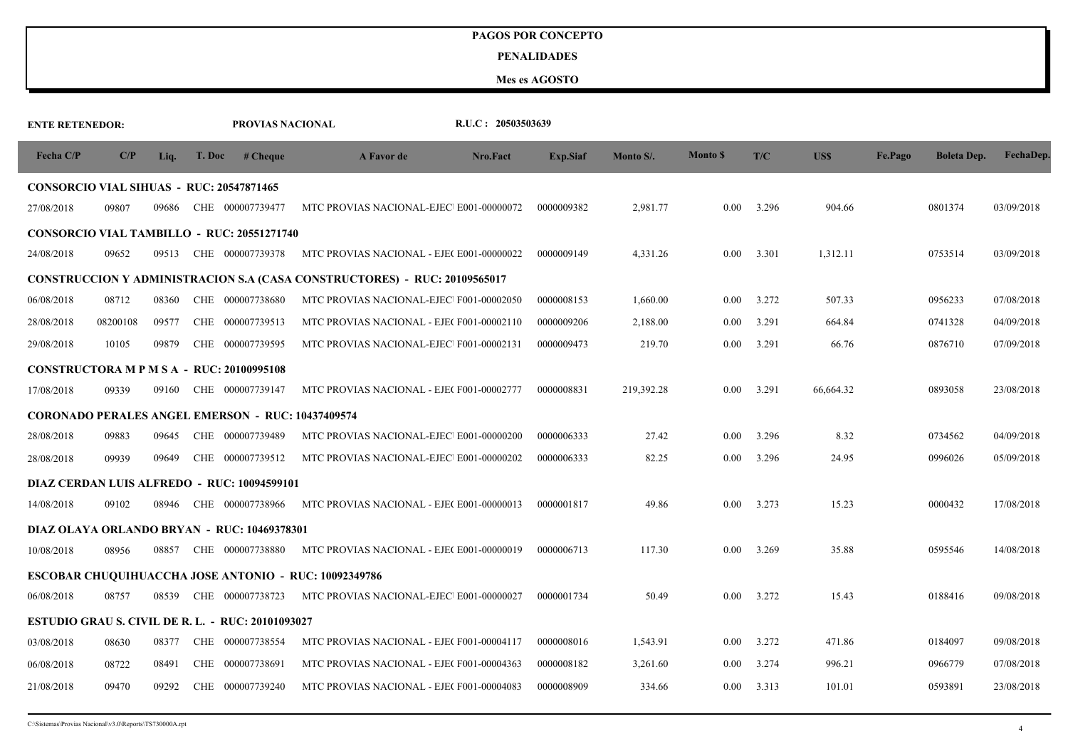#### **PENALIDADES**

| <b>ENTE RETENEDOR:</b>                          |          |       |        | PROVIAS NACIONAL                                         |                                                                           | R.U.C: 20503503639 |            |            |                 |       |           |         |                    |            |
|-------------------------------------------------|----------|-------|--------|----------------------------------------------------------|---------------------------------------------------------------------------|--------------------|------------|------------|-----------------|-------|-----------|---------|--------------------|------------|
| Fecha C/P                                       | C/P      | Liq.  | T. Doc | # <b>Change</b>                                          | A Favor de                                                                | Nro.Fact           | Exp.Siaf   | Monto S/.  | <b>Monto \$</b> | T/C   | US\$      | Fe.Pago | <b>Boleta Dep.</b> | FechaDep.  |
| <b>CONSORCIO VIAL SIHUAS - RUC: 20547871465</b> |          |       |        |                                                          |                                                                           |                    |            |            |                 |       |           |         |                    |            |
| 27/08/2018                                      | 09807    | 09686 |        | CHE 000007739477                                         | MTC PROVIAS NACIONAL-EJEC E001-00000072                                   |                    | 0000009382 | 2,981.77   | 0.00            | 3.296 | 904.66    |         | 0801374            | 03/09/2018 |
|                                                 |          |       |        | CONSORCIO VIAL TAMBILLO - RUC: 20551271740               |                                                                           |                    |            |            |                 |       |           |         |                    |            |
| 24/08/2018                                      | 09652    | 09513 |        | CHE 000007739378                                         | MTC PROVIAS NACIONAL - EJE(E001-00000022                                  |                    | 0000009149 | 4,331.26   | 0.00            | 3.301 | 1,312.11  |         | 0753514            | 03/09/2018 |
|                                                 |          |       |        |                                                          | CONSTRUCCION Y ADMINISTRACION S.A (CASA CONSTRUCTORES) - RUC: 20109565017 |                    |            |            |                 |       |           |         |                    |            |
| 06/08/2018                                      | 08712    | 08360 |        | CHE 000007738680                                         | MTC PROVIAS NACIONAL-EJEC F001-00002050                                   |                    | 0000008153 | 1,660.00   | 0.00            | 3.272 | 507.33    |         | 0956233            | 07/08/2018 |
| 28/08/2018                                      | 08200108 | 09577 |        | CHE 000007739513                                         | MTC PROVIAS NACIONAL - EJE(F001-00002110                                  |                    | 0000009206 | 2,188.00   | 0.00            | 3.291 | 664.84    |         | 0741328            | 04/09/2018 |
| 29/08/2018                                      | 10105    | 09879 |        | CHE 000007739595                                         | MTC PROVIAS NACIONAL-EJEC F001-00002131                                   |                    | 0000009473 | 219.70     | 0.00            | 3.291 | 66.76     |         | 0876710            | 07/09/2018 |
|                                                 |          |       |        | <b>CONSTRUCTORA M P M S A - RUC: 20100995108</b>         |                                                                           |                    |            |            |                 |       |           |         |                    |            |
| 17/08/2018                                      | 09339    | 09160 |        | CHE 000007739147                                         | MTC PROVIAS NACIONAL - EJE(F001-00002777                                  |                    | 0000008831 | 219,392.28 | 0.00            | 3.291 | 66,664.32 |         | 0893058            | 23/08/2018 |
|                                                 |          |       |        | <b>CORONADO PERALES ANGEL EMERSON - RUC: 10437409574</b> |                                                                           |                    |            |            |                 |       |           |         |                    |            |
| 28/08/2018                                      | 09883    | 09645 |        | CHE 000007739489                                         | MTC PROVIAS NACIONAL-EJEC E001-00000200                                   |                    | 0000006333 | 27.42      | 0.00            | 3.296 | 8.32      |         | 0734562            | 04/09/2018 |
| 28/08/2018                                      | 09939    | 09649 |        | CHE 000007739512                                         | MTC PROVIAS NACIONAL-EJEC E001-00000202                                   |                    | 0000006333 | 82.25      | 0.00            | 3.296 | 24.95     |         | 0996026            | 05/09/2018 |
|                                                 |          |       |        | DIAZ CERDAN LUIS ALFREDO - RUC: 10094599101              |                                                                           |                    |            |            |                 |       |           |         |                    |            |
| 14/08/2018                                      | 09102    | 08946 |        | CHE 000007738966                                         | MTC PROVIAS NACIONAL - EJE(E001-00000013                                  |                    | 0000001817 | 49.86      | 0.00            | 3.273 | 15.23     |         | 0000432            | 17/08/2018 |
|                                                 |          |       |        | DIAZ OLAYA ORLANDO BRYAN - RUC: 10469378301              |                                                                           |                    |            |            |                 |       |           |         |                    |            |
| 10/08/2018                                      | 08956    | 08857 |        | CHE 000007738880                                         | MTC PROVIAS NACIONAL - EJE(E001-00000019                                  |                    | 0000006713 | 117.30     | 0.00            | 3.269 | 35.88     |         | 0595546            | 14/08/2018 |
|                                                 |          |       |        |                                                          | <b>ESCOBAR CHUQUIHUACCHA JOSE ANTONIO - RUC: 10092349786</b>              |                    |            |            |                 |       |           |         |                    |            |
| 06/08/2018                                      | 08757    | 08539 |        | CHE 000007738723                                         | MTC PROVIAS NACIONAL-EJEC E001-00000027                                   |                    | 0000001734 | 50.49      | 0.00            | 3.272 | 15.43     |         | 0188416            | 09/08/2018 |
|                                                 |          |       |        | <b>ESTUDIO GRAU S. CIVIL DE R. L. - RUC: 20101093027</b> |                                                                           |                    |            |            |                 |       |           |         |                    |            |
| 03/08/2018                                      | 08630    | 08377 |        | CHE 000007738554                                         | MTC PROVIAS NACIONAL - EJE(F001-00004117                                  |                    | 0000008016 | 1,543.91   | 0.00            | 3.272 | 471.86    |         | 0184097            | 09/08/2018 |
| 06/08/2018                                      | 08722    | 08491 |        | CHE 000007738691                                         | MTC PROVIAS NACIONAL - EJE(F001-00004363                                  |                    | 0000008182 | 3,261.60   | 0.00            | 3.274 | 996.21    |         | 0966779            | 07/08/2018 |
| 21/08/2018                                      | 09470    | 09292 |        | CHE 000007739240                                         | MTC PROVIAS NACIONAL - EJE(F001-00004083                                  |                    | 0000008909 | 334.66     | 0.00            | 3.313 | 101.01    |         | 0593891            | 23/08/2018 |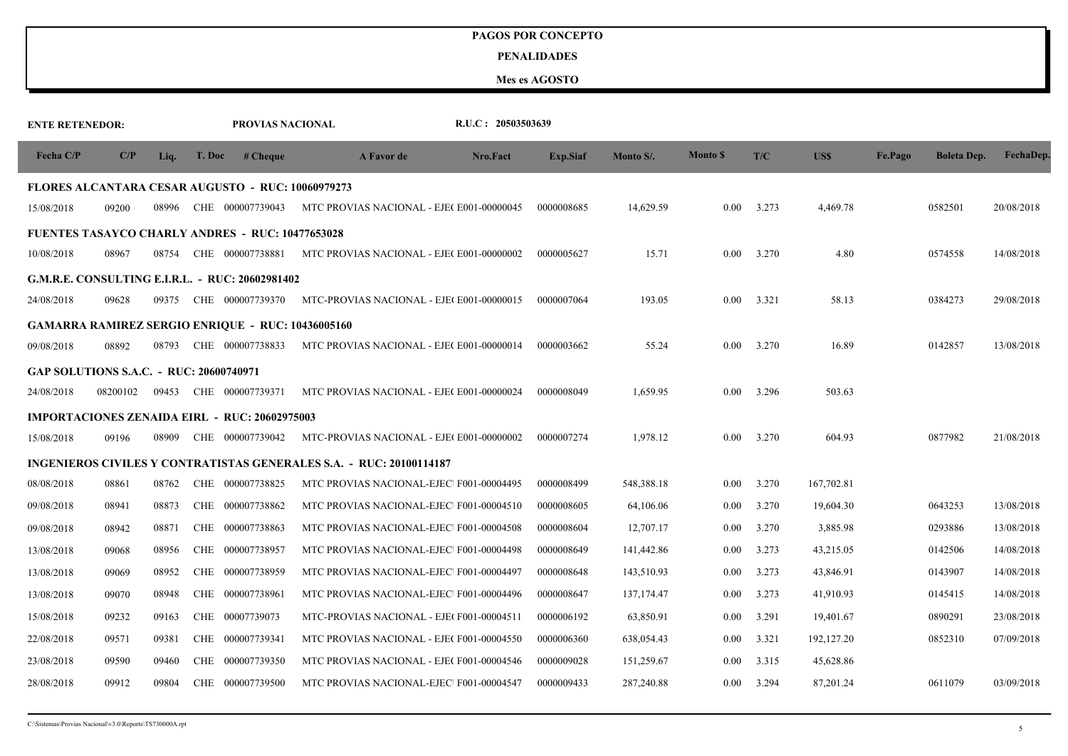#### **PENALIDADES**

| <b>ENTE RETENEDOR:</b>                         |          |       |            | PROVIAS NACIONAL                                         |                                                                            | R.U.C: 20503503639 |                 |              |                 |       |             |         |                    |            |
|------------------------------------------------|----------|-------|------------|----------------------------------------------------------|----------------------------------------------------------------------------|--------------------|-----------------|--------------|-----------------|-------|-------------|---------|--------------------|------------|
| Fecha C/P                                      | C/P      | Liq.  | T. Doc     | # <b>Change</b>                                          | A Favor de                                                                 | Nro.Fact           | <b>Exp.Siaf</b> | Monto S/.    | <b>Monto \$</b> | T/C   | US\$        | Fe.Pago | <b>Boleta Dep.</b> | FechaDep.  |
|                                                |          |       |            | <b>FLORES ALCANTARA CESAR AUGUSTO - RUC: 10060979273</b> |                                                                            |                    |                 |              |                 |       |             |         |                    |            |
| 15/08/2018                                     | 09200    | 08996 |            | CHE 000007739043                                         | MTC PROVIAS NACIONAL - EJE(E001-00000045                                   |                    | 0000008685      | 14,629.59    | 0.00            | 3.273 | 4,469.78    |         | 0582501            | 20/08/2018 |
|                                                |          |       |            | <b>FUENTES TASAYCO CHARLY ANDRES - RUC: 10477653028</b>  |                                                                            |                    |                 |              |                 |       |             |         |                    |            |
| 10/08/2018                                     | 08967    | 08754 |            | CHE 000007738881                                         | MTC PROVIAS NACIONAL - EJE(E001-00000002                                   |                    | 0000005627      | 15.71        | 0.00            | 3.270 | 4.80        |         | 0574558            | 14/08/2018 |
|                                                |          |       |            | G.M.R.E. CONSULTING E.I.R.L. - RUC: 20602981402          |                                                                            |                    |                 |              |                 |       |             |         |                    |            |
| 24/08/2018                                     | 09628    | 09375 |            | CHE 000007739370                                         | MTC-PROVIAS NACIONAL - EJE(E001-00000015                                   |                    | 0000007064      | 193.05       | 0.00            | 3.321 | 58.13       |         | 0384273            | 29/08/2018 |
|                                                |          |       |            | <b>GAMARRA RAMIREZ SERGIO ENRIQUE - RUC: 10436005160</b> |                                                                            |                    |                 |              |                 |       |             |         |                    |            |
| 09/08/2018                                     | 08892    | 08793 |            | CHE 000007738833                                         | MTC PROVIAS NACIONAL - EJE(E001-00000014                                   |                    | 0000003662      | 55.24        | 0.00            | 3.270 | 16.89       |         | 0142857            | 13/08/2018 |
| <b>GAP SOLUTIONS S.A.C. - RUC: 20600740971</b> |          |       |            |                                                          |                                                                            |                    |                 |              |                 |       |             |         |                    |            |
| 24/08/2018                                     | 08200102 | 09453 |            | CHE 000007739371                                         | MTC PROVIAS NACIONAL - EJE(E001-00000024                                   |                    | 0000008049      | 1,659.95     | 0.00            | 3.296 | 503.63      |         |                    |            |
|                                                |          |       |            | <b>IMPORTACIONES ZENAIDA EIRL - RUC: 20602975003</b>     |                                                                            |                    |                 |              |                 |       |             |         |                    |            |
| 15/08/2018                                     | 09196    | 08909 |            | CHE 000007739042                                         | MTC-PROVIAS NACIONAL - EJE(E001-00000002                                   |                    | 0000007274      | 1,978.12     | 0.00            | 3.270 | 604.93      |         | 0877982            | 21/08/2018 |
|                                                |          |       |            |                                                          | <b>INGENIEROS CIVILES Y CONTRATISTAS GENERALES S.A. - RUC: 20100114187</b> |                    |                 |              |                 |       |             |         |                    |            |
| 08/08/2018                                     | 08861    | 08762 |            | CHE 000007738825                                         | MTC PROVIAS NACIONAL-EJEC F001-00004495                                    |                    | 0000008499      | 548,388.18   | 0.00            | 3.270 | 167,702.81  |         |                    |            |
| 09/08/2018                                     | 08941    | 08873 | CHE        | 000007738862                                             | MTC PROVIAS NACIONAL-EJEC F001-00004510                                    |                    | 0000008605      | 64,106.06    | 0.00            | 3.270 | 19,604.30   |         | 0643253            | 13/08/2018 |
| 09/08/2018                                     | 08942    | 08871 | CHE        | 000007738863                                             | MTC PROVIAS NACIONAL-EJEC F001-00004508                                    |                    | 0000008604      | 12,707.17    | 0.00            | 3.270 | 3,885.98    |         | 0293886            | 13/08/2018 |
| 13/08/2018                                     | 09068    | 08956 | CHE        | 000007738957                                             | MTC PROVIAS NACIONAL-EJEC F001-00004498                                    |                    | 0000008649      | 141,442.86   | 0.00            | 3.273 | 43,215.05   |         | 0142506            | 14/08/2018 |
| 13/08/2018                                     | 09069    | 08952 |            | CHE 000007738959                                         | MTC PROVIAS NACIONAL-EJEC F001-00004497                                    |                    | 0000008648      | 143,510.93   | 0.00            | 3.273 | 43,846.91   |         | 0143907            | 14/08/2018 |
| 13/08/2018                                     | 09070    | 08948 | CHE        | 000007738961                                             | MTC PROVIAS NACIONAL-EJEC F001-00004496                                    |                    | 0000008647      | 137, 174. 47 | 0.00            | 3.273 | 41,910.93   |         | 0145415            | 14/08/2018 |
| 15/08/2018                                     | 09232    | 09163 |            | CHE 00007739073                                          | MTC-PROVIAS NACIONAL - EJE(F001-00004511                                   |                    | 0000006192      | 63,850.91    | 0.00            | 3.291 | 19,401.67   |         | 0890291            | 23/08/2018 |
| 22/08/2018                                     | 09571    | 09381 | <b>CHE</b> | 000007739341                                             | MTC PROVIAS NACIONAL - EJE(F001-00004550                                   |                    | 0000006360      | 638,054.43   | 0.00            | 3.321 | 192, 127.20 |         | 0852310            | 07/09/2018 |
| 23/08/2018                                     | 09590    | 09460 |            | CHE 000007739350                                         | MTC PROVIAS NACIONAL - EJE(F001-00004546                                   |                    | 0000009028      | 151,259.67   | 0.00            | 3.315 | 45,628.86   |         |                    |            |
| 28/08/2018                                     | 09912    | 09804 |            | CHE 000007739500                                         | MTC PROVIAS NACIONAL-EJEC F001-00004547                                    |                    | 0000009433      | 287,240.88   | 0.00            | 3.294 | 87,201.24   |         | 0611079            | 03/09/2018 |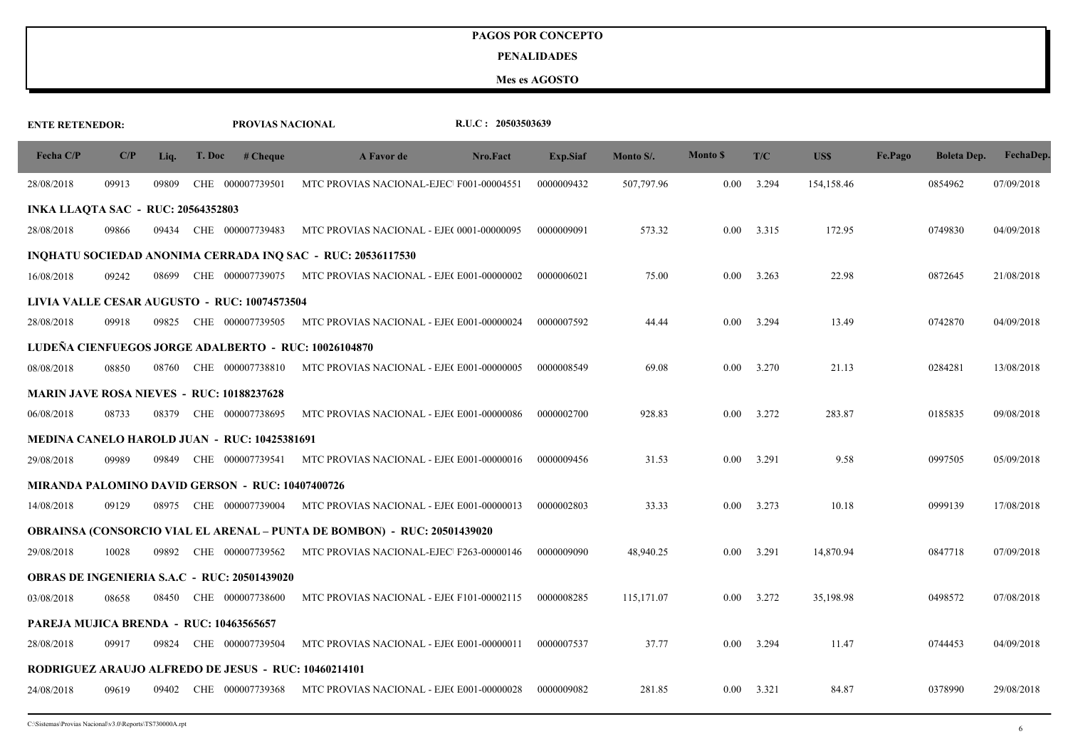#### **PENALIDADES**

| <b>ENTE RETENEDOR:</b>                           |       |       |        | PROVIAS NACIONAL                                        |                                                                                 | R.U.C: 20503503639 |            |            |                 |                    |            |         |                    |            |
|--------------------------------------------------|-------|-------|--------|---------------------------------------------------------|---------------------------------------------------------------------------------|--------------------|------------|------------|-----------------|--------------------|------------|---------|--------------------|------------|
| Fecha C/P                                        | C/P   | Liq.  | T. Doc | # <b>Change</b>                                         | A Favor de                                                                      | Nro.Fact           | Exp.Siaf   | Monto S/.  | <b>Monto</b> \$ | T/C                | US\$       | Fe.Pago | <b>Boleta Dep.</b> | FechaDep.  |
| 28/08/2018                                       | 09913 | 09809 |        | CHE 000007739501                                        | MTC PROVIAS NACIONAL-EJEC F001-00004551                                         |                    | 0000009432 | 507,797.96 | 0.00            | 3.294              | 154,158.46 |         | 0854962            | 07/09/2018 |
| <b>INKA LLAQTA SAC - RUC: 20564352803</b>        |       |       |        |                                                         |                                                                                 |                    |            |            |                 |                    |            |         |                    |            |
| 28/08/2018                                       | 09866 | 09434 |        | CHE 000007739483                                        | MTC PROVIAS NACIONAL - EJE( 0001-00000095                                       |                    | 0000009091 | 573.32     | 0.00            | 3.315              | 172.95     |         | 0749830            | 04/09/2018 |
|                                                  |       |       |        |                                                         | INQHATU SOCIEDAD ANONIMA CERRADA INQ SAC - RUC: 20536117530                     |                    |            |            |                 |                    |            |         |                    |            |
| 16/08/2018                                       | 09242 | 08699 |        |                                                         | CHE 000007739075 MTC PROVIAS NACIONAL - EJE(E001-00000002                       |                    | 0000006021 | 75.00      | 0.00            | 3.263              | 22.98      |         | 0872645            | 21/08/2018 |
|                                                  |       |       |        | LIVIA VALLE CESAR AUGUSTO - RUC: 10074573504            |                                                                                 |                    |            |            |                 |                    |            |         |                    |            |
| 28/08/2018                                       | 09918 | 09825 |        | CHE 000007739505                                        | MTC PROVIAS NACIONAL - EJE( E001-00000024                                       |                    | 0000007592 | 44.44      | 0.00            | 3.294              | 13.49      |         | 0742870            | 04/09/2018 |
|                                                  |       |       |        |                                                         | LUDEÑA CIENFUEGOS JORGE ADALBERTO - RUC: 10026104870                            |                    |            |            |                 |                    |            |         |                    |            |
| 08/08/2018                                       | 08850 | 08760 |        | CHE 000007738810                                        | MTC PROVIAS NACIONAL - EJE(E001-00000005                                        |                    | 0000008549 | 69.08      | 0.00            | 3.270              | 21.13      |         | 0284281            | 13/08/2018 |
| <b>MARIN JAVE ROSA NIEVES - RUC: 10188237628</b> |       |       |        |                                                         |                                                                                 |                    |            |            |                 |                    |            |         |                    |            |
| 06/08/2018                                       | 08733 | 08379 |        | CHE 000007738695                                        | MTC PROVIAS NACIONAL - EJE(E001-00000086                                        |                    | 0000002700 | 928.83     | 0.00            | 3.272              | 283.87     |         | 0185835            | 09/08/2018 |
|                                                  |       |       |        | <b>MEDINA CANELO HAROLD JUAN - RUC: 10425381691</b>     |                                                                                 |                    |            |            |                 |                    |            |         |                    |            |
| 29/08/2018                                       | 09989 | 09849 |        |                                                         | CHE 000007739541 MTC PROVIAS NACIONAL - EJE(E001-00000016                       |                    | 0000009456 | 31.53      | 0.00            | 3.291              | 9.58       |         | 0997505            | 05/09/2018 |
|                                                  |       |       |        | <b>MIRANDA PALOMINO DAVID GERSON - RUC: 10407400726</b> |                                                                                 |                    |            |            |                 |                    |            |         |                    |            |
| 14/08/2018                                       | 09129 | 08975 |        | CHE 000007739004                                        | MTC PROVIAS NACIONAL - EJE(E001-00000013                                        |                    | 0000002803 | 33.33      | $0.00\,$        | 3.273              | 10.18      |         | 0999139            | 17/08/2018 |
|                                                  |       |       |        |                                                         | <b>OBRAINSA (CONSORCIO VIAL EL ARENAL – PUNTA DE BOMBON) - RUC: 20501439020</b> |                    |            |            |                 |                    |            |         |                    |            |
| 29/08/2018                                       | 10028 | 09892 |        | CHE 000007739562                                        | MTC PROVIAS NACIONAL-EJEC F263-00000146                                         |                    | 0000009090 | 48,940.25  | $0.00\,$        | 3.291              | 14,870.94  |         | 0847718            | 07/09/2018 |
|                                                  |       |       |        | <b>OBRAS DE INGENIERIA S.A.C - RUC: 20501439020</b>     |                                                                                 |                    |            |            |                 |                    |            |         |                    |            |
| 03/08/2018                                       | 08658 | 08450 |        | CHE 000007738600                                        | MTC PROVIAS NACIONAL - EJE(F101-00002115                                        |                    | 0000008285 | 115,171.07 | $0.00\,$        | 3.272              | 35,198.98  |         | 0498572            | 07/08/2018 |
| PAREJA MUJICA BRENDA - RUC: 10463565657          |       |       |        |                                                         |                                                                                 |                    |            |            |                 |                    |            |         |                    |            |
| 28/08/2018                                       | 09917 | 09824 |        | CHE 000007739504                                        | MTC PROVIAS NACIONAL - EJE(E001-00000011                                        |                    | 0000007537 | 37.77      | 0.00            | 3.294              | 11.47      |         | 0744453            | 04/09/2018 |
|                                                  |       |       |        |                                                         | RODRIGUEZ ARAUJO ALFREDO DE JESUS - RUC: 10460214101                            |                    |            |            |                 |                    |            |         |                    |            |
| 24/08/2018                                       | 09619 | 09402 |        | CHE 000007739368                                        | MTC PROVIAS NACIONAL - EJE(E001-00000028                                        |                    | 0000009082 | 281.85     |                 | $0.00 \quad 3.321$ | 84.87      |         | 0378990            | 29/08/2018 |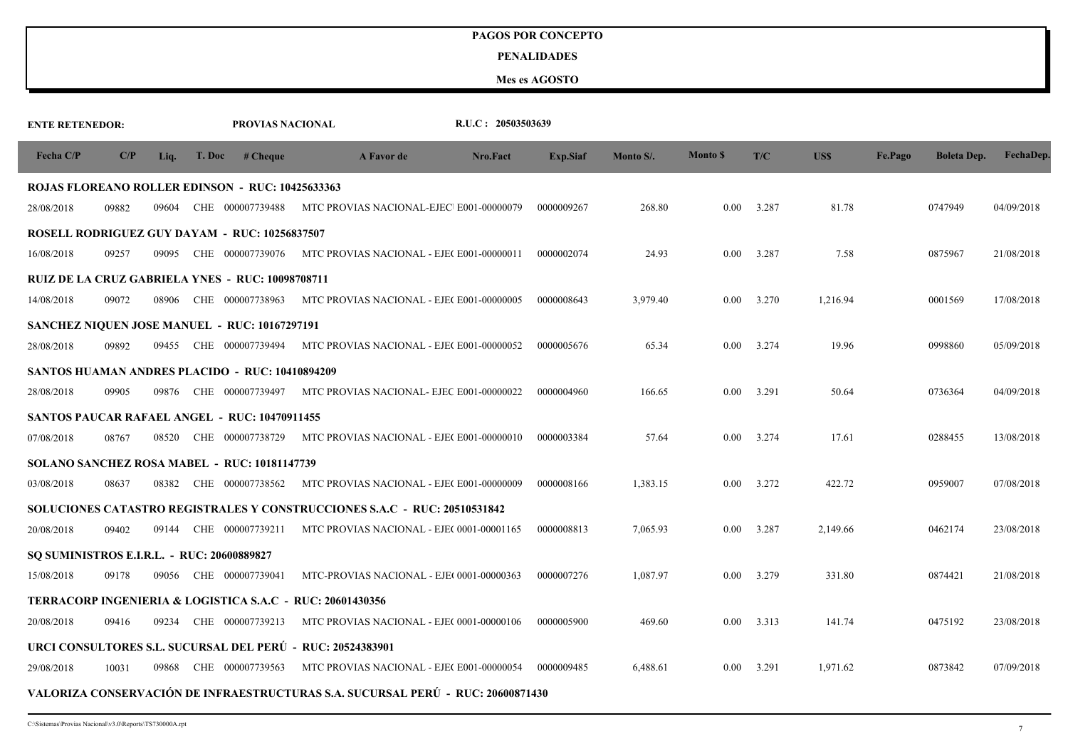#### **PENALIDADES**

| <b>ENTE RETENEDOR:</b>                            |       |       | PROVIAS NACIONAL                                        |                                                                                 | R.U.C: 20503503639 |                 |           |                 |       |          |         |                    |            |
|---------------------------------------------------|-------|-------|---------------------------------------------------------|---------------------------------------------------------------------------------|--------------------|-----------------|-----------|-----------------|-------|----------|---------|--------------------|------------|
| Fecha C/P                                         | C/P   | Liq.  | T. Doc # Cheque                                         | A Favor de                                                                      | Nro.Fact           | <b>Exp.Siaf</b> | Monto S/. | <b>Monto</b> \$ | T/C   | US\$     | Fe.Pago | <b>Boleta Dep.</b> | FechaDep.  |
|                                                   |       |       | ROJAS FLOREANO ROLLER EDINSON - RUC: 10425633363        |                                                                                 |                    |                 |           |                 |       |          |         |                    |            |
| 28/08/2018                                        | 09882 | 09604 | CHE 000007739488                                        | MTC PROVIAS NACIONAL-EJEC E001-00000079                                         |                    | 0000009267      | 268.80    | 0.00            | 3.287 | 81.78    |         | 0747949            | 04/09/2018 |
|                                                   |       |       | <b>ROSELL RODRIGUEZ GUY DAYAM - RUC: 10256837507</b>    |                                                                                 |                    |                 |           |                 |       |          |         |                    |            |
| 16/08/2018                                        | 09257 | 09095 |                                                         | CHE 000007739076 MTC PROVIAS NACIONAL - EJE(E001-00000011                       |                    | 0000002074      | 24.93     | 0.00            | 3.287 | 7.58     |         | 0875967            | 21/08/2018 |
|                                                   |       |       | <b>RUIZ DE LA CRUZ GABRIELA YNES - RUC: 10098708711</b> |                                                                                 |                    |                 |           |                 |       |          |         |                    |            |
| 14/08/2018                                        | 09072 | 08906 | CHE 000007738963                                        | MTC PROVIAS NACIONAL - EJE(E001-00000005                                        |                    | 0000008643      | 3,979.40  | 0.00            | 3.270 | 1,216.94 |         | 0001569            | 17/08/2018 |
|                                                   |       |       | SANCHEZ NIQUEN JOSE MANUEL - RUC: 10167297191           |                                                                                 |                    |                 |           |                 |       |          |         |                    |            |
| 28/08/2018                                        | 09892 | 09455 | CHE 000007739494                                        | MTC PROVIAS NACIONAL - EJE(E001-00000052                                        |                    | 0000005676      | 65.34     | 0.00            | 3.274 | 19.96    |         | 0998860            | 05/09/2018 |
|                                                   |       |       | <b>SANTOS HUAMAN ANDRES PLACIDO - RUC: 10410894209</b>  |                                                                                 |                    |                 |           |                 |       |          |         |                    |            |
| 28/08/2018                                        | 09905 | 09876 | CHE 000007739497                                        | MTC PROVIAS NACIONAL- EJEC E001-00000022                                        |                    | 0000004960      | 166.65    | $0.00\,$        | 3.291 | 50.64    |         | 0736364            | 04/09/2018 |
|                                                   |       |       | <b>SANTOS PAUCAR RAFAEL ANGEL - RUC: 10470911455</b>    |                                                                                 |                    |                 |           |                 |       |          |         |                    |            |
| 07/08/2018                                        | 08767 | 08520 | CHE 000007738729                                        | MTC PROVIAS NACIONAL - EJE(E001-00000010                                        |                    | 0000003384      | 57.64     | 0.00            | 3.274 | 17.61    |         | 0288455            | 13/08/2018 |
|                                                   |       |       | SOLANO SANCHEZ ROSA MABEL - RUC: 10181147739            |                                                                                 |                    |                 |           |                 |       |          |         |                    |            |
| 03/08/2018                                        | 08637 | 08382 | CHE 000007738562                                        | MTC PROVIAS NACIONAL - EJE(E001-00000009                                        |                    | 0000008166      | 1,383.15  | $0.00\,$        | 3.272 | 422.72   |         | 0959007            | 07/08/2018 |
|                                                   |       |       |                                                         | SOLUCIONES CATASTRO REGISTRALES Y CONSTRUCCIONES S.A.C - RUC: 20510531842       |                    |                 |           |                 |       |          |         |                    |            |
| 20/08/2018                                        | 09402 | 09144 | CHE 000007739211                                        | MTC PROVIAS NACIONAL - EJE( 0001-00001165                                       |                    | 0000008813      | 7,065.93  | $0.00\,$        | 3.287 | 2,149.66 |         | 0462174            | 23/08/2018 |
| <b>SO SUMINISTROS E.I.R.L. - RUC: 20600889827</b> |       |       |                                                         |                                                                                 |                    |                 |           |                 |       |          |         |                    |            |
| 15/08/2018                                        | 09178 | 09056 | CHE 000007739041                                        | MTC-PROVIAS NACIONAL - EJE( 0001-00000363                                       |                    | 0000007276      | 1,087.97  | 0.00            | 3.279 | 331.80   |         | 0874421            | 21/08/2018 |
|                                                   |       |       |                                                         | TERRACORP INGENIERIA & LOGISTICA S.A.C - RUC: 20601430356                       |                    |                 |           |                 |       |          |         |                    |            |
| 20/08/2018                                        | 09416 | 09234 | CHE 000007739213                                        | MTC PROVIAS NACIONAL - EJE( 0001-00000106                                       |                    | 0000005900      | 469.60    | 0.00            | 3.313 | 141.74   |         | 0475192            | 23/08/2018 |
|                                                   |       |       |                                                         | URCI CONSULTORES S.L. SUCURSAL DEL PERÚ - RUC: 20524383901                      |                    |                 |           |                 |       |          |         |                    |            |
| 29/08/2018                                        | 10031 | 09868 | CHE 000007739563                                        | MTC PROVIAS NACIONAL - EJE(E001-00000054                                        |                    | 0000009485      | 6,488.61  | 0.00            | 3.291 | 1,971.62 |         | 0873842            | 07/09/2018 |
|                                                   |       |       |                                                         | VALORIZA CONSERVACIÓN DE INFRAESTRUCTURAS S.A. SUCURSAL PERÚ - RUC: 20600871430 |                    |                 |           |                 |       |          |         |                    |            |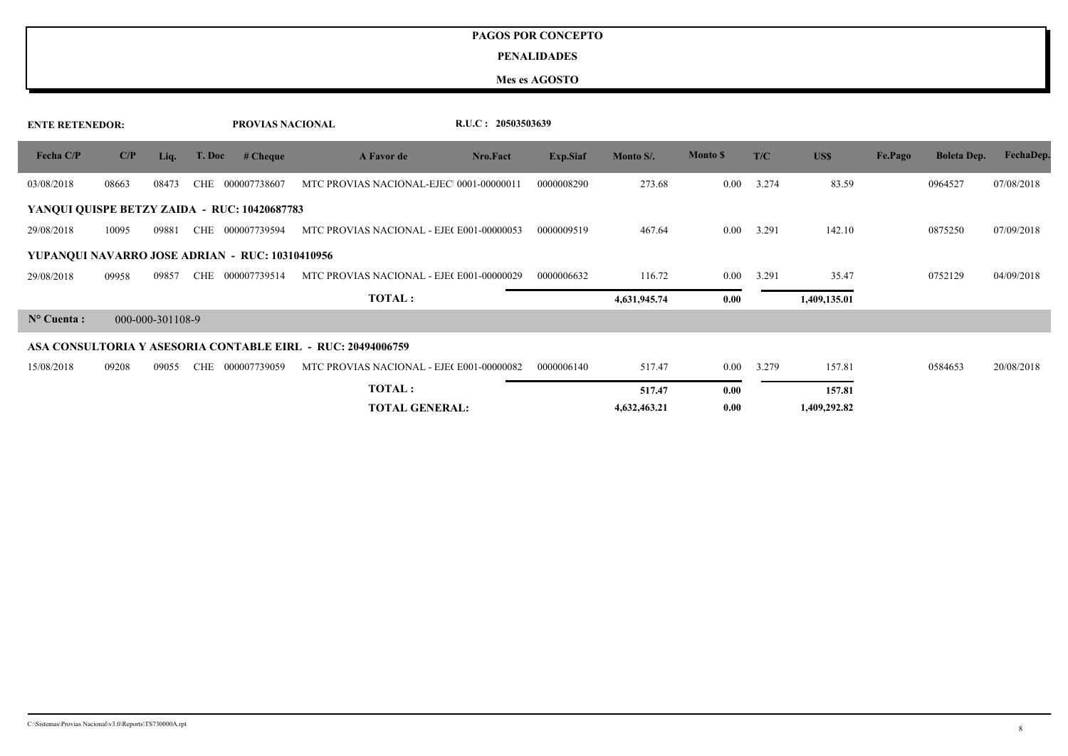### **PENALIDADES**

| <b>ENTE RETENEDOR:</b>                          |       |                  |            | PROVIAS NACIONAL |                                                             | R.U.C: 20503503639 |            |              |                |       |              |         |                    |            |
|-------------------------------------------------|-------|------------------|------------|------------------|-------------------------------------------------------------|--------------------|------------|--------------|----------------|-------|--------------|---------|--------------------|------------|
| Fecha C/P                                       | C/P   | Liq.             | T. Doc     | # <b>Change</b>  | A Favor de                                                  | Nro.Fact           | Exp.Siaf   | Monto S/.    | <b>Monto S</b> | T/C   | US\$         | Fe.Pago | <b>Boleta Dep.</b> | FechaDep.  |
| 03/08/2018                                      | 08663 | 08473            | <b>CHE</b> | 000007738607     | MTC PROVIAS NACIONAL-EJEC 0001-00000011                     |                    | 0000008290 | 273.68       | $0.00\,$       | 3.274 | 83.59        |         | 0964527            | 07/08/2018 |
| YANQUI QUISPE BETZY ZAIDA - RUC: 10420687783    |       |                  |            |                  |                                                             |                    |            |              |                |       |              |         |                    |            |
| 29/08/2018                                      | 10095 | 09881            | <b>CHE</b> | 000007739594     | MTC PROVIAS NACIONAL - EJE(E001-00000053                    |                    | 0000009519 | 467.64       | $0.00\,$       | 3.291 | 142.10       |         | 0875250            | 07/09/2018 |
| YUPANQUI NAVARRO JOSE ADRIAN - RUC: 10310410956 |       |                  |            |                  |                                                             |                    |            |              |                |       |              |         |                    |            |
| 29/08/2018                                      | 09958 | 09857            | CHE        | 000007739514     | MTC PROVIAS NACIONAL - EJE(E001-00000029                    |                    | 0000006632 | 116.72       | $0.00\,$       | 3.291 | 35.47        |         | 0752129            | 04/09/2018 |
|                                                 |       |                  |            |                  | <b>TOTAL:</b>                                               |                    |            | 4,631,945.74 | 0.00           |       | 1,409,135.01 |         |                    |            |
| $N^{\circ}$ Cuenta :                            |       | 000-000-301108-9 |            |                  |                                                             |                    |            |              |                |       |              |         |                    |            |
|                                                 |       |                  |            |                  | ASA CONSULTORIA Y ASESORIA CONTABLE EIRL - RUC: 20494006759 |                    |            |              |                |       |              |         |                    |            |
| 15/08/2018                                      | 09208 | 09055            | <b>CHE</b> | 000007739059     | MTC PROVIAS NACIONAL - EJE(E001-00000082                    |                    | 0000006140 | 517.47       | $0.00\,$       | 3.279 | 157.81       |         | 0584653            | 20/08/2018 |
|                                                 |       |                  |            |                  | <b>TOTAL:</b>                                               |                    |            | 517.47       | 0.00           |       | 157.81       |         |                    |            |
|                                                 |       |                  |            |                  | <b>TOTAL GENERAL:</b>                                       |                    |            | 4,632,463.21 | 0.00           |       | 1,409,292.82 |         |                    |            |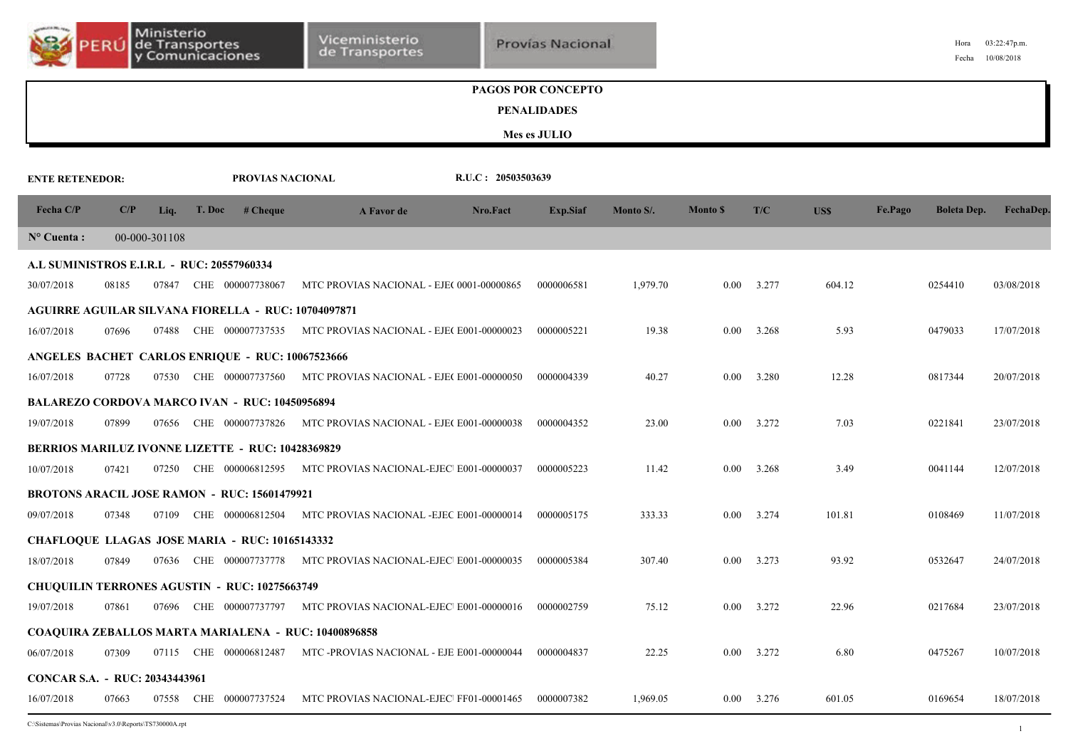|                                                   | PERÚ  | Ministerio<br>de Transportes |        | y Comunicaciones                                           | Viceministerio<br>de Transportes                               |                    | <b>Provias Nacional</b> |           |                 |                    |        |         | Hora<br>Fecha      | 03:22:47p.m.<br>10/08/2018 |
|---------------------------------------------------|-------|------------------------------|--------|------------------------------------------------------------|----------------------------------------------------------------|--------------------|-------------------------|-----------|-----------------|--------------------|--------|---------|--------------------|----------------------------|
|                                                   |       |                              |        |                                                            |                                                                |                    | PAGOS POR CONCEPTO      |           |                 |                    |        |         |                    |                            |
|                                                   |       |                              |        |                                                            |                                                                |                    | <b>PENALIDADES</b>      |           |                 |                    |        |         |                    |                            |
|                                                   |       |                              |        |                                                            |                                                                |                    | Mes es JULIO            |           |                 |                    |        |         |                    |                            |
| <b>ENTE RETENEDOR:</b>                            |       |                              |        | PROVIAS NACIONAL                                           |                                                                | R.U.C: 20503503639 |                         |           |                 |                    |        |         |                    |                            |
| Fecha C/P                                         | C/P   | Liq.                         | T. Doc | # Cheque                                                   | A Favor de                                                     | Nro.Fact           | <b>Exp.Siaf</b>         | Monto S/. | <b>Monto</b> \$ | T/C                | US\$   | Fe.Pago | <b>Boleta Dep.</b> | FechaDep.                  |
| $N^{\circ}$ Cuenta :                              |       | 00-000-301108                |        |                                                            |                                                                |                    |                         |           |                 |                    |        |         |                    |                            |
| <b>A.L SUMINISTROS E.I.R.L - RUC: 20557960334</b> |       |                              |        |                                                            |                                                                |                    |                         |           |                 |                    |        |         |                    |                            |
| 30/07/2018                                        | 08185 | 07847                        |        | CHE 000007738067                                           | MTC PROVIAS NACIONAL - EJE(0001-00000865                       |                    | 0000006581              | 1,979.70  | 0.00            | 3.277              | 604.12 |         | 0254410            | 03/08/2018                 |
|                                                   |       |                              |        | <b>AGUIRRE AGUILAR SILVANA FIORELLA - RUC: 10704097871</b> |                                                                |                    |                         |           |                 |                    |        |         |                    |                            |
| 16/07/2018                                        | 07696 | 07488                        |        |                                                            | CHE 000007737535 MTC PROVIAS NACIONAL - EJE(E001-00000023      |                    | 0000005221              | 19.38     | $0.00\,$        | 3.268              | 5.93   |         | 0479033            | 17/07/2018                 |
|                                                   |       |                              |        | ANGELES BACHET CARLOS ENRIQUE - RUC: 10067523666           |                                                                |                    |                         |           |                 |                    |        |         |                    |                            |
| 16/07/2018                                        | 07728 | 07530                        |        | CHE 000007737560                                           | MTC PROVIAS NACIONAL - EJE( E001-00000050                      |                    | 0000004339              | 40.27     | 0.00            | 3.280              | 12.28  |         | 0817344            | 20/07/2018                 |
|                                                   |       |                              |        | BALAREZO CORDOVA MARCO IVAN - RUC: 10450956894             |                                                                |                    |                         |           |                 |                    |        |         |                    |                            |
| 19/07/2018                                        | 07899 | 07656                        |        |                                                            | CHE 000007737826 MTC PROVIAS NACIONAL - EJE(E001-00000038      |                    | 0000004352              | 23.00     | $0.00\,$        | 3.272              | 7.03   |         | 0221841            | 23/07/2018                 |
|                                                   |       |                              |        | <b>BERRIOS MARILUZ IVONNE LIZETTE - RUC: 10428369829</b>   |                                                                |                    |                         |           |                 |                    |        |         |                    |                            |
| 10/07/2018                                        | 07421 | 07250                        |        |                                                            | CHE 000006812595 MTC PROVIAS NACIONAL-EJEC E001-00000037       |                    | 0000005223              | 11.42     | $0.00\,$        | 3.268              | 3.49   |         | 0041144            | 12/07/2018                 |
|                                                   |       |                              |        | <b>BROTONS ARACIL JOSE RAMON - RUC: 15601479921</b>        |                                                                |                    |                         |           |                 |                    |        |         |                    |                            |
| 09/07/2018                                        | 07348 | 07109                        |        | CHE 000006812504                                           | MTC PROVIAS NACIONAL -EJEC E001-00000014                       |                    | 0000005175              | 333.33    | $0.00\,$        | 3.274              | 101.81 |         | 0108469            | 11/07/2018                 |
|                                                   |       |                              |        | <b>CHAFLOQUE LLAGAS JOSE MARIA - RUC: 10165143332</b>      |                                                                |                    |                         |           |                 |                    |        |         |                    |                            |
| 18/07/2018                                        | 07849 | 07636                        |        | CHE 000007737778                                           | MTC PROVIAS NACIONAL-EJEC E001-00000035                        |                    | 0000005384              | 307.40    | $0.00\,$        | 3.273              | 93.92  |         | 0532647            | 24/07/2018                 |
|                                                   |       |                              |        | <b>CHUQUILIN TERRONES AGUSTIN - RUC: 10275663749</b>       |                                                                |                    |                         |           |                 |                    |        |         |                    |                            |
| 19/07/2018                                        | 07861 |                              |        |                                                            | 07696 CHE 000007737797 MTC PROVIAS NACIONAL-EJEC E001-00000016 |                    | 0000002759              | 75.12     |                 | $0.00$ 3.272       | 22.96  |         | 0217684            | 23/07/2018                 |
|                                                   |       |                              |        |                                                            | COAQUIRA ZEBALLOS MARTA MARIALENA - RUC: 10400896858           |                    |                         |           |                 |                    |        |         |                    |                            |
| 06/07/2018                                        | 07309 |                              |        | 07115 CHE 000006812487                                     | MTC -PROVIAS NACIONAL - EJE E001-00000044                      |                    | 0000004837              | 22.25     |                 | $0.00$ 3.272       | 6.80   |         | 0475267            | 10/07/2018                 |
| CONCAR S.A. - RUC: 20343443961                    |       |                              |        | 07558 CHE 000007737524                                     | MTC PROVIAS NACIONAL-EJEC FF01-00001465                        |                    | 0000007382              | 1,969.05  |                 |                    |        |         |                    | 18/07/2018                 |
| 16/07/2018                                        | 07663 |                              |        |                                                            |                                                                |                    |                         |           |                 | $0.00 \quad 3.276$ | 601.05 |         | 0169654            |                            |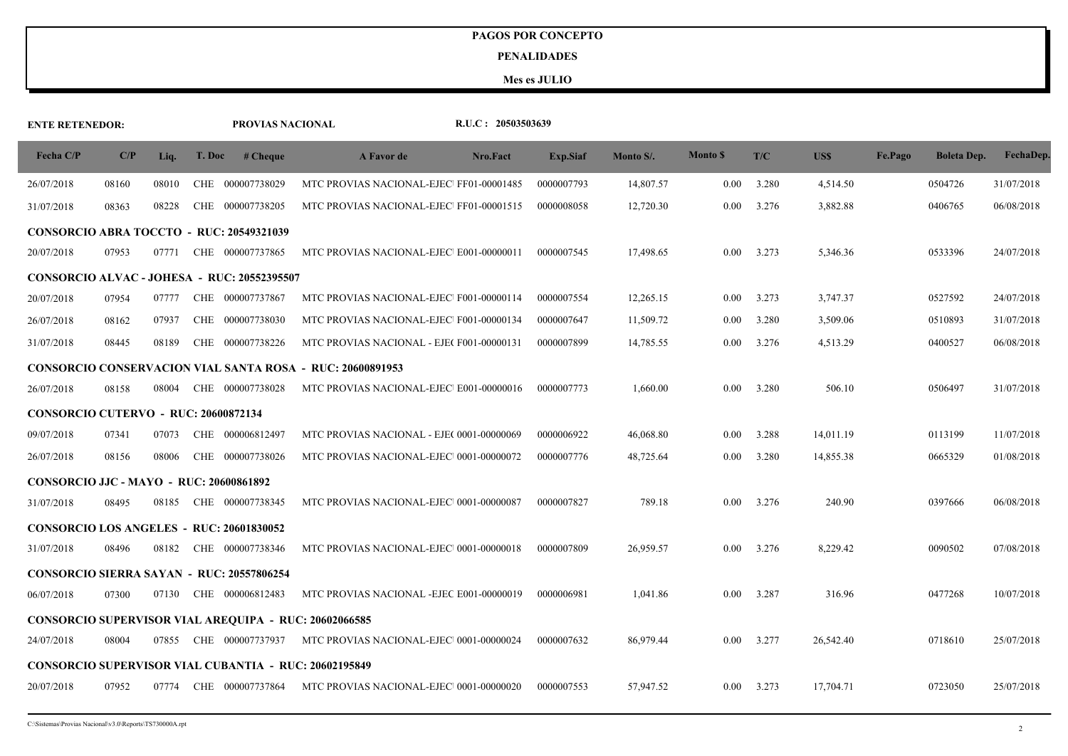## **PENALIDADES**

| <b>ENTE RETENEDOR:</b>                         |       |       |        | PROVIAS NACIONAL                                 |                                                                  | R.U.C: 20503503639 |            |           |                 |                    |           |         |                    |            |
|------------------------------------------------|-------|-------|--------|--------------------------------------------------|------------------------------------------------------------------|--------------------|------------|-----------|-----------------|--------------------|-----------|---------|--------------------|------------|
| Fecha C/P                                      | C/P   | Liq.  | T. Doc | # <b>Change</b>                                  | A Favor de                                                       | Nro.Fact           | Exp.Siaf   | Monto S/. | <b>Monto</b> \$ | T/C                | US\$      | Fe.Pago | <b>Boleta Dep.</b> | FechaDep.  |
| 26/07/2018                                     | 08160 | 08010 |        | CHE 000007738029                                 | MTC PROVIAS NACIONAL-EJEC FF01-00001485                          |                    | 0000007793 | 14,807.57 | 0.00            | 3.280              | 4,514.50  |         | 0504726            | 31/07/2018 |
| 31/07/2018                                     | 08363 | 08228 |        | CHE 000007738205                                 | MTC PROVIAS NACIONAL-EJEC FF01-00001515                          |                    | 0000008058 | 12,720.30 | 0.00            | 3.276              | 3,882.88  |         | 0406765            | 06/08/2018 |
|                                                |       |       |        | <b>CONSORCIO ABRA TOCCTO - RUC: 20549321039</b>  |                                                                  |                    |            |           |                 |                    |           |         |                    |            |
| 20/07/2018                                     | 07953 | 07771 |        | CHE 000007737865                                 | MTC PROVIAS NACIONAL-EJEC E001-00000011                          |                    | 0000007545 | 17,498.65 | 0.00            | 3.273              | 5,346.36  |         | 0533396            | 24/07/2018 |
|                                                |       |       |        | CONSORCIO ALVAC - JOHESA - RUC: 20552395507      |                                                                  |                    |            |           |                 |                    |           |         |                    |            |
| 20/07/2018                                     | 07954 | 07777 |        | CHE 000007737867                                 | MTC PROVIAS NACIONAL-EJEC F001-00000114                          |                    | 0000007554 | 12,265.15 | 0.00            | 3.273              | 3,747.37  |         | 0527592            | 24/07/2018 |
| 26/07/2018                                     | 08162 | 07937 | CHE    | 000007738030                                     | MTC PROVIAS NACIONAL-EJEC F001-00000134                          |                    | 0000007647 | 11,509.72 | 0.00            | 3.280              | 3,509.06  |         | 0510893            | 31/07/2018 |
| 31/07/2018                                     | 08445 | 08189 |        | CHE 000007738226                                 | MTC PROVIAS NACIONAL - EJE(F001-00000131                         |                    | 0000007899 | 14,785.55 | 0.00            | 3.276              | 4,513.29  |         | 0400527            | 06/08/2018 |
|                                                |       |       |        |                                                  | <b>CONSORCIO CONSERVACION VIAL SANTA ROSA - RUC: 20600891953</b> |                    |            |           |                 |                    |           |         |                    |            |
| 26/07/2018                                     | 08158 | 08004 |        | CHE 000007738028                                 | MTC PROVIAS NACIONAL-EJEC E001-00000016                          |                    | 0000007773 | 1,660.00  | 0.00            | 3.280              | 506.10    |         | 0506497            | 31/07/2018 |
| <b>CONSORCIO CUTERVO - RUC: 20600872134</b>    |       |       |        |                                                  |                                                                  |                    |            |           |                 |                    |           |         |                    |            |
| 09/07/2018                                     | 07341 | 07073 |        | CHE 000006812497                                 | MTC PROVIAS NACIONAL - EJE(0001-00000069                         |                    | 0000006922 | 46,068.80 | 0.00            | 3.288              | 14,011.19 |         | 0113199            | 11/07/2018 |
| 26/07/2018                                     | 08156 | 08006 |        | CHE 000007738026                                 | MTC PROVIAS NACIONAL-EJEC 0001-00000072                          |                    | 0000007776 | 48,725.64 | 0.00            | 3.280              | 14,855.38 |         | 0665329            | 01/08/2018 |
| <b>CONSORCIO JJC - MAYO - RUC: 20600861892</b> |       |       |        |                                                  |                                                                  |                    |            |           |                 |                    |           |         |                    |            |
| 31/07/2018                                     | 08495 | 08185 |        | CHE 000007738345                                 | MTC PROVIAS NACIONAL-EJEC 0001-00000087                          |                    | 0000007827 | 789.18    | 0.00            | 3.276              | 240.90    |         | 0397666            | 06/08/2018 |
| CONSORCIO LOS ANGELES - RUC: 20601830052       |       |       |        |                                                  |                                                                  |                    |            |           |                 |                    |           |         |                    |            |
| 31/07/2018                                     | 08496 | 08182 |        | CHE 000007738346                                 | MTC PROVIAS NACIONAL-EJEC 0001-00000018                          |                    | 0000007809 | 26,959.57 | 0.00            | 3.276              | 8,229.42  |         | 0090502            | 07/08/2018 |
|                                                |       |       |        | <b>CONSORCIO SIERRA SAYAN - RUC: 20557806254</b> |                                                                  |                    |            |           |                 |                    |           |         |                    |            |
| 06/07/2018                                     | 07300 | 07130 |        | CHE 000006812483                                 | MTC PROVIAS NACIONAL -EJEC E001-00000019                         |                    | 0000006981 | 1,041.86  | 0.00            | 3.287              | 316.96    |         | 0477268            | 10/07/2018 |
|                                                |       |       |        |                                                  | <b>CONSORCIO SUPERVISOR VIAL AREQUIPA - RUC: 20602066585</b>     |                    |            |           |                 |                    |           |         |                    |            |
| 24/07/2018                                     | 08004 | 07855 |        | CHE 000007737937                                 | MTC PROVIAS NACIONAL-EJEC 0001-00000024                          |                    | 0000007632 | 86,979.44 | 0.00            | 3.277              | 26,542.40 |         | 0718610            | 25/07/2018 |
|                                                |       |       |        |                                                  | <b>CONSORCIO SUPERVISOR VIAL CUBANTIA - RUC: 20602195849</b>     |                    |            |           |                 |                    |           |         |                    |            |
| 20/07/2018                                     | 07952 | 07774 |        | CHE 000007737864                                 | MTC PROVIAS NACIONAL-EJEC 0001-00000020                          |                    | 0000007553 | 57,947.52 |                 | $0.00 \quad 3.273$ | 17,704.71 |         | 0723050            | 25/07/2018 |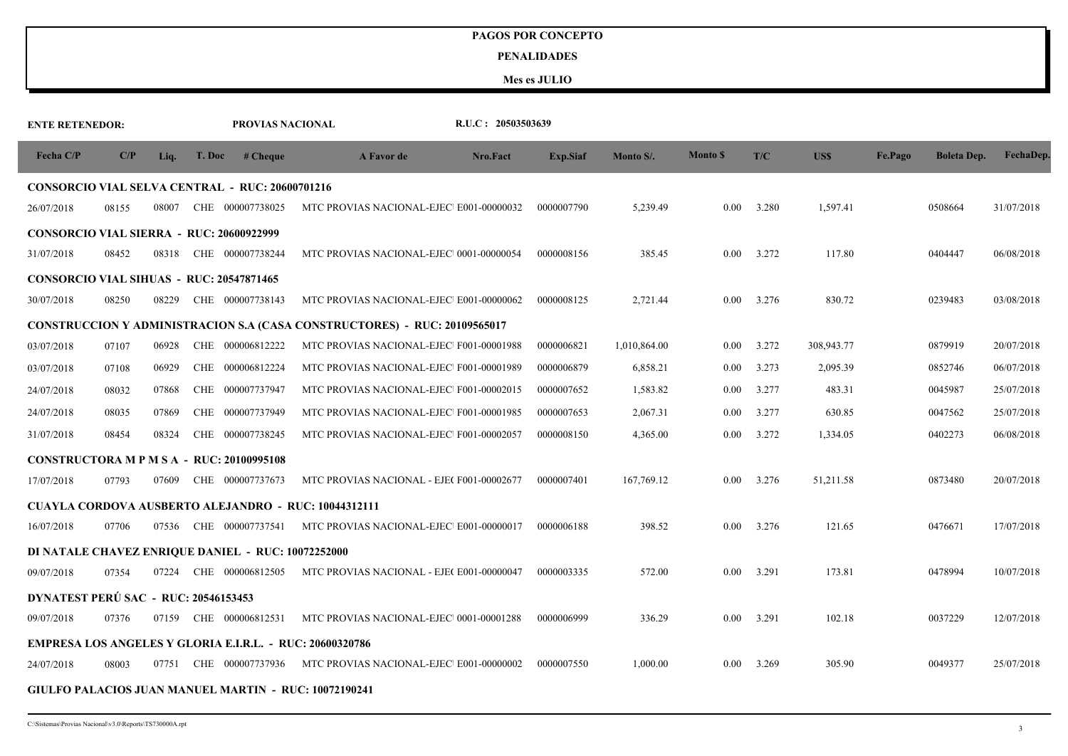#### **PENALIDADES**

| <b>ENTE RETENEDOR:</b>                           |       |       |        | PROVIAS NACIONAL                                          |                                                                           | R.U.C: 20503503639 |                 |              |                 |       |            |         |                    |            |
|--------------------------------------------------|-------|-------|--------|-----------------------------------------------------------|---------------------------------------------------------------------------|--------------------|-----------------|--------------|-----------------|-------|------------|---------|--------------------|------------|
| Fecha $C/P$                                      | C/P   | Liq.  | T. Doc | # Cheque                                                  | A Favor de                                                                | Nro.Fact           | <b>Exp.Siaf</b> | Monto S/.    | <b>Monto</b> \$ | T/C   | US\$       | Fe.Pago | <b>Boleta Dep.</b> | FechaDep.  |
|                                                  |       |       |        | <b>CONSORCIO VIAL SELVA CENTRAL - RUC: 20600701216</b>    |                                                                           |                    |                 |              |                 |       |            |         |                    |            |
| 26/07/2018                                       | 08155 | 08007 |        | CHE 000007738025                                          | MTC PROVIAS NACIONAL-EJEC E001-00000032                                   |                    | 0000007790      | 5,239.49     | $0.00\,$        | 3.280 | 1,597.41   |         | 0508664            | 31/07/2018 |
| <b>CONSORCIO VIAL SIERRA - RUC: 20600922999</b>  |       |       |        |                                                           |                                                                           |                    |                 |              |                 |       |            |         |                    |            |
| 31/07/2018                                       | 08452 | 08318 |        | CHE 000007738244                                          | MTC PROVIAS NACIONAL-EJEC 0001-00000054                                   |                    | 0000008156      | 385.45       | 0.00            | 3.272 | 117.80     |         | 0404447            | 06/08/2018 |
| <b>CONSORCIO VIAL SIHUAS - RUC: 20547871465</b>  |       |       |        |                                                           |                                                                           |                    |                 |              |                 |       |            |         |                    |            |
| 30/07/2018                                       | 08250 | 08229 |        | CHE 000007738143                                          | MTC PROVIAS NACIONAL-EJEC E001-00000062                                   |                    | 0000008125      | 2,721.44     | 0.00            | 3.276 | 830.72     |         | 0239483            | 03/08/2018 |
|                                                  |       |       |        |                                                           | CONSTRUCCION Y ADMINISTRACION S.A (CASA CONSTRUCTORES) - RUC: 20109565017 |                    |                 |              |                 |       |            |         |                    |            |
| 03/07/2018                                       | 07107 | 06928 |        | CHE 000006812222                                          | MTC PROVIAS NACIONAL-EJEC F001-00001988                                   |                    | 0000006821      | 1,010,864.00 | $0.00\,$        | 3.272 | 308,943.77 |         | 0879919            | 20/07/2018 |
| 03/07/2018                                       | 07108 | 06929 |        | CHE 000006812224                                          | MTC PROVIAS NACIONAL-EJEC F001-00001989                                   |                    | 0000006879      | 6,858.21     | 0.00            | 3.273 | 2,095.39   |         | 0852746            | 06/07/2018 |
| 24/07/2018                                       | 08032 | 07868 |        | CHE 000007737947                                          | MTC PROVIAS NACIONAL-EJEC F001-00002015                                   |                    | 0000007652      | 1,583.82     | 0.00            | 3.277 | 483.31     |         | 0045987            | 25/07/2018 |
| 24/07/2018                                       | 08035 | 07869 |        | CHE 000007737949                                          | MTC PROVIAS NACIONAL-EJEC F001-00001985                                   |                    | 0000007653      | 2,067.31     | 0.00            | 3.277 | 630.85     |         | 0047562            | 25/07/2018 |
| 31/07/2018                                       | 08454 | 08324 |        | CHE 000007738245                                          | MTC PROVIAS NACIONAL-EJEC F001-00002057                                   |                    | 0000008150      | 4,365.00     | $0.00\,$        | 3.272 | 1,334.05   |         | 0402273            | 06/08/2018 |
| <b>CONSTRUCTORA M P M S A - RUC: 20100995108</b> |       |       |        |                                                           |                                                                           |                    |                 |              |                 |       |            |         |                    |            |
| 17/07/2018                                       | 07793 | 07609 |        | CHE 000007737673                                          | MTC PROVIAS NACIONAL - EJE(F001-00002677                                  |                    | 0000007401      | 167,769.12   | 0.00            | 3.276 | 51,211.58  |         | 0873480            | 20/07/2018 |
|                                                  |       |       |        |                                                           | <b>CUAYLA CORDOVA AUSBERTO ALEJANDRO - RUC: 10044312111</b>               |                    |                 |              |                 |       |            |         |                    |            |
| 16/07/2018                                       | 07706 | 07536 |        | CHE 000007737541                                          | MTC PROVIAS NACIONAL-EJEC E001-00000017                                   |                    | 0000006188      | 398.52       | 0.00            | 3.276 | 121.65     |         | 0476671            | 17/07/2018 |
|                                                  |       |       |        | <b>DI NATALE CHAVEZ ENRIQUE DANIEL - RUC: 10072252000</b> |                                                                           |                    |                 |              |                 |       |            |         |                    |            |
| 09/07/2018                                       | 07354 | 07224 |        | CHE 000006812505                                          | MTC PROVIAS NACIONAL - EJE(E001-00000047                                  |                    | 0000003335      | 572.00       | 0.00            | 3.291 | 173.81     |         | 0478994            | 10/07/2018 |
| DYNATEST PERÚ SAC - RUC: 20546153453             |       |       |        |                                                           |                                                                           |                    |                 |              |                 |       |            |         |                    |            |
| 09/07/2018                                       | 07376 | 07159 |        | CHE 000006812531                                          | MTC PROVIAS NACIONAL-EJEC 0001-00001288                                   |                    | 0000006999      | 336.29       | 0.00            | 3.291 | 102.18     |         | 0037229            | 12/07/2018 |
|                                                  |       |       |        |                                                           | <b>EMPRESA LOS ANGELES Y GLORIA E.I.R.L. - RUC: 20600320786</b>           |                    |                 |              |                 |       |            |         |                    |            |
| 24/07/2018                                       | 08003 | 07751 |        | CHE 000007737936                                          | MTC PROVIAS NACIONAL-EJEC E001-00000002                                   |                    | 0000007550      | 1,000.00     | 0.00            | 3.269 | 305.90     |         | 0049377            | 25/07/2018 |
|                                                  |       |       |        |                                                           | <b>GIULFO PALACIOS JUAN MANUEL MARTIN - RUC: 10072190241</b>              |                    |                 |              |                 |       |            |         |                    |            |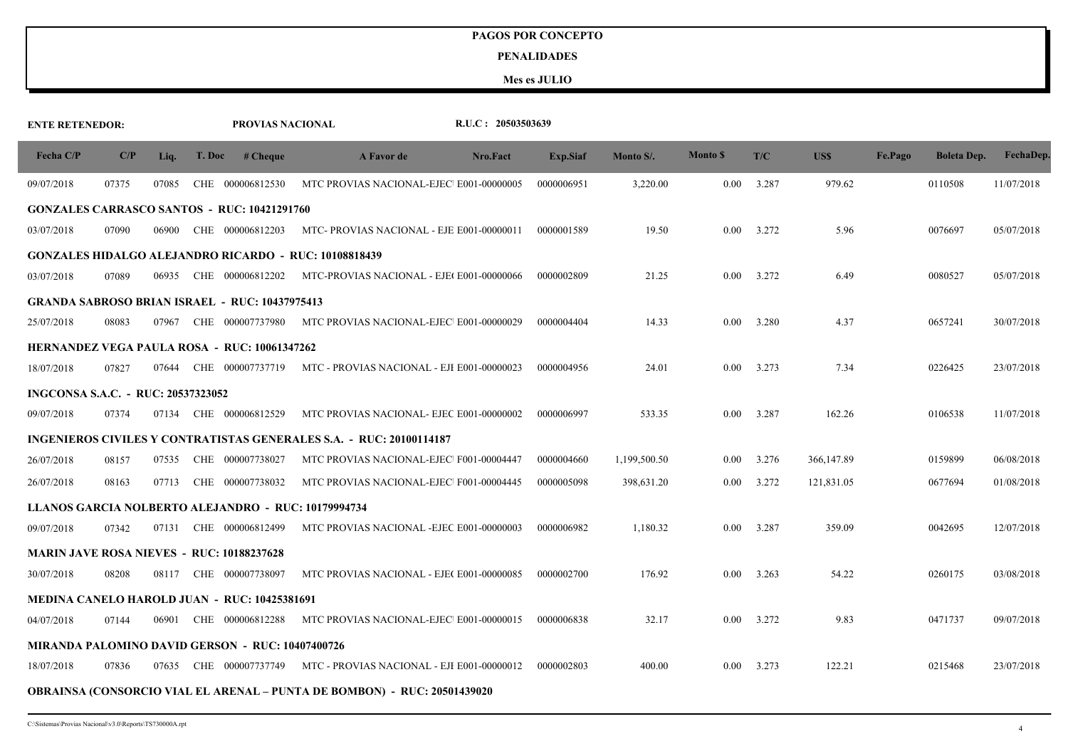#### **PENALIDADES**

| <b>ENTE RETENEDOR:</b>             |       |       |        | PROVIAS NACIONAL                                        |                                                                                 | R.U.C: 20503503639 |            |              |                |       |             |         |                    |            |
|------------------------------------|-------|-------|--------|---------------------------------------------------------|---------------------------------------------------------------------------------|--------------------|------------|--------------|----------------|-------|-------------|---------|--------------------|------------|
| Fecha C/P                          | C/P   | Liq.  | T. Doc | # Cheque                                                | A Favor de                                                                      | Nro.Fact           | Exp.Siaf   | Monto S/.    | <b>Monto S</b> | T/C   | US\$        | Fe.Pago | <b>Boleta Dep.</b> | FechaDep.  |
| 09/07/2018                         | 07375 | 07085 |        | CHE 000006812530                                        | MTC PROVIAS NACIONAL-EJEC E001-00000005                                         |                    | 0000006951 | 3,220.00     | 0.00           | 3.287 | 979.62      |         | 0110508            | 11/07/2018 |
|                                    |       |       |        | <b>GONZALES CARRASCO SANTOS - RUC: 10421291760</b>      |                                                                                 |                    |            |              |                |       |             |         |                    |            |
| 03/07/2018                         | 07090 | 06900 |        | CHE 000006812203                                        | MTC-PROVIAS NACIONAL - EJE E001-00000011                                        |                    | 0000001589 | 19.50        | 0.00           | 3.272 | 5.96        |         | 0076697            | 05/07/2018 |
|                                    |       |       |        |                                                         | <b>GONZALES HIDALGO ALEJANDRO RICARDO - RUC: 10108818439</b>                    |                    |            |              |                |       |             |         |                    |            |
| 03/07/2018                         | 07089 | 06935 |        | CHE 000006812202                                        | MTC-PROVIAS NACIONAL - EJE(E001-00000066                                        |                    | 0000002809 | 21.25        | 0.00           | 3.272 | 6.49        |         | 0080527            | 05/07/2018 |
|                                    |       |       |        | <b>GRANDA SABROSO BRIAN ISRAEL - RUC: 10437975413</b>   |                                                                                 |                    |            |              |                |       |             |         |                    |            |
| 25/07/2018                         | 08083 | 07967 |        | CHE 000007737980                                        | MTC PROVIAS NACIONAL-EJEC E001-00000029                                         |                    | 0000004404 | 14.33        | 0.00           | 3.280 | 4.37        |         | 0657241            | 30/07/2018 |
|                                    |       |       |        | HERNANDEZ VEGA PAULA ROSA - RUC: 10061347262            |                                                                                 |                    |            |              |                |       |             |         |                    |            |
| 18/07/2018                         | 07827 | 07644 |        | CHE 000007737719                                        | MTC - PROVIAS NACIONAL - EJI E001-00000023                                      |                    | 0000004956 | 24.01        | 0.00           | 3.273 | 7.34        |         | 0226425            | 23/07/2018 |
| INGCONSA S.A.C. - RUC: 20537323052 |       |       |        |                                                         |                                                                                 |                    |            |              |                |       |             |         |                    |            |
| 09/07/2018                         | 07374 | 07134 |        | CHE 000006812529                                        | MTC PROVIAS NACIONAL- EJEC E001-00000002                                        |                    | 0000006997 | 533.35       | 0.00           | 3.287 | 162.26      |         | 0106538            | 11/07/2018 |
|                                    |       |       |        |                                                         | <b>INGENIEROS CIVILES Y CONTRATISTAS GENERALES S.A. - RUC: 20100114187</b>      |                    |            |              |                |       |             |         |                    |            |
| 26/07/2018                         | 08157 | 07535 |        | CHE 000007738027                                        | MTC PROVIAS NACIONAL-EJEC F001-00004447                                         |                    | 0000004660 | 1,199,500.50 | 0.00           | 3.276 | 366, 147.89 |         | 0159899            | 06/08/2018 |
| 26/07/2018                         | 08163 | 07713 |        | CHE 000007738032                                        | MTC PROVIAS NACIONAL-EJEC F001-00004445                                         |                    | 0000005098 | 398,631.20   | 0.00           | 3.272 | 121,831.05  |         | 0677694            | 01/08/2018 |
|                                    |       |       |        |                                                         | LLANOS GARCIA NOLBERTO ALEJANDRO - RUC: 10179994734                             |                    |            |              |                |       |             |         |                    |            |
| 09/07/2018                         | 07342 | 07131 |        | CHE 000006812499                                        | MTC PROVIAS NACIONAL -EJEC E001-00000003                                        |                    | 0000006982 | 1,180.32     | 0.00           | 3.287 | 359.09      |         | 0042695            | 12/07/2018 |
|                                    |       |       |        | <b>MARIN JAVE ROSA NIEVES - RUC: 10188237628</b>        |                                                                                 |                    |            |              |                |       |             |         |                    |            |
| 30/07/2018                         | 08208 | 08117 |        | CHE 000007738097                                        | MTC PROVIAS NACIONAL - EJE(E001-00000085                                        |                    | 0000002700 | 176.92       | 0.00           | 3.263 | 54.22       |         | 0260175            | 03/08/2018 |
|                                    |       |       |        | <b>MEDINA CANELO HAROLD JUAN - RUC: 10425381691</b>     |                                                                                 |                    |            |              |                |       |             |         |                    |            |
| 04/07/2018                         | 07144 | 06901 |        | CHE 000006812288                                        | MTC PROVIAS NACIONAL-EJEC E001-00000015                                         |                    | 0000006838 | 32.17        | 0.00           | 3.272 | 9.83        |         | 0471737            | 09/07/2018 |
|                                    |       |       |        | <b>MIRANDA PALOMINO DAVID GERSON - RUC: 10407400726</b> |                                                                                 |                    |            |              |                |       |             |         |                    |            |
| 18/07/2018                         | 07836 | 07635 |        | CHE 000007737749                                        | MTC - PROVIAS NACIONAL - EJI E001-00000012                                      |                    | 0000002803 | 400.00       | 0.00           | 3.273 | 122.21      |         | 0215468            | 23/07/2018 |
|                                    |       |       |        |                                                         | <b>OBRAINSA (CONSORCIO VIAL EL ARENAL – PUNTA DE BOMBON) - RUC: 20501439020</b> |                    |            |              |                |       |             |         |                    |            |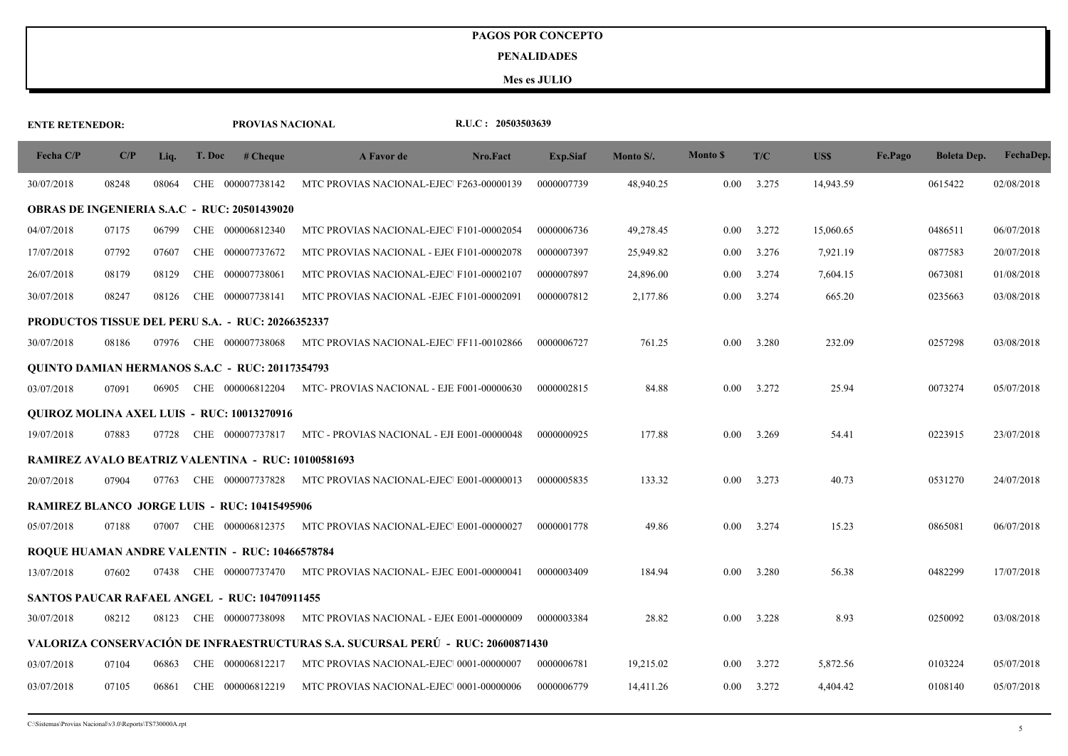## **PENALIDADES**

| <b>ENTE RETENEDOR:</b> |       |       |        | PROVIAS NACIONAL                                         |                                                                                 | R.U.C: 20503503639 |                 |           |                 |       |           |         |                    |            |
|------------------------|-------|-------|--------|----------------------------------------------------------|---------------------------------------------------------------------------------|--------------------|-----------------|-----------|-----------------|-------|-----------|---------|--------------------|------------|
| Fecha C/P              | C/P   | Liq.  | T. Doc | # <b>Change</b>                                          | A Favor de                                                                      | Nro.Fact           | <b>Exp.Siaf</b> | Monto S/. | <b>Monto</b> \$ | T/C   | US\$      | Fe.Pago | <b>Boleta Dep.</b> | FechaDep.  |
| 30/07/2018             | 08248 | 08064 |        | CHE 000007738142                                         | MTC PROVIAS NACIONAL-EJEC F263-00000139                                         |                    | 0000007739      | 48,940.25 | 0.00            | 3.275 | 14,943.59 |         | 0615422            | 02/08/2018 |
|                        |       |       |        | <b>OBRAS DE INGENIERIA S.A.C - RUC: 20501439020</b>      |                                                                                 |                    |                 |           |                 |       |           |         |                    |            |
| 04/07/2018             | 07175 | 06799 |        | CHE 000006812340                                         | MTC PROVIAS NACIONAL-EJEC F101-00002054                                         |                    | 0000006736      | 49,278.45 | 0.00            | 3.272 | 15,060.65 |         | 0486511            | 06/07/2018 |
| 17/07/2018             | 07792 | 07607 |        | CHE 000007737672                                         | MTC PROVIAS NACIONAL - EJE(F101-00002078                                        |                    | 0000007397      | 25,949.82 | 0.00            | 3.276 | 7,921.19  |         | 0877583            | 20/07/2018 |
| 26/07/2018             | 08179 | 08129 | CHE    | 000007738061                                             | MTC PROVIAS NACIONAL-EJEC F101-00002107                                         |                    | 0000007897      | 24,896.00 | 0.00            | 3.274 | 7,604.15  |         | 0673081            | 01/08/2018 |
| 30/07/2018             | 08247 | 08126 |        | CHE 000007738141                                         | MTC PROVIAS NACIONAL -EJEC F101-00002091                                        |                    | 0000007812      | 2,177.86  | $0.00\,$        | 3.274 | 665.20    |         | 0235663            | 03/08/2018 |
|                        |       |       |        | <b>PRODUCTOS TISSUE DEL PERU S.A. - RUC: 20266352337</b> |                                                                                 |                    |                 |           |                 |       |           |         |                    |            |
| 30/07/2018             | 08186 | 07976 |        | CHE 000007738068                                         | MTC PROVIAS NACIONAL-EJEC FF11-00102866                                         |                    | 0000006727      | 761.25    | 0.00            | 3.280 | 232.09    |         | 0257298            | 03/08/2018 |
|                        |       |       |        | <b>OUINTO DAMIAN HERMANOS S.A.C - RUC: 20117354793</b>   |                                                                                 |                    |                 |           |                 |       |           |         |                    |            |
| 03/07/2018             | 07091 | 06905 |        | CHE 000006812204                                         | MTC- PROVIAS NACIONAL - EJE F001-00000630                                       |                    | 0000002815      | 84.88     | 0.00            | 3.272 | 25.94     |         | 0073274            | 05/07/2018 |
|                        |       |       |        | <b>OUIROZ MOLINA AXEL LUIS - RUC: 10013270916</b>        |                                                                                 |                    |                 |           |                 |       |           |         |                    |            |
| 19/07/2018             | 07883 | 07728 |        | CHE 000007737817                                         | MTC - PROVIAS NACIONAL - EJI E001-00000048                                      |                    | 0000000925      | 177.88    | 0.00            | 3.269 | 54.41     |         | 0223915            | 23/07/2018 |
|                        |       |       |        | RAMIREZ AVALO BEATRIZ VALENTINA - RUC: 10100581693       |                                                                                 |                    |                 |           |                 |       |           |         |                    |            |
| 20/07/2018             | 07904 | 07763 |        | CHE 000007737828                                         | MTC PROVIAS NACIONAL-EJEC E001-00000013                                         |                    | 0000005835      | 133.32    | 0.00            | 3.273 | 40.73     |         | 0531270            | 24/07/2018 |
|                        |       |       |        | <b>RAMIREZ BLANCO JORGE LUIS - RUC: 10415495906</b>      |                                                                                 |                    |                 |           |                 |       |           |         |                    |            |
| 05/07/2018             | 07188 | 07007 |        | CHE 000006812375                                         | MTC PROVIAS NACIONAL-EJEC E001-00000027                                         |                    | 0000001778      | 49.86     | 0.00            | 3.274 | 15.23     |         | 0865081            | 06/07/2018 |
|                        |       |       |        | ROQUE HUAMAN ANDRE VALENTIN - RUC: 10466578784           |                                                                                 |                    |                 |           |                 |       |           |         |                    |            |
| 13/07/2018             | 07602 | 07438 |        | CHE 000007737470                                         | MTC PROVIAS NACIONAL- EJEC E001-00000041                                        |                    | 0000003409      | 184.94    | 0.00            | 3.280 | 56.38     |         | 0482299            | 17/07/2018 |
|                        |       |       |        | SANTOS PAUCAR RAFAEL ANGEL - RUC: 10470911455            |                                                                                 |                    |                 |           |                 |       |           |         |                    |            |
| 30/07/2018             | 08212 | 08123 |        | CHE 000007738098                                         | MTC PROVIAS NACIONAL - EJE(E001-00000009                                        |                    | 0000003384      | 28.82     | 0.00            | 3.228 | 8.93      |         | 0250092            | 03/08/2018 |
|                        |       |       |        |                                                          | VALORIZA CONSERVACIÓN DE INFRAESTRUCTURAS S.A. SUCURSAL PERÚ - RUC: 20600871430 |                    |                 |           |                 |       |           |         |                    |            |
| 03/07/2018             | 07104 | 06863 |        | CHE 000006812217                                         | MTC PROVIAS NACIONAL-EJEC 0001-00000007                                         |                    | 0000006781      | 19,215.02 | 0.00            | 3.272 | 5,872.56  |         | 0103224            | 05/07/2018 |
| 03/07/2018             | 07105 | 06861 |        | CHE 000006812219                                         | MTC PROVIAS NACIONAL-EJEC 0001-00000006                                         |                    | 0000006779      | 14,411.26 | 0.00            | 3.272 | 4,404.42  |         | 0108140            | 05/07/2018 |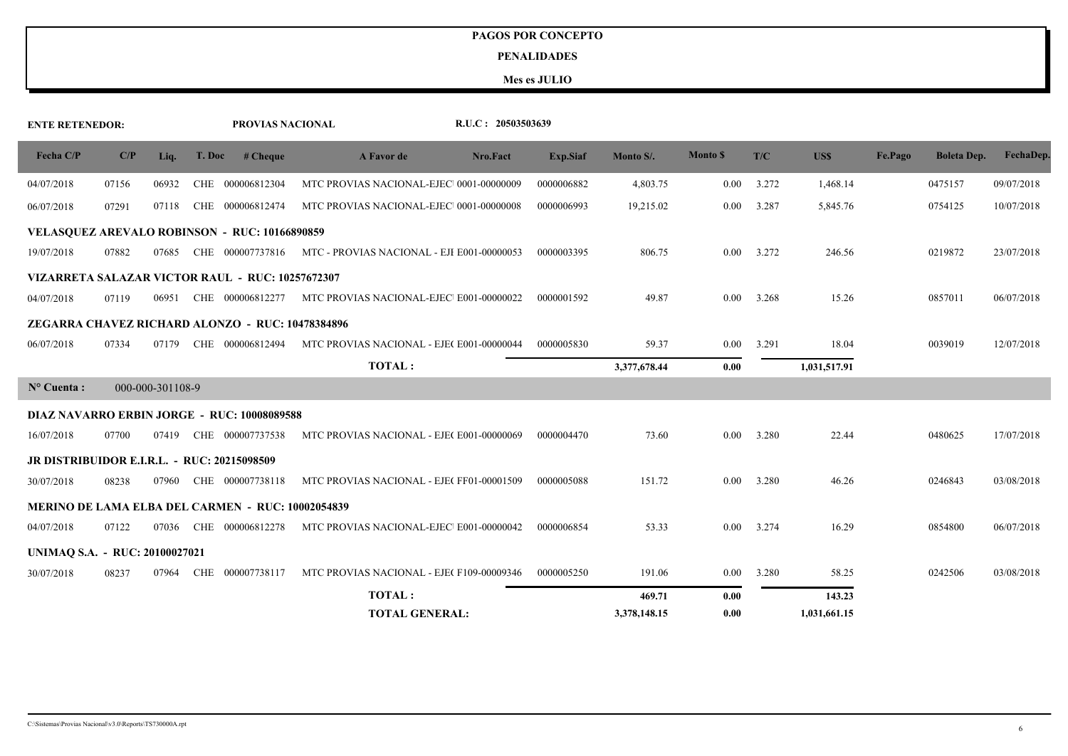## **PENALIDADES**

| <b>ENTE RETENEDOR:</b>                             |       |                  |     | PROVIAS NACIONAL                                         | R.U.C: 20503503639                         |            |              |                 |              |              |         |                    |            |
|----------------------------------------------------|-------|------------------|-----|----------------------------------------------------------|--------------------------------------------|------------|--------------|-----------------|--------------|--------------|---------|--------------------|------------|
| Fecha C/P                                          | C/P   | Liq.             |     | T. Doc # Cheque                                          | Nro.Fact<br>A Favor de                     | Exp.Siaf   | Monto S/.    | <b>Monto \$</b> | T/C          | US\$         | Fe.Pago | <b>Boleta Dep.</b> | FechaDep.  |
| 04/07/2018                                         | 07156 | 06932            |     | CHE 000006812304                                         | MTC PROVIAS NACIONAL-EJEC 0001-00000009    | 0000006882 | 4,803.75     |                 | $0.00$ 3.272 | 1,468.14     |         | 0475157            | 09/07/2018 |
| 06/07/2018                                         | 07291 | 07118            |     | CHE 000006812474                                         | MTC PROVIAS NACIONAL-EJEC 0001-00000008    | 0000006993 | 19,215.02    | 0.00            | 3.287        | 5,845.76     |         | 0754125            | 10/07/2018 |
|                                                    |       |                  |     | <b>VELASOUEZ AREVALO ROBINSON - RUC: 10166890859</b>     |                                            |            |              |                 |              |              |         |                    |            |
| 19/07/2018                                         | 07882 | 07685            |     | CHE 000007737816                                         | MTC - PROVIAS NACIONAL - EJI E001-00000053 | 0000003395 | 806.75       | 0.00            | 3.272        | 246.56       |         | 0219872            | 23/07/2018 |
|                                                    |       |                  |     | VIZARRETA SALAZAR VICTOR RAUL - RUC: 10257672307         |                                            |            |              |                 |              |              |         |                    |            |
| 04/07/2018                                         | 07119 | 06951            |     | CHE 000006812277                                         | MTC PROVIAS NACIONAL-EJEC E001-00000022    | 0000001592 | 49.87        | 0.00            | 3.268        | 15.26        |         | 0857011            | 06/07/2018 |
|                                                    |       |                  |     | ZEGARRA CHAVEZ RICHARD ALONZO - RUC: 10478384896         |                                            |            |              |                 |              |              |         |                    |            |
| 06/07/2018                                         | 07334 | 07179            |     | CHE 000006812494                                         | MTC PROVIAS NACIONAL - EJE(E001-00000044   | 0000005830 | 59.37        | $0.00\,$        | 3.291        | 18.04        |         | 0039019            | 12/07/2018 |
|                                                    |       |                  |     |                                                          | <b>TOTAL:</b>                              |            | 3,377,678.44 | 0.00            |              | 1,031,517.91 |         |                    |            |
| $N^{\circ}$ Cuenta :                               |       | 000-000-301108-9 |     |                                                          |                                            |            |              |                 |              |              |         |                    |            |
|                                                    |       |                  |     | DIAZ NAVARRO ERBIN JORGE - RUC: 10008089588              |                                            |            |              |                 |              |              |         |                    |            |
| 16/07/2018                                         | 07700 | 07419            |     | CHE 000007737538                                         | MTC PROVIAS NACIONAL - EJE(E001-00000069   | 0000004470 | 73.60        | $0.00\,$        | 3.280        | 22.44        |         | 0480625            | 17/07/2018 |
| <b>JR DISTRIBUIDOR E.I.R.L. - RUC: 20215098509</b> |       |                  |     |                                                          |                                            |            |              |                 |              |              |         |                    |            |
| 30/07/2018                                         | 08238 | 07960            |     | CHE 000007738118                                         | MTC PROVIAS NACIONAL - EJE(FF01-00001509   | 0000005088 | 151.72       | 0.00            | 3.280        | 46.26        |         | 0246843            | 03/08/2018 |
|                                                    |       |                  |     | <b>MERINO DE LAMA ELBA DEL CARMEN - RUC: 10002054839</b> |                                            |            |              |                 |              |              |         |                    |            |
| 04/07/2018                                         | 07122 | 07036            |     | CHE 000006812278                                         | MTC PROVIAS NACIONAL-EJEC E001-00000042    | 0000006854 | 53.33        | 0.00            | 3.274        | 16.29        |         | 0854800            | 06/07/2018 |
| UNIMAQ S.A. - RUC: 20100027021                     |       |                  |     |                                                          |                                            |            |              |                 |              |              |         |                    |            |
| 30/07/2018                                         | 08237 | 07964            | CHE | 000007738117                                             | MTC PROVIAS NACIONAL - EJE(F109-00009346   | 0000005250 | 191.06       | 0.00            | 3.280        | 58.25        |         | 0242506            | 03/08/2018 |
|                                                    |       |                  |     |                                                          | <b>TOTAL:</b>                              |            | 469.71       | 0.00            |              | 143.23       |         |                    |            |
|                                                    |       |                  |     |                                                          | <b>TOTAL GENERAL:</b>                      |            | 3,378,148.15 | 0.00            |              | 1,031,661.15 |         |                    |            |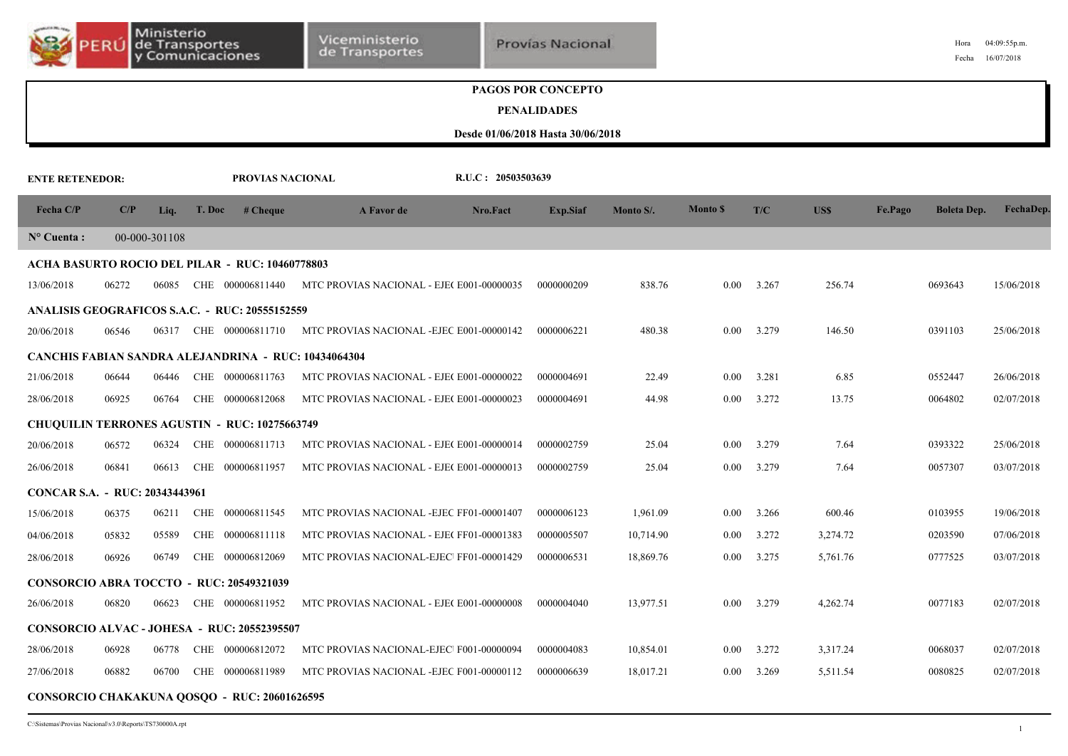|                                |       |               |        | y comunicaciones                                            |                                           |                                          |                                   |           |                 |       |            |         | Fecha              | 16/07/2018 |
|--------------------------------|-------|---------------|--------|-------------------------------------------------------------|-------------------------------------------|------------------------------------------|-----------------------------------|-----------|-----------------|-------|------------|---------|--------------------|------------|
|                                |       |               |        |                                                             |                                           |                                          | <b>PAGOS POR CONCEPTO</b>         |           |                 |       |            |         |                    |            |
|                                |       |               |        |                                                             |                                           |                                          | <b>PENALIDADES</b>                |           |                 |       |            |         |                    |            |
|                                |       |               |        |                                                             |                                           |                                          | Desde 01/06/2018 Hasta 30/06/2018 |           |                 |       |            |         |                    |            |
| <b>ENTE RETENEDOR:</b>         |       |               |        | PROVIAS NACIONAL                                            |                                           | R.U.C: 20503503639                       |                                   |           |                 |       |            |         |                    |            |
| Fecha C/P                      | C/P   | Liq.          | T. Doc | # <b>Change</b>                                             | A Favor de                                | Nro.Fact                                 | Exp.Siaf                          | Monto S/. | <b>Monto</b> \$ | T/C   | <b>USS</b> | Fe.Pago | <b>Boleta Dep.</b> | FechaDep.  |
| $N^{\circ}$ Cuenta :           |       | 00-000-301108 |        |                                                             |                                           |                                          |                                   |           |                 |       |            |         |                    |            |
|                                |       |               |        | ACHA BASURTO ROCIO DEL PILAR - RUC: 10460778803             |                                           |                                          |                                   |           |                 |       |            |         |                    |            |
| 13/06/2018                     | 06272 | 06085         |        | CHE 000006811440                                            | MTC PROVIAS NACIONAL - EJE( E001-00000035 |                                          | 0000000209                        | 838.76    | 0.00            | 3.267 | 256.74     |         | 0693643            | 15/06/2018 |
|                                |       |               |        | ANALISIS GEOGRAFICOS S.A.C. - RUC: 20555152559              |                                           |                                          |                                   |           |                 |       |            |         |                    |            |
| 20/06/2018                     | 06546 | 06317         |        | CHE 000006811710                                            | MTC PROVIAS NACIONAL -EJEC E001-00000142  |                                          | 0000006221                        | 480.38    | 0.00            | 3.279 | 146.50     |         | 0391103            | 25/06/2018 |
|                                |       |               |        | <b>CANCHIS FABIAN SANDRA ALEJANDRINA - RUC: 10434064304</b> |                                           |                                          |                                   |           |                 |       |            |         |                    |            |
| 21/06/2018                     | 06644 | 06446         |        | CHE 000006811763                                            | MTC PROVIAS NACIONAL - EJE(E001-00000022  |                                          | 0000004691                        | 22.49     | 0.00            | 3.281 | 6.85       |         | 0552447            | 26/06/2018 |
| 28/06/2018                     | 06925 | 06764         |        | CHE 000006812068                                            | MTC PROVIAS NACIONAL - EJE(E001-00000023  |                                          | 0000004691                        | 44.98     | 0.00            | 3.272 | 13.75      |         | 0064802            | 02/07/2018 |
|                                |       |               |        | <b>CHUQUILIN TERRONES AGUSTIN - RUC: 10275663749</b>        |                                           |                                          |                                   |           |                 |       |            |         |                    |            |
| 20/06/2018                     | 06572 | 06324         |        | CHE 000006811713                                            | MTC PROVIAS NACIONAL - EJE(E001-00000014  |                                          | 0000002759                        | 25.04     | 0.00            | 3.279 | 7.64       |         | 0393322            | 25/06/2018 |
| 26/06/2018                     | 06841 | 06613         |        | CHE 000006811957                                            | MTC PROVIAS NACIONAL - EJE(E001-00000013  |                                          | 0000002759                        | 25.04     | 0.00            | 3.279 | 7.64       |         | 0057307            | 03/07/2018 |
| CONCAR S.A. - RUC: 20343443961 |       |               |        |                                                             |                                           |                                          |                                   |           |                 |       |            |         |                    |            |
| 15/06/2018                     | 06375 | 06211         |        | CHE 000006811545                                            |                                           | MTC PROVIAS NACIONAL -EJEC FF01-00001407 | 0000006123                        | 1,961.09  | 0.00            | 3.266 | 600.46     |         | 0103955            | 19/06/2018 |
| 04/06/2018                     | 05832 | 05589         |        | CHE 000006811118                                            |                                           | MTC PROVIAS NACIONAL - EJE(FF01-00001383 | 0000005507                        | 10,714.90 | 0.00            | 3.272 | 3,274.72   |         | 0203590            | 07/06/2018 |
| 28/06/2018                     | 06926 | 06749         |        | CHE 000006812069                                            | MTC PROVIAS NACIONAL-EJEC FF01-00001429   |                                          | 0000006531                        | 18,869.76 | 0.00            | 3.275 | 5,761.76   |         | 0777525            | 03/07/2018 |
|                                |       |               |        | CONSORCIO ABRA TOCCTO - RUC: 20549321039                    |                                           |                                          |                                   |           |                 |       |            |         |                    |            |
| 26/06/2018                     | 06820 | 06623         |        | CHE 000006811952                                            | MTC PROVIAS NACIONAL - EJE(E001-00000008  |                                          | 0000004040                        | 13,977.51 | 0.00            | 3.279 | 4,262.74   |         | 0077183            | 02/07/2018 |
|                                |       |               |        | CONSORCIO ALVAC - JOHESA - RUC: 20552395507                 |                                           |                                          |                                   |           |                 |       |            |         |                    |            |
| 28/06/2018                     | 06928 | 06778         |        | CHE 000006812072                                            | MTC PROVIAS NACIONAL-EJEC F001-00000094   |                                          | 0000004083                        | 10,854.01 | 0.00            | 3.272 | 3,317.24   |         | 0068037            | 02/07/2018 |
| 27/06/2018                     | 06882 | 06700         |        | CHE 000006811989                                            | MTC PROVIAS NACIONAL -EJEC F001-00000112  |                                          | 0000006639                        | 18,017.21 | 0.00            | 3.269 | 5,511.54   |         | 0080825            | 02/07/2018 |
|                                |       |               |        |                                                             |                                           |                                          |                                   |           |                 |       |            |         |                    |            |

### **CONSORCIO CHAKAKUNA QOSQO - RUC: 20601626595**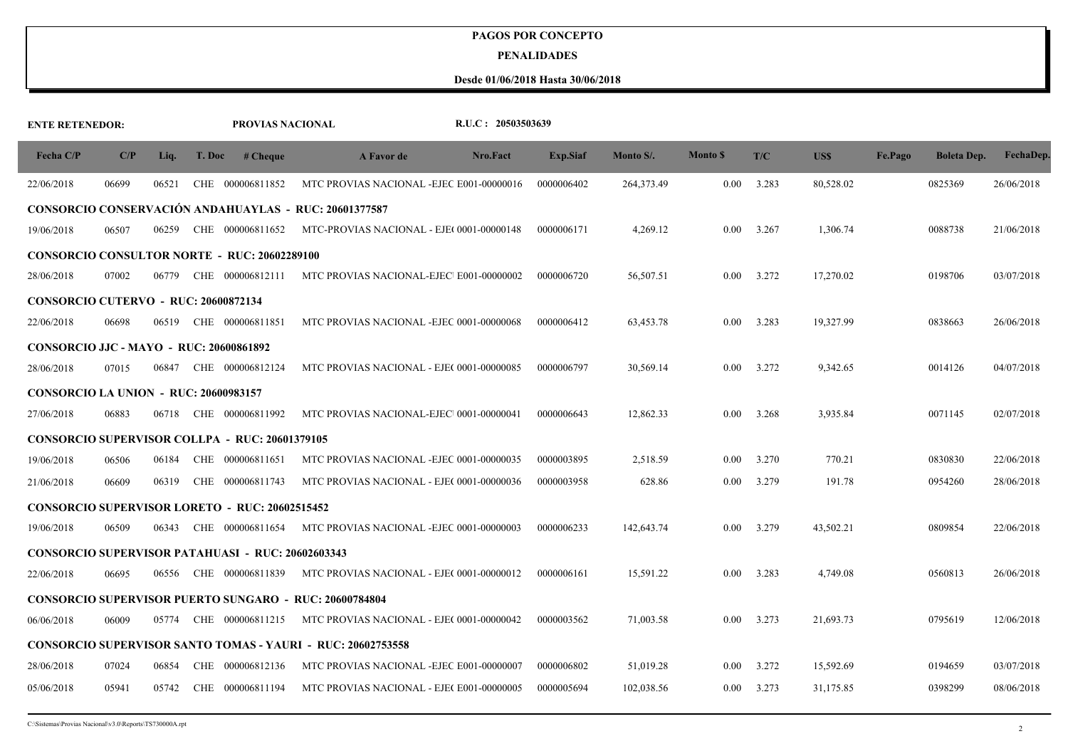#### **PENALIDADES**

| <b>ENTE RETENEDOR:</b>                         |       |       |        | PROVIAS NACIONAL                                         |                                                                    | R.U.C: 20503503639 |            |            |                 |       |           |         |                    |            |
|------------------------------------------------|-------|-------|--------|----------------------------------------------------------|--------------------------------------------------------------------|--------------------|------------|------------|-----------------|-------|-----------|---------|--------------------|------------|
| Fecha C/P                                      | C/P   | Liq.  | T. Doc | # <b>Change</b>                                          | A Favor de                                                         | Nro.Fact           | Exp.Siaf   | Monto S/.  | <b>Monto \$</b> | T/C   | US\$      | Fe.Pago | <b>Boleta Dep.</b> | FechaDep.  |
| 22/06/2018                                     | 06699 | 06521 |        | CHE 000006811852                                         | MTC PROVIAS NACIONAL -EJEC E001-00000016                           |                    | 0000006402 | 264,373.49 | $0.00\,$        | 3.283 | 80,528.02 |         | 0825369            | 26/06/2018 |
|                                                |       |       |        |                                                          | <b>CONSORCIO CONSERVACIÓN ANDAHUAYLAS - RUC: 20601377587</b>       |                    |            |            |                 |       |           |         |                    |            |
| 19/06/2018                                     | 06507 | 06259 |        | CHE 000006811652                                         | MTC-PROVIAS NACIONAL - EJE( 0001-00000148                          |                    | 0000006171 | 4,269.12   | 0.00            | 3.267 | 1,306.74  |         | 0088738            | 21/06/2018 |
|                                                |       |       |        | <b>CONSORCIO CONSULTOR NORTE - RUC: 20602289100</b>      |                                                                    |                    |            |            |                 |       |           |         |                    |            |
| 28/06/2018                                     | 07002 | 06779 |        | CHE 000006812111                                         | MTC PROVIAS NACIONAL-EJEC E001-00000002                            |                    | 0000006720 | 56,507.51  | 0.00            | 3.272 | 17,270.02 |         | 0198706            | 03/07/2018 |
| <b>CONSORCIO CUTERVO - RUC: 20600872134</b>    |       |       |        |                                                          |                                                                    |                    |            |            |                 |       |           |         |                    |            |
| 22/06/2018                                     | 06698 | 06519 |        | CHE 000006811851                                         | MTC PROVIAS NACIONAL -EJEC 0001-00000068                           |                    | 0000006412 | 63,453.78  | 0.00            | 3.283 | 19,327.99 |         | 0838663            | 26/06/2018 |
| <b>CONSORCIO JJC - MAYO - RUC: 20600861892</b> |       |       |        |                                                          |                                                                    |                    |            |            |                 |       |           |         |                    |            |
| 28/06/2018                                     | 07015 | 06847 |        | CHE 000006812124                                         | MTC PROVIAS NACIONAL - EJE(0001-00000085                           |                    | 0000006797 | 30,569.14  | 0.00            | 3.272 | 9,342.65  |         | 0014126            | 04/07/2018 |
| <b>CONSORCIO LA UNION - RUC: 20600983157</b>   |       |       |        |                                                          |                                                                    |                    |            |            |                 |       |           |         |                    |            |
| 27/06/2018                                     | 06883 | 06718 |        | CHE 000006811992                                         | MTC PROVIAS NACIONAL-EJEC 0001-00000041                            |                    | 0000006643 | 12,862.33  | 0.00            | 3.268 | 3,935.84  |         | 0071145            | 02/07/2018 |
|                                                |       |       |        | <b>CONSORCIO SUPERVISOR COLLPA - RUC: 20601379105</b>    |                                                                    |                    |            |            |                 |       |           |         |                    |            |
| 19/06/2018                                     | 06506 | 06184 |        | CHE 000006811651                                         | MTC PROVIAS NACIONAL -EJEC 0001-00000035                           |                    | 0000003895 | 2,518.59   | 0.00            | 3.270 | 770.21    |         | 0830830            | 22/06/2018 |
| 21/06/2018                                     | 06609 | 06319 |        | CHE 000006811743                                         | MTC PROVIAS NACIONAL - EJE( 0001-00000036                          |                    | 0000003958 | 628.86     | 0.00            | 3.279 | 191.78    |         | 0954260            | 28/06/2018 |
|                                                |       |       |        | <b>CONSORCIO SUPERVISOR LORETO - RUC: 20602515452</b>    |                                                                    |                    |            |            |                 |       |           |         |                    |            |
| 19/06/2018                                     | 06509 | 06343 |        | CHE 000006811654                                         | MTC PROVIAS NACIONAL -EJEC 0001-00000003                           |                    | 0000006233 | 142,643.74 | 0.00            | 3.279 | 43,502.21 |         | 0809854            | 22/06/2018 |
|                                                |       |       |        | <b>CONSORCIO SUPERVISOR PATAHUASI - RUC: 20602603343</b> |                                                                    |                    |            |            |                 |       |           |         |                    |            |
| 22/06/2018                                     | 06695 | 06556 |        | CHE 000006811839                                         | MTC PROVIAS NACIONAL - EJE( 0001-00000012                          |                    | 0000006161 | 15,591.22  | 0.00            | 3.283 | 4,749.08  |         | 0560813            | 26/06/2018 |
|                                                |       |       |        |                                                          | <b>CONSORCIO SUPERVISOR PUERTO SUNGARO - RUC: 20600784804</b>      |                    |            |            |                 |       |           |         |                    |            |
| 06/06/2018                                     | 06009 | 05774 |        | CHE 000006811215                                         | MTC PROVIAS NACIONAL - EJE( 0001-00000042                          |                    | 0000003562 | 71,003.58  | 0.00            | 3.273 | 21,693.73 |         | 0795619            | 12/06/2018 |
|                                                |       |       |        |                                                          | <b>CONSORCIO SUPERVISOR SANTO TOMAS - YAURI - RUC: 20602753558</b> |                    |            |            |                 |       |           |         |                    |            |
| 28/06/2018                                     | 07024 | 06854 |        | CHE 000006812136                                         | MTC PROVIAS NACIONAL -EJEC E001-00000007                           |                    | 0000006802 | 51,019.28  | 0.00            | 3.272 | 15,592.69 |         | 0194659            | 03/07/2018 |
| 05/06/2018                                     | 05941 | 05742 |        | CHE 000006811194                                         | MTC PROVIAS NACIONAL - EJE(E001-00000005                           |                    | 0000005694 | 102,038.56 | $0.00\,$        | 3.273 | 31,175.85 |         | 0398299            | 08/06/2018 |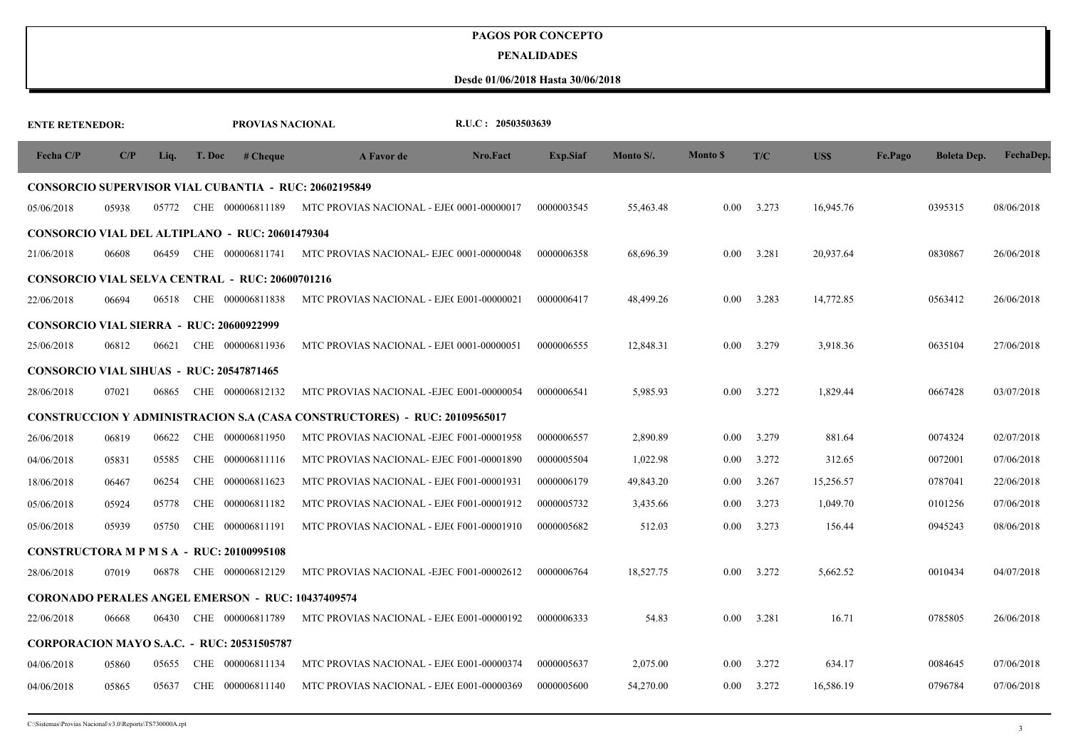#### **PENALIDADES**

| <b>ENTE RETENEDOR:</b>                           |       |       |        | PROVIAS NACIONAL                                         |                                                                                  | R.U.C: 20503503639 |                 |           |                 |       |             |         |                    |                  |
|--------------------------------------------------|-------|-------|--------|----------------------------------------------------------|----------------------------------------------------------------------------------|--------------------|-----------------|-----------|-----------------|-------|-------------|---------|--------------------|------------------|
| Fecha C/P                                        | C/P   | Liq.  | T. Doc | # <b>Change</b>                                          | A Favor de                                                                       | Nro.Fact           | <b>Exp.Siaf</b> | Monto S/. | <b>Monto</b> \$ | T/C   | <b>US\$</b> | Fe.Pago | <b>Boleta Dep.</b> | <b>FechaDep.</b> |
|                                                  |       |       |        |                                                          | <b>CONSORCIO SUPERVISOR VIAL CUBANTIA - RUC: 20602195849</b>                     |                    |                 |           |                 |       |             |         |                    |                  |
| 05/06/2018                                       | 05938 | 05772 |        | CHE 000006811189                                         | MTC PROVIAS NACIONAL - EJE( 0001-00000017                                        |                    | 0000003545      | 55,463.48 | 0.00            | 3.273 | 16,945.76   |         | 0395315            | 08/06/2018       |
|                                                  |       |       |        | <b>CONSORCIO VIAL DEL ALTIPLANO - RUC: 20601479304</b>   |                                                                                  |                    |                 |           |                 |       |             |         |                    |                  |
| 21/06/2018                                       | 06608 | 06459 |        | CHE 000006811741                                         | MTC PROVIAS NACIONAL- EJEC 0001-00000048                                         |                    | 0000006358      | 68,696.39 | 0.00            | 3.281 | 20,937.64   |         | 0830867            | 26/06/2018       |
|                                                  |       |       |        | <b>CONSORCIO VIAL SELVA CENTRAL - RUC: 20600701216</b>   |                                                                                  |                    |                 |           |                 |       |             |         |                    |                  |
| 22/06/2018                                       | 06694 | 06518 |        | CHE 000006811838                                         | MTC PROVIAS NACIONAL - EJE(E001-00000021                                         |                    | 0000006417      | 48,499.26 | 0.00            | 3.283 | 14,772.85   |         | 0563412            | 26/06/2018       |
| <b>CONSORCIO VIAL SIERRA - RUC: 20600922999</b>  |       |       |        |                                                          |                                                                                  |                    |                 |           |                 |       |             |         |                    |                  |
| 25/06/2018                                       | 06812 | 06621 |        | CHE 000006811936                                         | MTC PROVIAS NACIONAL - EJEI 0001-00000051                                        |                    | 0000006555      | 12,848.31 | 0.00            | 3.279 | 3,918.36    |         | 0635104            | 27/06/2018       |
| <b>CONSORCIO VIAL SIHUAS - RUC: 20547871465</b>  |       |       |        |                                                          |                                                                                  |                    |                 |           |                 |       |             |         |                    |                  |
| 28/06/2018                                       | 07021 | 06865 |        | CHE 000006812132                                         | MTC PROVIAS NACIONAL -EJEC E001-00000054                                         |                    | 0000006541      | 5,985.93  | 0.00            | 3.272 | 1,829.44    |         | 0667428            | 03/07/2018       |
|                                                  |       |       |        |                                                          | <b>CONSTRUCCION Y ADMINISTRACION S.A (CASA CONSTRUCTORES) - RUC: 20109565017</b> |                    |                 |           |                 |       |             |         |                    |                  |
| 26/06/2018                                       | 06819 | 06622 |        | CHE 000006811950                                         | MTC PROVIAS NACIONAL -EJEC F001-00001958                                         |                    | 0000006557      | 2,890.89  | 0.00            | 3.279 | 881.64      |         | 0074324            | 02/07/2018       |
| 04/06/2018                                       | 05831 | 05585 |        | CHE 000006811116                                         | MTC PROVIAS NACIONAL- EJEC F001-00001890                                         |                    | 0000005504      | 1,022.98  | 0.00            | 3.272 | 312.65      |         | 0072001            | 07/06/2018       |
| 18/06/2018                                       | 06467 | 06254 |        | CHE 000006811623                                         | MTC PROVIAS NACIONAL - EJE(F001-00001931                                         |                    | 0000006179      | 49,843.20 | 0.00            | 3.267 | 15,256.57   |         | 0787041            | 22/06/2018       |
| 05/06/2018                                       | 05924 | 05778 | CHE    | 000006811182                                             | MTC PROVIAS NACIONAL - EJE(F001-00001912                                         |                    | 0000005732      | 3,435.66  | 0.00            | 3.273 | 1,049.70    |         | 0101256            | 07/06/2018       |
| 05/06/2018                                       | 05939 | 05750 |        | CHE 000006811191                                         | MTC PROVIAS NACIONAL - EJE(F001-00001910                                         |                    | 0000005682      | 512.03    | 0.00            | 3.273 | 156.44      |         | 0945243            | 08/06/2018       |
| <b>CONSTRUCTORA M P M S A - RUC: 20100995108</b> |       |       |        |                                                          |                                                                                  |                    |                 |           |                 |       |             |         |                    |                  |
| 28/06/2018                                       | 07019 | 06878 |        | CHE 000006812129                                         | MTC PROVIAS NACIONAL -EJEC F001-00002612                                         |                    | 0000006764      | 18,527.75 | 0.00            | 3.272 | 5,662.52    |         | 0010434            | 04/07/2018       |
|                                                  |       |       |        | <b>CORONADO PERALES ANGEL EMERSON - RUC: 10437409574</b> |                                                                                  |                    |                 |           |                 |       |             |         |                    |                  |
| 22/06/2018                                       | 06668 | 06430 |        | CHE 000006811789                                         | MTC PROVIAS NACIONAL - EJE(E001-00000192                                         |                    | 0000006333      | 54.83     | 0.00            | 3.281 | 16.71       |         | 0785805            | 26/06/2018       |
|                                                  |       |       |        | CORPORACION MAYO S.A.C. - RUC: 20531505787               |                                                                                  |                    |                 |           |                 |       |             |         |                    |                  |
| 04/06/2018                                       | 05860 | 05655 |        | CHE 000006811134                                         | MTC PROVIAS NACIONAL - EJE(E001-00000374                                         |                    | 0000005637      | 2,075.00  | 0.00            | 3.272 | 634.17      |         | 0084645            | 07/06/2018       |
| 04/06/2018                                       | 05865 | 05637 |        | CHE 000006811140                                         | MTC PROVIAS NACIONAL - EJE(E001-00000369                                         |                    | 0000005600      | 54,270.00 | $0.00\,$        | 3.272 | 16,586.19   |         | 0796784            | 07/06/2018       |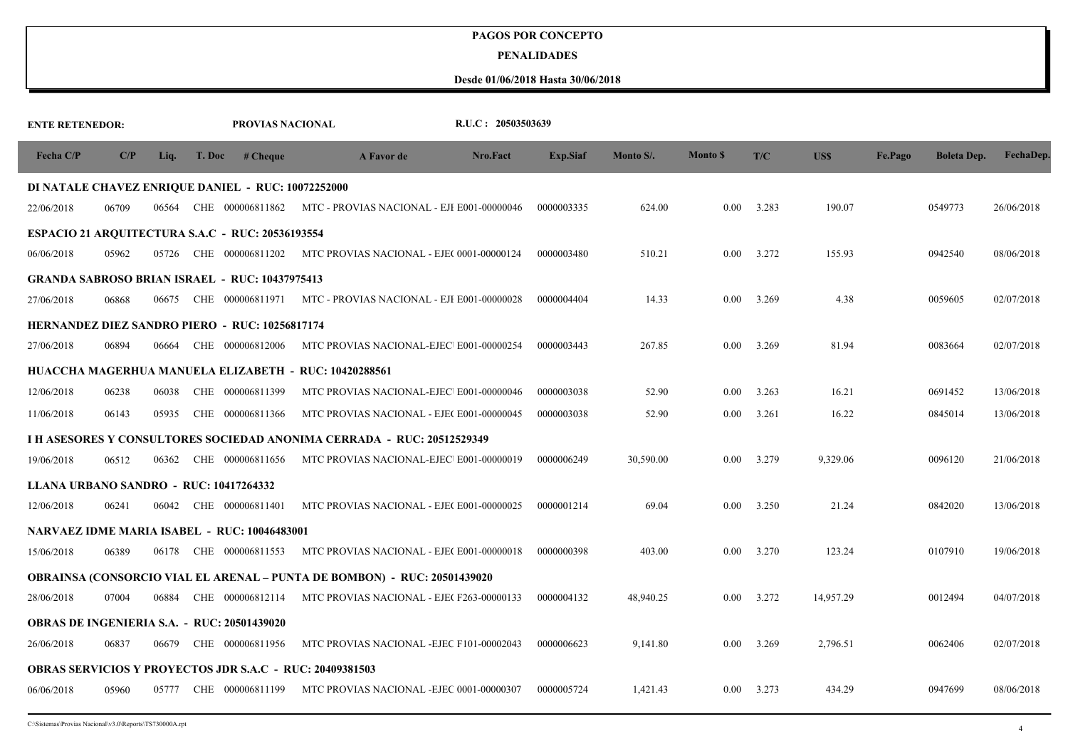#### **PENALIDADES**

| <b>ENTE RETENEDOR:</b>                 |       |       |        | PROVIAS NACIONAL                                      |                                                                                 | R.U.C: 20503503639 |                 |           |                 |                    |           |         |                    |            |
|----------------------------------------|-------|-------|--------|-------------------------------------------------------|---------------------------------------------------------------------------------|--------------------|-----------------|-----------|-----------------|--------------------|-----------|---------|--------------------|------------|
| Fecha C/P                              | C/P   | Liq.  | T. Doc | # <b>Change</b>                                       | A Favor de                                                                      | Nro.Fact           | <b>Exp.Siaf</b> | Monto S/. | <b>Monto</b> \$ | T/C                | US\$      | Fe.Pago | <b>Boleta Dep.</b> | FechaDep.  |
|                                        |       |       |        | DI NATALE CHAVEZ ENRIQUE DANIEL - RUC: 10072252000    |                                                                                 |                    |                 |           |                 |                    |           |         |                    |            |
| 22/06/2018                             | 06709 | 06564 |        |                                                       | CHE 000006811862 MTC - PROVIAS NACIONAL - EJI E001-00000046                     |                    | 0000003335      | 624.00    | 0.00            | 3.283              | 190.07    |         | 0549773            | 26/06/2018 |
|                                        |       |       |        | ESPACIO 21 AROUITECTURA S.A.C - RUC: 20536193554      |                                                                                 |                    |                 |           |                 |                    |           |         |                    |            |
| 06/06/2018                             | 05962 | 05726 |        | CHE 000006811202                                      | MTC PROVIAS NACIONAL - EJE( 0001-00000124                                       |                    | 0000003480      | 510.21    | 0.00            | 3.272              | 155.93    |         | 0942540            | 08/06/2018 |
|                                        |       |       |        | <b>GRANDA SABROSO BRIAN ISRAEL - RUC: 10437975413</b> |                                                                                 |                    |                 |           |                 |                    |           |         |                    |            |
| 27/06/2018                             | 06868 | 06675 |        | CHE 000006811971                                      | MTC - PROVIAS NACIONAL - EJI E001-00000028                                      |                    | 0000004404      | 14.33     | 0.00            | 3.269              | 4.38      |         | 0059605            | 02/07/2018 |
|                                        |       |       |        | <b>HERNANDEZ DIEZ SANDRO PIERO - RUC: 10256817174</b> |                                                                                 |                    |                 |           |                 |                    |           |         |                    |            |
| 27/06/2018                             | 06894 | 06664 |        | CHE 000006812006                                      | MTC PROVIAS NACIONAL-EJEC E001-00000254                                         |                    | 0000003443      | 267.85    | 0.00            | 3.269              | 81.94     |         | 0083664            | 02/07/2018 |
|                                        |       |       |        |                                                       | HUACCHA MAGERHUA MANUELA ELIZABETH - RUC: 10420288561                           |                    |                 |           |                 |                    |           |         |                    |            |
| 12/06/2018                             | 06238 | 06038 |        | CHE 000006811399                                      | MTC PROVIAS NACIONAL-EJEC E001-00000046                                         |                    | 0000003038      | 52.90     | 0.00            | 3.263              | 16.21     |         | 0691452            | 13/06/2018 |
| 11/06/2018                             | 06143 | 05935 |        | CHE 000006811366                                      | MTC PROVIAS NACIONAL - EJE(E001-00000045                                        |                    | 0000003038      | 52.90     | $0.00\,$        | 3.261              | 16.22     |         | 0845014            | 13/06/2018 |
|                                        |       |       |        |                                                       | I H ASESORES Y CONSULTORES SOCIEDAD ANONIMA CERRADA - RUC: 20512529349          |                    |                 |           |                 |                    |           |         |                    |            |
| 19/06/2018                             | 06512 | 06362 |        | CHE 000006811656                                      | MTC PROVIAS NACIONAL-EJEC E001-00000019                                         |                    | 0000006249      | 30,590.00 | 0.00            | 3.279              | 9,329.06  |         | 0096120            | 21/06/2018 |
| LLANA URBANO SANDRO - RUC: 10417264332 |       |       |        |                                                       |                                                                                 |                    |                 |           |                 |                    |           |         |                    |            |
| 12/06/2018                             | 06241 | 06042 |        | CHE 000006811401                                      | MTC PROVIAS NACIONAL - EJE(E001-00000025                                        |                    | 0000001214      | 69.04     | 0.00            | 3.250              | 21.24     |         | 0842020            | 13/06/2018 |
|                                        |       |       |        | NARVAEZ IDME MARIA ISABEL - RUC: 10046483001          |                                                                                 |                    |                 |           |                 |                    |           |         |                    |            |
| 15/06/2018                             | 06389 | 06178 |        | CHE 000006811553                                      | MTC PROVIAS NACIONAL - EJE(E001-00000018                                        |                    | 0000000398      | 403.00    | 0.00            | 3.270              | 123.24    |         | 0107910            | 19/06/2018 |
|                                        |       |       |        |                                                       | <b>OBRAINSA (CONSORCIO VIAL EL ARENAL – PUNTA DE BOMBON) - RUC: 20501439020</b> |                    |                 |           |                 |                    |           |         |                    |            |
| 28/06/2018                             | 07004 | 06884 |        |                                                       | CHE 000006812114 MTC PROVIAS NACIONAL - EJE(F263-00000133                       |                    | 0000004132      | 48,940.25 | 0.00            | 3.272              | 14,957.29 |         | 0012494            | 04/07/2018 |
|                                        |       |       |        | <b>OBRAS DE INGENIERIA S.A. - RUC: 20501439020</b>    |                                                                                 |                    |                 |           |                 |                    |           |         |                    |            |
| 26/06/2018                             | 06837 | 06679 |        | CHE 000006811956                                      | MTC PROVIAS NACIONAL -EJEC F101-00002043                                        |                    | 0000006623      | 9,141.80  | 0.00            | 3.269              | 2,796.51  |         | 0062406            | 02/07/2018 |
|                                        |       |       |        |                                                       | OBRAS SERVICIOS Y PROYECTOS JDR S.A.C - RUC: 20409381503                        |                    |                 |           |                 |                    |           |         |                    |            |
| 06/06/2018                             | 05960 | 05777 |        | CHE 000006811199                                      | MTC PROVIAS NACIONAL -EJEC 0001-00000307                                        |                    | 0000005724      | 1,421.43  |                 | $0.00 \quad 3.273$ | 434.29    |         | 0947699            | 08/06/2018 |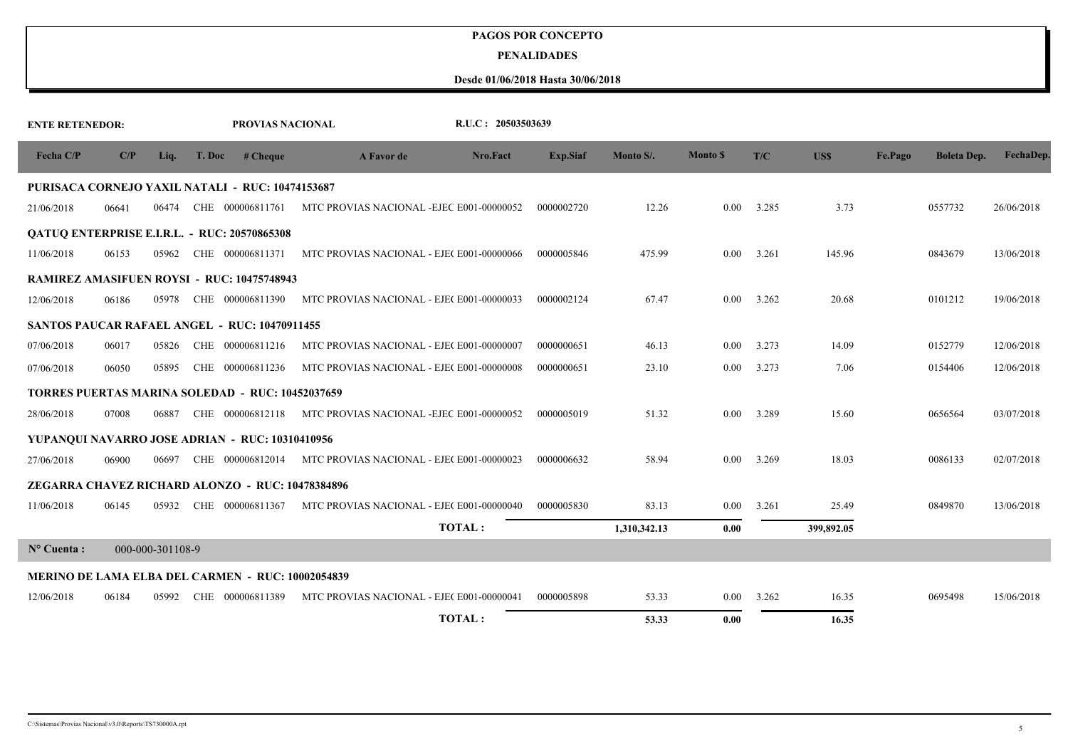#### **PENALIDADES**

| <b>ENTE RETENEDOR:</b> |       |                  |        | PROVIAS NACIONAL                                         |                                          | R.U.C: 20503503639 |                 |              |                |       |            |         |                    |            |
|------------------------|-------|------------------|--------|----------------------------------------------------------|------------------------------------------|--------------------|-----------------|--------------|----------------|-------|------------|---------|--------------------|------------|
| Fecha C/P              | C/P   | Liq.             | T. Doc | # <b>Change</b>                                          | A Favor de                               | Nro.Fact           | <b>Exp.Siaf</b> | Monto S/.    | <b>Monto S</b> | T/C   | US\$       | Fe.Pago | <b>Boleta Dep.</b> | FechaDep.  |
|                        |       |                  |        | PURISACA CORNEJO YAXIL NATALI - RUC: 10474153687         |                                          |                    |                 |              |                |       |            |         |                    |            |
| 21/06/2018             | 06641 | 06474            |        | CHE 000006811761                                         | MTC PROVIAS NACIONAL -EJEC E001-00000052 |                    | 0000002720      | 12.26        | 0.00           | 3.285 | 3.73       |         | 0557732            | 26/06/2018 |
|                        |       |                  |        | OATUO ENTERPRISE E.I.R.L. - RUC: 20570865308             |                                          |                    |                 |              |                |       |            |         |                    |            |
| 11/06/2018             | 06153 | 05962            |        | CHE 000006811371                                         | MTC PROVIAS NACIONAL - EJE(E001-00000066 |                    | 0000005846      | 475.99       | 0.00           | 3.261 | 145.96     |         | 0843679            | 13/06/2018 |
|                        |       |                  |        | <b>RAMIREZ AMASIFUEN ROYSI - RUC: 10475748943</b>        |                                          |                    |                 |              |                |       |            |         |                    |            |
| 12/06/2018             | 06186 | 05978            |        | CHE 000006811390                                         | MTC PROVIAS NACIONAL - EJE(E001-00000033 |                    | 0000002124      | 67.47        | 0.00           | 3.262 | 20.68      |         | 0101212            | 19/06/2018 |
|                        |       |                  |        | <b>SANTOS PAUCAR RAFAEL ANGEL - RUC: 10470911455</b>     |                                          |                    |                 |              |                |       |            |         |                    |            |
| 07/06/2018             | 06017 | 05826            | CHE    | 000006811216                                             | MTC PROVIAS NACIONAL - EJE(E001-00000007 |                    | 0000000651      | 46.13        | 0.00           | 3.273 | 14.09      |         | 0152779            | 12/06/2018 |
| 07/06/2018             | 06050 | 05895            |        | CHE 000006811236                                         | MTC PROVIAS NACIONAL - EJE(E001-00000008 |                    | 0000000651      | 23.10        | 0.00           | 3.273 | 7.06       |         | 0154406            | 12/06/2018 |
|                        |       |                  |        | <b>TORRES PUERTAS MARINA SOLEDAD - RUC: 10452037659</b>  |                                          |                    |                 |              |                |       |            |         |                    |            |
| 28/06/2018             | 07008 | 06887            |        | CHE 000006812118                                         | MTC PROVIAS NACIONAL -EJEC E001-00000052 |                    | 0000005019      | 51.32        | 0.00           | 3.289 | 15.60      |         | 0656564            | 03/07/2018 |
|                        |       |                  |        | YUPANQUI NAVARRO JOSE ADRIAN - RUC: 10310410956          |                                          |                    |                 |              |                |       |            |         |                    |            |
| 27/06/2018             | 06900 | 06697            |        | CHE 000006812014                                         | MTC PROVIAS NACIONAL - EJE(E001-00000023 |                    | 0000006632      | 58.94        | 0.00           | 3.269 | 18.03      |         | 0086133            | 02/07/2018 |
|                        |       |                  |        | ZEGARRA CHAVEZ RICHARD ALONZO - RUC: 10478384896         |                                          |                    |                 |              |                |       |            |         |                    |            |
| 11/06/2018             | 06145 | 05932            |        | CHE 000006811367                                         | MTC PROVIAS NACIONAL - EJE(E001-00000040 |                    | 0000005830      | 83.13        | 0.00           | 3.261 | 25.49      |         | 0849870            | 13/06/2018 |
|                        |       |                  |        |                                                          |                                          | <b>TOTAL:</b>      |                 | 1,310,342.13 | 0.00           |       | 399,892.05 |         |                    |            |
| N° Cuenta :            |       | 000-000-301108-9 |        |                                                          |                                          |                    |                 |              |                |       |            |         |                    |            |
|                        |       |                  |        | <b>MERINO DE LAMA ELBA DEL CARMEN - RUC: 10002054839</b> |                                          |                    |                 |              |                |       |            |         |                    |            |
| 12/06/2018             | 06184 | 05992            |        | CHE 000006811389                                         | MTC PROVIAS NACIONAL - EJE(E001-00000041 |                    | 0000005898      | 53.33        | 0.00           | 3.262 | 16.35      |         | 0695498            | 15/06/2018 |
|                        |       |                  |        |                                                          |                                          | <b>TOTAL:</b>      |                 | 53.33        | 0.00           |       | 16.35      |         |                    |            |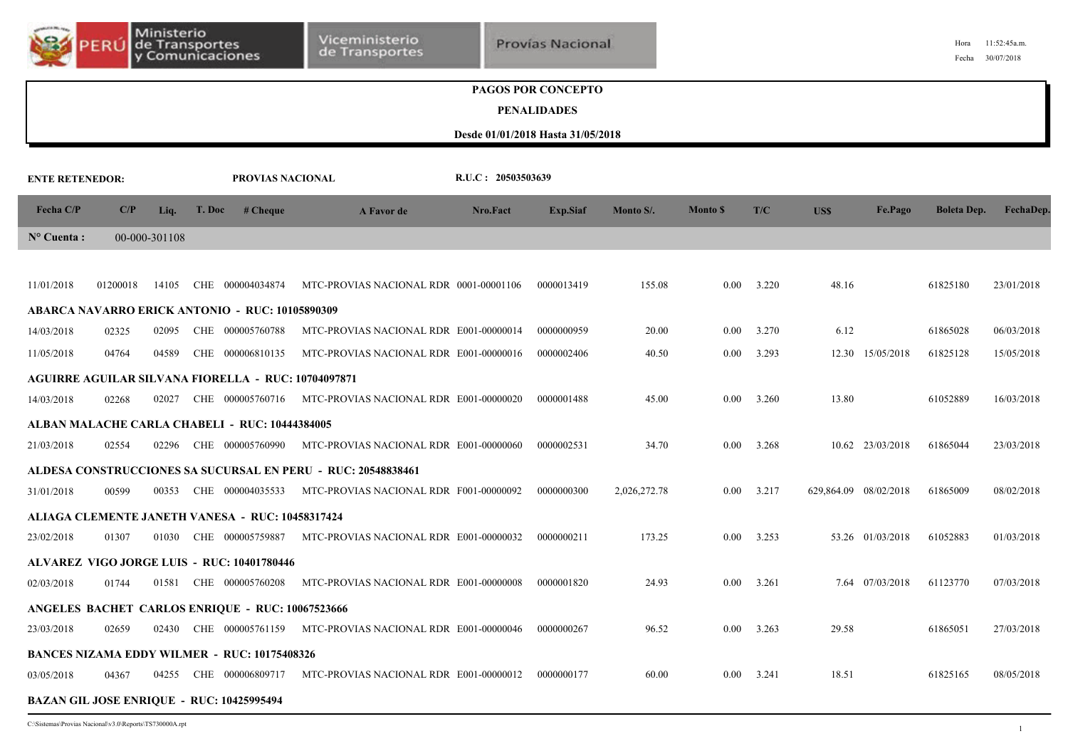|                        |          |               |        |                                                            |                                                                     | Desde 01/01/2018 Hasta 31/05/2018 | <b>PAGOS POR CONCEPTO</b><br><b>PENALIDADES</b> |              |                 |       |       |                       |                    |                 |
|------------------------|----------|---------------|--------|------------------------------------------------------------|---------------------------------------------------------------------|-----------------------------------|-------------------------------------------------|--------------|-----------------|-------|-------|-----------------------|--------------------|-----------------|
| <b>ENTE RETENEDOR:</b> |          |               |        | PROVIAS NACIONAL                                           |                                                                     | R.U.C: 20503503639                |                                                 |              |                 |       |       |                       |                    |                 |
| Fecha C/P              | C/P      | Liq.          | T. Doc | # <b>Change</b>                                            | A Favor de                                                          | Nro.Fact                          | Exp.Siaf                                        | Monto S/.    | <b>Monto</b> \$ | T/C   | US\$  | <b>Fe.Pago</b>        | <b>Boleta Dep.</b> | <b>FechaDep</b> |
| $N^{\circ}$ Cuenta :   |          | 00-000-301108 |        |                                                            |                                                                     |                                   |                                                 |              |                 |       |       |                       |                    |                 |
| 11/01/2018             | 01200018 | 14105         |        | CHE 000004034874                                           | MTC-PROVIAS NACIONAL RDR 0001-00001106                              |                                   | 0000013419                                      | 155.08       | 0.00            | 3.220 | 48.16 |                       | 61825180           | 23/01/2018      |
|                        |          |               |        | <b>ABARCA NAVARRO ERICK ANTONIO - RUC: 10105890309</b>     |                                                                     |                                   |                                                 |              |                 |       |       |                       |                    |                 |
| 14/03/2018             | 02325    | 02095         |        | CHE 000005760788                                           | MTC-PROVIAS NACIONAL RDR E001-00000014                              |                                   | 0000000959                                      | 20.00        | 0.00            | 3.270 | 6.12  |                       | 61865028           | 06/03/2018      |
| 11/05/2018             | 04764    | 04589         |        | CHE 000006810135                                           | MTC-PROVIAS NACIONAL RDR E001-00000016                              |                                   | 0000002406                                      | 40.50        | $0.00\,$        | 3.293 |       | 12.30 15/05/2018      | 61825128           | 15/05/2018      |
|                        |          |               |        | <b>AGUIRRE AGUILAR SILVANA FIORELLA - RUC: 10704097871</b> |                                                                     |                                   |                                                 |              |                 |       |       |                       |                    |                 |
| 14/03/2018             | 02268    | 02027         |        |                                                            | CHE 000005760716 MTC-PROVIAS NACIONAL RDR E001-00000020             |                                   | 0000001488                                      | 45.00        | 0.00            | 3.260 | 13.80 |                       | 61052889           | 16/03/2018      |
|                        |          |               |        | ALBAN MALACHE CARLA CHABELI - RUC: 10444384005             |                                                                     |                                   |                                                 |              |                 |       |       |                       |                    |                 |
| 21/03/2018             | 02554    | 02296         |        |                                                            | CHE 000005760990 MTC-PROVIAS NACIONAL RDR E001-00000060             |                                   | 0000002531                                      | 34.70        | 0.00            | 3.268 |       | 10.62 23/03/2018      | 61865044           | 23/03/2018      |
|                        |          |               |        |                                                            | <b>ALDESA CONSTRUCCIONES SA SUCURSAL EN PERU - RUC: 20548838461</b> |                                   |                                                 |              |                 |       |       |                       |                    |                 |
| 31/01/2018             | 00599    | 00353         |        | CHE 000004035533                                           | MTC-PROVIAS NACIONAL RDR F001-00000092                              |                                   | 0000000300                                      | 2,026,272.78 | 0.00            | 3.217 |       | 629,864.09 08/02/2018 | 61865009           | 08/02/2018      |
|                        |          |               |        | <b>ALIAGA CLEMENTE JANETH VANESA - RUC: 10458317424</b>    |                                                                     |                                   |                                                 |              |                 |       |       |                       |                    |                 |
| 23/02/2018             | 01307    | 01030         |        |                                                            | CHE 000005759887 MTC-PROVIAS NACIONAL RDR E001-00000032             |                                   | 0000000211                                      | 173.25       | $0.00\,$        | 3.253 |       | 53.26 01/03/2018      | 61052883           | 01/03/2018      |
|                        |          |               |        | ALVAREZ VIGO JORGE LUIS - RUC: 10401780446                 |                                                                     |                                   |                                                 |              |                 |       |       |                       |                    |                 |
| 02/03/2018             | 01744    |               |        | 01581 CHE 000005760208                                     | MTC-PROVIAS NACIONAL RDR E001-00000008                              |                                   | 0000001820                                      | 24.93        | 0.00            | 3.261 |       | 7.64 07/03/2018       | 61123770           | 07/03/2018      |
|                        |          |               |        | ANGELES BACHET CARLOS ENRIQUE - RUC: 10067523666           |                                                                     |                                   |                                                 |              |                 |       |       |                       |                    |                 |
| 23/03/2018             | 02659    | 02430         |        |                                                            | CHE 000005761159 MTC-PROVIAS NACIONAL RDR E001-00000046             |                                   | 0000000267                                      | 96.52        | $0.00\,$        | 3.263 | 29.58 |                       | 61865051           | 27/03/2018      |
|                        |          |               |        | <b>BANCES NIZAMA EDDY WILMER - RUC: 10175408326</b>        |                                                                     |                                   |                                                 |              |                 |       |       |                       |                    |                 |
| 03/05/2018             | 04367    | 04255         |        | CHE 000006809717                                           | MTC-PROVIAS NACIONAL RDR E001-00000012                              |                                   | 0000000177                                      | 60.00        | 0.00            | 3.241 | 18.51 |                       | 61825165           | 08/05/2018      |
|                        |          |               |        | <b>BAZAN GIL JOSE ENRIQUE - RUC: 10425995494</b>           |                                                                     |                                   |                                                 |              |                 |       |       |                       |                    |                 |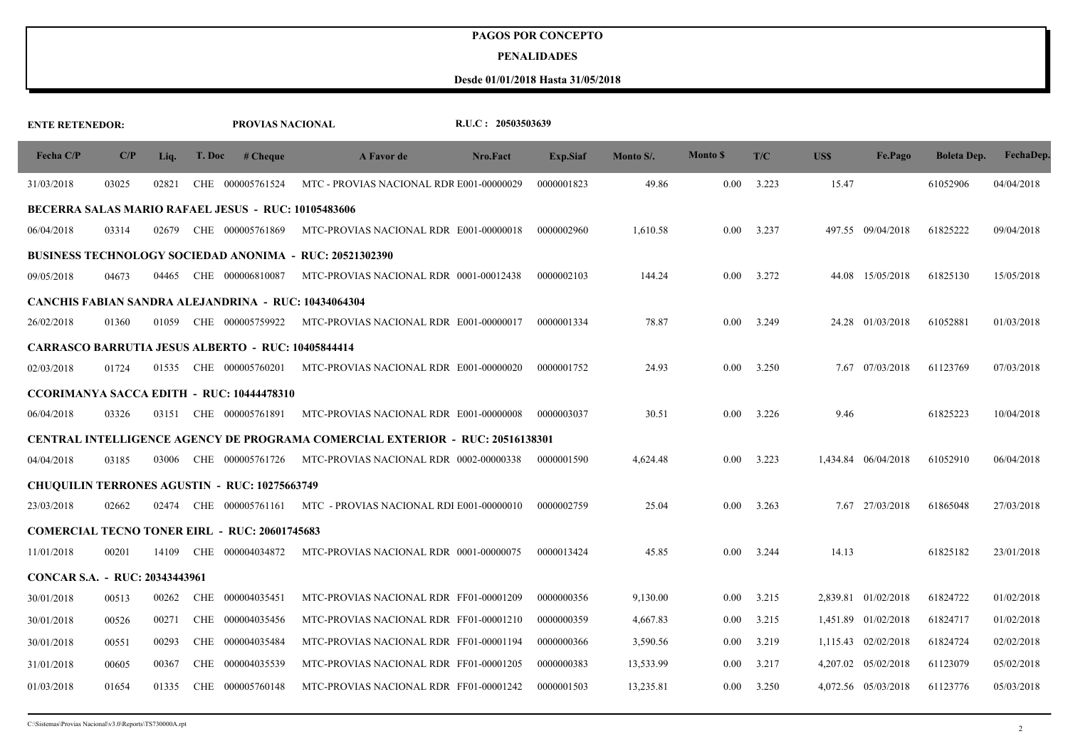#### **PENALIDADES**

| <b>ENTE RETENEDOR:</b>                |       |       |            | PROVIAS NACIONAL                                           |                                                                                      | R.U.C: 20503503639 |                 |           |                 |       |          |                     |                    |            |
|---------------------------------------|-------|-------|------------|------------------------------------------------------------|--------------------------------------------------------------------------------------|--------------------|-----------------|-----------|-----------------|-------|----------|---------------------|--------------------|------------|
| Fecha $C/P$                           | C/P   | Liq.  | T. Doc     | # <b>Change</b>                                            | A Favor de                                                                           | Nro.Fact           | <b>Exp.Siaf</b> | Monto S/. | <b>Monto</b> \$ | T/C   | US\$     | Fe.Pago             | <b>Boleta Dep.</b> | FechaDep.  |
| 31/03/2018                            | 03025 | 02821 |            | CHE 000005761524                                           | MTC - PROVIAS NACIONAL RDR E001-00000029                                             |                    | 0000001823      | 49.86     | 0.00            | 3.223 | 15.47    |                     | 61052906           | 04/04/2018 |
|                                       |       |       |            | <b>BECERRA SALAS MARIO RAFAEL JESUS - RUC: 10105483606</b> |                                                                                      |                    |                 |           |                 |       |          |                     |                    |            |
| 06/04/2018                            | 03314 | 02679 |            | CHE 000005761869                                           | MTC-PROVIAS NACIONAL RDR E001-00000018                                               |                    | 0000002960      | 1,610.58  | 0.00            | 3.237 |          | 497.55 09/04/2018   | 61825222           | 09/04/2018 |
|                                       |       |       |            |                                                            | <b>BUSINESS TECHNOLOGY SOCIEDAD ANONIMA - RUC: 20521302390</b>                       |                    |                 |           |                 |       |          |                     |                    |            |
| 09/05/2018                            | 04673 | 04465 |            | CHE 000006810087                                           | MTC-PROVIAS NACIONAL RDR 0001-00012438                                               |                    | 0000002103      | 144.24    | 0.00            | 3.272 | 44.08    | 15/05/2018          | 61825130           | 15/05/2018 |
|                                       |       |       |            |                                                            | <b>CANCHIS FABIAN SANDRA ALEJANDRINA - RUC: 10434064304</b>                          |                    |                 |           |                 |       |          |                     |                    |            |
| 26/02/2018                            | 01360 | 01059 |            | CHE 000005759922                                           | MTC-PROVIAS NACIONAL RDR E001-00000017                                               |                    | 0000001334      | 78.87     | 0.00            | 3.249 |          | 24.28 01/03/2018    | 61052881           | 01/03/2018 |
|                                       |       |       |            | <b>CARRASCO BARRUTIA JESUS ALBERTO - RUC: 10405844414</b>  |                                                                                      |                    |                 |           |                 |       |          |                     |                    |            |
| 02/03/2018                            | 01724 | 01535 |            | CHE 000005760201                                           | MTC-PROVIAS NACIONAL RDR E001-00000020                                               |                    | 0000001752      | 24.93     | 0.00            | 3.250 | 7.67     | 07/03/2018          | 61123769           | 07/03/2018 |
|                                       |       |       |            | <b>CCORIMANYA SACCA EDITH - RUC: 10444478310</b>           |                                                                                      |                    |                 |           |                 |       |          |                     |                    |            |
| 06/04/2018                            | 03326 | 03151 |            | CHE 000005761891                                           | MTC-PROVIAS NACIONAL RDR E001-00000008                                               |                    | 0000003037      | 30.51     | 0.00            | 3.226 | 9.46     |                     | 61825223           | 10/04/2018 |
|                                       |       |       |            |                                                            | <b>CENTRAL INTELLIGENCE AGENCY DE PROGRAMA COMERCIAL EXTERIOR - RUC: 20516138301</b> |                    |                 |           |                 |       |          |                     |                    |            |
| 04/04/2018                            | 03185 | 03006 |            | CHE 000005761726                                           | MTC-PROVIAS NACIONAL RDR 0002-00000338                                               |                    | 0000001590      | 4,624.48  | 0.00            | 3.223 |          | 1.434.84 06/04/2018 | 61052910           | 06/04/2018 |
|                                       |       |       |            | <b>CHUQUILIN TERRONES AGUSTIN - RUC: 10275663749</b>       |                                                                                      |                    |                 |           |                 |       |          |                     |                    |            |
| 23/03/2018                            | 02662 | 02474 |            | CHE 000005761161                                           | MTC - PROVIAS NACIONAL RDI E001-00000010                                             |                    | 0000002759      | 25.04     | 0.00            | 3.263 |          | 7.67 27/03/2018     | 61865048           | 27/03/2018 |
|                                       |       |       |            | <b>COMERCIAL TECNO TONER EIRL - RUC: 20601745683</b>       |                                                                                      |                    |                 |           |                 |       |          |                     |                    |            |
| 11/01/2018                            | 00201 | 14109 |            | CHE 000004034872                                           | MTC-PROVIAS NACIONAL RDR 0001-00000075                                               |                    | 0000013424      | 45.85     | 0.00            | 3.244 | 14.13    |                     | 61825182           | 23/01/2018 |
| <b>CONCAR S.A. - RUC: 20343443961</b> |       |       |            |                                                            |                                                                                      |                    |                 |           |                 |       |          |                     |                    |            |
| 30/01/2018                            | 00513 | 00262 | <b>CHE</b> | 000004035451                                               | MTC-PROVIAS NACIONAL RDR FF01-00001209                                               |                    | 0000000356      | 9,130.00  | 0.00            | 3.215 |          | 2,839.81 01/02/2018 | 61824722           | 01/02/2018 |
| 30/01/2018                            | 00526 | 00271 |            | CHE 000004035456                                           | MTC-PROVIAS NACIONAL RDR FF01-00001210                                               |                    | 0000000359      | 4,667.83  | 0.00            | 3.215 |          | 1,451.89 01/02/2018 | 61824717           | 01/02/2018 |
| 30/01/2018                            | 00551 | 00293 | CHE        | 000004035484                                               | MTC-PROVIAS NACIONAL RDR FF01-00001194                                               |                    | 0000000366      | 3,590.56  | 0.00            | 3.219 | 1,115.43 | 02/02/2018          | 61824724           | 02/02/2018 |
| 31/01/2018                            | 00605 | 00367 |            | CHE 000004035539                                           | MTC-PROVIAS NACIONAL RDR FF01-00001205                                               |                    | 0000000383      | 13,533.99 | 0.00            | 3.217 |          | 4.207.02 05/02/2018 | 61123079           | 05/02/2018 |
| 01/03/2018                            | 01654 | 01335 |            | CHE 000005760148                                           | MTC-PROVIAS NACIONAL RDR FF01-00001242                                               |                    | 0000001503      | 13,235.81 | 0.00            | 3.250 |          | 4,072.56 05/03/2018 | 61123776           | 05/03/2018 |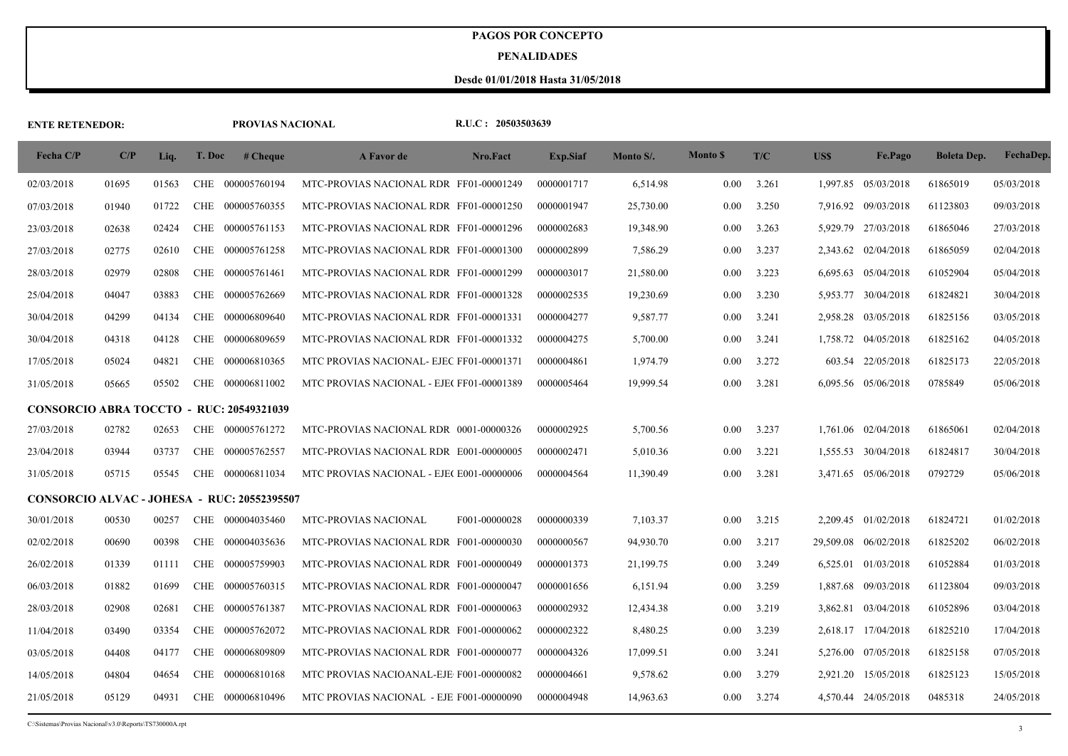#### **PENALIDADES**

| <b>ENTE RETENEDOR:</b> |       |       |            | PROVIAS NACIONAL                            |                                          | R.U.C: 20503503639 |                 |           |                 |       |          |                      |                    |            |
|------------------------|-------|-------|------------|---------------------------------------------|------------------------------------------|--------------------|-----------------|-----------|-----------------|-------|----------|----------------------|--------------------|------------|
| Fecha C/P              | C/P   | Liq.  | T. Doc     | # <b>Change</b>                             | A Favor de                               | Nro.Fact           | <b>Exp.Siaf</b> | Monto S/. | <b>Monto</b> \$ | T/C   | US\$     | Fe.Pago              | <b>Boleta Dep.</b> | FechaDep.  |
| 02/03/2018             | 01695 | 01563 | <b>CHE</b> | 000005760194                                | MTC-PROVIAS NACIONAL RDR FF01-00001249   |                    | 0000001717      | 6,514.98  | 0.00            | 3.261 |          | 1,997.85 05/03/2018  | 61865019           | 05/03/2018 |
| 07/03/2018             | 01940 | 01722 | <b>CHE</b> | 000005760355                                | MTC-PROVIAS NACIONAL RDR FF01-00001250   |                    | 0000001947      | 25,730.00 | 0.00            | 3.250 |          | 7,916.92 09/03/2018  | 61123803           | 09/03/2018 |
| 23/03/2018             | 02638 | 02424 | <b>CHE</b> | 000005761153                                | MTC-PROVIAS NACIONAL RDR FF01-00001296   |                    | 0000002683      | 19,348.90 | 0.00            | 3.263 | 5.929.79 | 27/03/2018           | 61865046           | 27/03/2018 |
| 27/03/2018             | 02775 | 02610 | <b>CHE</b> | 000005761258                                | MTC-PROVIAS NACIONAL RDR FF01-00001300   |                    | 0000002899      | 7,586.29  | 0.00            | 3.237 | 2,343.62 | 02/04/2018           | 61865059           | 02/04/2018 |
| 28/03/2018             | 02979 | 02808 | <b>CHE</b> | 000005761461                                | MTC-PROVIAS NACIONAL RDR FF01-00001299   |                    | 0000003017      | 21,580.00 | 0.00            | 3.223 | 6,695.63 | 05/04/2018           | 61052904           | 05/04/2018 |
| 25/04/2018             | 04047 | 03883 | <b>CHE</b> | 000005762669                                | MTC-PROVIAS NACIONAL RDR FF01-00001328   |                    | 0000002535      | 19,230.69 | 0.00            | 3.230 |          | 5,953.77 30/04/2018  | 61824821           | 30/04/2018 |
| 30/04/2018             | 04299 | 04134 | <b>CHE</b> | 000006809640                                | MTC-PROVIAS NACIONAL RDR FF01-00001331   |                    | 0000004277      | 9,587.77  | 0.00            | 3.241 | 2,958.28 | 03/05/2018           | 61825156           | 03/05/2018 |
| 30/04/2018             | 04318 | 04128 | <b>CHE</b> | 000006809659                                | MTC-PROVIAS NACIONAL RDR FF01-00001332   |                    | 0000004275      | 5,700.00  | 0.00            | 3.241 | 1,758.72 | 04/05/2018           | 61825162           | 04/05/2018 |
| 17/05/2018             | 05024 | 04821 | <b>CHE</b> | 000006810365                                | MTC PROVIAS NACIONAL- EJEC FF01-00001371 |                    | 0000004861      | 1,974.79  | 0.00            | 3.272 | 603.54   | 22/05/2018           | 61825173           | 22/05/2018 |
| 31/05/2018             | 05665 | 05502 | <b>CHE</b> | 000006811002                                | MTC PROVIAS NACIONAL - EJE(FF01-00001389 |                    | 0000005464      | 19,999.54 | 0.00            | 3.281 |          | 6,095.56 05/06/2018  | 0785849            | 05/06/2018 |
|                        |       |       |            | CONSORCIO ABRA TOCCTO - RUC: 20549321039    |                                          |                    |                 |           |                 |       |          |                      |                    |            |
| 27/03/2018             | 02782 | 02653 |            | CHE 000005761272                            | MTC-PROVIAS NACIONAL RDR 0001-00000326   |                    | 0000002925      | 5,700.56  | 0.00            | 3.237 |          | 1,761.06 02/04/2018  | 61865061           | 02/04/2018 |
| 23/04/2018             | 03944 | 03737 | <b>CHE</b> | 000005762557                                | MTC-PROVIAS NACIONAL RDR E001-00000005   |                    | 0000002471      | 5,010.36  | 0.00            | 3.221 |          | 1,555.53 30/04/2018  | 61824817           | 30/04/2018 |
| 31/05/2018             | 05715 | 05545 | CHE        | 000006811034                                | MTC PROVIAS NACIONAL - EJE(E001-00000006 |                    | 0000004564      | 11,390.49 | 0.00            | 3.281 |          | 3,471.65 05/06/2018  | 0792729            | 05/06/2018 |
|                        |       |       |            | CONSORCIO ALVAC - JOHESA - RUC: 20552395507 |                                          |                    |                 |           |                 |       |          |                      |                    |            |
| 30/01/2018             | 00530 | 00257 |            | CHE 000004035460                            | MTC-PROVIAS NACIONAL                     | F001-00000028      | 0000000339      | 7,103.37  | 0.00            | 3.215 |          | 2,209.45 01/02/2018  | 61824721           | 01/02/2018 |
| 02/02/2018             | 00690 | 00398 | <b>CHE</b> | 000004035636                                | MTC-PROVIAS NACIONAL RDR F001-00000030   |                    | 0000000567      | 94,930.70 | 0.00            | 3.217 |          | 29,509.08 06/02/2018 | 61825202           | 06/02/2018 |
| 26/02/2018             | 01339 | 01111 | <b>CHE</b> | 000005759903                                | MTC-PROVIAS NACIONAL RDR F001-00000049   |                    | 0000001373      | 21,199.75 | 0.00            | 3.249 | 6,525.01 | 01/03/2018           | 61052884           | 01/03/2018 |
| 06/03/2018             | 01882 | 01699 | <b>CHE</b> | 000005760315                                | MTC-PROVIAS NACIONAL RDR F001-00000047   |                    | 0000001656      | 6,151.94  | 0.00            | 3.259 |          | 1,887.68 09/03/2018  | 61123804           | 09/03/2018 |
| 28/03/2018             | 02908 | 02681 | <b>CHE</b> | 000005761387                                | MTC-PROVIAS NACIONAL RDR F001-00000063   |                    | 0000002932      | 12,434.38 | 0.00            | 3.219 | 3,862.81 | 03/04/2018           | 61052896           | 03/04/2018 |
| 11/04/2018             | 03490 | 03354 | <b>CHE</b> | 000005762072                                | MTC-PROVIAS NACIONAL RDR F001-00000062   |                    | 0000002322      | 8,480.25  | 0.00            | 3.239 |          | 2,618.17 17/04/2018  | 61825210           | 17/04/2018 |
| 03/05/2018             | 04408 | 04177 | <b>CHE</b> | 000006809809                                | MTC-PROVIAS NACIONAL RDR F001-00000077   |                    | 0000004326      | 17,099.51 | 0.00            | 3.241 | 5,276.00 | 07/05/2018           | 61825158           | 07/05/2018 |
| 14/05/2018             | 04804 | 04654 | <b>CHE</b> | 000006810168                                | MTC PROVIAS NACIOANAL-EJE F001-00000082  |                    | 0000004661      | 9,578.62  | 0.00            | 3.279 |          | 2,921.20 15/05/2018  | 61825123           | 15/05/2018 |
| 21/05/2018             | 05129 | 04931 | <b>CHE</b> | 000006810496                                | MTC PROVIAS NACIONAL - EJE F001-00000090 |                    | 0000004948      | 14,963.63 | 0.00            | 3.274 |          | 4,570.44 24/05/2018  | 0485318            | 24/05/2018 |
|                        |       |       |            |                                             |                                          |                    |                 |           |                 |       |          |                      |                    |            |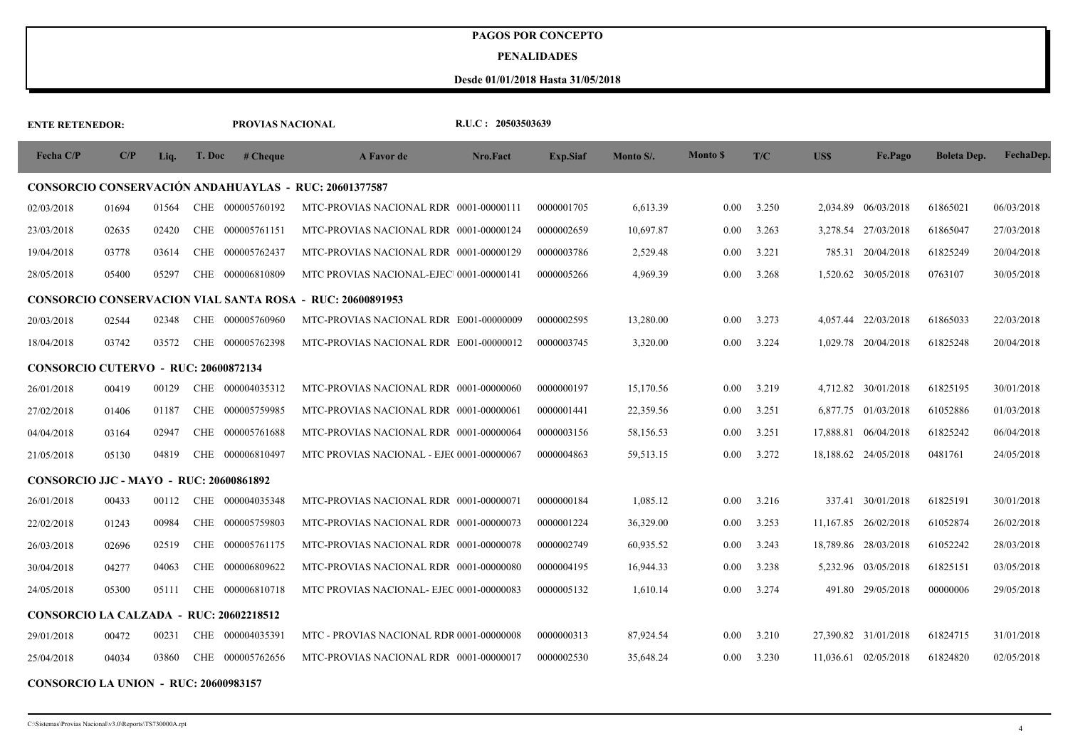#### **PENALIDADES**

#### **Desde 01/01/2018 Hasta 31/05/2018**

| <b>ENTE RETENEDOR:</b>                         |       |       |            | PROVIAS NACIONAL |                                                                  | R.U.C: 20503503639 |            |           |                |       |        |                      |                    |            |
|------------------------------------------------|-------|-------|------------|------------------|------------------------------------------------------------------|--------------------|------------|-----------|----------------|-------|--------|----------------------|--------------------|------------|
| Fecha C/P                                      | C/P   | Liq.  | T. Doc     | # <b>Change</b>  | A Favor de                                                       | Nro.Fact           | Exp.Siaf   | Monto S/. | <b>Monto S</b> | T/C   | US\$   | Fe.Pago              | <b>Boleta Dep.</b> | FechaDep.  |
|                                                |       |       |            |                  | <b>CONSORCIO CONSERVACIÓN ANDAHUAYLAS - RUC: 20601377587</b>     |                    |            |           |                |       |        |                      |                    |            |
| 02/03/2018                                     | 01694 | 01564 |            | CHE 000005760192 | MTC-PROVIAS NACIONAL RDR 0001-00000111                           |                    | 0000001705 | 6,613.39  | 0.00           | 3.250 |        | 2,034.89 06/03/2018  | 61865021           | 06/03/2018 |
| 23/03/2018                                     | 02635 | 02420 |            | CHE 000005761151 | MTC-PROVIAS NACIONAL RDR 0001-00000124                           |                    | 0000002659 | 10,697.87 | $0.00\,$       | 3.263 |        | 3,278.54 27/03/2018  | 61865047           | 27/03/2018 |
| 19/04/2018                                     | 03778 | 03614 | CHE        | 000005762437     | MTC-PROVIAS NACIONAL RDR 0001-00000129                           |                    | 0000003786 | 2,529.48  | 0.00           | 3.221 | 785.31 | 20/04/2018           | 61825249           | 20/04/2018 |
| 28/05/2018                                     | 05400 | 05297 | <b>CHE</b> | 000006810809     | MTC PROVIAS NACIONAL-EJEC 0001-00000141                          |                    | 0000005266 | 4,969.39  | 0.00           | 3.268 |        | 1,520.62 30/05/2018  | 0763107            | 30/05/2018 |
|                                                |       |       |            |                  | <b>CONSORCIO CONSERVACION VIAL SANTA ROSA - RUC: 20600891953</b> |                    |            |           |                |       |        |                      |                    |            |
| 20/03/2018                                     | 02544 | 02348 |            | CHE 000005760960 | MTC-PROVIAS NACIONAL RDR E001-00000009                           |                    | 0000002595 | 13,280.00 | 0.00           | 3.273 |        | 4,057.44 22/03/2018  | 61865033           | 22/03/2018 |
| 18/04/2018                                     | 03742 | 03572 |            | CHE 000005762398 | MTC-PROVIAS NACIONAL RDR E001-00000012                           |                    | 0000003745 | 3,320.00  | 0.00           | 3.224 |        | 1,029.78 20/04/2018  | 61825248           | 20/04/2018 |
| <b>CONSORCIO CUTERVO - RUC: 20600872134</b>    |       |       |            |                  |                                                                  |                    |            |           |                |       |        |                      |                    |            |
| 26/01/2018                                     | 00419 | 00129 |            | CHE 000004035312 | MTC-PROVIAS NACIONAL RDR 0001-00000060                           |                    | 0000000197 | 15,170.56 | 0.00           | 3.219 |        | 4,712.82 30/01/2018  | 61825195           | 30/01/2018 |
| 27/02/2018                                     | 01406 | 01187 |            | CHE 000005759985 | MTC-PROVIAS NACIONAL RDR 0001-00000061                           |                    | 0000001441 | 22,359.56 | 0.00           | 3.251 |        | 6,877.75 01/03/2018  | 61052886           | 01/03/2018 |
| 04/04/2018                                     | 03164 | 02947 |            | CHE 000005761688 | MTC-PROVIAS NACIONAL RDR 0001-00000064                           |                    | 0000003156 | 58,156.53 | $0.00\,$       | 3.251 |        | 17,888.81 06/04/2018 | 61825242           | 06/04/2018 |
| 21/05/2018                                     | 05130 | 04819 |            | CHE 000006810497 | MTC PROVIAS NACIONAL - EJE(0001-00000067                         |                    | 0000004863 | 59,513.15 | $0.00\,$       | 3.272 |        | 18,188.62 24/05/2018 | 0481761            | 24/05/2018 |
| <b>CONSORCIO JJC - MAYO - RUC: 20600861892</b> |       |       |            |                  |                                                                  |                    |            |           |                |       |        |                      |                    |            |
| 26/01/2018                                     | 00433 | 00112 |            | CHE 000004035348 | MTC-PROVIAS NACIONAL RDR 0001-00000071                           |                    | 0000000184 | 1,085.12  | 0.00           | 3.216 |        | 337.41 30/01/2018    | 61825191           | 30/01/2018 |
| 22/02/2018                                     | 01243 | 00984 |            | CHE 000005759803 | MTC-PROVIAS NACIONAL RDR 0001-00000073                           |                    | 0000001224 | 36,329.00 | $0.00\,$       | 3.253 |        | 11,167.85 26/02/2018 | 61052874           | 26/02/2018 |
| 26/03/2018                                     | 02696 | 02519 | CHE        | 000005761175     | MTC-PROVIAS NACIONAL RDR 0001-00000078                           |                    | 0000002749 | 60,935.52 | 0.00           | 3.243 |        | 18,789.86 28/03/2018 | 61052242           | 28/03/2018 |
| 30/04/2018                                     | 04277 | 04063 |            | CHE 000006809622 | MTC-PROVIAS NACIONAL RDR 0001-00000080                           |                    | 0000004195 | 16,944.33 | $0.00\,$       | 3.238 |        | 5,232.96 03/05/2018  | 61825151           | 03/05/2018 |
| 24/05/2018                                     | 05300 | 05111 |            | CHE 000006810718 | MTC PROVIAS NACIONAL- EJEC 0001-00000083                         |                    | 0000005132 | 1,610.14  | 0.00           | 3.274 |        | 491.80 29/05/2018    | 00000006           | 29/05/2018 |
| CONSORCIO LA CALZADA - RUC: 20602218512        |       |       |            |                  |                                                                  |                    |            |           |                |       |        |                      |                    |            |
| 29/01/2018                                     | 00472 | 00231 |            | CHE 000004035391 | MTC - PROVIAS NACIONAL RDR 0001-00000008                         |                    | 0000000313 | 87,924.54 | 0.00           | 3.210 |        | 27,390.82 31/01/2018 | 61824715           | 31/01/2018 |
| 25/04/2018                                     | 04034 | 03860 |            | CHE 000005762656 | MTC-PROVIAS NACIONAL RDR 0001-00000017                           |                    | 0000002530 | 35,648.24 | 0.00           | 3.230 |        | 11.036.61 02/05/2018 | 61824820           | 02/05/2018 |
| <b>CONSORCIO LA UNION - RUC: 20600983157</b>   |       |       |            |                  |                                                                  |                    |            |           |                |       |        |                      |                    |            |

C:\Sistemas\Provias Nacional\v3.0\Reports\TS730000A.rpt <sup>4</sup>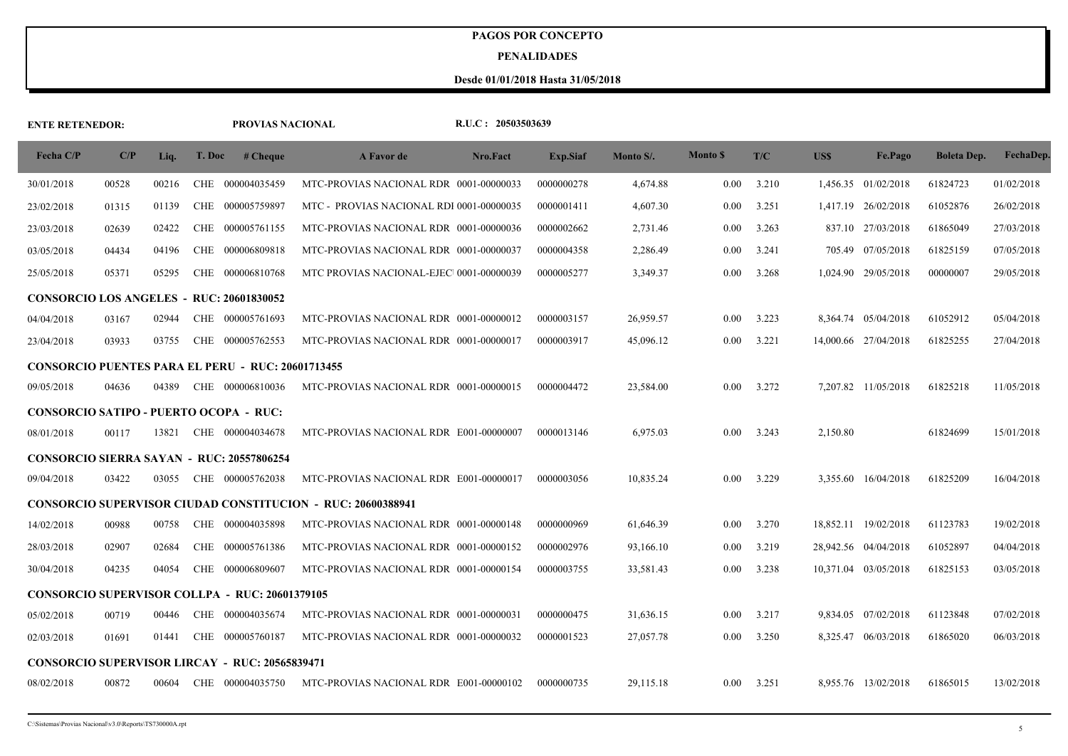#### **PENALIDADES**

| <b>ENTE RETENEDOR:</b>                          |       |       |            | PROVIAS NACIONAL                                         |                                                                    | R.U.C: 20503503639 |                 |           |                |       |            |                      |                    |            |
|-------------------------------------------------|-------|-------|------------|----------------------------------------------------------|--------------------------------------------------------------------|--------------------|-----------------|-----------|----------------|-------|------------|----------------------|--------------------|------------|
| Fecha C/P                                       | C/P   | Liq.  | T. Doc     | # Cheque                                                 | A Favor de                                                         | Nro.Fact           | <b>Exp.Siaf</b> | Monto S/. | <b>Monto S</b> | T/C   | <b>USS</b> | Fe.Pago              | <b>Boleta Dep.</b> | FechaDep.  |
| 30/01/2018                                      | 00528 | 00216 | <b>CHE</b> | 000004035459                                             | MTC-PROVIAS NACIONAL RDR 0001-00000033                             |                    | 0000000278      | 4,674.88  | 0.00           | 3.210 |            | 1,456.35 01/02/2018  | 61824723           | 01/02/2018 |
| 23/02/2018                                      | 01315 | 01139 | <b>CHE</b> | 000005759897                                             | MTC - PROVIAS NACIONAL RDI 0001-00000035                           |                    | 0000001411      | 4,607.30  | 0.00           | 3.251 |            | 1,417.19 26/02/2018  | 61052876           | 26/02/2018 |
| 23/03/2018                                      | 02639 | 02422 | CHE        | 000005761155                                             | MTC-PROVIAS NACIONAL RDR 0001-00000036                             |                    | 0000002662      | 2,731.46  | 0.00           | 3.263 |            | 837.10 27/03/2018    | 61865049           | 27/03/2018 |
| 03/05/2018                                      | 04434 | 04196 |            | CHE 000006809818                                         | MTC-PROVIAS NACIONAL RDR 0001-00000037                             |                    | 0000004358      | 2,286.49  | 0.00           | 3.241 |            | 705.49 07/05/2018    | 61825159           | 07/05/2018 |
| 25/05/2018                                      | 05371 | 05295 |            | CHE 000006810768                                         | MTC PROVIAS NACIONAL-EJEC 0001-00000039                            |                    | 0000005277      | 3,349.37  | 0.00           | 3.268 |            | 1,024.90 29/05/2018  | 00000007           | 29/05/2018 |
| <b>CONSORCIO LOS ANGELES - RUC: 20601830052</b> |       |       |            |                                                          |                                                                    |                    |                 |           |                |       |            |                      |                    |            |
| 04/04/2018                                      | 03167 | 02944 |            | CHE 000005761693                                         | MTC-PROVIAS NACIONAL RDR 0001-00000012                             |                    | 0000003157      | 26,959.57 | 0.00           | 3.223 |            | 8.364.74 05/04/2018  | 61052912           | 05/04/2018 |
| 23/04/2018                                      | 03933 | 03755 |            | CHE 000005762553                                         | MTC-PROVIAS NACIONAL RDR 0001-00000017                             |                    | 0000003917      | 45,096.12 | 0.00           | 3.221 |            | 14,000.66 27/04/2018 | 61825255           | 27/04/2018 |
|                                                 |       |       |            | <b>CONSORCIO PUENTES PARA EL PERU - RUC: 20601713455</b> |                                                                    |                    |                 |           |                |       |            |                      |                    |            |
| 09/05/2018                                      | 04636 | 04389 |            | CHE 000006810036                                         | MTC-PROVIAS NACIONAL RDR 0001-00000015                             |                    | 0000004472      | 23,584.00 | 0.00           | 3.272 |            | 7,207.82 11/05/2018  | 61825218           | 11/05/2018 |
| <b>CONSORCIO SATIPO - PUERTO OCOPA - RUC:</b>   |       |       |            |                                                          |                                                                    |                    |                 |           |                |       |            |                      |                    |            |
| 08/01/2018                                      | 00117 | 13821 |            | CHE 000004034678                                         | MTC-PROVIAS NACIONAL RDR E001-00000007                             |                    | 0000013146      | 6,975.03  | 0.00           | 3.243 | 2,150.80   |                      | 61824699           | 15/01/2018 |
|                                                 |       |       |            | <b>CONSORCIO SIERRA SAYAN - RUC: 20557806254</b>         |                                                                    |                    |                 |           |                |       |            |                      |                    |            |
| 09/04/2018                                      | 03422 | 03055 |            | CHE 000005762038                                         | MTC-PROVIAS NACIONAL RDR E001-00000017                             |                    | 0000003056      | 10,835.24 | 0.00           | 3.229 |            | 3.355.60 16/04/2018  | 61825209           | 16/04/2018 |
|                                                 |       |       |            |                                                          | <b>CONSORCIO SUPERVISOR CIUDAD CONSTITUCION - RUC: 20600388941</b> |                    |                 |           |                |       |            |                      |                    |            |
| 14/02/2018                                      | 00988 | 00758 |            | CHE 000004035898                                         | MTC-PROVIAS NACIONAL RDR 0001-00000148                             |                    | 0000000969      | 61,646.39 | 0.00           | 3.270 |            | 18,852.11 19/02/2018 | 61123783           | 19/02/2018 |
| 28/03/2018                                      | 02907 | 02684 | <b>CHE</b> | 000005761386                                             | MTC-PROVIAS NACIONAL RDR 0001-00000152                             |                    | 0000002976      | 93,166.10 | 0.00           | 3.219 |            | 28,942.56 04/04/2018 | 61052897           | 04/04/2018 |
| 30/04/2018                                      | 04235 | 04054 | <b>CHE</b> | 000006809607                                             | MTC-PROVIAS NACIONAL RDR 0001-00000154                             |                    | 0000003755      | 33,581.43 | 0.00           | 3.238 |            | 10,371.04 03/05/2018 | 61825153           | 03/05/2018 |
|                                                 |       |       |            | <b>CONSORCIO SUPERVISOR COLLPA - RUC: 20601379105</b>    |                                                                    |                    |                 |           |                |       |            |                      |                    |            |
| 05/02/2018                                      | 00719 | 00446 |            | CHE 000004035674                                         | MTC-PROVIAS NACIONAL RDR 0001-00000031                             |                    | 0000000475      | 31,636.15 | 0.00           | 3.217 |            | 9.834.05 07/02/2018  | 61123848           | 07/02/2018 |
| 02/03/2018                                      | 01691 | 01441 | <b>CHE</b> | 000005760187                                             | MTC-PROVIAS NACIONAL RDR 0001-00000032                             |                    | 0000001523      | 27,057.78 | 0.00           | 3.250 |            | 8.325.47 06/03/2018  | 61865020           | 06/03/2018 |
|                                                 |       |       |            | <b>CONSORCIO SUPERVISOR LIRCAY - RUC: 20565839471</b>    |                                                                    |                    |                 |           |                |       |            |                      |                    |            |
| 08/02/2018                                      | 00872 | 00604 |            | CHE 000004035750                                         | MTC-PROVIAS NACIONAL RDR E001-00000102                             |                    | 0000000735      | 29,115.18 | 0.00           | 3.251 |            | 8.955.76 13/02/2018  | 61865015           | 13/02/2018 |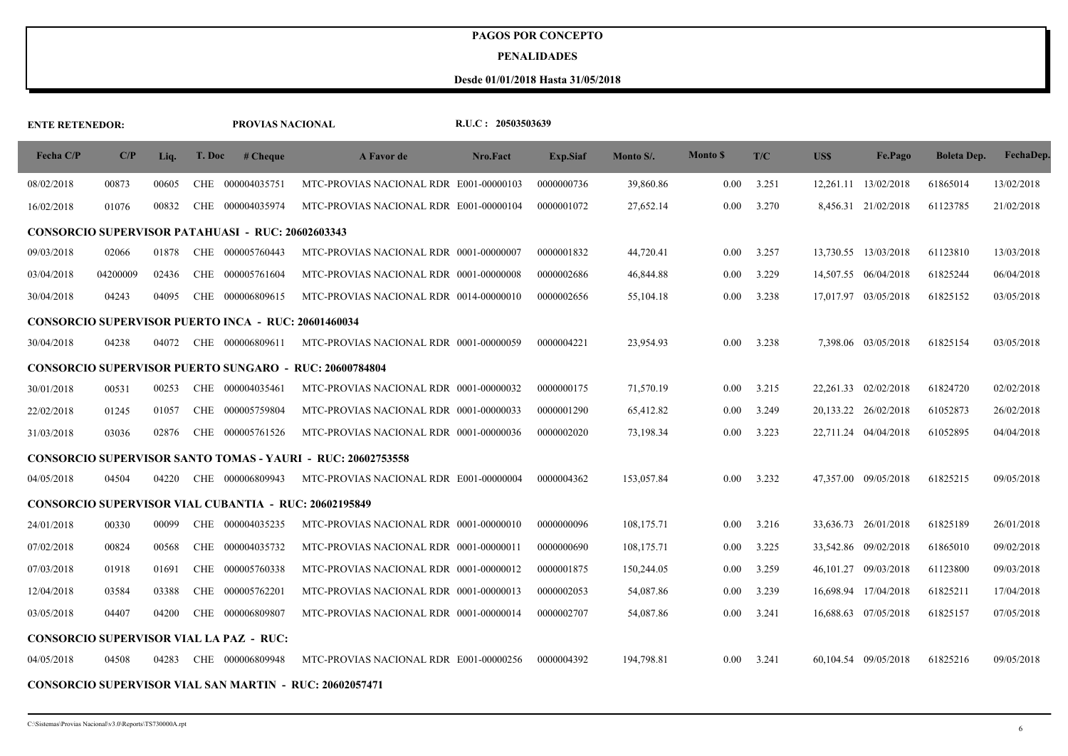#### **PENALIDADES**

| <b>ENTE RETENEDOR:</b> |          |       |        | PROVIAS NACIONAL                                           |                                                                    | R.U.C: 20503503639 |                 |            |                |       |      |                      |                    |            |
|------------------------|----------|-------|--------|------------------------------------------------------------|--------------------------------------------------------------------|--------------------|-----------------|------------|----------------|-------|------|----------------------|--------------------|------------|
| Fecha $C/P$            | C/P      | Liq.  | T. Doc | # Cheque                                                   | A Favor de                                                         | Nro.Fact           | <b>Exp.Siaf</b> | Monto S/.  | <b>Monto S</b> | T/C   | US\$ | Fe.Pago              | <b>Boleta Dep.</b> | FechaDep.  |
| 08/02/2018             | 00873    | 00605 |        | CHE 000004035751                                           | MTC-PROVIAS NACIONAL RDR E001-00000103                             |                    | 0000000736      | 39,860.86  | 0.00           | 3.251 |      | 12,261.11 13/02/2018 | 61865014           | 13/02/2018 |
| 16/02/2018             | 01076    | 00832 |        | CHE 000004035974                                           | MTC-PROVIAS NACIONAL RDR E001-00000104                             |                    | 0000001072      | 27,652.14  | 0.00           | 3.270 |      | 8,456.31 21/02/2018  | 61123785           | 21/02/2018 |
|                        |          |       |        | <b>CONSORCIO SUPERVISOR PATAHUASI - RUC: 20602603343</b>   |                                                                    |                    |                 |            |                |       |      |                      |                    |            |
| 09/03/2018             | 02066    | 01878 |        | CHE 000005760443                                           | MTC-PROVIAS NACIONAL RDR 0001-00000007                             |                    | 0000001832      | 44,720.41  | 0.00           | 3.257 |      | 13,730.55 13/03/2018 | 61123810           | 13/03/2018 |
| 03/04/2018             | 04200009 | 02436 |        | CHE 000005761604                                           | MTC-PROVIAS NACIONAL RDR 0001-00000008                             |                    | 0000002686      | 46,844.88  | 0.00           | 3.229 |      | 14,507.55 06/04/2018 | 61825244           | 06/04/2018 |
| 30/04/2018             | 04243    | 04095 |        | CHE 000006809615                                           | MTC-PROVIAS NACIONAL RDR 0014-00000010                             |                    | 0000002656      | 55,104.18  | 0.00           | 3.238 |      | 17,017.97 03/05/2018 | 61825152           | 03/05/2018 |
|                        |          |       |        | <b>CONSORCIO SUPERVISOR PUERTO INCA - RUC: 20601460034</b> |                                                                    |                    |                 |            |                |       |      |                      |                    |            |
| 30/04/2018             | 04238    | 04072 |        | CHE 000006809611                                           | MTC-PROVIAS NACIONAL RDR 0001-00000059                             |                    | 0000004221      | 23,954.93  | 0.00           | 3.238 |      | 7,398.06 03/05/2018  | 61825154           | 03/05/2018 |
|                        |          |       |        |                                                            | <b>CONSORCIO SUPERVISOR PUERTO SUNGARO - RUC: 20600784804</b>      |                    |                 |            |                |       |      |                      |                    |            |
| 30/01/2018             | 00531    | 00253 |        | CHE 000004035461                                           | MTC-PROVIAS NACIONAL RDR 0001-00000032                             |                    | 0000000175      | 71,570.19  | 0.00           | 3.215 |      | 22,261.33 02/02/2018 | 61824720           | 02/02/2018 |
| 22/02/2018             | 01245    | 01057 |        | CHE 000005759804                                           | MTC-PROVIAS NACIONAL RDR 0001-00000033                             |                    | 0000001290      | 65,412.82  | 0.00           | 3.249 |      | 20,133.22 26/02/2018 | 61052873           | 26/02/2018 |
| 31/03/2018             | 03036    | 02876 |        | CHE 000005761526                                           | MTC-PROVIAS NACIONAL RDR 0001-00000036                             |                    | 0000002020      | 73,198.34  | 0.00           | 3.223 |      | 22,711.24 04/04/2018 | 61052895           | 04/04/2018 |
|                        |          |       |        |                                                            | <b>CONSORCIO SUPERVISOR SANTO TOMAS - YAURI - RUC: 20602753558</b> |                    |                 |            |                |       |      |                      |                    |            |
| 04/05/2018             | 04504    | 04220 |        | CHE 000006809943                                           | MTC-PROVIAS NACIONAL RDR E001-00000004                             |                    | 0000004362      | 153,057.84 | 0.00           | 3.232 |      | 47,357.00 09/05/2018 | 61825215           | 09/05/2018 |
|                        |          |       |        |                                                            | <b>CONSORCIO SUPERVISOR VIAL CUBANTIA - RUC: 20602195849</b>       |                    |                 |            |                |       |      |                      |                    |            |
| 24/01/2018             | 00330    | 00099 |        | CHE 000004035235                                           | MTC-PROVIAS NACIONAL RDR 0001-00000010                             |                    | 0000000096      | 108,175.71 | 0.00           | 3.216 |      | 33,636.73 26/01/2018 | 61825189           | 26/01/2018 |
| 07/02/2018             | 00824    | 00568 | CHE    | 000004035732                                               | MTC-PROVIAS NACIONAL RDR 0001-00000011                             |                    | 0000000690      | 108,175.71 | 0.00           | 3.225 |      | 33,542.86 09/02/2018 | 61865010           | 09/02/2018 |
| 07/03/2018             | 01918    | 01691 |        | CHE 000005760338                                           | MTC-PROVIAS NACIONAL RDR 0001-00000012                             |                    | 0000001875      | 150,244.05 | 0.00           | 3.259 |      | 46,101.27 09/03/2018 | 61123800           | 09/03/2018 |
| 12/04/2018             | 03584    | 03388 | CHE    | 000005762201                                               | MTC-PROVIAS NACIONAL RDR 0001-00000013                             |                    | 0000002053      | 54,087.86  | 0.00           | 3.239 |      | 16,698.94 17/04/2018 | 61825211           | 17/04/2018 |
| 03/05/2018             | 04407    | 04200 |        | CHE 000006809807                                           | MTC-PROVIAS NACIONAL RDR 0001-00000014                             |                    | 0000002707      | 54,087.86  | 0.00           | 3.241 |      | 16.688.63 07/05/2018 | 61825157           | 07/05/2018 |
|                        |          |       |        | <b>CONSORCIO SUPERVISOR VIAL LA PAZ - RUC:</b>             |                                                                    |                    |                 |            |                |       |      |                      |                    |            |
| 04/05/2018             | 04508    | 04283 |        | CHE 000006809948                                           | MTC-PROVIAS NACIONAL RDR E001-00000256                             |                    | 0000004392      | 194,798.81 | 0.00           | 3.241 |      | 60,104.54 09/05/2018 | 61825216           | 09/05/2018 |
|                        |          |       |        |                                                            | <b>CONSORCIO SUPERVISOR VIAL SAN MARTIN - RUC: 20602057471</b>     |                    |                 |            |                |       |      |                      |                    |            |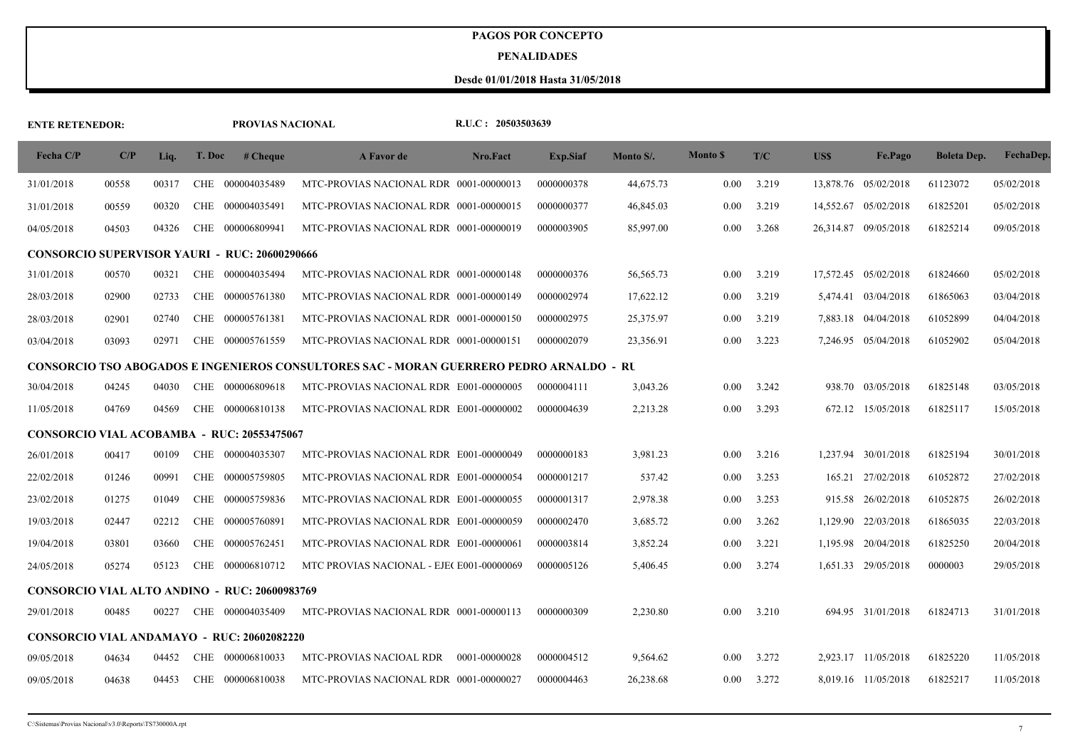#### **PENALIDADES**

| <b>ENTE RETENEDOR:</b> |       |       |            | PROVIAS NACIONAL                                     |                                                                                           | R.U.C: 20503503639 |                 |           |                 |       |           |                      |                    |            |
|------------------------|-------|-------|------------|------------------------------------------------------|-------------------------------------------------------------------------------------------|--------------------|-----------------|-----------|-----------------|-------|-----------|----------------------|--------------------|------------|
| Fecha $C/P$            | C/P   | Liq.  | T. Doc     | # Cheque                                             | A Favor de                                                                                | Nro.Fact           | <b>Exp.Siaf</b> | Monto S/. | <b>Monto</b> \$ | T/C   | US\$      | Fe.Pago              | <b>Boleta Dep.</b> | FechaDep.  |
| 31/01/2018             | 00558 | 00317 | <b>CHE</b> | 000004035489                                         | MTC-PROVIAS NACIONAL RDR 0001-00000013                                                    |                    | 0000000378      | 44,675.73 | 0.00            | 3.219 |           | 13,878.76 05/02/2018 | 61123072           | 05/02/2018 |
| 31/01/2018             | 00559 | 00320 | <b>CHE</b> | 000004035491                                         | MTC-PROVIAS NACIONAL RDR 0001-00000015                                                    |                    | 0000000377      | 46,845.03 | 0.00            | 3.219 | 14,552.67 | 05/02/2018           | 61825201           | 05/02/2018 |
| 04/05/2018             | 04503 | 04326 | <b>CHE</b> | 000006809941                                         | MTC-PROVIAS NACIONAL RDR 0001-00000019                                                    |                    | 0000003905      | 85,997.00 | 0.00            | 3.268 |           | 26,314.87 09/05/2018 | 61825214           | 09/05/2018 |
|                        |       |       |            | <b>CONSORCIO SUPERVISOR YAURI - RUC: 20600290666</b> |                                                                                           |                    |                 |           |                 |       |           |                      |                    |            |
| 31/01/2018             | 00570 | 00321 | <b>CHE</b> | 000004035494                                         | MTC-PROVIAS NACIONAL RDR 0001-00000148                                                    |                    | 0000000376      | 56.565.73 | 0.00            | 3.219 |           | 17,572.45 05/02/2018 | 61824660           | 05/02/2018 |
| 28/03/2018             | 02900 | 02733 |            | CHE 000005761380                                     | MTC-PROVIAS NACIONAL RDR 0001-00000149                                                    |                    | 0000002974      | 17,622.12 | 0.00            | 3.219 |           | 5,474.41 03/04/2018  | 61865063           | 03/04/2018 |
| 28/03/2018             | 02901 | 02740 | CHE        | 000005761381                                         | MTC-PROVIAS NACIONAL RDR 0001-00000150                                                    |                    | 0000002975      | 25,375.97 | 0.00            | 3.219 |           | 7,883.18 04/04/2018  | 61052899           | 04/04/2018 |
| 03/04/2018             | 03093 | 02971 |            | CHE 000005761559                                     | MTC-PROVIAS NACIONAL RDR 0001-00000151                                                    |                    | 0000002079      | 23,356.91 | 0.00            | 3.223 |           | 7,246.95 05/04/2018  | 61052902           | 05/04/2018 |
|                        |       |       |            |                                                      | CONSORCIO TSO ABOGADOS E INGENIEROS CONSULTORES SAC - MORAN GUERRERO PEDRO ARNALDO  -  RU |                    |                 |           |                 |       |           |                      |                    |            |
| 30/04/2018             | 04245 | 04030 |            | CHE 000006809618                                     | MTC-PROVIAS NACIONAL RDR E001-00000005                                                    |                    | 0000004111      | 3,043.26  | 0.00            | 3.242 |           | 938.70 03/05/2018    | 61825148           | 03/05/2018 |
| 11/05/2018             | 04769 | 04569 | CHE        | 000006810138                                         | MTC-PROVIAS NACIONAL RDR E001-00000002                                                    |                    | 0000004639      | 2,213.28  | 0.00            | 3.293 |           | 672.12 15/05/2018    | 61825117           | 15/05/2018 |
|                        |       |       |            | <b>CONSORCIO VIAL ACOBAMBA - RUC: 20553475067</b>    |                                                                                           |                    |                 |           |                 |       |           |                      |                    |            |
| 26/01/2018             | 00417 | 00109 |            | CHE 000004035307                                     | MTC-PROVIAS NACIONAL RDR E001-00000049                                                    |                    | 0000000183      | 3,981.23  | 0.00            | 3.216 |           | 1,237.94 30/01/2018  | 61825194           | 30/01/2018 |
| 22/02/2018             | 01246 | 00991 |            | CHE 000005759805                                     | MTC-PROVIAS NACIONAL RDR E001-00000054                                                    |                    | 0000001217      | 537.42    | 0.00            | 3.253 |           | 165.21 27/02/2018    | 61052872           | 27/02/2018 |
| 23/02/2018             | 01275 | 01049 | <b>CHE</b> | 000005759836                                         | MTC-PROVIAS NACIONAL RDR E001-00000055                                                    |                    | 0000001317      | 2,978.38  | 0.00            | 3.253 |           | 915.58 26/02/2018    | 61052875           | 26/02/2018 |
| 19/03/2018             | 02447 | 02212 |            | CHE 000005760891                                     | MTC-PROVIAS NACIONAL RDR E001-00000059                                                    |                    | 0000002470      | 3,685.72  | 0.00            | 3.262 | 1.129.90  | 22/03/2018           | 61865035           | 22/03/2018 |
| 19/04/2018             | 03801 | 03660 | <b>CHE</b> | 000005762451                                         | MTC-PROVIAS NACIONAL RDR E001-00000061                                                    |                    | 0000003814      | 3,852.24  | 0.00            | 3.221 | 1,195.98  | 20/04/2018           | 61825250           | 20/04/2018 |
| 24/05/2018             | 05274 | 05123 | <b>CHE</b> | 000006810712                                         | MTC PROVIAS NACIONAL - EJE(E001-00000069                                                  |                    | 0000005126      | 5,406.45  | 0.00            | 3.274 |           | 1,651.33 29/05/2018  | 0000003            | 29/05/2018 |
|                        |       |       |            | <b>CONSORCIO VIAL ALTO ANDINO - RUC: 20600983769</b> |                                                                                           |                    |                 |           |                 |       |           |                      |                    |            |
| 29/01/2018             | 00485 | 00227 |            | CHE 000004035409                                     | MTC-PROVIAS NACIONAL RDR 0001-00000113                                                    |                    | 0000000309      | 2,230.80  | 0.00            | 3.210 |           | 694.95 31/01/2018    | 61824713           | 31/01/2018 |
|                        |       |       |            | <b>CONSORCIO VIAL ANDAMAYO - RUC: 20602082220</b>    |                                                                                           |                    |                 |           |                 |       |           |                      |                    |            |
| 09/05/2018             | 04634 | 04452 |            | CHE 000006810033                                     | MTC-PROVIAS NACIOAL RDR                                                                   | 0001-00000028      | 0000004512      | 9,564.62  | 0.00            | 3.272 |           | 2,923.17 11/05/2018  | 61825220           | 11/05/2018 |
| 09/05/2018             | 04638 | 04453 |            | CHE 000006810038                                     | MTC-PROVIAS NACIONAL RDR 0001-00000027                                                    |                    | 0000004463      | 26,238.68 | $0.00\,$        | 3.272 |           | 8,019.16 11/05/2018  | 61825217           | 11/05/2018 |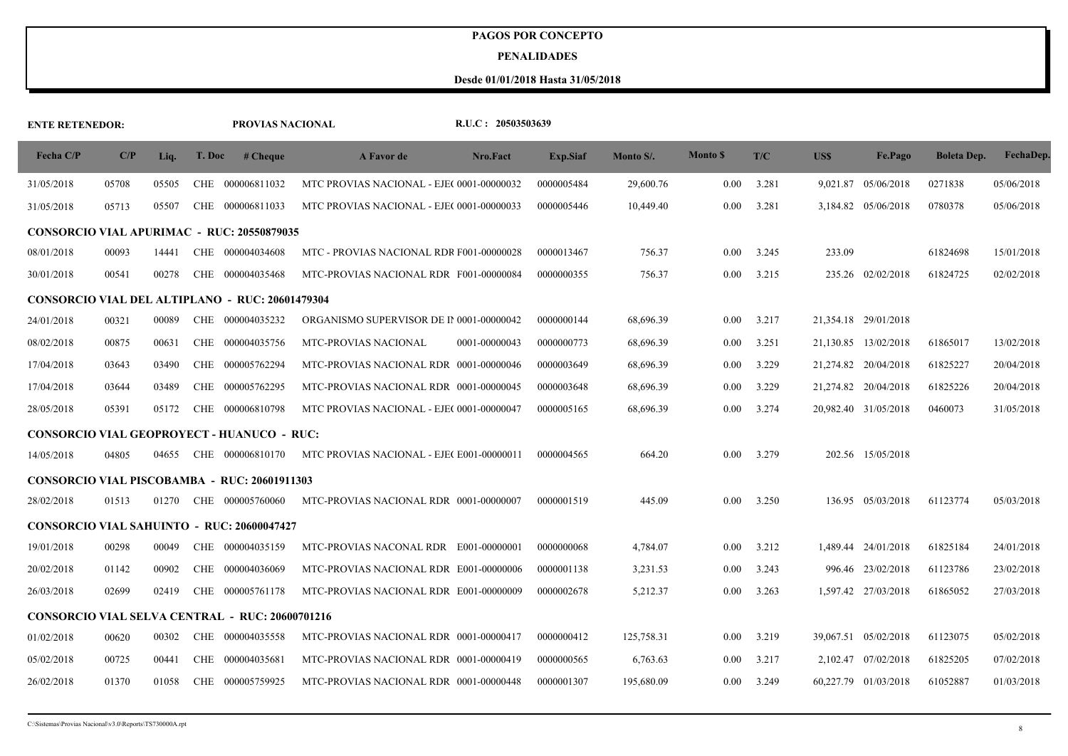#### **PENALIDADES**

| <b>ENTE RETENEDOR:</b> |       |       |            | PROVIAS NACIONAL                                       |                                          | R.U.C: 20503503639 |                 |            |                 |       |          |                      |                    |            |
|------------------------|-------|-------|------------|--------------------------------------------------------|------------------------------------------|--------------------|-----------------|------------|-----------------|-------|----------|----------------------|--------------------|------------|
| Fecha C/P              | C/P   | Liq.  | T. Doc     | # Cheque                                               | A Favor de                               | Nro.Fact           | <b>Exp.Siaf</b> | Monto S/.  | <b>Monto</b> \$ | T/C   | US\$     | Fe.Pago              | <b>Boleta Dep.</b> | FechaDep.  |
| 31/05/2018             | 05708 | 05505 | <b>CHE</b> | 000006811032                                           | MTC PROVIAS NACIONAL - EJE(0001-00000032 |                    | 0000005484      | 29,600.76  | 0.00            | 3.281 | 9,021.87 | 05/06/2018           | 0271838            | 05/06/2018 |
| 31/05/2018             | 05713 | 05507 |            | CHE 000006811033                                       | MTC PROVIAS NACIONAL - EJE(0001-00000033 |                    | 0000005446      | 10,449.40  | 0.00            | 3.281 |          | 3,184.82 05/06/2018  | 0780378            | 05/06/2018 |
|                        |       |       |            | <b>CONSORCIO VIAL APURIMAC - RUC: 20550879035</b>      |                                          |                    |                 |            |                 |       |          |                      |                    |            |
| 08/01/2018             | 00093 | 14441 |            | CHE 000004034608                                       | MTC - PROVIAS NACIONAL RDR F001-00000028 |                    | 0000013467      | 756.37     | 0.00            | 3.245 | 233.09   |                      | 61824698           | 15/01/2018 |
| 30/01/2018             | 00541 | 00278 | <b>CHE</b> | 000004035468                                           | MTC-PROVIAS NACIONAL RDR F001-00000084   |                    | 0000000355      | 756.37     | 0.00            | 3.215 | 235.26   | 02/02/2018           | 61824725           | 02/02/2018 |
|                        |       |       |            | <b>CONSORCIO VIAL DEL ALTIPLANO - RUC: 20601479304</b> |                                          |                    |                 |            |                 |       |          |                      |                    |            |
| 24/01/2018             | 00321 | 00089 |            | CHE 000004035232                                       | ORGANISMO SUPERVISOR DE II 0001-00000042 |                    | 0000000144      | 68,696.39  | 0.00            | 3.217 |          | 21,354.18 29/01/2018 |                    |            |
| 08/02/2018             | 00875 | 00631 |            | CHE 000004035756                                       | <b>MTC-PROVIAS NACIONAL</b>              | 0001-00000043      | 0000000773      | 68,696.39  | 0.00            | 3.251 |          | 21,130.85 13/02/2018 | 61865017           | 13/02/2018 |
| 17/04/2018             | 03643 | 03490 |            | CHE 000005762294                                       | MTC-PROVIAS NACIONAL RDR 0001-00000046   |                    | 0000003649      | 68,696.39  | 0.00            | 3.229 |          | 21,274.82 20/04/2018 | 61825227           | 20/04/2018 |
| 17/04/2018             | 03644 | 03489 |            | CHE 000005762295                                       | MTC-PROVIAS NACIONAL RDR 0001-00000045   |                    | 0000003648      | 68,696.39  | 0.00            | 3.229 |          | 21,274.82 20/04/2018 | 61825226           | 20/04/2018 |
| 28/05/2018             | 05391 | 05172 |            | CHE 000006810798                                       | MTC PROVIAS NACIONAL - EJE(0001-00000047 |                    | 0000005165      | 68,696.39  | 0.00            | 3.274 |          | 20,982.40 31/05/2018 | 0460073            | 31/05/2018 |
|                        |       |       |            | <b>CONSORCIO VIAL GEOPROYECT - HUANUCO - RUC:</b>      |                                          |                    |                 |            |                 |       |          |                      |                    |            |
| 14/05/2018             | 04805 | 04655 |            | CHE 000006810170                                       | MTC PROVIAS NACIONAL - EJE(E001-00000011 |                    | 0000004565      | 664.20     | 0.00            | 3.279 |          | 202.56 15/05/2018    |                    |            |
|                        |       |       |            | <b>CONSORCIO VIAL PISCOBAMBA - RUC: 20601911303</b>    |                                          |                    |                 |            |                 |       |          |                      |                    |            |
| 28/02/2018             | 01513 | 01270 |            | CHE 000005760060                                       | MTC-PROVIAS NACIONAL RDR 0001-00000007   |                    | 0000001519      | 445.09     | 0.00            | 3.250 |          | 136.95 05/03/2018    | 61123774           | 05/03/2018 |
|                        |       |       |            | <b>CONSORCIO VIAL SAHUINTO - RUC: 20600047427</b>      |                                          |                    |                 |            |                 |       |          |                      |                    |            |
| 19/01/2018             | 00298 | 00049 |            | CHE 000004035159                                       | MTC-PROVIAS NACONAL RDR E001-00000001    |                    | 0000000068      | 4,784.07   | 0.00            | 3.212 |          | 1,489.44 24/01/2018  | 61825184           | 24/01/2018 |
| 20/02/2018             | 01142 | 00902 | <b>CHE</b> | 000004036069                                           | MTC-PROVIAS NACIONAL RDR E001-00000006   |                    | 0000001138      | 3,231.53   | 0.00            | 3.243 |          | 996.46 23/02/2018    | 61123786           | 23/02/2018 |
| 26/03/2018             | 02699 | 02419 | <b>CHE</b> | 000005761178                                           | MTC-PROVIAS NACIONAL RDR E001-00000009   |                    | 0000002678      | 5,212.37   | 0.00            | 3.263 |          | 1,597.42 27/03/2018  | 61865052           | 27/03/2018 |
|                        |       |       |            | <b>CONSORCIO VIAL SELVA CENTRAL - RUC: 20600701216</b> |                                          |                    |                 |            |                 |       |          |                      |                    |            |
| 01/02/2018             | 00620 | 00302 | <b>CHE</b> | 000004035558                                           | MTC-PROVIAS NACIONAL RDR 0001-00000417   |                    | 0000000412      | 125,758.31 | 0.00            | 3.219 |          | 39,067.51 05/02/2018 | 61123075           | 05/02/2018 |
| 05/02/2018             | 00725 | 00441 |            | CHE 000004035681                                       | MTC-PROVIAS NACIONAL RDR 0001-00000419   |                    | 0000000565      | 6,763.63   | 0.00            | 3.217 |          | 2,102.47 07/02/2018  | 61825205           | 07/02/2018 |
| 26/02/2018             | 01370 | 01058 |            | CHE 000005759925                                       | MTC-PROVIAS NACIONAL RDR 0001-00000448   |                    | 0000001307      | 195,680.09 | 0.00            | 3.249 |          | 60,227.79 01/03/2018 | 61052887           | 01/03/2018 |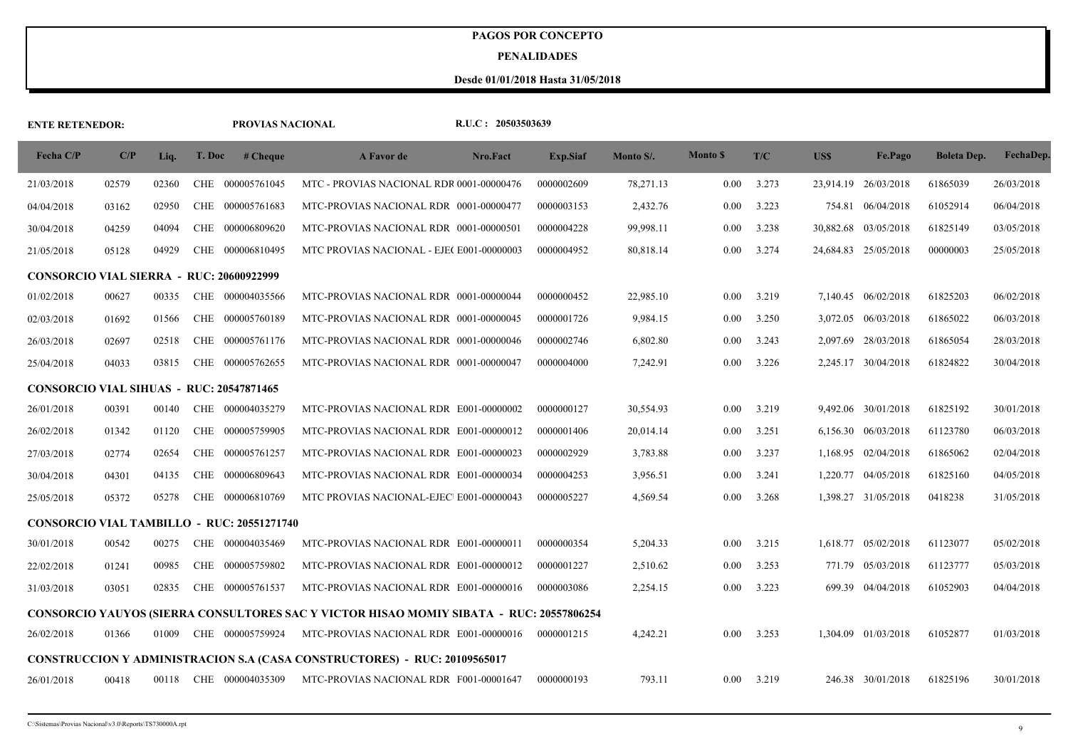#### **PENALIDADES**

| <b>ENTE RETENEDOR:</b>                          |       |       |            | PROVIAS NACIONAL                                  |                                                                                         | R.U.C: 20503503639 |                 |           |                |       |            |                      |                    |            |
|-------------------------------------------------|-------|-------|------------|---------------------------------------------------|-----------------------------------------------------------------------------------------|--------------------|-----------------|-----------|----------------|-------|------------|----------------------|--------------------|------------|
| Fecha $C/P$                                     | C/P   | Liq.  | T. Doc     | # Cheque                                          | A Favor de                                                                              | Nro.Fact           | <b>Exp.Siaf</b> | Monto S/. | <b>Monto S</b> | T/C   | <b>USS</b> | Fe.Pago              | <b>Boleta Dep.</b> | FechaDep.  |
| 21/03/2018                                      | 02579 | 02360 |            | CHE 000005761045                                  | MTC - PROVIAS NACIONAL RDR 0001-00000476                                                |                    | 0000002609      | 78,271.13 | $0.00\,$       | 3.273 |            | 23,914.19 26/03/2018 | 61865039           | 26/03/2018 |
| 04/04/2018                                      | 03162 | 02950 | <b>CHE</b> | 000005761683                                      | MTC-PROVIAS NACIONAL RDR 0001-00000477                                                  |                    | 0000003153      | 2,432.76  | 0.00           | 3.223 |            | 754.81 06/04/2018    | 61052914           | 06/04/2018 |
| 30/04/2018                                      | 04259 | 04094 | <b>CHE</b> | 000006809620                                      | MTC-PROVIAS NACIONAL RDR 0001-00000501                                                  |                    | 0000004228      | 99,998.11 | 0.00           | 3.238 | 30,882.68  | 03/05/2018           | 61825149           | 03/05/2018 |
| 21/05/2018                                      | 05128 | 04929 |            | CHE 000006810495                                  | MTC PROVIAS NACIONAL - EJE(E001-00000003                                                |                    | 0000004952      | 80,818.14 | $0.00\,$       | 3.274 |            | 24,684.83 25/05/2018 | 00000003           | 25/05/2018 |
| <b>CONSORCIO VIAL SIERRA - RUC: 20600922999</b> |       |       |            |                                                   |                                                                                         |                    |                 |           |                |       |            |                      |                    |            |
| 01/02/2018                                      | 00627 | 00335 |            | CHE 000004035566                                  | MTC-PROVIAS NACIONAL RDR 0001-00000044                                                  |                    | 0000000452      | 22,985.10 | 0.00           | 3.219 |            | 7,140.45 06/02/2018  | 61825203           | 06/02/2018 |
| 02/03/2018                                      | 01692 | 01566 | <b>CHE</b> | 000005760189                                      | MTC-PROVIAS NACIONAL RDR 0001-00000045                                                  |                    | 0000001726      | 9,984.15  | 0.00           | 3.250 | 3,072.05   | 06/03/2018           | 61865022           | 06/03/2018 |
| 26/03/2018                                      | 02697 | 02518 |            | CHE 000005761176                                  | MTC-PROVIAS NACIONAL RDR 0001-00000046                                                  |                    | 0000002746      | 6,802.80  | 0.00           | 3.243 |            | 2,097.69 28/03/2018  | 61865054           | 28/03/2018 |
| 25/04/2018                                      | 04033 | 03815 | <b>CHE</b> | 000005762655                                      | MTC-PROVIAS NACIONAL RDR 0001-00000047                                                  |                    | 0000004000      | 7,242.91  | 0.00           | 3.226 |            | 2,245.17 30/04/2018  | 61824822           | 30/04/2018 |
| <b>CONSORCIO VIAL SIHUAS - RUC: 20547871465</b> |       |       |            |                                                   |                                                                                         |                    |                 |           |                |       |            |                      |                    |            |
| 26/01/2018                                      | 00391 | 00140 |            | CHE 000004035279                                  | MTC-PROVIAS NACIONAL RDR E001-00000002                                                  |                    | 0000000127      | 30,554.93 | 0.00           | 3.219 |            | 9,492.06 30/01/2018  | 61825192           | 30/01/2018 |
| 26/02/2018                                      | 01342 | 01120 | CHE        | 000005759905                                      | MTC-PROVIAS NACIONAL RDR E001-00000012                                                  |                    | 0000001406      | 20,014.14 | 0.00           | 3.251 |            | 6,156.30 06/03/2018  | 61123780           | 06/03/2018 |
| 27/03/2018                                      | 02774 | 02654 | <b>CHE</b> | 000005761257                                      | MTC-PROVIAS NACIONAL RDR E001-00000023                                                  |                    | 0000002929      | 3,783.88  | 0.00           | 3.237 | 1,168.95   | 02/04/2018           | 61865062           | 02/04/2018 |
| 30/04/2018                                      | 04301 | 04135 | CHE        | 000006809643                                      | MTC-PROVIAS NACIONAL RDR E001-00000034                                                  |                    | 0000004253      | 3,956.51  | 0.00           | 3.241 |            | 1,220.77 04/05/2018  | 61825160           | 04/05/2018 |
| 25/05/2018                                      | 05372 | 05278 |            | CHE 000006810769                                  | MTC PROVIAS NACIONAL-EJEC E001-00000043                                                 |                    | 0000005227      | 4,569.54  | 0.00           | 3.268 |            | 1,398.27 31/05/2018  | 0418238            | 31/05/2018 |
|                                                 |       |       |            | <b>CONSORCIO VIAL TAMBILLO - RUC: 20551271740</b> |                                                                                         |                    |                 |           |                |       |            |                      |                    |            |
| 30/01/2018                                      | 00542 | 00275 |            | CHE 000004035469                                  | MTC-PROVIAS NACIONAL RDR E001-00000011                                                  |                    | 0000000354      | 5,204.33  | 0.00           | 3.215 |            | 1,618.77 05/02/2018  | 61123077           | 05/02/2018 |
| 22/02/2018                                      | 01241 | 00985 |            | CHE 000005759802                                  | MTC-PROVIAS NACIONAL RDR E001-00000012                                                  |                    | 0000001227      | 2,510.62  | 0.00           | 3.253 |            | 771.79 05/03/2018    | 61123777           | 05/03/2018 |
| 31/03/2018                                      | 03051 | 02835 |            | CHE 000005761537                                  | MTC-PROVIAS NACIONAL RDR E001-00000016                                                  |                    | 0000003086      | 2,254.15  | 0.00           | 3.223 |            | 699.39 04/04/2018    | 61052903           | 04/04/2018 |
|                                                 |       |       |            |                                                   | CONSORCIO YAUYOS (SIERRA CONSULTORES SAC Y VICTOR HISAO MOMIY SIBATA - RUC: 20557806254 |                    |                 |           |                |       |            |                      |                    |            |
| 26/02/2018                                      | 01366 | 01009 |            | CHE 000005759924                                  | MTC-PROVIAS NACIONAL RDR E001-00000016                                                  |                    | 0000001215      | 4,242.21  | 0.00           | 3.253 |            | 1,304.09 01/03/2018  | 61052877           | 01/03/2018 |
|                                                 |       |       |            |                                                   | CONSTRUCCION Y ADMINISTRACION S.A (CASA CONSTRUCTORES) - RUC: 20109565017               |                    |                 |           |                |       |            |                      |                    |            |
| 26/01/2018                                      | 00418 | 00118 |            | CHE 000004035309                                  | MTC-PROVIAS NACIONAL RDR F001-00001647                                                  |                    | 0000000193      | 793.11    | 0.00           | 3.219 |            | 246.38 30/01/2018    | 61825196           | 30/01/2018 |
|                                                 |       |       |            |                                                   |                                                                                         |                    |                 |           |                |       |            |                      |                    |            |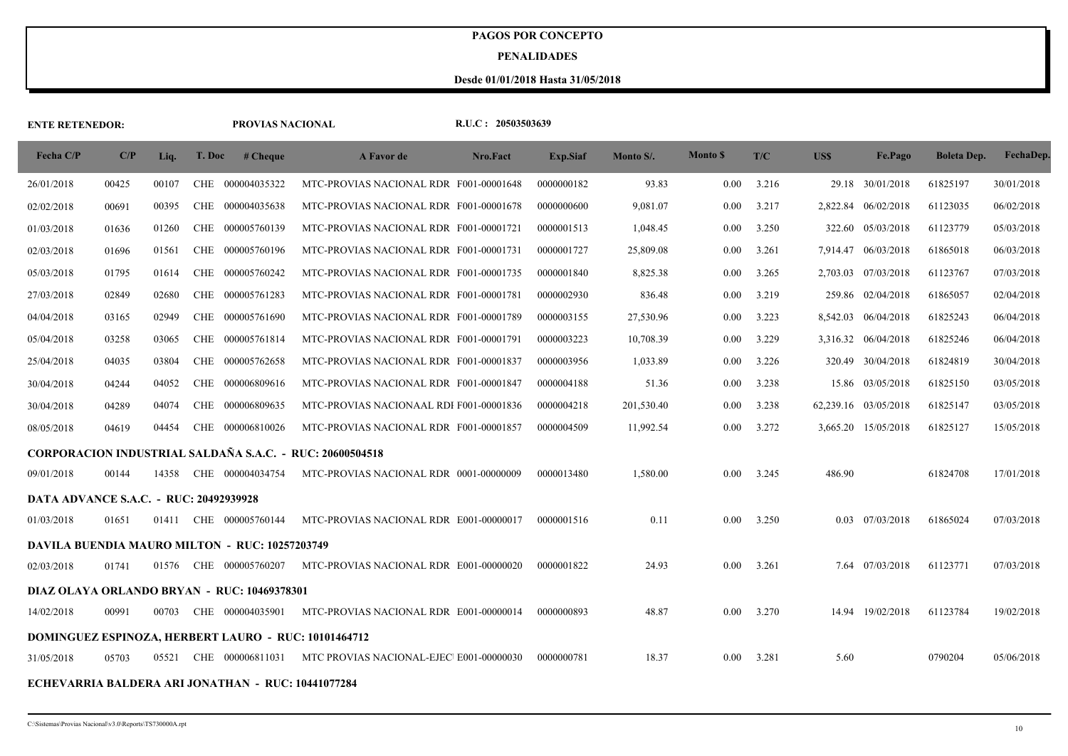#### **PENALIDADES**

| <b>ENTE RETENEDOR:</b>                 |       |       |            | PROVIAS NACIONAL                                      |                                                          | R.U.C: 20503503639 |            |            |                |       |            |                      |                    |            |
|----------------------------------------|-------|-------|------------|-------------------------------------------------------|----------------------------------------------------------|--------------------|------------|------------|----------------|-------|------------|----------------------|--------------------|------------|
| Fecha C/P                              | C/P   | Liq.  | T. Doc     | # Cheque                                              | A Favor de                                               | Nro.Fact           | Exp.Siaf   | Monto S/.  | <b>Monto S</b> | T/C   | <b>USS</b> | Fe.Pago              | <b>Boleta Dep.</b> | FechaDep.  |
| 26/01/2018                             | 00425 | 00107 |            | CHE 000004035322                                      | MTC-PROVIAS NACIONAL RDR F001-00001648                   |                    | 0000000182 | 93.83      | 0.00           | 3.216 |            | 29.18 30/01/2018     | 61825197           | 30/01/2018 |
| 02/02/2018                             | 00691 | 00395 | CHE        | 000004035638                                          | MTC-PROVIAS NACIONAL RDR F001-00001678                   |                    | 0000000600 | 9,081.07   | 0.00           | 3.217 |            | 2,822.84 06/02/2018  | 61123035           | 06/02/2018 |
| 01/03/2018                             | 01636 | 01260 | CHE        | 000005760139                                          | MTC-PROVIAS NACIONAL RDR F001-00001721                   |                    | 0000001513 | 1,048.45   | 0.00           | 3.250 | 322.60     | 05/03/2018           | 61123779           | 05/03/2018 |
| 02/03/2018                             | 01696 | 01561 |            | CHE 000005760196                                      | MTC-PROVIAS NACIONAL RDR F001-00001731                   |                    | 0000001727 | 25,809.08  | 0.00           | 3.261 |            | 7,914.47 06/03/2018  | 61865018           | 06/03/2018 |
| 05/03/2018                             | 01795 | 01614 | CHE        | 000005760242                                          | MTC-PROVIAS NACIONAL RDR F001-00001735                   |                    | 0000001840 | 8,825.38   | 0.00           | 3.265 |            | 2,703.03 07/03/2018  | 61123767           | 07/03/2018 |
| 27/03/2018                             | 02849 | 02680 |            | CHE 000005761283                                      | MTC-PROVIAS NACIONAL RDR F001-00001781                   |                    | 0000002930 | 836.48     | 0.00           | 3.219 |            | 259.86 02/04/2018    | 61865057           | 02/04/2018 |
| 04/04/2018                             | 03165 | 02949 | <b>CHE</b> | 000005761690                                          | MTC-PROVIAS NACIONAL RDR F001-00001789                   |                    | 0000003155 | 27,530.96  | 0.00           | 3.223 |            | 8,542.03 06/04/2018  | 61825243           | 06/04/2018 |
| 05/04/2018                             | 03258 | 03065 | CHE        | 000005761814                                          | MTC-PROVIAS NACIONAL RDR F001-00001791                   |                    | 0000003223 | 10,708.39  | 0.00           | 3.229 |            | 3,316.32 06/04/2018  | 61825246           | 06/04/2018 |
| 25/04/2018                             | 04035 | 03804 | <b>CHE</b> | 000005762658                                          | MTC-PROVIAS NACIONAL RDR F001-00001837                   |                    | 0000003956 | 1,033.89   | 0.00           | 3.226 | 320.49     | 30/04/2018           | 61824819           | 30/04/2018 |
| 30/04/2018                             | 04244 | 04052 | <b>CHE</b> | 000006809616                                          | MTC-PROVIAS NACIONAL RDR F001-00001847                   |                    | 0000004188 | 51.36      | 0.00           | 3.238 | 15.86      | 03/05/2018           | 61825150           | 03/05/2018 |
| 30/04/2018                             | 04289 | 04074 | <b>CHE</b> | 000006809635                                          | MTC-PROVIAS NACIONAAL RDI F001-00001836                  |                    | 0000004218 | 201,530.40 | 0.00           | 3.238 |            | 62,239.16 03/05/2018 | 61825147           | 03/05/2018 |
| 08/05/2018                             | 04619 | 04454 | <b>CHE</b> | 000006810026                                          | MTC-PROVIAS NACIONAL RDR F001-00001857                   |                    | 0000004509 | 11,992.54  | 0.00           | 3.272 | 3,665.20   | 15/05/2018           | 61825127           | 15/05/2018 |
|                                        |       |       |            |                                                       | CORPORACION INDUSTRIAL SALDAÑA S.A.C. - RUC: 20600504518 |                    |            |            |                |       |            |                      |                    |            |
| 09/01/2018                             | 00144 | 14358 |            | CHE 000004034754                                      | MTC-PROVIAS NACIONAL RDR 0001-00000009                   |                    | 0000013480 | 1,580.00   | 0.00           | 3.245 | 486.90     |                      | 61824708           | 17/01/2018 |
| DATA ADVANCE S.A.C. - RUC: 20492939928 |       |       |            |                                                       |                                                          |                    |            |            |                |       |            |                      |                    |            |
| 01/03/2018                             | 01651 | 01411 |            | CHE 000005760144                                      | MTC-PROVIAS NACIONAL RDR E001-00000017                   |                    | 0000001516 | 0.11       | 0.00           | 3.250 | 0.03       | 07/03/2018           | 61865024           | 07/03/2018 |
|                                        |       |       |            | <b>DAVILA BUENDIA MAURO MILTON - RUC: 10257203749</b> |                                                          |                    |            |            |                |       |            |                      |                    |            |
| 02/03/2018                             | 01741 | 01576 |            | CHE 000005760207                                      | MTC-PROVIAS NACIONAL RDR E001-00000020                   |                    | 0000001822 | 24.93      | 0.00           | 3.261 | 7.64       | 07/03/2018           | 61123771           | 07/03/2018 |
|                                        |       |       |            | DIAZ OLAYA ORLANDO BRYAN - RUC: 10469378301           |                                                          |                    |            |            |                |       |            |                      |                    |            |
| 14/02/2018                             | 00991 | 00703 |            | CHE 000004035901                                      | MTC-PROVIAS NACIONAL RDR E001-00000014                   |                    | 0000000893 | 48.87      | 0.00           | 3.270 | 14.94      | 19/02/2018           | 61123784           | 19/02/2018 |
|                                        |       |       |            |                                                       | DOMINGUEZ ESPINOZA, HERBERT LAURO - RUC: 10101464712     |                    |            |            |                |       |            |                      |                    |            |
| 31/05/2018                             | 05703 | 05521 |            | CHE 000006811031                                      | MTC PROVIAS NACIONAL-EJEC E001-00000030                  |                    | 0000000781 | 18.37      | 0.00           | 3.281 | 5.60       |                      | 0790204            | 05/06/2018 |
|                                        |       |       |            | ECHEVARRIA BALDERA ARI JONATHAN - RUC: 10441077284    |                                                          |                    |            |            |                |       |            |                      |                    |            |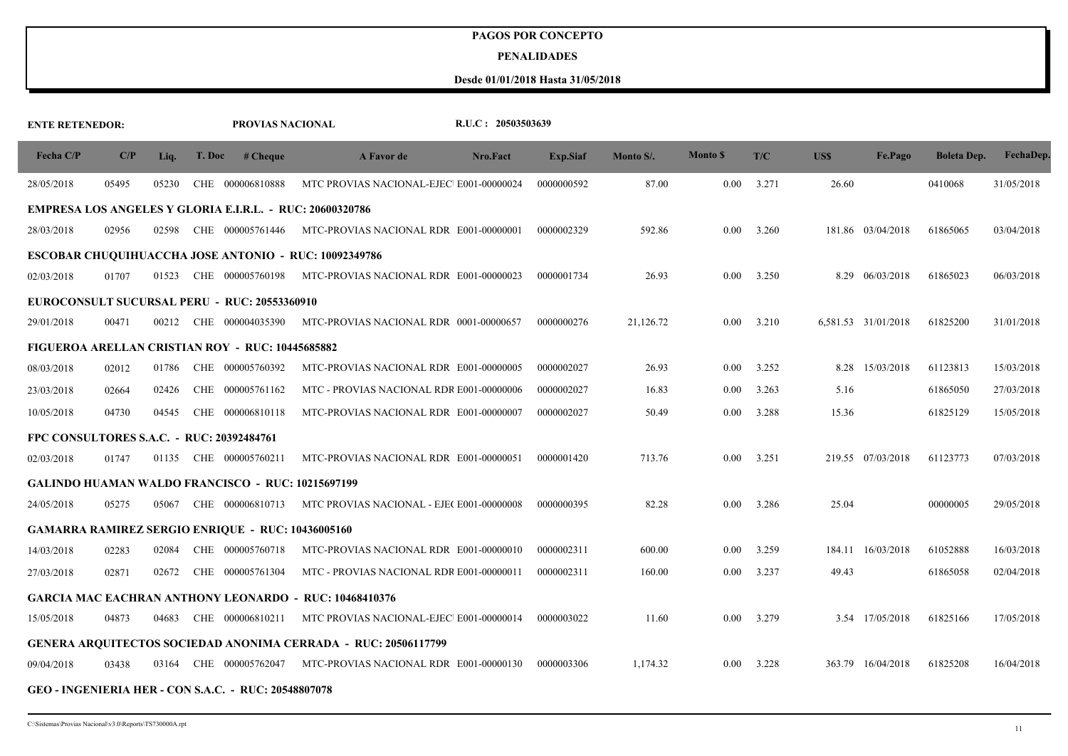#### **PENALIDADES**

| <b>ENTE RETENEDOR:</b>                    |       |       |        | PROVIAS NACIONAL                                         |                                                                       | R.U.C: 20503503639 |                 |           |                 |       |       |                     |                    |            |
|-------------------------------------------|-------|-------|--------|----------------------------------------------------------|-----------------------------------------------------------------------|--------------------|-----------------|-----------|-----------------|-------|-------|---------------------|--------------------|------------|
| Fecha C/P                                 | C/P   | Liq.  | T. Doc | # <b>Change</b>                                          | A Favor de                                                            | Nro.Fact           | <b>Exp.Siaf</b> | Monto S/. | <b>Monto</b> \$ | T/C   | US\$  | Fe.Pago             | <b>Boleta Dep.</b> | FechaDep.  |
| 28/05/2018                                | 05495 | 05230 |        | CHE 000006810888                                         | MTC PROVIAS NACIONAL-EJEC E001-00000024                               |                    | 0000000592      | 87.00     | 0.00            | 3.271 | 26.60 |                     | 0410068            | 31/05/2018 |
|                                           |       |       |        |                                                          | <b>EMPRESA LOS ANGELES Y GLORIA E.I.R.L. - RUC: 20600320786</b>       |                    |                 |           |                 |       |       |                     |                    |            |
| 28/03/2018                                | 02956 | 02598 |        | CHE 000005761446                                         | MTC-PROVIAS NACIONAL RDR E001-00000001                                |                    | 0000002329      | 592.86    | 0.00            | 3.260 |       | 181.86 03/04/2018   | 61865065           | 03/04/2018 |
|                                           |       |       |        |                                                          | ESCOBAR CHUQUIHUACCHA JOSE ANTONIO - RUC: 10092349786                 |                    |                 |           |                 |       |       |                     |                    |            |
| 02/03/2018                                | 01707 | 01523 |        | CHE 000005760198                                         | MTC-PROVIAS NACIONAL RDR E001-00000023                                |                    | 0000001734      | 26.93     | 0.00            | 3.250 |       | 8.29 06/03/2018     | 61865023           | 06/03/2018 |
|                                           |       |       |        | EUROCONSULT SUCURSAL PERU - RUC: 20553360910             |                                                                       |                    |                 |           |                 |       |       |                     |                    |            |
| 29/01/2018                                | 00471 | 00212 |        | CHE 000004035390                                         | MTC-PROVIAS NACIONAL RDR 0001-00000657                                |                    | 0000000276      | 21,126.72 | 0.00            | 3.210 |       | 6,581.53 31/01/2018 | 61825200           | 31/01/2018 |
|                                           |       |       |        | FIGUEROA ARELLAN CRISTIAN ROY - RUC: 10445685882         |                                                                       |                    |                 |           |                 |       |       |                     |                    |            |
| 08/03/2018                                | 02012 | 01786 |        | CHE 000005760392                                         | MTC-PROVIAS NACIONAL RDR E001-00000005                                |                    | 0000002027      | 26.93     | 0.00            | 3.252 |       | 8.28 15/03/2018     | 61123813           | 15/03/2018 |
| 23/03/2018                                | 02664 | 02426 |        | CHE 000005761162                                         | MTC - PROVIAS NACIONAL RDR E001-00000006                              |                    | 0000002027      | 16.83     | 0.00            | 3.263 | 5.16  |                     | 61865050           | 27/03/2018 |
| 10/05/2018                                | 04730 | 04545 |        | CHE 000006810118                                         | MTC-PROVIAS NACIONAL RDR E001-00000007                                |                    | 0000002027      | 50.49     | 0.00            | 3.288 | 15.36 |                     | 61825129           | 15/05/2018 |
| FPC CONSULTORES S.A.C. - RUC: 20392484761 |       |       |        |                                                          |                                                                       |                    |                 |           |                 |       |       |                     |                    |            |
| 02/03/2018                                | 01747 | 01135 |        | CHE 000005760211                                         | MTC-PROVIAS NACIONAL RDR E001-00000051                                |                    | 0000001420      | 713.76    | 0.00            | 3.251 |       | 219.55 07/03/2018   | 61123773           | 07/03/2018 |
|                                           |       |       |        | <b>GALINDO HUAMAN WALDO FRANCISCO - RUC: 10215697199</b> |                                                                       |                    |                 |           |                 |       |       |                     |                    |            |
| 24/05/2018                                | 05275 | 05067 |        | CHE 000006810713                                         | MTC PROVIAS NACIONAL - EJE(E001-00000008                              |                    | 0000000395      | 82.28     | 0.00            | 3.286 | 25.04 |                     | 00000005           | 29/05/2018 |
|                                           |       |       |        | <b>GAMARRA RAMIREZ SERGIO ENRIQUE - RUC: 10436005160</b> |                                                                       |                    |                 |           |                 |       |       |                     |                    |            |
| 14/03/2018                                | 02283 | 02084 |        | CHE 000005760718                                         | MTC-PROVIAS NACIONAL RDR E001-00000010                                |                    | 0000002311      | 600.00    | 0.00            | 3.259 |       | 184.11 16/03/2018   | 61052888           | 16/03/2018 |
| 27/03/2018                                | 02871 | 02672 |        | CHE 000005761304                                         | MTC - PROVIAS NACIONAL RDR E001-00000011                              |                    | 0000002311      | 160.00    | 0.00            | 3.237 | 49.43 |                     | 61865058           | 02/04/2018 |
|                                           |       |       |        |                                                          | <b>GARCIA MAC EACHRAN ANTHONY LEONARDO - RUC: 10468410376</b>         |                    |                 |           |                 |       |       |                     |                    |            |
| 15/05/2018                                | 04873 | 04683 |        | CHE 000006810211                                         | MTC PROVIAS NACIONAL-EJEC E001-00000014                               |                    | 0000003022      | 11.60     | 0.00            | 3.279 |       | 3.54 17/05/2018     | 61825166           | 17/05/2018 |
|                                           |       |       |        |                                                          | <b>GENERA ARQUITECTOS SOCIEDAD ANONIMA CERRADA - RUC: 20506117799</b> |                    |                 |           |                 |       |       |                     |                    |            |
| 09/04/2018                                | 03438 | 03164 |        | CHE 000005762047                                         | MTC-PROVIAS NACIONAL RDR E001-00000130                                |                    | 0000003306      | 1,174.32  | 0.00            | 3.228 |       | 363.79 16/04/2018   | 61825208           | 16/04/2018 |
|                                           |       |       |        | GEO - INGENIERIA HER - CON S.A.C. - RUC: 20548807078     |                                                                       |                    |                 |           |                 |       |       |                     |                    |            |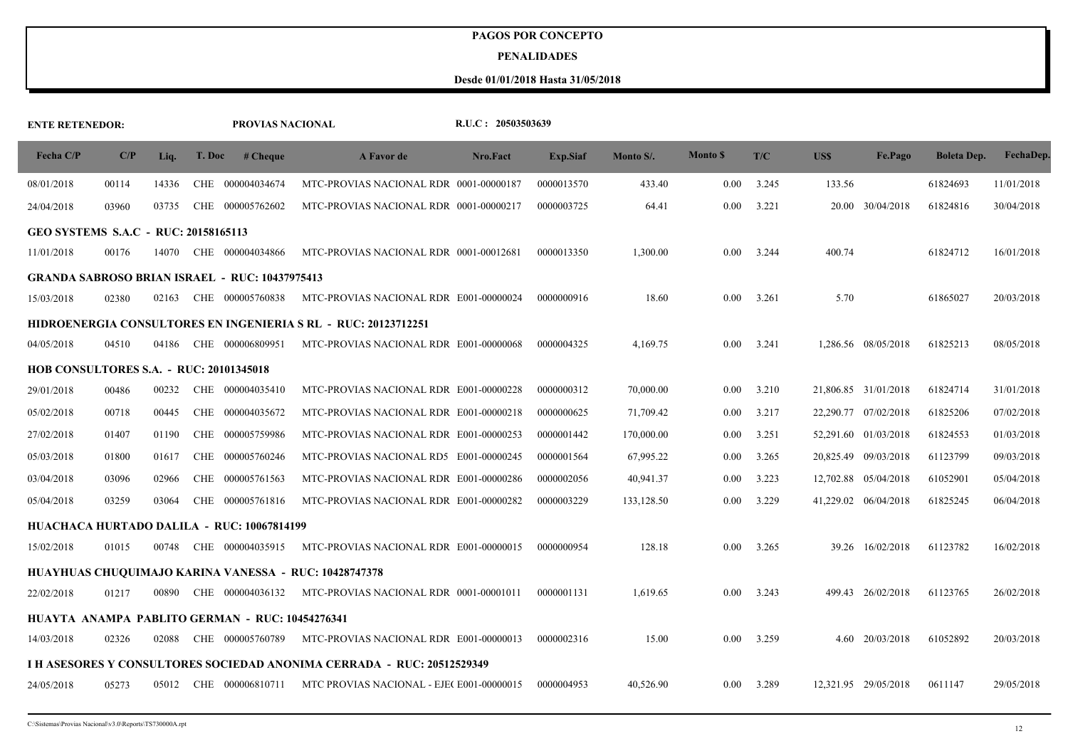#### **PENALIDADES**

| <b>ENTE RETENEDOR:</b>                  |       |       |        | PROVIAS NACIONAL                                      |                                                                        | R.U.C: 20503503639 |                 |            |                 |       |           |                      |                    |            |
|-----------------------------------------|-------|-------|--------|-------------------------------------------------------|------------------------------------------------------------------------|--------------------|-----------------|------------|-----------------|-------|-----------|----------------------|--------------------|------------|
| Fecha C/P                               | C/P   | Liq.  | T. Doc | # <b>Change</b>                                       | A Favor de                                                             | Nro.Fact           | <b>Exp.Siaf</b> | Monto S/.  | <b>Monto \$</b> | T/C   | US\$      | Fe.Pago              | <b>Boleta Dep.</b> | FechaDep.  |
| 08/01/2018                              | 00114 | 14336 |        | CHE 000004034674                                      | MTC-PROVIAS NACIONAL RDR 0001-00000187                                 |                    | 0000013570      | 433.40     | 0.00            | 3.245 | 133.56    |                      | 61824693           | 11/01/2018 |
| 24/04/2018                              | 03960 | 03735 |        | CHE 000005762602                                      | MTC-PROVIAS NACIONAL RDR 0001-00000217                                 |                    | 0000003725      | 64.41      | 0.00            | 3.221 |           | 20.00 30/04/2018     | 61824816           | 30/04/2018 |
| GEO SYSTEMS S.A.C - RUC: 20158165113    |       |       |        |                                                       |                                                                        |                    |                 |            |                 |       |           |                      |                    |            |
| 11/01/2018                              | 00176 | 14070 |        | CHE 000004034866                                      | MTC-PROVIAS NACIONAL RDR 0001-00012681                                 |                    | 0000013350      | 1,300.00   | 0.00            | 3.244 | 400.74    |                      | 61824712           | 16/01/2018 |
|                                         |       |       |        | <b>GRANDA SABROSO BRIAN ISRAEL - RUC: 10437975413</b> |                                                                        |                    |                 |            |                 |       |           |                      |                    |            |
| 15/03/2018                              | 02380 | 02163 |        | CHE 000005760838                                      | MTC-PROVIAS NACIONAL RDR E001-00000024                                 |                    | 0000000916      | 18.60      | 0.00            | 3.261 | 5.70      |                      | 61865027           | 20/03/2018 |
|                                         |       |       |        |                                                       | <b>HIDROENERGIA CONSULTORES EN INGENIERIA S RL - RUC: 20123712251</b>  |                    |                 |            |                 |       |           |                      |                    |            |
| 04/05/2018                              | 04510 | 04186 |        | CHE 000006809951                                      | MTC-PROVIAS NACIONAL RDR E001-00000068                                 |                    | 0000004325      | 4,169.75   | 0.00            | 3.241 |           | 1.286.56 08/05/2018  | 61825213           | 08/05/2018 |
| HOB CONSULTORES S.A. - RUC: 20101345018 |       |       |        |                                                       |                                                                        |                    |                 |            |                 |       |           |                      |                    |            |
| 29/01/2018                              | 00486 | 00232 |        | CHE 000004035410                                      | MTC-PROVIAS NACIONAL RDR E001-00000228                                 |                    | 0000000312      | 70,000.00  | 0.00            | 3.210 |           | 21,806.85 31/01/2018 | 61824714           | 31/01/2018 |
| 05/02/2018                              | 00718 | 00445 | CHE    | 000004035672                                          | MTC-PROVIAS NACIONAL RDR E001-00000218                                 |                    | 0000000625      | 71,709.42  | 0.00            | 3.217 |           | 22,290.77 07/02/2018 | 61825206           | 07/02/2018 |
| 27/02/2018                              | 01407 | 01190 | CHE    | 000005759986                                          | MTC-PROVIAS NACIONAL RDR E001-00000253                                 |                    | 0000001442      | 170,000.00 | 0.00            | 3.251 |           | 52,291.60 01/03/2018 | 61824553           | 01/03/2018 |
| 05/03/2018                              | 01800 | 01617 | CHE    | 000005760246                                          | MTC-PROVIAS NACIONAL RD5 E001-00000245                                 |                    | 0000001564      | 67,995.22  | 0.00            | 3.265 | 20,825.49 | 09/03/2018           | 61123799           | 09/03/2018 |
| 03/04/2018                              | 03096 | 02966 | CHE    | 000005761563                                          | MTC-PROVIAS NACIONAL RDR E001-00000286                                 |                    | 0000002056      | 40,941.37  | 0.00            | 3.223 |           | 12,702.88 05/04/2018 | 61052901           | 05/04/2018 |
| 05/04/2018                              | 03259 | 03064 |        | CHE 000005761816                                      | MTC-PROVIAS NACIONAL RDR E001-00000282                                 |                    | 0000003229      | 133,128.50 | 0.00            | 3.229 |           | 41,229.02 06/04/2018 | 61825245           | 06/04/2018 |
|                                         |       |       |        | HUACHACA HURTADO DALILA - RUC: 10067814199            |                                                                        |                    |                 |            |                 |       |           |                      |                    |            |
| 15/02/2018                              | 01015 | 00748 |        | CHE 000004035915                                      | MTC-PROVIAS NACIONAL RDR E001-00000015                                 |                    | 0000000954      | 128.18     | 0.00            | 3.265 |           | 39.26 16/02/2018     | 61123782           | 16/02/2018 |
|                                         |       |       |        |                                                       | HUAYHUAS CHUOUIMAJO KARINA VANESSA  -  RUC: 10428747378                |                    |                 |            |                 |       |           |                      |                    |            |
| 22/02/2018                              | 01217 | 00890 |        | CHE 000004036132                                      | MTC-PROVIAS NACIONAL RDR 0001-00001011                                 |                    | 0000001131      | 1,619.65   | 0.00            | 3.243 |           | 499.43 26/02/2018    | 61123765           | 26/02/2018 |
|                                         |       |       |        | HUAYTA ANAMPA PABLITO GERMAN - RUC: 10454276341       |                                                                        |                    |                 |            |                 |       |           |                      |                    |            |
| 14/03/2018                              | 02326 | 02088 |        | CHE 000005760789                                      | MTC-PROVIAS NACIONAL RDR E001-00000013                                 |                    | 0000002316      | 15.00      | 0.00            | 3.259 |           | 4.60 20/03/2018      | 61052892           | 20/03/2018 |
|                                         |       |       |        |                                                       | I H ASESORES Y CONSULTORES SOCIEDAD ANONIMA CERRADA - RUC: 20512529349 |                    |                 |            |                 |       |           |                      |                    |            |
| 24/05/2018                              | 05273 | 05012 |        | CHE 000006810711                                      | MTC PROVIAS NACIONAL - EJE(E001-00000015                               |                    | 0000004953      | 40,526.90  | 0.00            | 3.289 |           | 12,321.95 29/05/2018 | 0611147            | 29/05/2018 |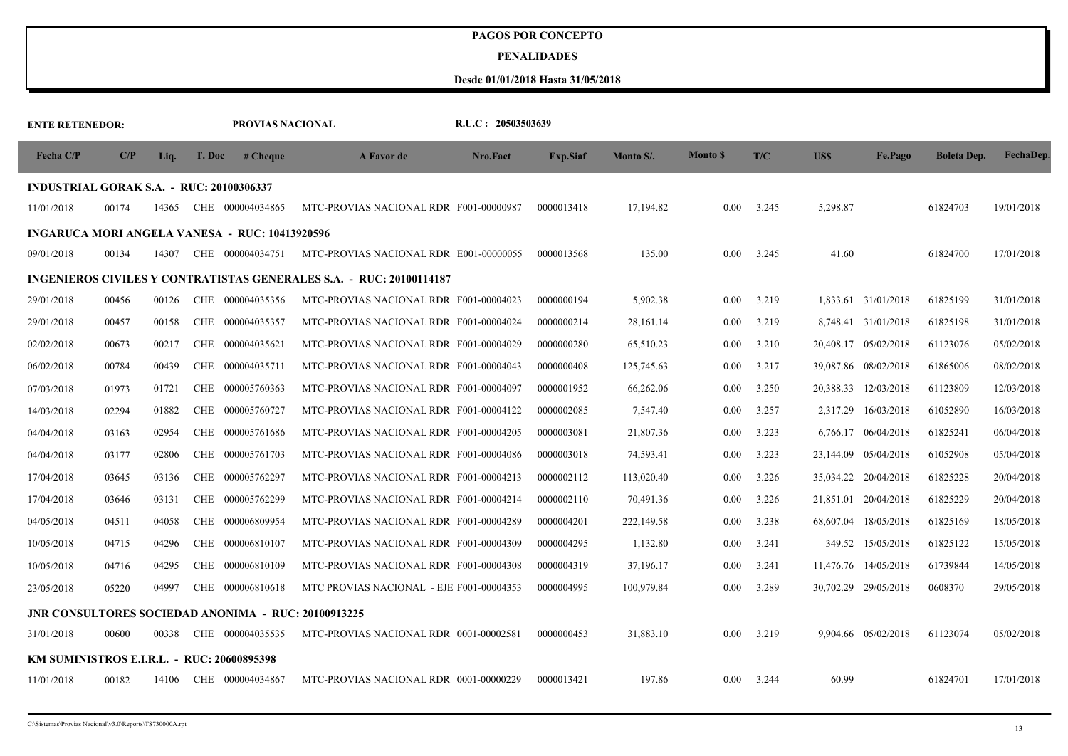#### **PENALIDADES**

| <b>ENTE RETENEDOR:</b>                     |       |       |            | PROVIAS NACIONAL                                           |                                                                            | R.U.C: 20503503639 |                 |            |                 |       |           |                      |                    |            |
|--------------------------------------------|-------|-------|------------|------------------------------------------------------------|----------------------------------------------------------------------------|--------------------|-----------------|------------|-----------------|-------|-----------|----------------------|--------------------|------------|
| Fecha $C/P$                                | C/P   | Liq.  | T. Doc     | # <b>Change</b>                                            | A Favor de                                                                 | Nro.Fact           | <b>Exp.Siaf</b> | Monto S/.  | <b>Monto</b> \$ | T/C   | US\$      | Fe.Pago              | <b>Boleta Dep.</b> | FechaDep.  |
| INDUSTRIAL GORAK S.A. - RUC: 20100306337   |       |       |            |                                                            |                                                                            |                    |                 |            |                 |       |           |                      |                    |            |
| 11/01/2018                                 | 00174 | 14365 |            | CHE 000004034865                                           | MTC-PROVIAS NACIONAL RDR F001-00000987                                     |                    | 0000013418      | 17,194.82  | 0.00            | 3.245 | 5,298.87  |                      | 61824703           | 19/01/2018 |
|                                            |       |       |            | <b>INGARUCA MORI ANGELA VANESA - RUC: 10413920596</b>      |                                                                            |                    |                 |            |                 |       |           |                      |                    |            |
| 09/01/2018                                 | 00134 | 14307 |            | CHE 000004034751                                           | MTC-PROVIAS NACIONAL RDR E001-00000055                                     |                    | 0000013568      | 135.00     | 0.00            | 3.245 | 41.60     |                      | 61824700           | 17/01/2018 |
|                                            |       |       |            |                                                            | <b>INGENIEROS CIVILES Y CONTRATISTAS GENERALES S.A. - RUC: 20100114187</b> |                    |                 |            |                 |       |           |                      |                    |            |
| 29/01/2018                                 | 00456 | 00126 |            | CHE 000004035356                                           | MTC-PROVIAS NACIONAL RDR F001-00004023                                     |                    | 0000000194      | 5,902.38   | 0.00            | 3.219 |           | 1.833.61 31/01/2018  | 61825199           | 31/01/2018 |
| 29/01/2018                                 | 00457 | 00158 | <b>CHE</b> | 000004035357                                               | MTC-PROVIAS NACIONAL RDR F001-00004024                                     |                    | 0000000214      | 28,161.14  | 0.00            | 3.219 |           | 8,748.41 31/01/2018  | 61825198           | 31/01/2018 |
| 02/02/2018                                 | 00673 | 00217 | <b>CHE</b> | 000004035621                                               | MTC-PROVIAS NACIONAL RDR F001-00004029                                     |                    | 0000000280      | 65,510.23  | 0.00            | 3.210 |           | 20,408.17 05/02/2018 | 61123076           | 05/02/2018 |
| 06/02/2018                                 | 00784 | 00439 | <b>CHE</b> | 000004035711                                               | MTC-PROVIAS NACIONAL RDR F001-00004043                                     |                    | 0000000408      | 125,745.63 | 0.00            | 3.217 |           | 39,087.86 08/02/2018 | 61865006           | 08/02/2018 |
| 07/03/2018                                 | 01973 | 01721 |            | CHE 000005760363                                           | MTC-PROVIAS NACIONAL RDR F001-00004097                                     |                    | 0000001952      | 66,262.06  | 0.00            | 3.250 |           | 20,388.33 12/03/2018 | 61123809           | 12/03/2018 |
| 14/03/2018                                 | 02294 | 01882 |            | CHE 000005760727                                           | MTC-PROVIAS NACIONAL RDR F001-00004122                                     |                    | 0000002085      | 7,547.40   | 0.00            | 3.257 |           | 2,317.29 16/03/2018  | 61052890           | 16/03/2018 |
| 04/04/2018                                 | 03163 | 02954 |            | CHE 000005761686                                           | MTC-PROVIAS NACIONAL RDR F001-00004205                                     |                    | 0000003081      | 21,807.36  | 0.00            | 3.223 |           | 6,766.17 06/04/2018  | 61825241           | 06/04/2018 |
| 04/04/2018                                 | 03177 | 02806 | <b>CHE</b> | 000005761703                                               | MTC-PROVIAS NACIONAL RDR F001-00004086                                     |                    | 0000003018      | 74,593.41  | 0.00            | 3.223 | 23,144.09 | 05/04/2018           | 61052908           | 05/04/2018 |
| 17/04/2018                                 | 03645 | 03136 | CHE        | 000005762297                                               | MTC-PROVIAS NACIONAL RDR F001-00004213                                     |                    | 0000002112      | 113,020.40 | 0.00            | 3.226 |           | 35,034.22 20/04/2018 | 61825228           | 20/04/2018 |
| 17/04/2018                                 | 03646 | 03131 | <b>CHE</b> | 000005762299                                               | MTC-PROVIAS NACIONAL RDR F001-00004214                                     |                    | 0000002110      | 70,491.36  | 0.00            | 3.226 |           | 21,851.01 20/04/2018 | 61825229           | 20/04/2018 |
| 04/05/2018                                 | 04511 | 04058 | <b>CHE</b> | 000006809954                                               | MTC-PROVIAS NACIONAL RDR F001-00004289                                     |                    | 0000004201      | 222,149.58 | 0.00            | 3.238 |           | 68,607.04 18/05/2018 | 61825169           | 18/05/2018 |
| 10/05/2018                                 | 04715 | 04296 | <b>CHE</b> | 000006810107                                               | MTC-PROVIAS NACIONAL RDR F001-00004309                                     |                    | 0000004295      | 1,132.80   | 0.00            | 3.241 |           | 349.52 15/05/2018    | 61825122           | 15/05/2018 |
| 10/05/2018                                 | 04716 | 04295 | <b>CHE</b> | 000006810109                                               | MTC-PROVIAS NACIONAL RDR F001-00004308                                     |                    | 0000004319      | 37,196.17  | 0.00            | 3.241 |           | 11,476.76 14/05/2018 | 61739844           | 14/05/2018 |
| 23/05/2018                                 | 05220 | 04997 |            | CHE 000006810618                                           | MTC PROVIAS NACIONAL - EJE F001-00004353                                   |                    | 0000004995      | 100,979.84 | 0.00            | 3.289 |           | 30,702.29 29/05/2018 | 0608370            | 29/05/2018 |
|                                            |       |       |            | <b>JNR CONSULTORES SOCIEDAD ANONIMA - RUC: 20100913225</b> |                                                                            |                    |                 |            |                 |       |           |                      |                    |            |
| 31/01/2018                                 | 00600 | 00338 |            | CHE 000004035535                                           | MTC-PROVIAS NACIONAL RDR 0001-00002581                                     |                    | 0000000453      | 31,883.10  | 0.00            | 3.219 |           | 9,904.66 05/02/2018  | 61123074           | 05/02/2018 |
| KM SUMINISTROS E.I.R.L. - RUC: 20600895398 |       |       |            |                                                            |                                                                            |                    |                 |            |                 |       |           |                      |                    |            |
| 11/01/2018                                 | 00182 | 14106 |            | CHE 000004034867                                           | MTC-PROVIAS NACIONAL RDR 0001-00000229                                     |                    | 0000013421      | 197.86     | 0.00            | 3.244 | 60.99     |                      | 61824701           | 17/01/2018 |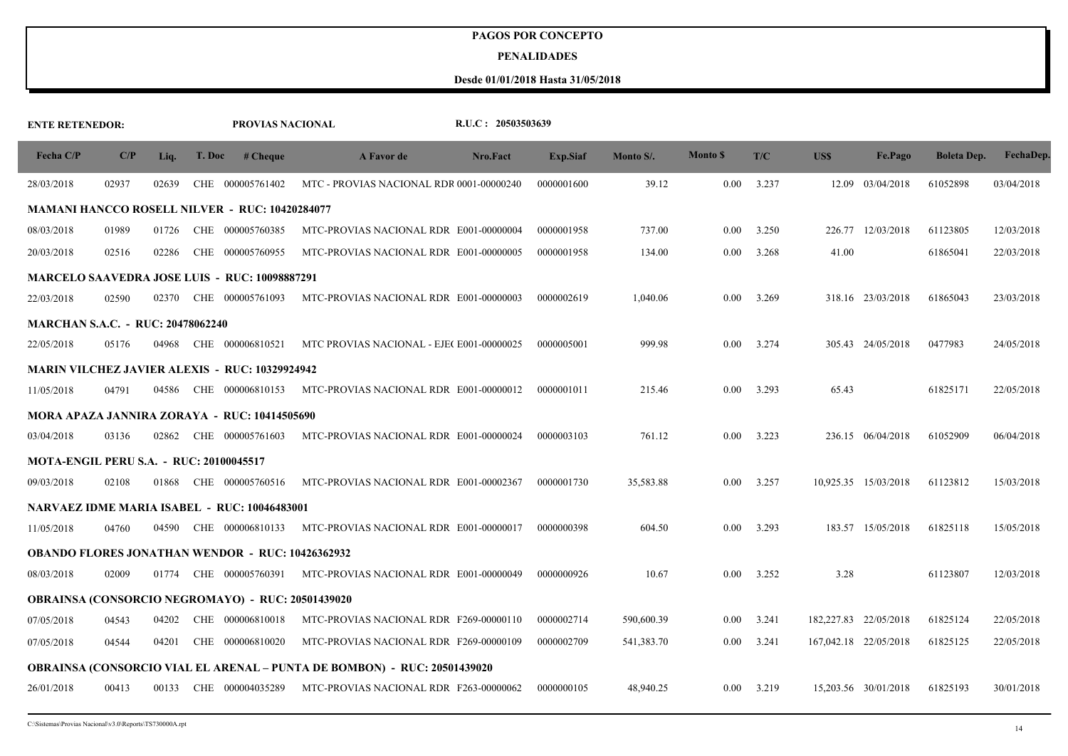#### **PENALIDADES**

| <b>ENTE RETENEDOR:</b>                   |       |       |        | PROVIAS NACIONAL                                         |                                                                                 | R.U.C: 20503503639 |                 |            |                 |       |        |                       |                    |            |
|------------------------------------------|-------|-------|--------|----------------------------------------------------------|---------------------------------------------------------------------------------|--------------------|-----------------|------------|-----------------|-------|--------|-----------------------|--------------------|------------|
| Fecha C/P                                | C/P   | Liq.  | T. Doc | # <b>Change</b>                                          | A Favor de                                                                      | Nro.Fact           | <b>Exp.Siaf</b> | Monto S/.  | <b>Monto \$</b> | T/C   | US\$   | Fe.Pago               | <b>Boleta Dep.</b> | FechaDep.  |
| 28/03/2018                               | 02937 | 02639 |        | CHE 000005761402                                         | MTC - PROVIAS NACIONAL RDR 0001-00000240                                        |                    | 0000001600      | 39.12      | 0.00            | 3.237 |        | 12.09 03/04/2018      | 61052898           | 03/04/2018 |
|                                          |       |       |        | <b>MAMANI HANCCO ROSELL NILVER - RUC: 10420284077</b>    |                                                                                 |                    |                 |            |                 |       |        |                       |                    |            |
| 08/03/2018                               | 01989 | 01726 |        | CHE 000005760385                                         | MTC-PROVIAS NACIONAL RDR E001-00000004                                          |                    | 0000001958      | 737.00     | 0.00            | 3.250 | 226.77 | 12/03/2018            | 61123805           | 12/03/2018 |
| 20/03/2018                               | 02516 | 02286 |        | CHE 000005760955                                         | MTC-PROVIAS NACIONAL RDR E001-00000005                                          |                    | 0000001958      | 134.00     | 0.00            | 3.268 | 41.00  |                       | 61865041           | 22/03/2018 |
|                                          |       |       |        | <b>MARCELO SAAVEDRA JOSE LUIS - RUC: 10098887291</b>     |                                                                                 |                    |                 |            |                 |       |        |                       |                    |            |
| 22/03/2018                               | 02590 | 02370 |        | CHE 000005761093                                         | MTC-PROVIAS NACIONAL RDR E001-00000003                                          |                    | 0000002619      | 1.040.06   | 0.00            | 3.269 |        | 318.16 23/03/2018     | 61865043           | 23/03/2018 |
| <b>MARCHAN S.A.C. - RUC: 20478062240</b> |       |       |        |                                                          |                                                                                 |                    |                 |            |                 |       |        |                       |                    |            |
| 22/05/2018                               | 05176 | 04968 |        | CHE 000006810521                                         | MTC PROVIAS NACIONAL - EJE(E001-00000025                                        |                    | 0000005001      | 999.98     | 0.00            | 3.274 |        | 305.43 24/05/2018     | 0477983            | 24/05/2018 |
|                                          |       |       |        | <b>MARIN VILCHEZ JAVIER ALEXIS - RUC: 10329924942</b>    |                                                                                 |                    |                 |            |                 |       |        |                       |                    |            |
| 11/05/2018                               | 04791 | 04586 |        | CHE 000006810153                                         | MTC-PROVIAS NACIONAL RDR E001-00000012                                          |                    | 0000001011      | 215.46     | 0.00            | 3.293 | 65.43  |                       | 61825171           | 22/05/2018 |
|                                          |       |       |        | MORA APAZA JANNIRA ZORAYA - RUC: 10414505690             |                                                                                 |                    |                 |            |                 |       |        |                       |                    |            |
| 03/04/2018                               | 03136 | 02862 |        | CHE 000005761603                                         | MTC-PROVIAS NACIONAL RDR E001-00000024                                          |                    | 0000003103      | 761.12     | 0.00            | 3.223 |        | 236.15 06/04/2018     | 61052909           | 06/04/2018 |
| MOTA-ENGIL PERU S.A. - RUC: 20100045517  |       |       |        |                                                          |                                                                                 |                    |                 |            |                 |       |        |                       |                    |            |
| 09/03/2018                               | 02108 | 01868 |        | CHE 000005760516                                         | MTC-PROVIAS NACIONAL RDR E001-00002367                                          |                    | 0000001730      | 35,583.88  | 0.00            | 3.257 |        | 10,925.35 15/03/2018  | 61123812           | 15/03/2018 |
|                                          |       |       |        | NARVAEZ IDME MARIA ISABEL - RUC: 10046483001             |                                                                                 |                    |                 |            |                 |       |        |                       |                    |            |
| 11/05/2018                               | 04760 | 04590 |        | CHE 000006810133                                         | MTC-PROVIAS NACIONAL RDR E001-00000017                                          |                    | 0000000398      | 604.50     | 0.00            | 3.293 |        | 183.57 15/05/2018     | 61825118           | 15/05/2018 |
|                                          |       |       |        | <b>OBANDO FLORES JONATHAN WENDOR - RUC: 10426362932</b>  |                                                                                 |                    |                 |            |                 |       |        |                       |                    |            |
| 08/03/2018                               | 02009 | 01774 |        | CHE 000005760391                                         | MTC-PROVIAS NACIONAL RDR E001-00000049                                          |                    | 0000000926      | 10.67      | 0.00            | 3.252 | 3.28   |                       | 61123807           | 12/03/2018 |
|                                          |       |       |        | <b>OBRAINSA (CONSORCIO NEGROMAYO) - RUC: 20501439020</b> |                                                                                 |                    |                 |            |                 |       |        |                       |                    |            |
| 07/05/2018                               | 04543 | 04202 |        | CHE 000006810018                                         | MTC-PROVIAS NACIONAL RDR F269-00000110                                          |                    | 0000002714      | 590,600.39 | 0.00            | 3.241 |        | 182,227.83 22/05/2018 | 61825124           | 22/05/2018 |
| 07/05/2018                               | 04544 | 04201 |        | CHE 000006810020                                         | MTC-PROVIAS NACIONAL RDR F269-00000109                                          |                    | 0000002709      | 541,383.70 | 0.00            | 3.241 |        | 167,042.18 22/05/2018 | 61825125           | 22/05/2018 |
|                                          |       |       |        |                                                          | <b>OBRAINSA (CONSORCIO VIAL EL ARENAL – PUNTA DE BOMBON) - RUC: 20501439020</b> |                    |                 |            |                 |       |        |                       |                    |            |
| 26/01/2018                               | 00413 | 00133 |        | CHE 000004035289                                         | MTC-PROVIAS NACIONAL RDR F263-00000062                                          |                    | 0000000105      | 48,940.25  | 0.00            | 3.219 |        | 15,203.56 30/01/2018  | 61825193           | 30/01/2018 |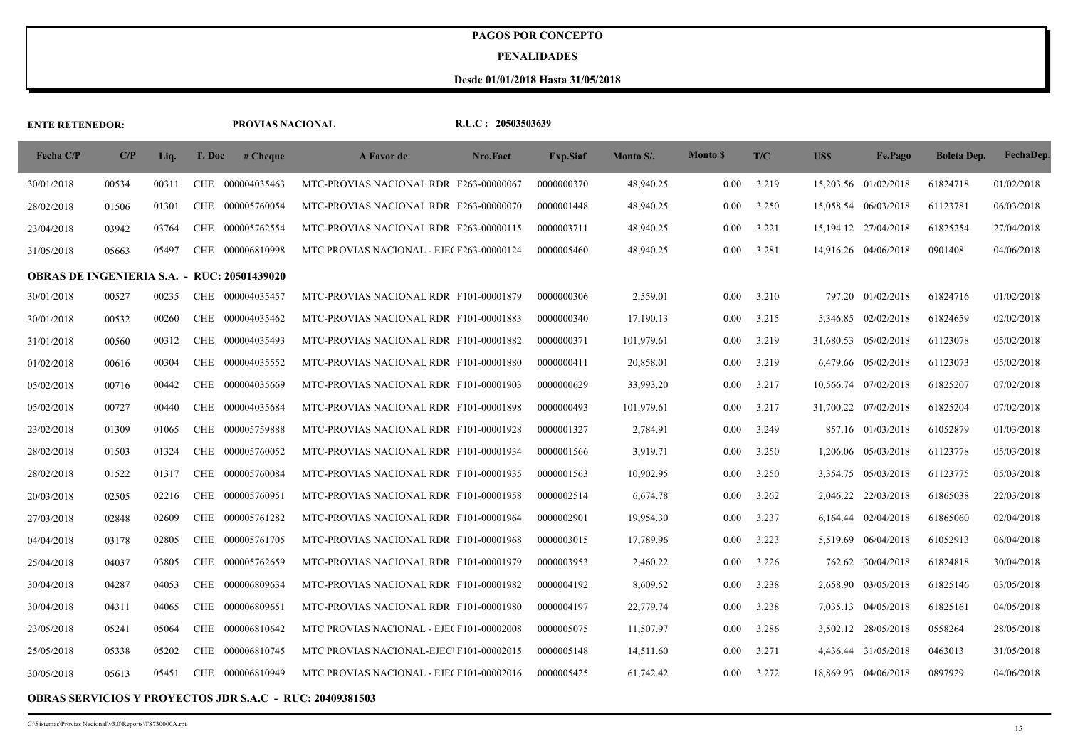#### **PENALIDADES**

| <b>ENTE RETENEDOR:</b>            |       |       |            | PROVIAS NACIONAL        |                                                                 | R.U.C: 20503503639 |            |            |                 |       |      |                        |                    |            |
|-----------------------------------|-------|-------|------------|-------------------------|-----------------------------------------------------------------|--------------------|------------|------------|-----------------|-------|------|------------------------|--------------------|------------|
| Fecha C/P                         | C/P   | Liq.  | T. Doc     | # <b>Change</b>         | A Favor de                                                      | Nro.Fact           | Exp.Siaf   | Monto S/.  | <b>Monto</b> \$ | T/C   | US\$ | Fe.Pago                | <b>Boleta Dep.</b> | FechaDep.  |
| 30/01/2018                        | 00534 | 00311 |            | CHE 000004035463        | MTC-PROVIAS NACIONAL RDR F263-00000067                          |                    | 0000000370 | 48,940.25  | $0.00\,$        | 3.219 |      | 15,203.56 01/02/2018   | 61824718           | 01/02/2018 |
| 28/02/2018                        | 01506 | 01301 |            | CHE 000005760054        | MTC-PROVIAS NACIONAL RDR F263-00000070                          |                    | 0000001448 | 48.940.25  | 0.00            | 3.250 |      | 15,058.54 06/03/2018   | 61123781           | 06/03/2018 |
| 23/04/2018                        | 03942 | 03764 | <b>CHE</b> | 000005762554            | MTC-PROVIAS NACIONAL RDR F263-00000115                          |                    | 0000003711 | 48,940.25  | 0.00            | 3.221 |      | 15, 194. 12 27/04/2018 | 61825254           | 27/04/2018 |
| 31/05/2018                        | 05663 | 05497 |            | CHE 000006810998        | MTC PROVIAS NACIONAL - EJE(F263-00000124                        |                    | 0000005460 | 48,940.25  | 0.00            | 3.281 |      | 14,916.26 04/06/2018   | 0901408            | 04/06/2018 |
| <b>OBRAS DE INGENIERIA S.A. -</b> |       |       |            | <b>RUC: 20501439020</b> |                                                                 |                    |            |            |                 |       |      |                        |                    |            |
| 30/01/2018                        | 00527 | 00235 |            | CHE 000004035457        | MTC-PROVIAS NACIONAL RDR F101-00001879                          |                    | 0000000306 | 2,559.01   | 0.00            | 3.210 |      | 797.20 01/02/2018      | 61824716           | 01/02/2018 |
| 30/01/2018                        | 00532 | 00260 |            | CHE 000004035462        | MTC-PROVIAS NACIONAL RDR F101-00001883                          |                    | 0000000340 | 17,190.13  | 0.00            | 3.215 |      | 5,346.85 02/02/2018    | 61824659           | 02/02/2018 |
| 31/01/2018                        | 00560 | 00312 |            | CHE 000004035493        | MTC-PROVIAS NACIONAL RDR F101-00001882                          |                    | 0000000371 | 101,979.61 | 0.00            | 3.219 |      | 31,680.53 05/02/2018   | 61123078           | 05/02/2018 |
| 01/02/2018                        | 00616 | 00304 |            | CHE 000004035552        | MTC-PROVIAS NACIONAL RDR F101-00001880                          |                    | 0000000411 | 20,858.01  | 0.00            | 3.219 |      | 6,479.66 05/02/2018    | 61123073           | 05/02/2018 |
| 05/02/2018                        | 00716 | 00442 | <b>CHE</b> | 000004035669            | MTC-PROVIAS NACIONAL RDR F101-00001903                          |                    | 0000000629 | 33,993.20  | 0.00            | 3.217 |      | 10,566.74 07/02/2018   | 61825207           | 07/02/2018 |
| 05/02/2018                        | 00727 | 00440 | <b>CHE</b> | 000004035684            | MTC-PROVIAS NACIONAL RDR F101-00001898                          |                    | 0000000493 | 101,979.61 | 0.00            | 3.217 |      | 31,700.22 07/02/2018   | 61825204           | 07/02/2018 |
| 23/02/2018                        | 01309 | 01065 | <b>CHE</b> | 000005759888            | MTC-PROVIAS NACIONAL RDR F101-00001928                          |                    | 0000001327 | 2,784.91   | 0.00            | 3.249 |      | 857.16 01/03/2018      | 61052879           | 01/03/2018 |
| 28/02/2018                        | 01503 | 01324 |            | CHE 000005760052        | MTC-PROVIAS NACIONAL RDR F101-00001934                          |                    | 0000001566 | 3,919.71   | 0.00            | 3.250 |      | 1,206.06 05/03/2018    | 61123778           | 05/03/2018 |
| 28/02/2018                        | 01522 | 01317 |            | CHE 000005760084        | MTC-PROVIAS NACIONAL RDR F101-00001935                          |                    | 0000001563 | 10.902.95  | 0.00            | 3.250 |      | 3,354.75 05/03/2018    | 61123775           | 05/03/2018 |
| 20/03/2018                        | 02505 | 02216 |            | CHE 000005760951        | MTC-PROVIAS NACIONAL RDR F101-00001958                          |                    | 0000002514 | 6,674.78   | 0.00            | 3.262 |      | 2,046.22 22/03/2018    | 61865038           | 22/03/2018 |
| 27/03/2018                        | 02848 | 02609 |            | CHE 000005761282        | MTC-PROVIAS NACIONAL RDR F101-00001964                          |                    | 0000002901 | 19,954.30  | 0.00            | 3.237 |      | 6,164.44 02/04/2018    | 61865060           | 02/04/2018 |
| 04/04/2018                        | 03178 | 02805 | <b>CHE</b> | 000005761705            | MTC-PROVIAS NACIONAL RDR F101-00001968                          |                    | 0000003015 | 17,789.96  | 0.00            | 3.223 |      | 5,519.69 06/04/2018    | 61052913           | 06/04/2018 |
| 25/04/2018                        | 04037 | 03805 | CHE        | 000005762659            | MTC-PROVIAS NACIONAL RDR F101-00001979                          |                    | 0000003953 | 2,460.22   | 0.00            | 3.226 |      | 762.62 30/04/2018      | 61824818           | 30/04/2018 |
| 30/04/2018                        | 04287 | 04053 | CHE        | 000006809634            | MTC-PROVIAS NACIONAL RDR F101-00001982                          |                    | 0000004192 | 8,609.52   | 0.00            | 3.238 |      | 2,658.90 03/05/2018    | 61825146           | 03/05/2018 |
| 30/04/2018                        | 04311 | 04065 |            | CHE 000006809651        | MTC-PROVIAS NACIONAL RDR F101-00001980                          |                    | 0000004197 | 22,779.74  | 0.00            | 3.238 |      | 7,035.13 04/05/2018    | 61825161           | 04/05/2018 |
| 23/05/2018                        | 05241 | 05064 |            | CHE 000006810642        | MTC PROVIAS NACIONAL - EJE(F101-00002008                        |                    | 0000005075 | 11,507.97  | 0.00            | 3.286 |      | 3,502.12 28/05/2018    | 0558264            | 28/05/2018 |
| 25/05/2018                        | 05338 | 05202 | <b>CHE</b> | 000006810745            | MTC PROVIAS NACIONAL-EJEC F101-00002015                         |                    | 0000005148 | 14,511.60  | 0.00            | 3.271 |      | 4,436.44 31/05/2018    | 0463013            | 31/05/2018 |
| 30/05/2018                        | 05613 | 05451 |            | CHE 000006810949        | MTC PROVIAS NACIONAL - EJE(F101-00002016                        |                    | 0000005425 | 61,742.42  | 0.00            | 3.272 |      | 18,869.93 04/06/2018   | 0897929            | 04/06/2018 |
|                                   |       |       |            |                         | <b>OBRAS SERVICIOS Y PROYECTOS JDR S.A.C - RUC: 20409381503</b> |                    |            |            |                 |       |      |                        |                    |            |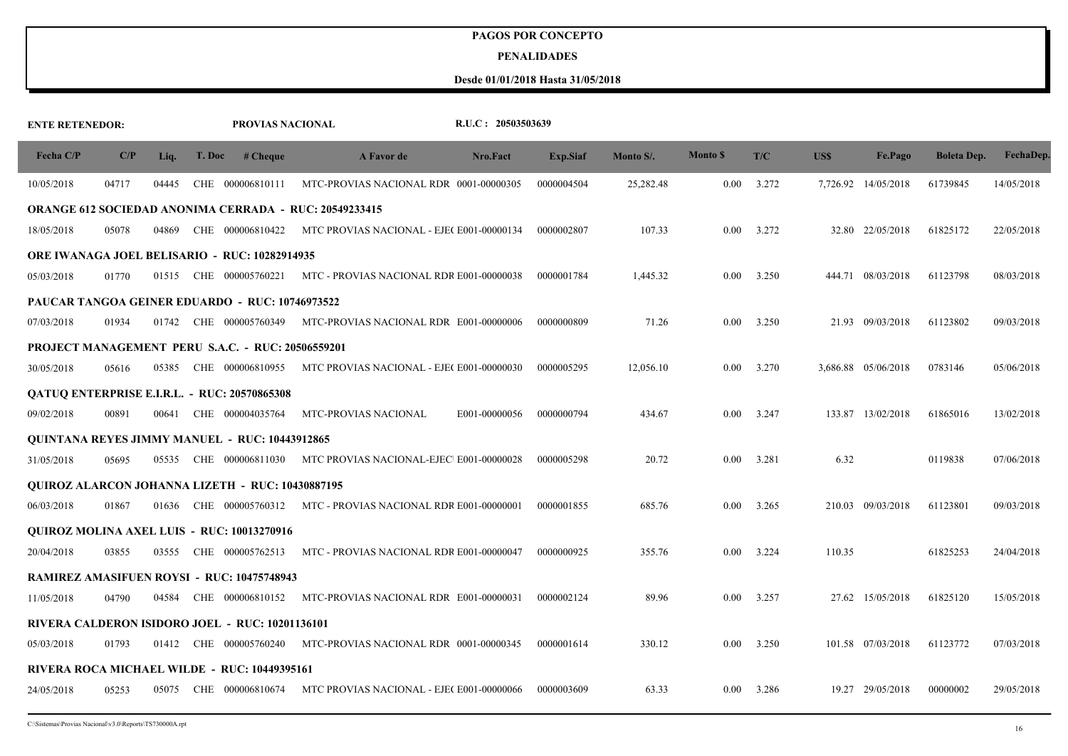#### **PENALIDADES**

| <b>ENTE RETENEDOR:</b> |       |       |        | PROVIAS NACIONAL                                         |                                                               | R.U.C: 20503503639 |                 |           |                 |       |        |                     |                    |            |
|------------------------|-------|-------|--------|----------------------------------------------------------|---------------------------------------------------------------|--------------------|-----------------|-----------|-----------------|-------|--------|---------------------|--------------------|------------|
| Fecha C/P              | C/P   | Liq.  | T. Doc | # <b>Change</b>                                          | A Favor de                                                    | Nro.Fact           | <b>Exp.Siaf</b> | Monto S/. | <b>Monto</b> \$ | T/C   | US\$   | Fe.Pago             | <b>Boleta Dep.</b> | FechaDep.  |
| 10/05/2018             | 04717 | 04445 |        | CHE 000006810111                                         | MTC-PROVIAS NACIONAL RDR 0001-00000305                        |                    | 0000004504      | 25,282.48 | 0.00            | 3.272 |        | 7,726.92 14/05/2018 | 61739845           | 14/05/2018 |
|                        |       |       |        |                                                          | <b>ORANGE 612 SOCIEDAD ANONIMA CERRADA - RUC: 20549233415</b> |                    |                 |           |                 |       |        |                     |                    |            |
| 18/05/2018             | 05078 | 04869 |        | CHE 000006810422                                         | MTC PROVIAS NACIONAL - EJE(E001-00000134                      |                    | 0000002807      | 107.33    | 0.00            | 3.272 |        | 32.80 22/05/2018    | 61825172           | 22/05/2018 |
|                        |       |       |        | <b>ORE IWANAGA JOEL BELISARIO - RUC: 10282914935</b>     |                                                               |                    |                 |           |                 |       |        |                     |                    |            |
| 05/03/2018             | 01770 | 01515 |        | CHE 000005760221                                         | MTC - PROVIAS NACIONAL RDR E001-00000038                      |                    | 0000001784      | 1,445.32  | 0.00            | 3.250 |        | 444.71 08/03/2018   | 61123798           | 08/03/2018 |
|                        |       |       |        | <b>PAUCAR TANGOA GEINER EDUARDO - RUC: 10746973522</b>   |                                                               |                    |                 |           |                 |       |        |                     |                    |            |
| 07/03/2018             | 01934 | 01742 |        | CHE 000005760349                                         | MTC-PROVIAS NACIONAL RDR E001-00000006                        |                    | 0000000809      | 71.26     | 0.00            | 3.250 |        | 21.93 09/03/2018    | 61123802           | 09/03/2018 |
|                        |       |       |        | <b>PROJECT MANAGEMENT PERU S.A.C. - RUC: 20506559201</b> |                                                               |                    |                 |           |                 |       |        |                     |                    |            |
| 30/05/2018             | 05616 | 05385 |        | CHE 000006810955                                         | MTC PROVIAS NACIONAL - EJE(E001-00000030                      |                    | 0000005295      | 12,056.10 | 0.00            | 3.270 |        | 3,686.88 05/06/2018 | 0783146            | 05/06/2018 |
|                        |       |       |        | <b>OATUO ENTERPRISE E.I.R.L. - RUC: 20570865308</b>      |                                                               |                    |                 |           |                 |       |        |                     |                    |            |
| 09/02/2018             | 00891 | 00641 |        | CHE 000004035764                                         | MTC-PROVIAS NACIONAL                                          | E001-00000056      | 0000000794      | 434.67    | 0.00            | 3.247 |        | 133.87 13/02/2018   | 61865016           | 13/02/2018 |
|                        |       |       |        | <b>OUINTANA REYES JIMMY MANUEL - RUC: 10443912865</b>    |                                                               |                    |                 |           |                 |       |        |                     |                    |            |
| 31/05/2018             | 05695 | 05535 |        |                                                          | CHE 000006811030 MTC PROVIAS NACIONAL-EJEC E001-00000028      |                    | 0000005298      | 20.72     | 0.00            | 3.281 | 6.32   |                     | 0119838            | 07/06/2018 |
|                        |       |       |        | <b>OUIROZ ALARCON JOHANNA LIZETH - RUC: 10430887195</b>  |                                                               |                    |                 |           |                 |       |        |                     |                    |            |
| 06/03/2018             | 01867 | 01636 |        |                                                          | CHE 000005760312 MTC - PROVIAS NACIONAL RDR E001-00000001     |                    | 0000001855      | 685.76    | 0.00            | 3.265 |        | 210.03 09/03/2018   | 61123801           | 09/03/2018 |
|                        |       |       |        | <b>OUIROZ MOLINA AXEL LUIS - RUC: 10013270916</b>        |                                                               |                    |                 |           |                 |       |        |                     |                    |            |
| 20/04/2018             | 03855 | 03555 |        | CHE 000005762513                                         | MTC - PROVIAS NACIONAL RDR E001-00000047                      |                    | 0000000925      | 355.76    | 0.00            | 3.224 | 110.35 |                     | 61825253           | 24/04/2018 |
|                        |       |       |        | RAMIREZ AMASIFUEN ROYSI - RUC: 10475748943               |                                                               |                    |                 |           |                 |       |        |                     |                    |            |
| 11/05/2018             | 04790 | 04584 |        | CHE 000006810152                                         | MTC-PROVIAS NACIONAL RDR E001-00000031                        |                    | 0000002124      | 89.96     | 0.00            | 3.257 |        | 27.62 15/05/2018    | 61825120           | 15/05/2018 |
|                        |       |       |        | RIVERA CALDERON ISIDORO JOEL - RUC: 10201136101          |                                                               |                    |                 |           |                 |       |        |                     |                    |            |
| 05/03/2018             | 01793 | 01412 |        | CHE 000005760240                                         | MTC-PROVIAS NACIONAL RDR 0001-00000345                        |                    | 0000001614      | 330.12    | 0.00            | 3.250 |        | 101.58 07/03/2018   | 61123772           | 07/03/2018 |
|                        |       |       |        | RIVERA ROCA MICHAEL WILDE - RUC: 10449395161             |                                                               |                    |                 |           |                 |       |        |                     |                    |            |
| 24/05/2018             | 05253 | 05075 |        | CHE 000006810674                                         | MTC PROVIAS NACIONAL - EJE(E001-00000066                      |                    | 0000003609      | 63.33     | 0.00            | 3.286 |        | 19.27 29/05/2018    | 00000002           | 29/05/2018 |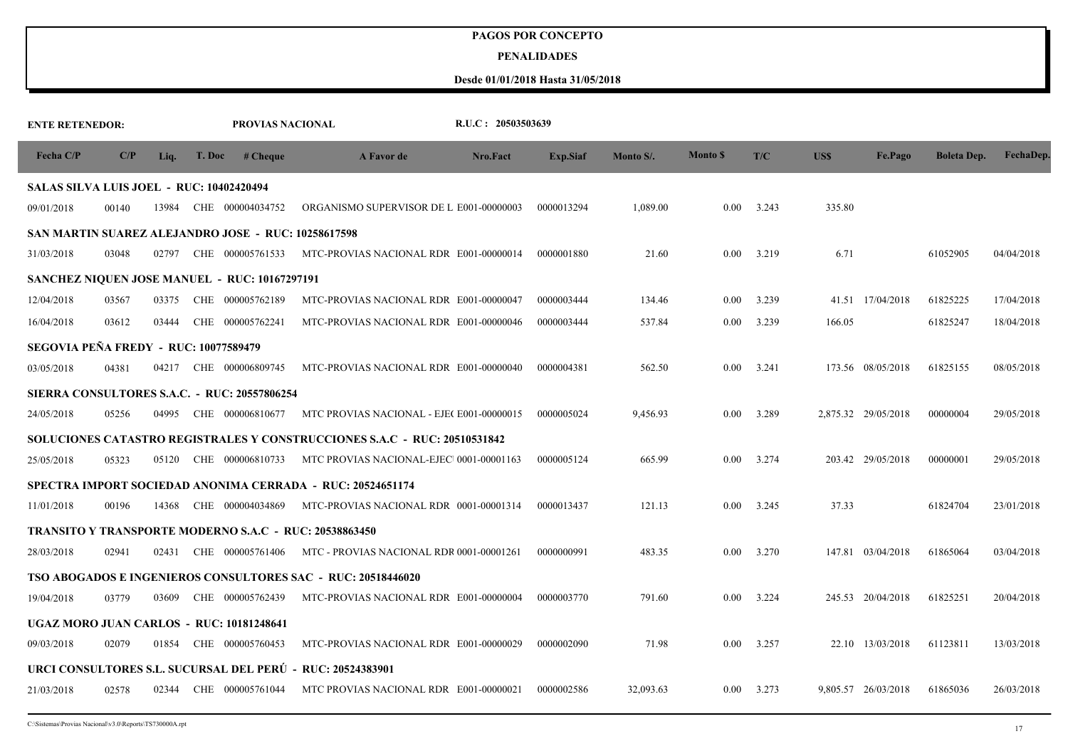#### **PENALIDADES**

| <b>ENTE RETENEDOR:</b>                          |       |       |        | PROVIAS NACIONAL                                     |                                                                           | R.U.C: 20503503639 |            |           |                 |       |            |                     |                    |            |
|-------------------------------------------------|-------|-------|--------|------------------------------------------------------|---------------------------------------------------------------------------|--------------------|------------|-----------|-----------------|-------|------------|---------------------|--------------------|------------|
| Fecha C/P                                       | C/P   | Liq.  | T. Doc | # <b>Change</b>                                      | A Favor de                                                                | Nro.Fact           | Exp.Siaf   | Monto S/. | <b>Monto</b> \$ | T/C   | <b>USS</b> | Fe.Pago             | <b>Boleta Dep.</b> | FechaDep.  |
| <b>SALAS SILVA LUIS JOEL - RUC: 10402420494</b> |       |       |        |                                                      |                                                                           |                    |            |           |                 |       |            |                     |                    |            |
| 09/01/2018                                      | 00140 | 13984 |        | CHE 000004034752                                     | ORGANISMO SUPERVISOR DE L E001-00000003                                   |                    | 0000013294 | 1,089.00  | 0.00            | 3.243 | 335.80     |                     |                    |            |
|                                                 |       |       |        | SAN MARTIN SUAREZ ALEJANDRO JOSE - RUC: 10258617598  |                                                                           |                    |            |           |                 |       |            |                     |                    |            |
| 31/03/2018                                      | 03048 | 02797 |        | CHE 000005761533                                     | MTC-PROVIAS NACIONAL RDR E001-00000014                                    |                    | 0000001880 | 21.60     | 0.00            | 3.219 | 6.71       |                     | 61052905           | 04/04/2018 |
|                                                 |       |       |        | <b>SANCHEZ NIQUEN JOSE MANUEL - RUC: 10167297191</b> |                                                                           |                    |            |           |                 |       |            |                     |                    |            |
| 12/04/2018                                      | 03567 | 03375 | CHE    | 000005762189                                         | MTC-PROVIAS NACIONAL RDR E001-00000047                                    |                    | 0000003444 | 134.46    | 0.00            | 3.239 |            | 41.51 17/04/2018    | 61825225           | 17/04/2018 |
| 16/04/2018                                      | 03612 | 03444 |        | CHE 000005762241                                     | MTC-PROVIAS NACIONAL RDR E001-00000046                                    |                    | 0000003444 | 537.84    | 0.00            | 3.239 | 166.05     |                     | 61825247           | 18/04/2018 |
| SEGOVIA PEÑA FREDY - RUC: 10077589479           |       |       |        |                                                      |                                                                           |                    |            |           |                 |       |            |                     |                    |            |
| 03/05/2018                                      | 04381 | 04217 |        | CHE 000006809745                                     | MTC-PROVIAS NACIONAL RDR E001-00000040                                    |                    | 0000004381 | 562.50    | 0.00            | 3.241 |            | 173.56 08/05/2018   | 61825155           | 08/05/2018 |
|                                                 |       |       |        | SIERRA CONSULTORES S.A.C. - RUC: 20557806254         |                                                                           |                    |            |           |                 |       |            |                     |                    |            |
| 24/05/2018                                      | 05256 | 04995 |        | CHE 000006810677                                     | MTC PROVIAS NACIONAL - EJE(E001-00000015                                  |                    | 0000005024 | 9,456.93  | 0.00            | 3.289 |            | 2,875.32 29/05/2018 | 00000004           | 29/05/2018 |
|                                                 |       |       |        |                                                      | SOLUCIONES CATASTRO REGISTRALES Y CONSTRUCCIONES S.A.C - RUC: 20510531842 |                    |            |           |                 |       |            |                     |                    |            |
| 25/05/2018                                      | 05323 | 05120 |        | CHE 000006810733                                     | MTC PROVIAS NACIONAL-EJEC 0001-00001163                                   |                    | 0000005124 | 665.99    | 0.00            | 3.274 |            | 203.42 29/05/2018   | 00000001           | 29/05/2018 |
|                                                 |       |       |        |                                                      | SPECTRA IMPORT SOCIEDAD ANONIMA CERRADA - RUC: 20524651174                |                    |            |           |                 |       |            |                     |                    |            |
| 11/01/2018                                      | 00196 | 14368 |        | CHE 000004034869                                     | MTC-PROVIAS NACIONAL RDR 0001-00001314                                    |                    | 0000013437 | 121.13    | 0.00            | 3.245 | 37.33      |                     | 61824704           | 23/01/2018 |
|                                                 |       |       |        |                                                      | <b>TRANSITO Y TRANSPORTE MODERNO S.A.C - RUC: 20538863450</b>             |                    |            |           |                 |       |            |                     |                    |            |
| 28/03/2018                                      | 02941 | 02431 |        | CHE 000005761406                                     | MTC - PROVIAS NACIONAL RDR 0001-00001261                                  |                    | 0000000991 | 483.35    | 0.00            | 3.270 |            | 147.81 03/04/2018   | 61865064           | 03/04/2018 |
|                                                 |       |       |        |                                                      | TSO ABOGADOS E INGENIEROS CONSULTORES SAC - RUC: 20518446020              |                    |            |           |                 |       |            |                     |                    |            |
| 19/04/2018                                      | 03779 | 03609 |        | CHE 000005762439                                     | MTC-PROVIAS NACIONAL RDR E001-00000004                                    |                    | 0000003770 | 791.60    | 0.00            | 3.224 |            | 245.53 20/04/2018   | 61825251           | 20/04/2018 |
|                                                 |       |       |        | UGAZ MORO JUAN CARLOS  -  RUC: 10181248641           |                                                                           |                    |            |           |                 |       |            |                     |                    |            |
| 09/03/2018                                      | 02079 | 01854 |        | CHE 000005760453                                     | MTC-PROVIAS NACIONAL RDR E001-00000029                                    |                    | 0000002090 | 71.98     | 0.00            | 3.257 |            | 22.10 13/03/2018    | 61123811           | 13/03/2018 |
|                                                 |       |       |        |                                                      | URCI CONSULTORES S.L. SUCURSAL DEL PERÚ - RUC: 20524383901                |                    |            |           |                 |       |            |                     |                    |            |
| 21/03/2018                                      | 02578 | 02344 |        | CHE 000005761044                                     | MTC PROVIAS NACIONAL RDR E001-00000021                                    |                    | 0000002586 | 32,093.63 | $0.00\,$        | 3.273 |            | 9,805.57 26/03/2018 | 61865036           | 26/03/2018 |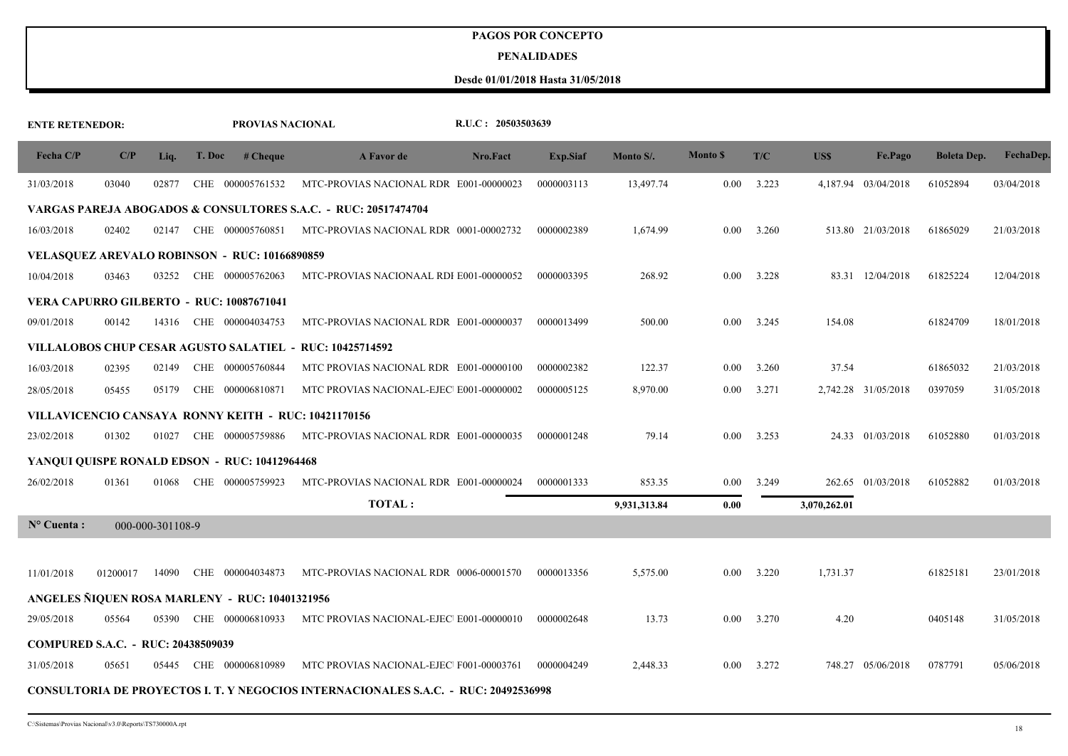#### **PENALIDADES**

| <b>ENTE RETENEDOR:</b>             |          |                  | PROVIAS NACIONAL                                |                                                                                            | R.U.C: 20503503639 |            |              |                 |       |              |                     |                    |            |
|------------------------------------|----------|------------------|-------------------------------------------------|--------------------------------------------------------------------------------------------|--------------------|------------|--------------|-----------------|-------|--------------|---------------------|--------------------|------------|
| Fecha C/P                          | C/P      | Liq.             | T. Doc # Cheque                                 | A Favor de                                                                                 | Nro.Fact           | Exp.Siaf   | Monto S/.    | <b>Monto</b> \$ | T/C   | US\$         | Fe.Pago             | <b>Boleta Dep.</b> | FechaDep.  |
| 31/03/2018                         | 03040    | 02877            | CHE 000005761532                                | MTC-PROVIAS NACIONAL RDR E001-00000023                                                     |                    | 0000003113 | 13,497.74    | $0.00\,$        | 3.223 |              | 4,187.94 03/04/2018 | 61052894           | 03/04/2018 |
|                                    |          |                  |                                                 | VARGAS PAREJA ABOGADOS & CONSULTORES S.A.C. - RUC: 20517474704                             |                    |            |              |                 |       |              |                     |                    |            |
| 16/03/2018                         | 02402    | 02147            |                                                 | CHE 000005760851 MTC-PROVIAS NACIONAL RDR 0001-00002732                                    |                    | 0000002389 | 1,674.99     | 0.00            | 3.260 |              | 513.80 21/03/2018   | 61865029           | 21/03/2018 |
|                                    |          |                  | VELASQUEZ AREVALO ROBINSON - RUC: 10166890859   |                                                                                            |                    |            |              |                 |       |              |                     |                    |            |
| 10/04/2018                         | 03463    | 03252            | CHE 000005762063                                | MTC-PROVIAS NACIONAAL RDI E001-00000052                                                    |                    | 0000003395 | 268.92       | 0.00            | 3.228 |              | 83.31 12/04/2018    | 61825224           | 12/04/2018 |
|                                    |          |                  | <b>VERA CAPURRO GILBERTO - RUC: 10087671041</b> |                                                                                            |                    |            |              |                 |       |              |                     |                    |            |
| 09/01/2018                         | 00142    | 14316            | CHE 000004034753                                | MTC-PROVIAS NACIONAL RDR E001-00000037                                                     |                    | 0000013499 | 500.00       | 0.00            | 3.245 | 154.08       |                     | 61824709           | 18/01/2018 |
|                                    |          |                  |                                                 | VILLALOBOS CHUP CESAR AGUSTO SALATIEL  -  RUC: 10425714592                                 |                    |            |              |                 |       |              |                     |                    |            |
| 16/03/2018                         | 02395    | 02149            | CHE 000005760844                                | MTC PROVIAS NACIONAL RDR E001-00000100                                                     |                    | 0000002382 | 122.37       | 0.00            | 3.260 | 37.54        |                     | 61865032           | 21/03/2018 |
| 28/05/2018                         | 05455    | 05179            | CHE 000006810871                                | MTC PROVIAS NACIONAL-EJEC E001-00000002                                                    |                    | 0000005125 | 8,970.00     | 0.00            | 3.271 |              | 2,742.28 31/05/2018 | 0397059            | 31/05/2018 |
|                                    |          |                  |                                                 | VILLAVICENCIO CANSAYA RONNY KEITH - RUC: 10421170156                                       |                    |            |              |                 |       |              |                     |                    |            |
| 23/02/2018                         | 01302    | 01027            |                                                 | CHE 000005759886 MTC-PROVIAS NACIONAL RDR E001-00000035                                    |                    | 0000001248 | 79.14        | $0.00\,$        | 3.253 |              | 24.33 01/03/2018    | 61052880           | 01/03/2018 |
|                                    |          |                  | YANQUI QUISPE RONALD EDSON - RUC: 10412964468   |                                                                                            |                    |            |              |                 |       |              |                     |                    |            |
| 26/02/2018                         | 01361    | 01068            | CHE 000005759923                                | MTC-PROVIAS NACIONAL RDR E001-00000024                                                     |                    | 0000001333 | 853.35       | $0.00\,$        | 3.249 |              | 262.65 01/03/2018   | 61052882           | 01/03/2018 |
|                                    |          |                  |                                                 | TOTAL:                                                                                     |                    |            | 9,931,313.84 | 0.00            |       | 3,070,262.01 |                     |                    |            |
| $N^{\circ}$ Cuenta :               |          | 000-000-301108-9 |                                                 |                                                                                            |                    |            |              |                 |       |              |                     |                    |            |
|                                    |          |                  |                                                 |                                                                                            |                    |            |              |                 |       |              |                     |                    |            |
| 11/01/2018                         | 01200017 | 14090            | CHE 000004034873                                | MTC-PROVIAS NACIONAL RDR 0006-00001570                                                     |                    | 0000013356 | 5,575.00     | $0.00\,$        | 3.220 | 1,731.37     |                     | 61825181           | 23/01/2018 |
|                                    |          |                  | ANGELES ÑIQUEN ROSA MARLENY - RUC: 10401321956  |                                                                                            |                    |            |              |                 |       |              |                     |                    |            |
| 29/05/2018                         | 05564    | 05390            | CHE 000006810933                                | MTC PROVIAS NACIONAL-EJEC E001-00000010                                                    |                    | 0000002648 | 13.73        | 0.00            | 3.270 | 4.20         |                     | 0405148            | 31/05/2018 |
| COMPURED S.A.C. - RUC: 20438509039 |          |                  |                                                 |                                                                                            |                    |            |              |                 |       |              |                     |                    |            |
| 31/05/2018                         | 05651    | 05445            | CHE 000006810989                                | MTC PROVIAS NACIONAL-EJEC F001-00003761                                                    |                    | 0000004249 | 2,448.33     | 0.00            | 3.272 |              | 748.27 05/06/2018   | 0787791            | 05/06/2018 |
|                                    |          |                  |                                                 | <b>CONSULTORIA DE PROYECTOS I. T. Y NEGOCIOS INTERNACIONALES S.A.C. - RUC: 20492536998</b> |                    |            |              |                 |       |              |                     |                    |            |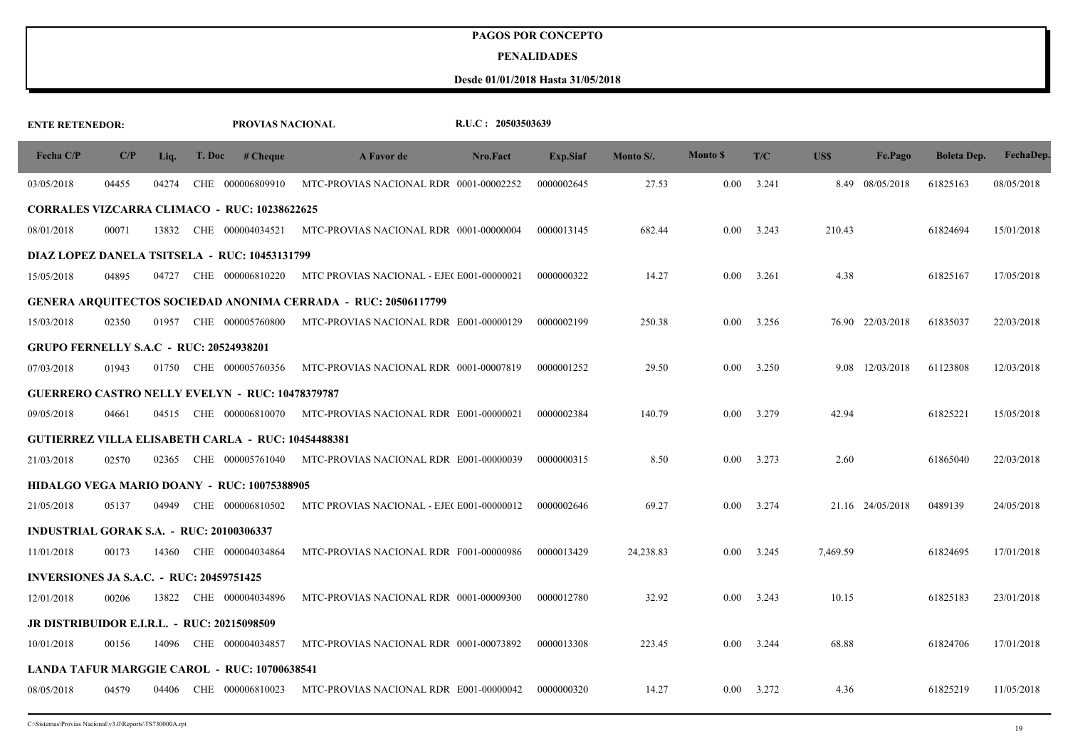#### **PENALIDADES**

| <b>ENTE RETENEDOR:</b>                             |       |       |        | PROVIAS NACIONAL                                          |                                                                       | R.U.C: 20503503639 |            |           |                 |       |          |                  |                    |            |
|----------------------------------------------------|-------|-------|--------|-----------------------------------------------------------|-----------------------------------------------------------------------|--------------------|------------|-----------|-----------------|-------|----------|------------------|--------------------|------------|
| Fecha C/P                                          | C/P   | Liq.  | T. Doc | # <b>Change</b>                                           | <b>A Favor de</b>                                                     | Nro.Fact           | Exp.Siaf   | Monto S/. | <b>Monto</b> \$ | T/C   | US\$     | Fe.Pago          | <b>Boleta Dep.</b> | FechaDep.  |
| 03/05/2018                                         | 04455 | 04274 |        | CHE 000006809910                                          | MTC-PROVIAS NACIONAL RDR 0001-00002252                                |                    | 0000002645 | 27.53     | 0.00            | 3.241 |          | 8.49 08/05/2018  | 61825163           | 08/05/2018 |
|                                                    |       |       |        | <b>CORRALES VIZCARRA CLIMACO - RUC: 10238622625</b>       |                                                                       |                    |            |           |                 |       |          |                  |                    |            |
| 08/01/2018                                         | 00071 | 13832 |        | CHE 000004034521                                          | MTC-PROVIAS NACIONAL RDR 0001-00000004                                |                    | 0000013145 | 682.44    | 0.00            | 3.243 | 210.43   |                  | 61824694           | 15/01/2018 |
|                                                    |       |       |        | DIAZ LOPEZ DANELA TSITSELA - RUC: 10453131799             |                                                                       |                    |            |           |                 |       |          |                  |                    |            |
| 15/05/2018                                         | 04895 | 04727 |        | CHE 000006810220                                          | MTC PROVIAS NACIONAL - EJE(E001-00000021                              |                    | 0000000322 | 14.27     | 0.00            | 3.261 | 4.38     |                  | 61825167           | 17/05/2018 |
|                                                    |       |       |        |                                                           | <b>GENERA ARQUITECTOS SOCIEDAD ANONIMA CERRADA - RUC: 20506117799</b> |                    |            |           |                 |       |          |                  |                    |            |
| 15/03/2018                                         | 02350 | 01957 |        | CHE 000005760800                                          | MTC-PROVIAS NACIONAL RDR E001-00000129                                |                    | 0000002199 | 250.38    | 0.00            | 3.256 |          | 76.90 22/03/2018 | 61835037           | 22/03/2018 |
| <b>GRUPO FERNELLY S.A.C - RUC: 20524938201</b>     |       |       |        |                                                           |                                                                       |                    |            |           |                 |       |          |                  |                    |            |
| 07/03/2018                                         | 01943 | 01750 |        | CHE 000005760356                                          | MTC-PROVIAS NACIONAL RDR 0001-00007819                                |                    | 0000001252 | 29.50     | 0.00            | 3.250 |          | 9.08 12/03/2018  | 61123808           | 12/03/2018 |
|                                                    |       |       |        | <b>GUERRERO CASTRO NELLY EVELYN - RUC: 10478379787</b>    |                                                                       |                    |            |           |                 |       |          |                  |                    |            |
| 09/05/2018                                         | 04661 | 04515 |        | CHE 000006810070                                          | MTC-PROVIAS NACIONAL RDR E001-00000021                                |                    | 0000002384 | 140.79    | 0.00            | 3.279 | 42.94    |                  | 61825221           | 15/05/2018 |
|                                                    |       |       |        | <b>GUTIERREZ VILLA ELISABETH CARLA - RUC: 10454488381</b> |                                                                       |                    |            |           |                 |       |          |                  |                    |            |
| 21/03/2018                                         | 02570 | 02365 |        | CHE 000005761040                                          | MTC-PROVIAS NACIONAL RDR E001-00000039                                |                    | 0000000315 | 8.50      | 0.00            | 3.273 | 2.60     |                  | 61865040           | 22/03/2018 |
|                                                    |       |       |        | HIDALGO VEGA MARIO DOANY - RUC: 10075388905               |                                                                       |                    |            |           |                 |       |          |                  |                    |            |
| 21/05/2018                                         | 05137 | 04949 |        | CHE 000006810502                                          | MTC PROVIAS NACIONAL - EJE(E001-00000012                              |                    | 0000002646 | 69.27     | 0.00            | 3.274 |          | 21.16 24/05/2018 | 0489139            | 24/05/2018 |
| INDUSTRIAL GORAK S.A. - RUC: 20100306337           |       |       |        |                                                           |                                                                       |                    |            |           |                 |       |          |                  |                    |            |
| 11/01/2018                                         | 00173 | 14360 |        | CHE 000004034864                                          | MTC-PROVIAS NACIONAL RDR F001-00000986                                |                    | 0000013429 | 24,238.83 | 0.00            | 3.245 | 7,469.59 |                  | 61824695           | 17/01/2018 |
| <b>INVERSIONES JA S.A.C. - RUC: 20459751425</b>    |       |       |        |                                                           |                                                                       |                    |            |           |                 |       |          |                  |                    |            |
| 12/01/2018                                         | 00206 | 13822 |        | CHE 000004034896                                          | MTC-PROVIAS NACIONAL RDR 0001-00009300                                |                    | 0000012780 | 32.92     | 0.00            | 3.243 | 10.15    |                  | 61825183           | 23/01/2018 |
| <b>JR DISTRIBUIDOR E.I.R.L. - RUC: 20215098509</b> |       |       |        |                                                           |                                                                       |                    |            |           |                 |       |          |                  |                    |            |
| 10/01/2018                                         | 00156 | 14096 |        | CHE 000004034857                                          | MTC-PROVIAS NACIONAL RDR 0001-00073892                                |                    | 0000013308 | 223.45    | 0.00            | 3.244 | 68.88    |                  | 61824706           | 17/01/2018 |
|                                                    |       |       |        | <b>LANDA TAFUR MARGGIE CAROL - RUC: 10700638541</b>       |                                                                       |                    |            |           |                 |       |          |                  |                    |            |
| 08/05/2018                                         | 04579 | 04406 |        | CHE 000006810023                                          | MTC-PROVIAS NACIONAL RDR E001-00000042                                |                    | 0000000320 | 14.27     | $0.00\,$        | 3.272 | 4.36     |                  | 61825219           | 11/05/2018 |